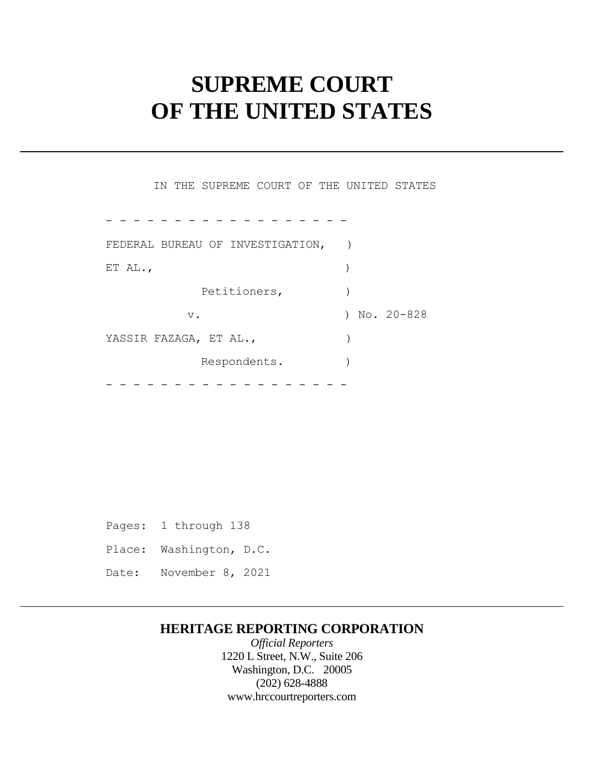# **SUPREME COURT OF THE UNITED STATES**

 FEDERAL BUREAU OF INVESTIGATION, ) YASSIR FAZAGA, ET AL., ) - - - - - - - - - - - - - - - - - - IN THE SUPREME COURT OF THE UNITED STATES ET AL.,  $\qquad \qquad$ Petitioners,  $)$ v. ) No. 20-828 Respondents.

- - - - - - - - - - - - - - - - - -

 Pages: 1 through 138 Place: Washington, D.C. Date: November 8, 2021

# **HERITAGE REPORTING CORPORATION**

*Official Reporters*  1220 L Street, N.W., Suite 206 Washington, D.C. 20005 (202) 628-4888 <www.hrccourtreporters.com>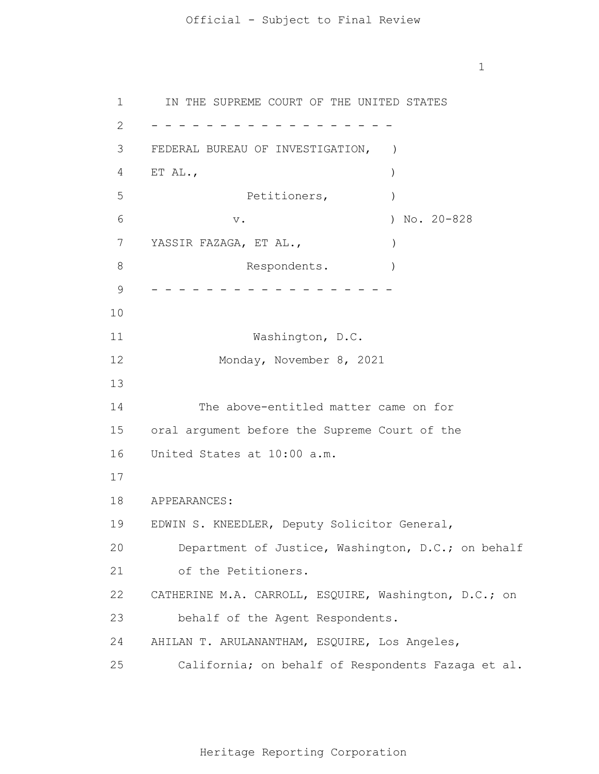1 2 3 4 5 6 7 8 9 10 11 12 13 14 15 16 17 18 19 20 21 22 23 24 25 - - - - - - - - - - - - - - - - - - - - - - - - - - - - - - - - - - - - IN THE SUPREME COURT OF THE UNITED STATES FEDERAL BUREAU OF INVESTIGATION, ) ET AL.,  $\qquad \qquad$ Petitioners,  $)$  v. ) No. 20-828 YASSIR FAZAGA, ET AL.,  $\qquad \qquad$ Respondents. Washington, D.C. Monday, November 8, 2021 The above-entitled matter came on for oral argument before the Supreme Court of the United States at 10:00 a.m. APPEARANCES: EDWIN S. KNEEDLER, Deputy Solicitor General, Department of Justice, Washington, D.C.; on behalf of the Petitioners. CATHERINE M.A. CARROLL, ESQUIRE, Washington, D.C.; on behalf of the Agent Respondents. AHILAN T. ARULANANTHAM, ESQUIRE, Los Angeles, California; on behalf of Respondents Fazaga et al.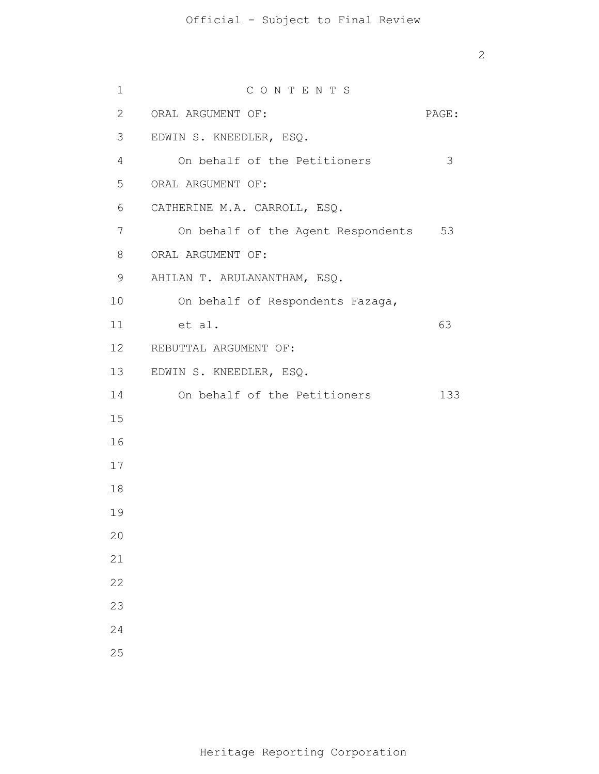| $\mathbf 1$     | CONTENTS                              |       |
|-----------------|---------------------------------------|-------|
| $\mathbf{2}$    | ORAL ARGUMENT OF:                     | PAGE: |
| 3               | EDWIN S. KNEEDLER, ESQ.               |       |
| $\overline{4}$  | On behalf of the Petitioners          | 3     |
| 5               | ORAL ARGUMENT OF:                     |       |
| 6               | CATHERINE M.A. CARROLL, ESQ.          |       |
| $7\overline{ }$ | On behalf of the Agent Respondents 53 |       |
| 8               | ORAL ARGUMENT OF:                     |       |
| 9               | AHILAN T. ARULANANTHAM, ESQ.          |       |
| 10              | On behalf of Respondents Fazaga,      |       |
| 11              | et al.                                | 63    |
|                 | 12 REBUTTAL ARGUMENT OF:              |       |
| 13              | EDWIN S. KNEEDLER, ESQ.               |       |
| 14              | On behalf of the Petitioners          | 133   |
| 15              |                                       |       |
| 16              |                                       |       |
| 17              |                                       |       |
| 18              |                                       |       |
| 19              |                                       |       |
| 20              |                                       |       |
| 21              |                                       |       |
| 22              |                                       |       |
| 23              |                                       |       |
| 24              |                                       |       |
| 25              |                                       |       |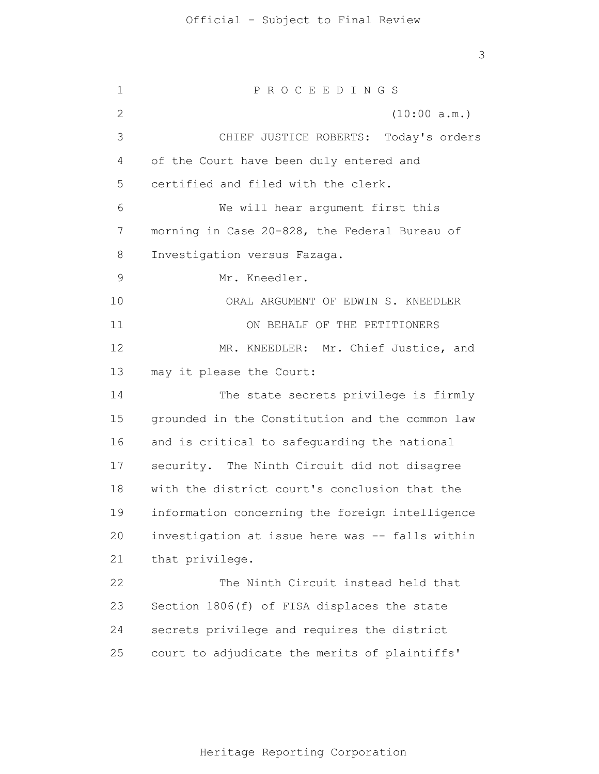1 2 3 4 5 6 7 8 9 10 11 12 13 14 15 16 17 18 19 20 21 22 23 24 25 P R O C E E D I N G S (10:00 a.m.) CHIEF JUSTICE ROBERTS: Today's orders of the Court have been duly entered and certified and filed with the clerk. We will hear argument first this morning in Case 20-828, the Federal Bureau of Investigation versus Fazaga. Mr. Kneedler. ORAL ARGUMENT OF EDWIN S. KNEEDLER ON BEHALF OF THE PETITIONERS MR. KNEEDLER: Mr. Chief Justice, and may it please the Court: The state secrets privilege is firmly grounded in the Constitution and the common law and is critical to safeguarding the national security. The Ninth Circuit did not disagree with the district court's conclusion that the information concerning the foreign intelligence investigation at issue here was -- falls within that privilege. The Ninth Circuit instead held that Section 1806(f) of FISA displaces the state secrets privilege and requires the district court to adjudicate the merits of plaintiffs'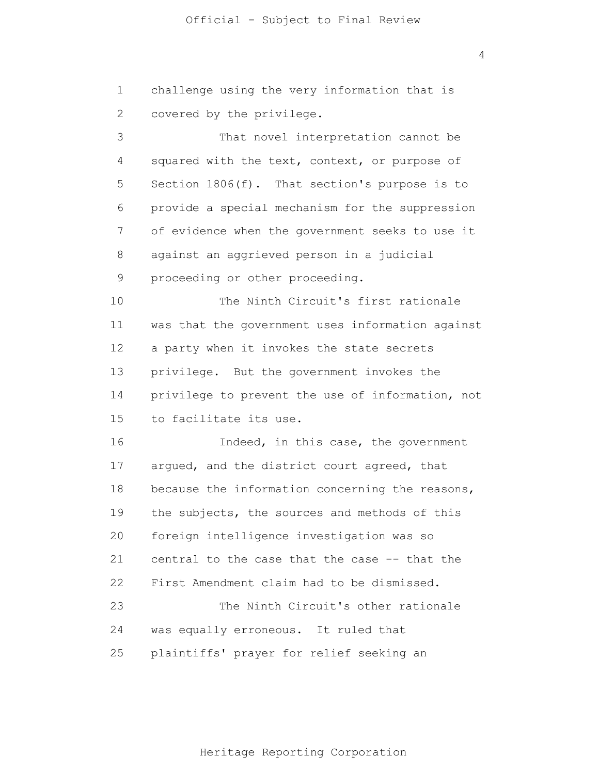1 2 challenge using the very information that is covered by the privilege.

3 4 5 6 7 8 9 10 11 12 13 14 15 That novel interpretation cannot be squared with the text, context, or purpose of Section 1806(f). That section's purpose is to provide a special mechanism for the suppression of evidence when the government seeks to use it against an aggrieved person in a judicial proceeding or other proceeding. The Ninth Circuit's first rationale was that the government uses information against a party when it invokes the state secrets privilege. But the government invokes the privilege to prevent the use of information, not to facilitate its use.

16 17 18 19 20 21 22 23 24 25 Indeed, in this case, the government argued, and the district court agreed, that because the information concerning the reasons, the subjects, the sources and methods of this foreign intelligence investigation was so central to the case that the case -- that the First Amendment claim had to be dismissed. The Ninth Circuit's other rationale was equally erroneous. It ruled that plaintiffs' prayer for relief seeking an

4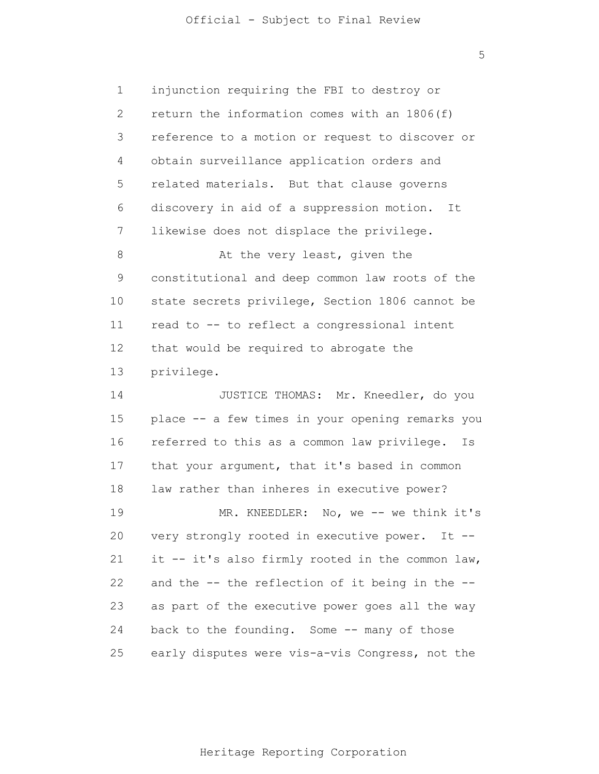5

1 2 3 4 5 6 7 8 9 10 11 12 13 14 15 16 17 18 19 20 21 22 23 24 25 injunction requiring the FBI to destroy or return the information comes with an 1806(f) reference to a motion or request to discover or obtain surveillance application orders and related materials. But that clause governs discovery in aid of a suppression motion. It likewise does not displace the privilege. At the very least, given the constitutional and deep common law roots of the state secrets privilege, Section 1806 cannot be read to -- to reflect a congressional intent that would be required to abrogate the privilege. JUSTICE THOMAS: Mr. Kneedler, do you place -- a few times in your opening remarks you referred to this as a common law privilege. Is that your argument, that it's based in common law rather than inheres in executive power? MR. KNEEDLER: No, we -- we think it's very strongly rooted in executive power. It - it -- it's also firmly rooted in the common law, and the -- the reflection of it being in the - as part of the executive power goes all the way back to the founding. Some -- many of those early disputes were vis-a-vis Congress, not the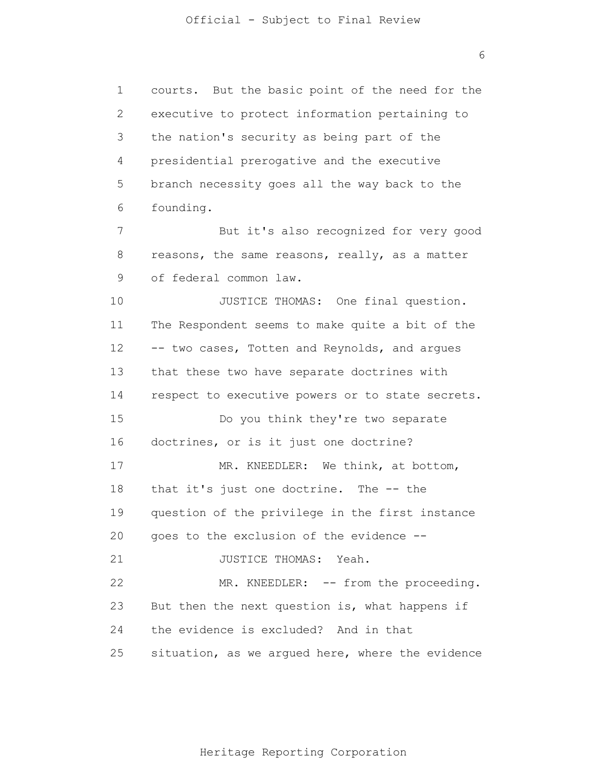6

1 2 3 4 5 6 7 8 9 10 11 12 13 14 15 16 17 18 19 20 21 22 23 24 25 courts. But the basic point of the need for the executive to protect information pertaining to the nation's security as being part of the presidential prerogative and the executive branch necessity goes all the way back to the founding. But it's also recognized for very good reasons, the same reasons, really, as a matter of federal common law. JUSTICE THOMAS: One final question. The Respondent seems to make quite a bit of the -- two cases, Totten and Reynolds, and argues that these two have separate doctrines with respect to executive powers or to state secrets. Do you think they're two separate doctrines, or is it just one doctrine? MR. KNEEDLER: We think, at bottom, that it's just one doctrine. The -- the question of the privilege in the first instance goes to the exclusion of the evidence -- JUSTICE THOMAS: Yeah. MR. KNEEDLER: -- from the proceeding. But then the next question is, what happens if the evidence is excluded? And in that situation, as we argued here, where the evidence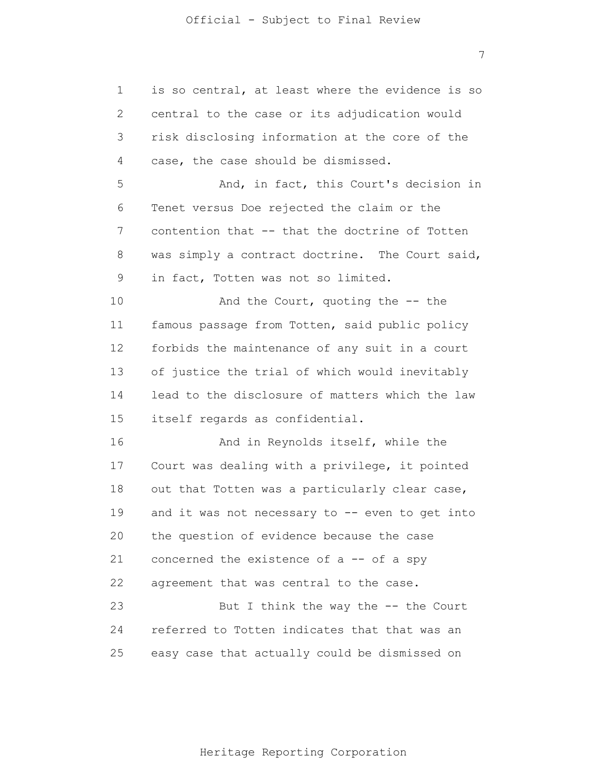1 2 3 4 5 6 7 8 9 10 11 12 13 14 15 16 17 18 19 20 21 22 23 24 25 is so central, at least where the evidence is so central to the case or its adjudication would risk disclosing information at the core of the case, the case should be dismissed. And, in fact, this Court's decision in Tenet versus Doe rejected the claim or the contention that -- that the doctrine of Totten was simply a contract doctrine. The Court said, in fact, Totten was not so limited. And the Court, quoting the -- the famous passage from Totten, said public policy forbids the maintenance of any suit in a court of justice the trial of which would inevitably lead to the disclosure of matters which the law itself regards as confidential. And in Reynolds itself, while the Court was dealing with a privilege, it pointed out that Totten was a particularly clear case, and it was not necessary to -- even to get into the question of evidence because the case concerned the existence of a -- of a spy agreement that was central to the case. But I think the way the -- the Court referred to Totten indicates that that was an easy case that actually could be dismissed on

7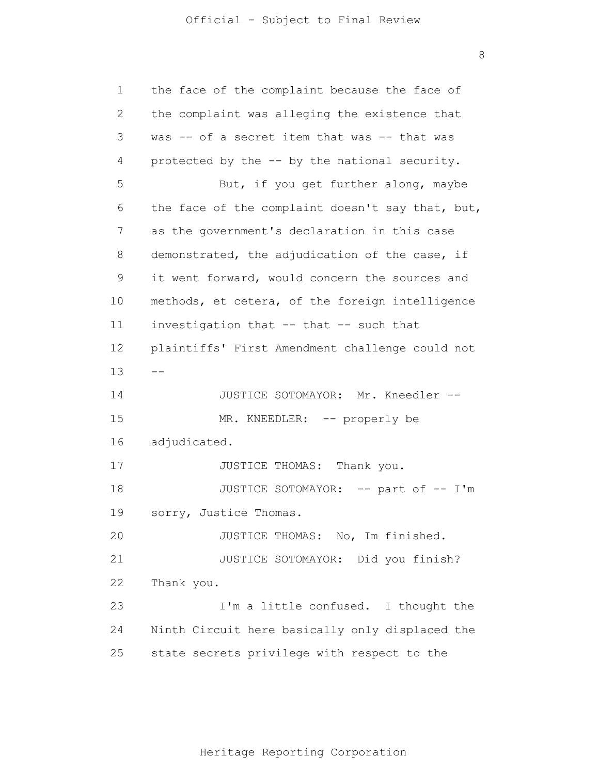8

| 1  | the face of the complaint because the face of    |
|----|--------------------------------------------------|
| 2  | the complaint was alleging the existence that    |
| 3  | was -- of a secret item that was -- that was     |
| 4  | protected by the -- by the national security.    |
| 5  | But, if you get further along, maybe             |
| 6  | the face of the complaint doesn't say that, but, |
| 7  | as the government's declaration in this case     |
| 8  | demonstrated, the adjudication of the case, if   |
| 9  | it went forward, would concern the sources and   |
| 10 | methods, et cetera, of the foreign intelligence  |
| 11 | investigation that -- that -- such that          |
| 12 | plaintiffs' First Amendment challenge could not  |
| 13 |                                                  |
| 14 | JUSTICE SOTOMAYOR: Mr. Kneedler --               |
| 15 | MR. KNEEDLER: -- properly be                     |
| 16 | adjudicated.                                     |
| 17 | JUSTICE THOMAS: Thank you.                       |
| 18 | JUSTICE SOTOMAYOR: -- part of -- I'm             |
| 19 | sorry, Justice Thomas.                           |
| 20 | JUSTICE THOMAS: No, Im finished.                 |
| 21 | JUSTICE SOTOMAYOR: Did you finish?               |
| 22 | Thank you.                                       |
| 23 | I'm a little confused. I thought the             |
| 24 | Ninth Circuit here basically only displaced the  |
| 25 | state secrets privilege with respect to the      |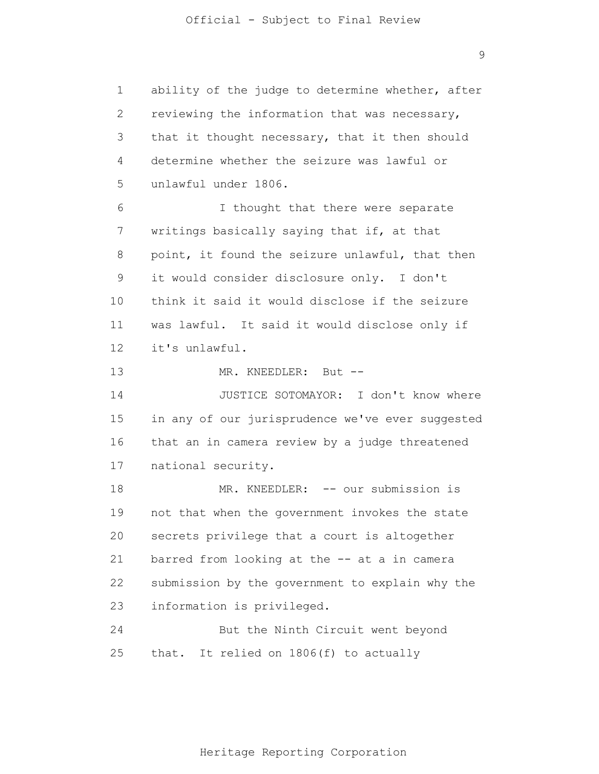1 2 3 4 5 6 7 8 9 10 11 12 13 14 15 16 17 18 19 20 21 22 23 24 25 ability of the judge to determine whether, after reviewing the information that was necessary, that it thought necessary, that it then should determine whether the seizure was lawful or unlawful under 1806. I thought that there were separate writings basically saying that if, at that point, it found the seizure unlawful, that then it would consider disclosure only. I don't think it said it would disclose if the seizure was lawful. It said it would disclose only if it's unlawful. MR. KNEEDLER: But --JUSTICE SOTOMAYOR: I don't know where in any of our jurisprudence we've ever suggested that an in camera review by a judge threatened national security. MR. KNEEDLER: -- our submission is not that when the government invokes the state secrets privilege that a court is altogether barred from looking at the -- at a in camera submission by the government to explain why the information is privileged. But the Ninth Circuit went beyond that. It relied on 1806(f) to actually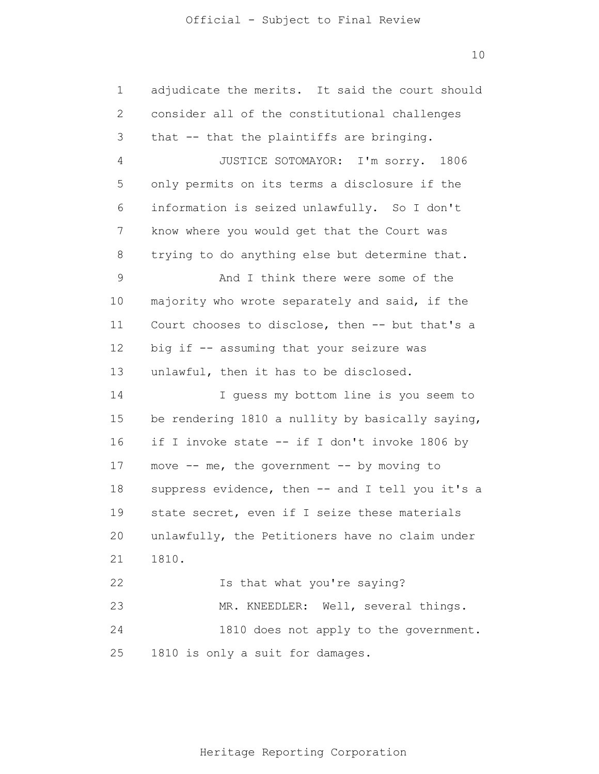1 2 3 4 5 6 7 8 9 10 11 12 13 14 15 16 17 18 19 20 21 22 23 24 25 adjudicate the merits. It said the court should consider all of the constitutional challenges that -- that the plaintiffs are bringing. JUSTICE SOTOMAYOR: I'm sorry. 1806 only permits on its terms a disclosure if the information is seized unlawfully. So I don't know where you would get that the Court was trying to do anything else but determine that. And I think there were some of the majority who wrote separately and said, if the Court chooses to disclose, then -- but that's a big if -- assuming that your seizure was unlawful, then it has to be disclosed. I guess my bottom line is you seem to be rendering 1810 a nullity by basically saying, if I invoke state -- if I don't invoke 1806 by move  $--$  me, the government  $--$  by moving to suppress evidence, then -- and I tell you it's a state secret, even if I seize these materials unlawfully, the Petitioners have no claim under 1810. Is that what you're saying? MR. KNEEDLER: Well, several things. 1810 does not apply to the government. 1810 is only a suit for damages.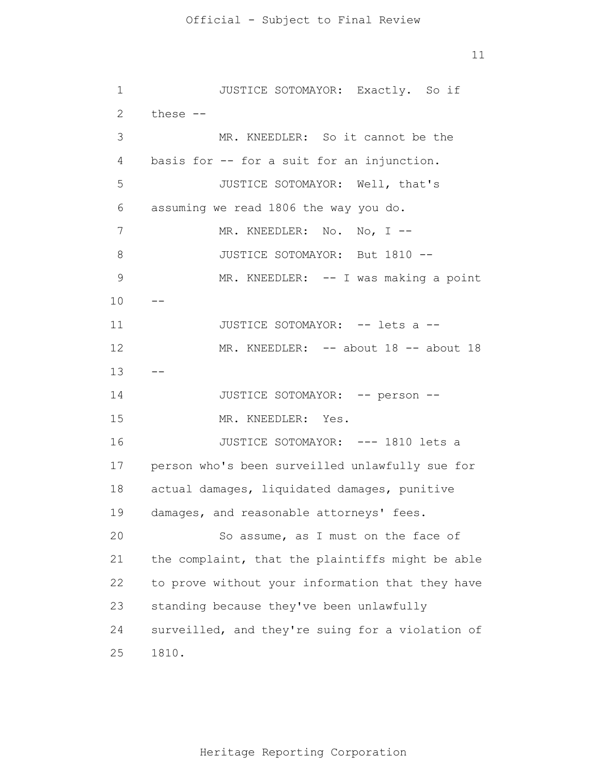11

1 2 3 4 5 6 7 8 9 10 11 12 13 14 15 16 17 18 19 20 21 22 23 24 25 -- -- JUSTICE SOTOMAYOR: Exactly. So if these -- MR. KNEEDLER: So it cannot be the basis for -- for a suit for an injunction. JUSTICE SOTOMAYOR: Well, that's assuming we read 1806 the way you do. MR. KNEEDLER: No. No, I -- JUSTICE SOTOMAYOR: But 1810 -- MR. KNEEDLER: -- I was making a point JUSTICE SOTOMAYOR: -- lets a --MR. KNEEDLER: -- about 18 -- about 18 JUSTICE SOTOMAYOR: -- person -- MR. KNEEDLER: Yes. JUSTICE SOTOMAYOR: --- 1810 lets a person who's been surveilled unlawfully sue for actual damages, liquidated damages, punitive damages, and reasonable attorneys' fees. So assume, as I must on the face of the complaint, that the plaintiffs might be able to prove without your information that they have standing because they've been unlawfully surveilled, and they're suing for a violation of 1810.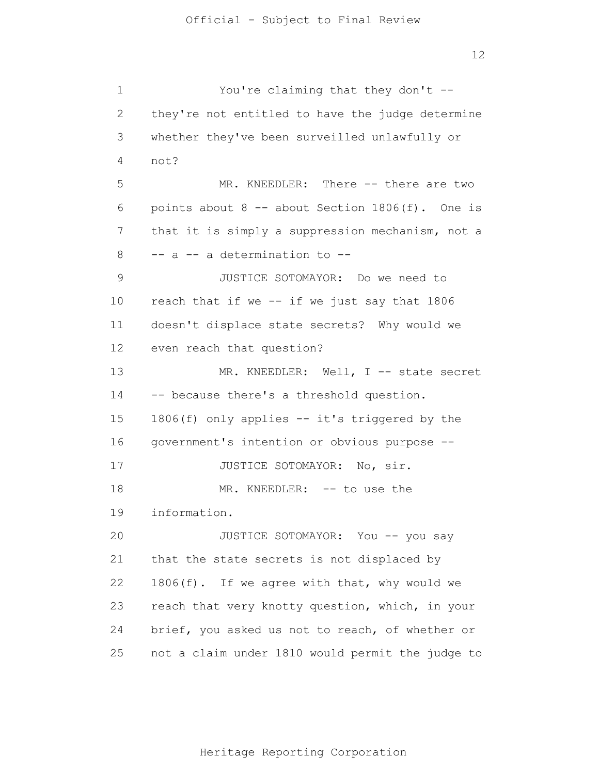1 2 3 4 5 6 7 8 9 10 11 12 13 14 15 16 17 18 19 20 21 22 23 24 25 You're claiming that they don't - they're not entitled to have the judge determine whether they've been surveilled unlawfully or not? MR. KNEEDLER: There -- there are two points about  $8$  -- about Section  $1806(f)$ . One is that it is simply a suppression mechanism, not a -- a -- a determination to -- JUSTICE SOTOMAYOR: Do we need to reach that if we -- if we just say that 1806 doesn't displace state secrets? Why would we even reach that question? MR. KNEEDLER: Well, I -- state secret -- because there's a threshold question. 1806(f) only applies -- it's triggered by the government's intention or obvious purpose -- JUSTICE SOTOMAYOR: No, sir. MR. KNEEDLER: -- to use the information. JUSTICE SOTOMAYOR: You -- you say that the state secrets is not displaced by 1806(f). If we agree with that, why would we reach that very knotty question, which, in your brief, you asked us not to reach, of whether or not a claim under 1810 would permit the judge to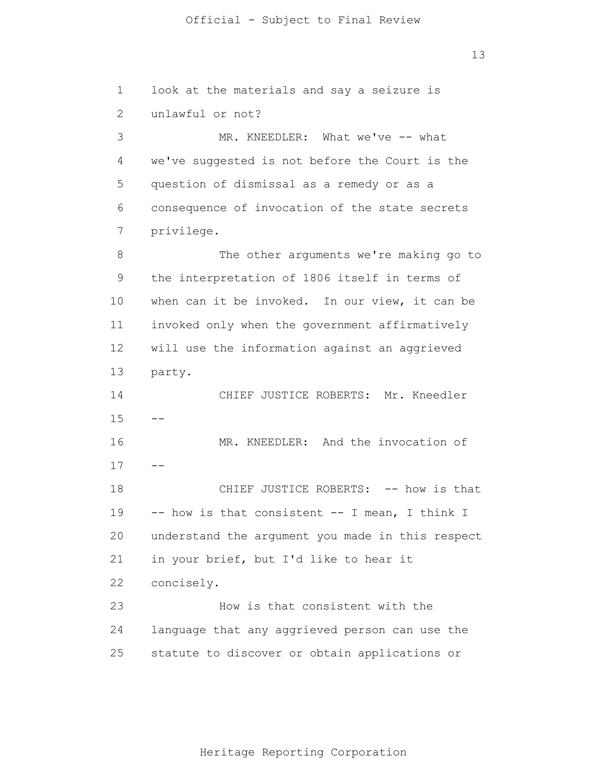13

1 2 3 4 5 6 7 8 9 10 11 12 13 14 15 16 17 18 19 20 21 22 23 24 25 -- - look at the materials and say a seizure is unlawful or not? MR. KNEEDLER: What we've -- what we've suggested is not before the Court is the question of dismissal as a remedy or as a consequence of invocation of the state secrets privilege. The other arguments we're making go to the interpretation of 1806 itself in terms of when can it be invoked. In our view, it can be invoked only when the government affirmatively will use the information against an aggrieved party. CHIEF JUSTICE ROBERTS: Mr. Kneedler MR. KNEEDLER: And the invocation of CHIEF JUSTICE ROBERTS: -- how is that -- how is that consistent -- I mean, I think I understand the argument you made in this respect in your brief, but I'd like to hear it concisely. How is that consistent with the language that any aggrieved person can use the statute to discover or obtain applications or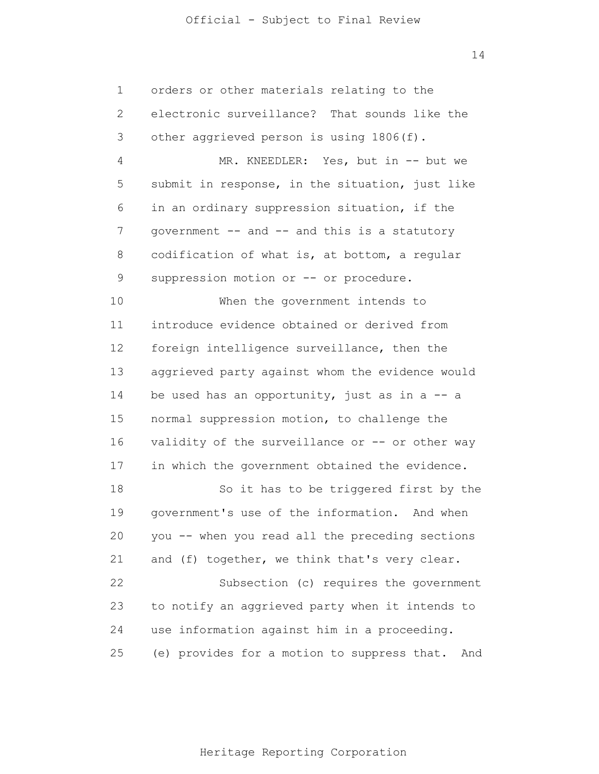| 1            | orders or other materials relating to the          |  |
|--------------|----------------------------------------------------|--|
| $\mathbf{2}$ | electronic surveillance? That sounds like the      |  |
| 3            | other aggrieved person is using 1806(f).           |  |
| 4            | MR. KNEEDLER: Yes, but in -- but we                |  |
| 5            | submit in response, in the situation, just like    |  |
| 6            | in an ordinary suppression situation, if the       |  |
| 7            | government -- and -- and this is a statutory       |  |
| 8            | codification of what is, at bottom, a regular      |  |
| $\mathsf 9$  | suppression motion or -- or procedure.             |  |
| 10           | When the government intends to                     |  |
| 11           | introduce evidence obtained or derived from        |  |
| 12           | foreign intelligence surveillance, then the        |  |
| 13           | aggrieved party against whom the evidence would    |  |
| 14           | be used has an opportunity, just as in $a - a$     |  |
| 15           | normal suppression motion, to challenge the        |  |
| 16           | validity of the surveillance or -- or other way    |  |
| 17           | in which the government obtained the evidence.     |  |
| 18           | So it has to be triggered first by the             |  |
| 19           | government's use of the information. And when      |  |
| 20           | you -- when you read all the preceding sections    |  |
| 21           | and (f) together, we think that's very clear.      |  |
| 22           | Subsection (c) requires the government             |  |
| 23           | to notify an aggrieved party when it intends to    |  |
| 24           | use information against him in a proceeding.       |  |
| 25           | (e) provides for a motion to suppress that.<br>And |  |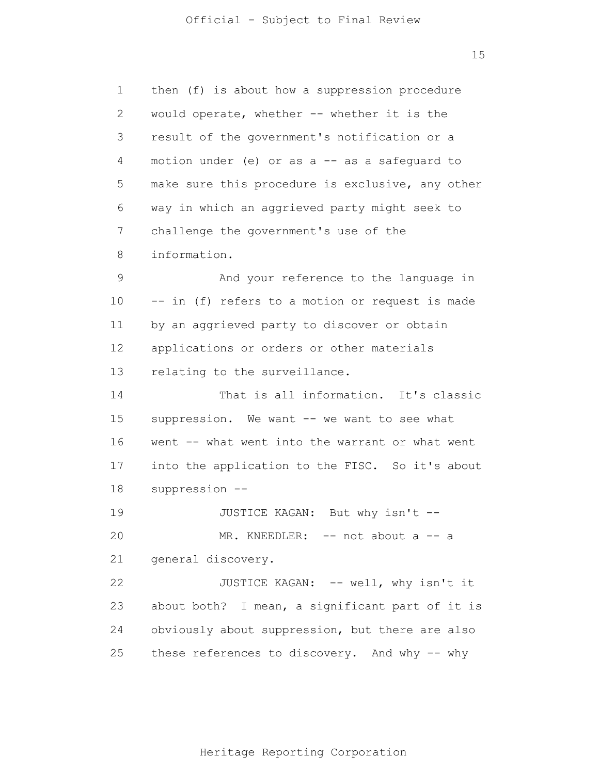15

| 1            | then (f) is about how a suppression procedure    |
|--------------|--------------------------------------------------|
| $\mathbf{2}$ | would operate, whether -- whether it is the      |
| 3            | result of the government's notification or a     |
| 4            | motion under (e) or as a -- as a safeguard to    |
| 5            | make sure this procedure is exclusive, any other |
| 6            | way in which an aggrieved party might seek to    |
| 7            | challenge the government's use of the            |
| 8            | information.                                     |
| 9            | And your reference to the language in            |
| 10           | -- in (f) refers to a motion or request is made  |
| 11           | by an aggrieved party to discover or obtain      |
| 12           | applications or orders or other materials        |
| 13           | relating to the surveillance.                    |
| 14           | That is all information. It's classic            |
| 15           | suppression. We want -- we want to see what      |
| 16           | went -- what went into the warrant or what went  |
| 17           | into the application to the FISC. So it's about  |
| 18           | suppression --                                   |
| 19           | JUSTICE KAGAN: But why isn't --                  |
| 20           | MR. KNEEDLER: -- not about a -- a                |
| 21           | general discovery.                               |
| 22           | JUSTICE KAGAN: -- well, why isn't it             |
| 23           | about both? I mean, a significant part of it is  |
| 24           | obviously about suppression, but there are also  |
| 25           | these references to discovery. And why -- why    |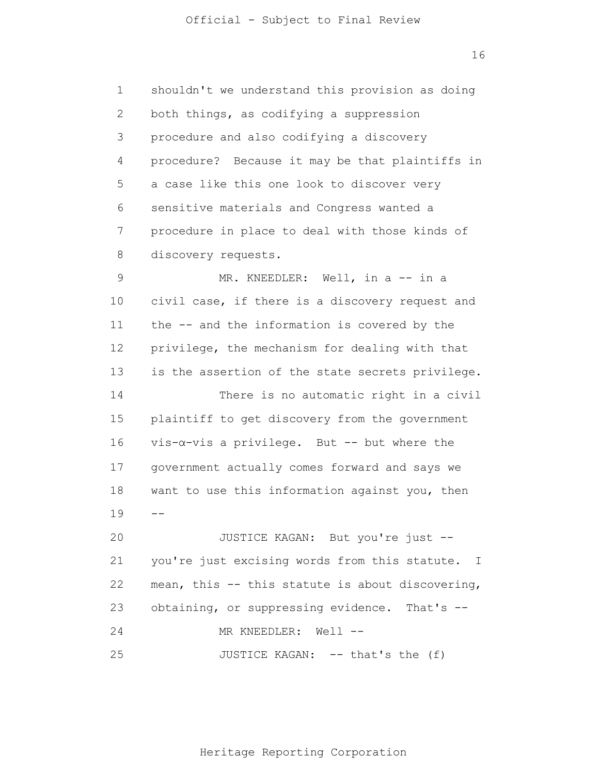1 2 3 4 5 6 7 8 9 10 11 12 13 14 15 16 17 18 19  $20$ 21 22 23  $-$  shouldn't we understand this provision as doing both things, as codifying a suppression procedure and also codifying a discovery procedure? Because it may be that plaintiffs in a case like this one look to discover very sensitive materials and Congress wanted a procedure in place to deal with those kinds of discovery requests. MR. KNEEDLER: Well, in a -- in a civil case, if there is a discovery request and the -- and the information is covered by the privilege, the mechanism for dealing with that is the assertion of the state secrets privilege. There is no automatic right in a civil plaintiff to get discovery from the government vis-α-vis a privilege. But -- but where the government actually comes forward and says we want to use this information against you, then JUSTICE KAGAN: But you're just - you're just excising words from this statute. I mean, this -- this statute is about discovering, obtaining, or suppressing evidence. That's --

24 MR KNEEDLER: Well --

25 JUSTICE KAGAN: -- that's the (f)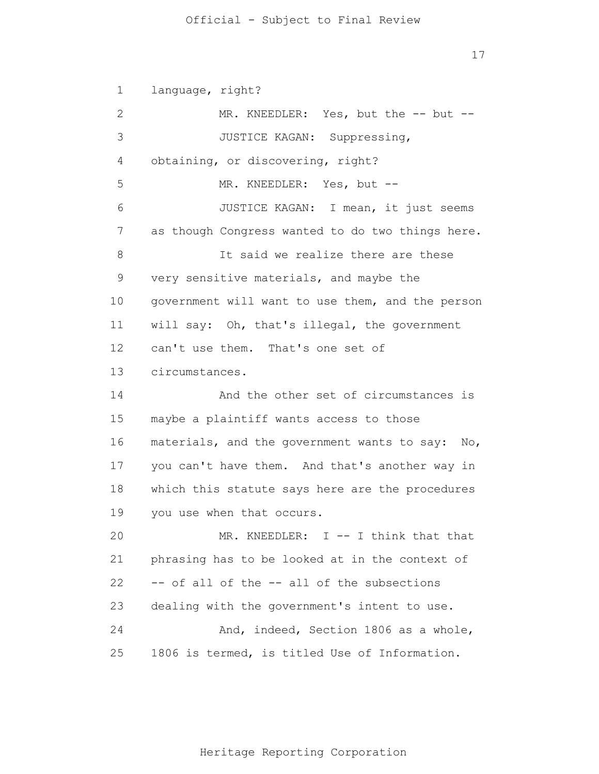17

1 2 3 4 5 6 7 8 9 10 11 12 13 14 15 16 17 18 19 20 21 22 23 24 25 language, right? MR. KNEEDLER: Yes, but the -- but --JUSTICE KAGAN: Suppressing, obtaining, or discovering, right? MR. KNEEDLER: Yes, but -- JUSTICE KAGAN: I mean, it just seems as though Congress wanted to do two things here. It said we realize there are these very sensitive materials, and maybe the government will want to use them, and the person will say: Oh, that's illegal, the government can't use them. That's one set of circumstances. And the other set of circumstances is maybe a plaintiff wants access to those materials, and the government wants to say: No, you can't have them. And that's another way in which this statute says here are the procedures you use when that occurs. MR. KNEEDLER: I -- I think that that phrasing has to be looked at in the context of -- of all of the -- all of the subsections dealing with the government's intent to use. And, indeed, Section 1806 as a whole, 1806 is termed, is titled Use of Information.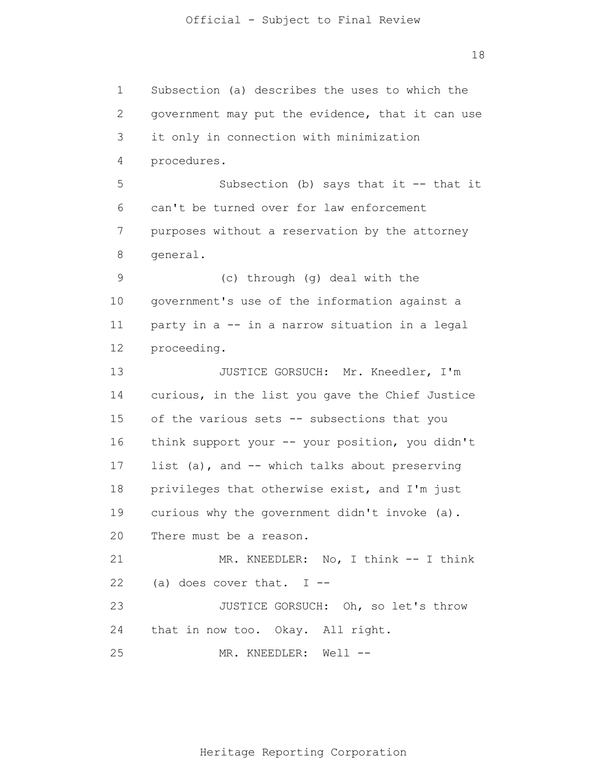1 2 3 4 5 6 7 8 9 10 11 12 13 14 15 16 17 18 19 20 21 22 23 24 25 Subsection (a) describes the uses to which the government may put the evidence, that it can use it only in connection with minimization procedures. Subsection (b) says that it  $-$  that it can't be turned over for law enforcement purposes without a reservation by the attorney general. (c) through (g) deal with the government's use of the information against a party in a -- in a narrow situation in a legal proceeding. JUSTICE GORSUCH: Mr. Kneedler, I'm curious, in the list you gave the Chief Justice of the various sets -- subsections that you think support your -- your position, you didn't list (a), and -- which talks about preserving privileges that otherwise exist, and I'm just curious why the government didn't invoke (a). There must be a reason. MR. KNEEDLER: No, I think -- I think (a) does cover that. I -- JUSTICE GORSUCH: Oh, so let's throw that in now too. Okay. All right. MR. KNEEDLER: Well --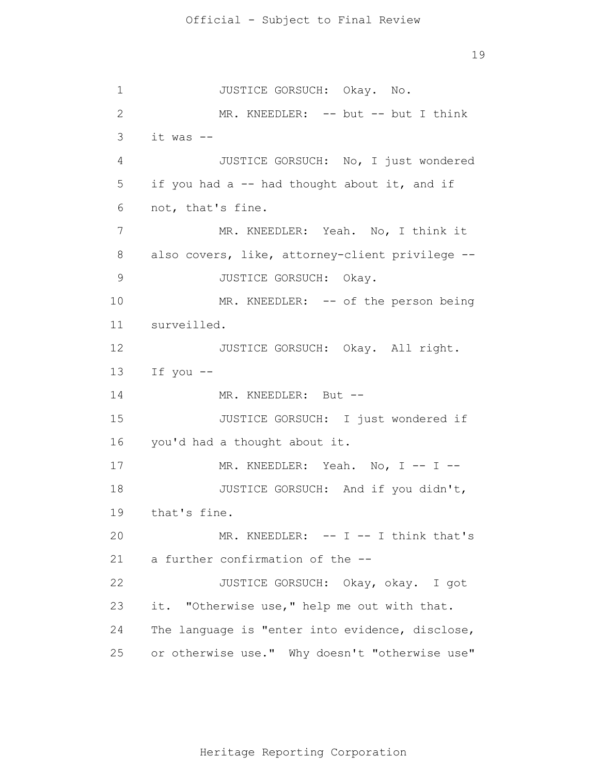1 2 3 4 5 6 7 8 9 10 11 12 13 14 15 16 17 18 19 20 21 22 23 24 25 JUSTICE GORSUCH: Okay. No. MR. KNEEDLER: -- but -- but I think it was -- JUSTICE GORSUCH: No, I just wondered if you had a -- had thought about it, and if not, that's fine. MR. KNEEDLER: Yeah. No, I think it also covers, like, attorney-client privilege -- JUSTICE GORSUCH: Okay. MR. KNEEDLER: -- of the person being surveilled. JUSTICE GORSUCH: Okay. All right. If you -- MR. KNEEDLER: But --JUSTICE GORSUCH: I just wondered if you'd had a thought about it. MR. KNEEDLER: Yeah. No, I -- I --JUSTICE GORSUCH: And if you didn't, that's fine. MR. KNEEDLER:  $-- I -- I$  think that's a further confirmation of the -- JUSTICE GORSUCH: Okay, okay. I got it. "Otherwise use," help me out with that. The language is "enter into evidence, disclose, or otherwise use." Why doesn't "otherwise use"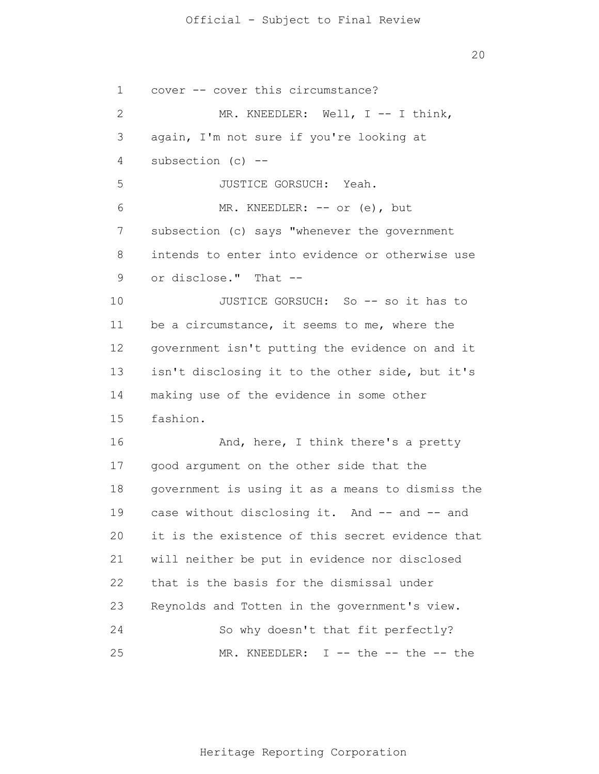20

1 2 3 4 5 6 7 8 9 10 11 12 13 14 15 16 17 18 19 20 21 22 23 24 25 cover -- cover this circumstance? MR. KNEEDLER: Well, I -- I think, again, I'm not sure if you're looking at subsection  $(c)$  --JUSTICE GORSUCH: Yeah. MR. KNEEDLER: -- or (e), but subsection (c) says "whenever the government intends to enter into evidence or otherwise use or disclose." That -- JUSTICE GORSUCH: So -- so it has to be a circumstance, it seems to me, where the government isn't putting the evidence on and it isn't disclosing it to the other side, but it's making use of the evidence in some other fashion. And, here, I think there's a pretty good argument on the other side that the government is using it as a means to dismiss the case without disclosing it. And -- and -- and it is the existence of this secret evidence that will neither be put in evidence nor disclosed that is the basis for the dismissal under Reynolds and Totten in the government's view. So why doesn't that fit perfectly? MR. KNEEDLER: I -- the -- the -- the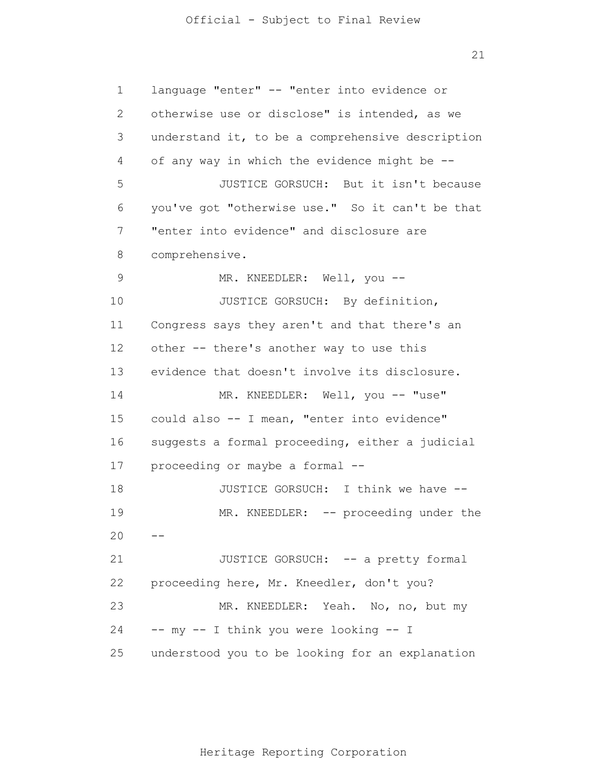21

1 2 3 4 5 6 7 8 9 10 11 12 13 14 15 16 17 18 19 20 21 22 23 24 25  $$  language "enter" -- "enter into evidence or otherwise use or disclose" is intended, as we understand it, to be a comprehensive description of any way in which the evidence might be -- JUSTICE GORSUCH: But it isn't because you've got "otherwise use." So it can't be that "enter into evidence" and disclosure are comprehensive. MR. KNEEDLER: Well, you --JUSTICE GORSUCH: By definition, Congress says they aren't and that there's an other -- there's another way to use this evidence that doesn't involve its disclosure. MR. KNEEDLER: Well, you -- "use" could also -- I mean, "enter into evidence" suggests a formal proceeding, either a judicial proceeding or maybe a formal -- JUSTICE GORSUCH: I think we have -- MR. KNEEDLER: -- proceeding under the JUSTICE GORSUCH: -- a pretty formal proceeding here, Mr. Kneedler, don't you? MR. KNEEDLER: Yeah. No, no, but my -- my -- I think you were looking -- I understood you to be looking for an explanation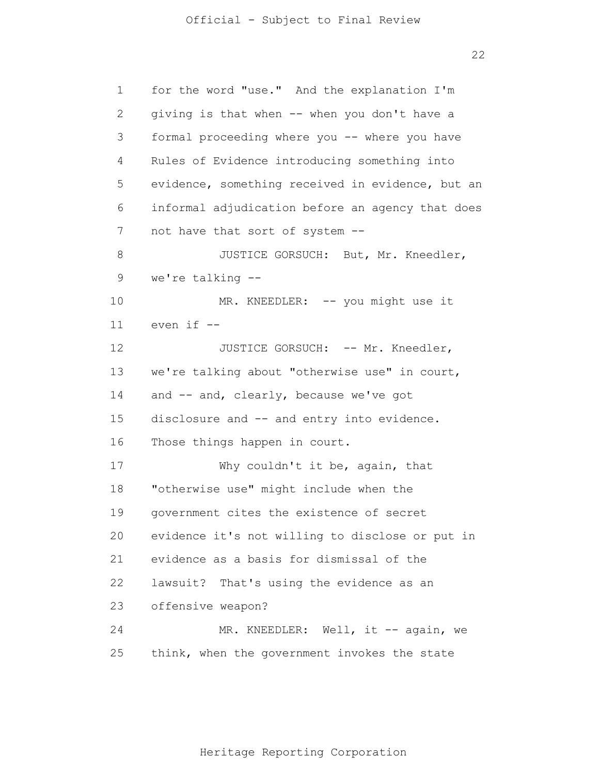| 1            | for the word "use." And the explanation I'm      |  |
|--------------|--------------------------------------------------|--|
| $\mathbf{2}$ | giving is that when -- when you don't have a     |  |
| 3            | formal proceeding where you -- where you have    |  |
| 4            | Rules of Evidence introducing something into     |  |
| 5            | evidence, something received in evidence, but an |  |
| 6            | informal adjudication before an agency that does |  |
| 7            | not have that sort of system --                  |  |
| 8            | JUSTICE GORSUCH: But, Mr. Kneedler,              |  |
| 9            | we're talking $-$ -                              |  |
| 10           | MR. KNEEDLER: -- you might use it                |  |
| 11           | even if --                                       |  |
| 12           | JUSTICE GORSUCH: -- Mr. Kneedler,                |  |
| 13           | we're talking about "otherwise use" in court,    |  |
| 14           | and -- and, clearly, because we've got           |  |
| 15           | disclosure and -- and entry into evidence.       |  |
| 16           | Those things happen in court.                    |  |
| 17           | Why couldn't it be, again, that                  |  |
| 18           | "otherwise use" might include when the           |  |
| 19           | government cites the existence of secret         |  |
| 20           | evidence it's not willing to disclose or put in  |  |
| 21           | evidence as a basis for dismissal of the         |  |
| 22           | lawsuit? That's using the evidence as an         |  |
| 23           | offensive weapon?                                |  |
| 24           | MR. KNEEDLER: Well, it -- again, we              |  |
| 25           | think, when the government invokes the state     |  |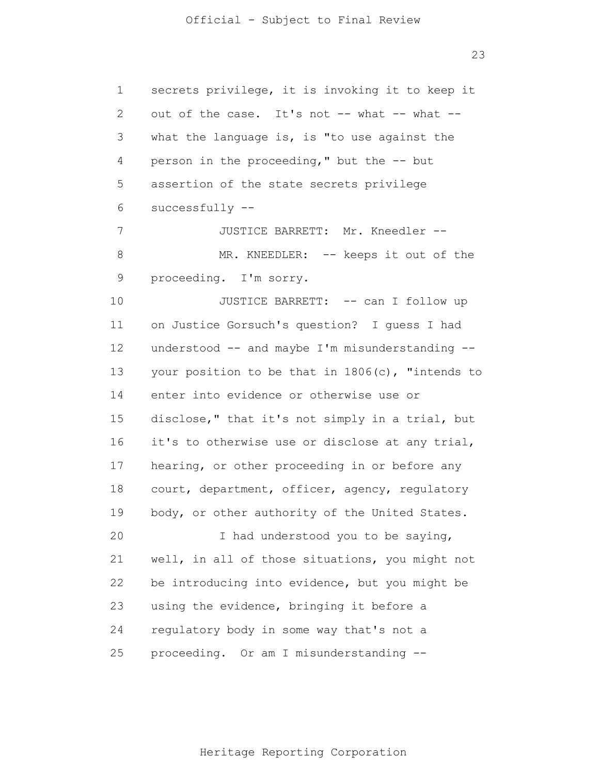1 2 3 4 5 6 7 8 9 10 11 12 13 14 15 16 17 18 19 20 21 22 23 24 25 secrets privilege, it is invoking it to keep it out of the case. It's not -- what -- what -what the language is, is "to use against the person in the proceeding," but the -- but assertion of the state secrets privilege successfully -- JUSTICE BARRETT: Mr. Kneedler -- MR. KNEEDLER: -- keeps it out of the proceeding. I'm sorry. JUSTICE BARRETT: -- can I follow up on Justice Gorsuch's question? I guess I had understood -- and maybe I'm misunderstanding - your position to be that in 1806(c), "intends to enter into evidence or otherwise use or disclose," that it's not simply in a trial, but it's to otherwise use or disclose at any trial, hearing, or other proceeding in or before any court, department, officer, agency, regulatory body, or other authority of the United States. I had understood you to be saying, well, in all of those situations, you might not be introducing into evidence, but you might be using the evidence, bringing it before a regulatory body in some way that's not a proceeding. Or am I misunderstanding --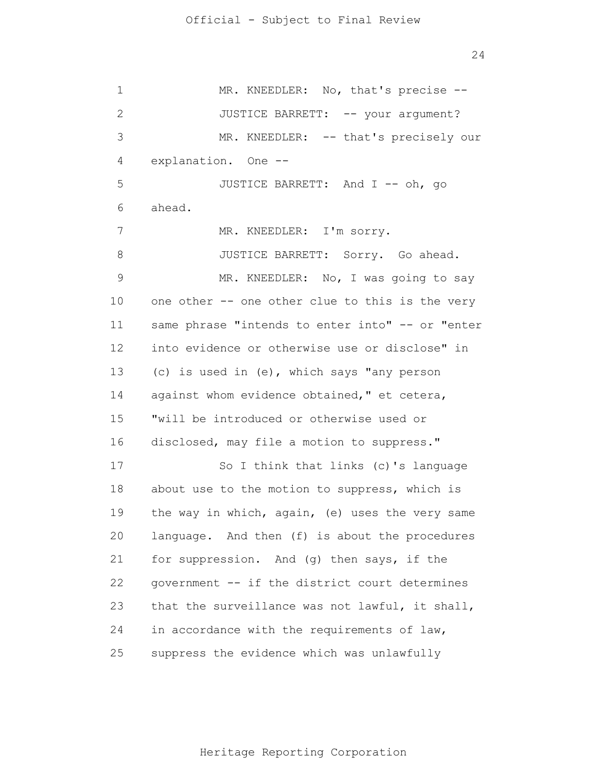1 2 3 4 5 6 7 8 9 10 11 12 13 14 15 16 17 18 19 20 21 22 23 24 25 MR. KNEEDLER: No, that's precise --JUSTICE BARRETT: -- your argument? MR. KNEEDLER: -- that's precisely our explanation. One -- JUSTICE BARRETT: And I -- oh, go ahead. MR. KNEEDLER: I'm sorry. JUSTICE BARRETT: Sorry. Go ahead. MR. KNEEDLER: No, I was going to say one other -- one other clue to this is the very same phrase "intends to enter into" -- or "enter into evidence or otherwise use or disclose" in (c) is used in (e), which says "any person against whom evidence obtained," et cetera, "will be introduced or otherwise used or disclosed, may file a motion to suppress." So I think that links (c)'s language about use to the motion to suppress, which is the way in which, again, (e) uses the very same language. And then (f) is about the procedures for suppression. And (g) then says, if the government -- if the district court determines that the surveillance was not lawful, it shall, in accordance with the requirements of law, suppress the evidence which was unlawfully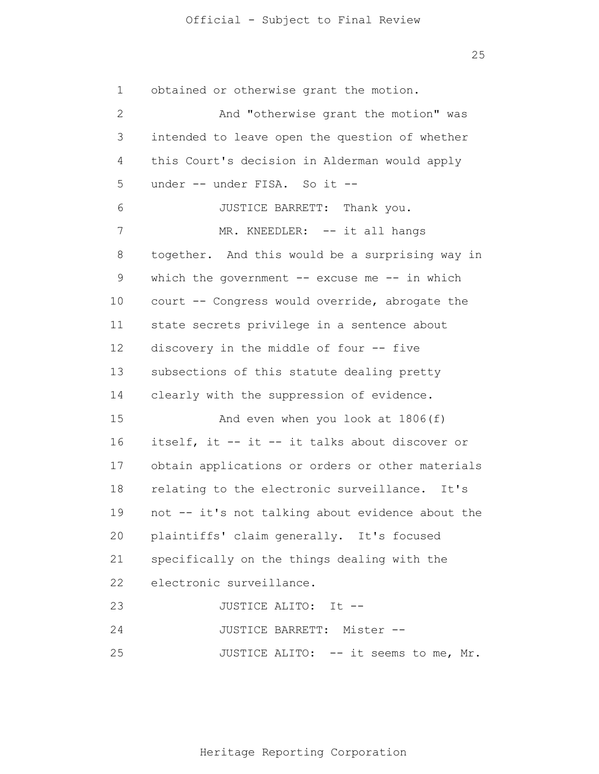25

1 2 3 4 5 6 7 8 9 10 11 12 13 14 15 16 17 18 19 20 21 22 23 24 25 obtained or otherwise grant the motion. And "otherwise grant the motion" was intended to leave open the question of whether this Court's decision in Alderman would apply under -- under FISA. So it --JUSTICE BARRETT: Thank you. MR. KNEEDLER: -- it all hangs together. And this would be a surprising way in which the government  $--$  excuse me  $--$  in which court -- Congress would override, abrogate the state secrets privilege in a sentence about discovery in the middle of four -- five subsections of this statute dealing pretty clearly with the suppression of evidence. And even when you look at 1806(f) itself, it -- it -- it talks about discover or obtain applications or orders or other materials relating to the electronic surveillance. It's not -- it's not talking about evidence about the plaintiffs' claim generally. It's focused specifically on the things dealing with the electronic surveillance. JUSTICE ALITO: It -- JUSTICE BARRETT: Mister -- JUSTICE ALITO: -- it seems to me, Mr.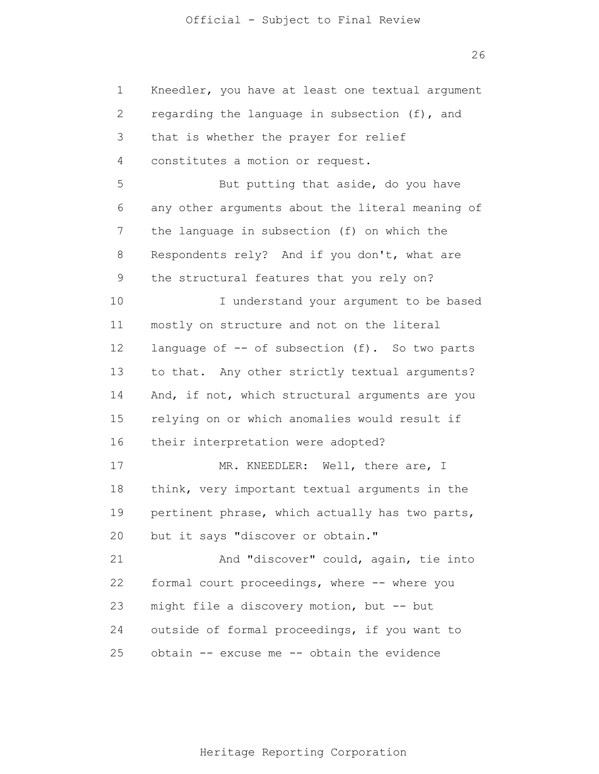1 2 3 4 5 6 7 8 9 10 11 12 13 14 15 16 17 18 19 20 21 22 23 24 25 Kneedler, you have at least one textual argument regarding the language in subsection (f), and that is whether the prayer for relief constitutes a motion or request. But putting that aside, do you have any other arguments about the literal meaning of the language in subsection (f) on which the Respondents rely? And if you don't, what are the structural features that you rely on? I understand your argument to be based mostly on structure and not on the literal language of -- of subsection (f). So two parts to that. Any other strictly textual arguments? And, if not, which structural arguments are you relying on or which anomalies would result if their interpretation were adopted? MR. KNEEDLER: Well, there are, I think, very important textual arguments in the pertinent phrase, which actually has two parts, but it says "discover or obtain." And "discover" could, again, tie into formal court proceedings, where -- where you might file a discovery motion, but -- but outside of formal proceedings, if you want to obtain -- excuse me -- obtain the evidence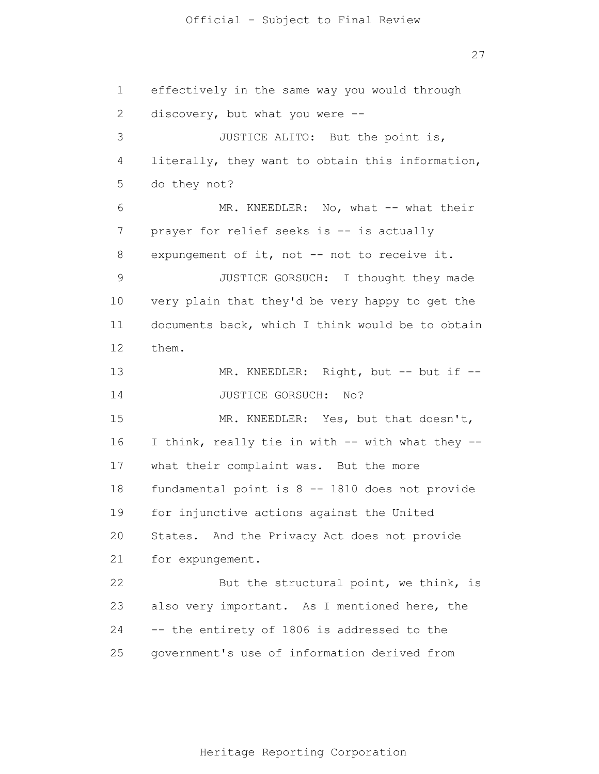1 2 3 4 5 6 7 8 9 10 11 12 13 14 15 16 17 18 19 20 21 22 23 24 effectively in the same way you would through discovery, but what you were -- JUSTICE ALITO: But the point is, literally, they want to obtain this information, do they not? MR. KNEEDLER: No, what -- what their prayer for relief seeks is -- is actually expungement of it, not -- not to receive it. JUSTICE GORSUCH: I thought they made very plain that they'd be very happy to get the documents back, which I think would be to obtain them. MR. KNEEDLER: Right, but -- but if --JUSTICE GORSUCH: No? MR. KNEEDLER: Yes, but that doesn't, I think, really tie in with -- with what they -what their complaint was. But the more fundamental point is 8 -- 1810 does not provide for injunctive actions against the United States. And the Privacy Act does not provide for expungement. But the structural point, we think, is also very important. As I mentioned here, the -- the entirety of 1806 is addressed to the

25 government's use of information derived from

Heritage Reporting Corporation

27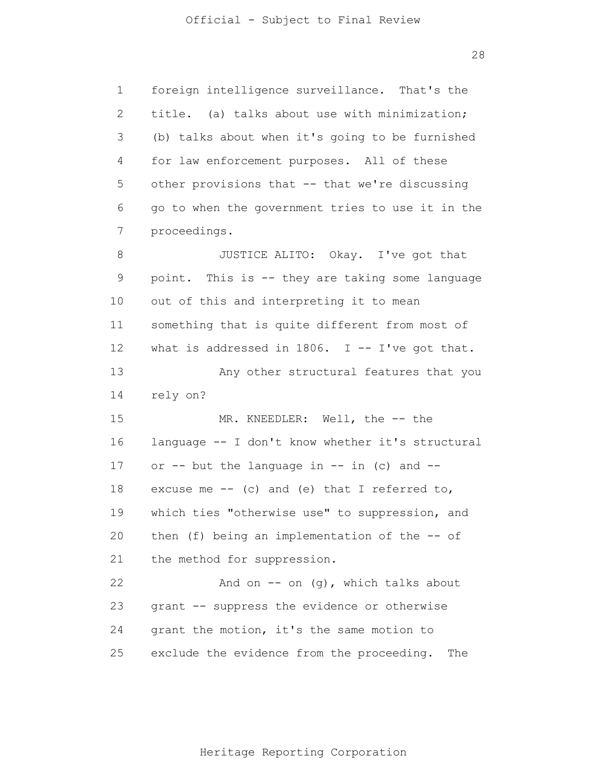1 2 3 4 5 6 7 8 9 10 11 12 13 14 15 16 17 18 19 20 21 22 23 24 25 foreign intelligence surveillance. That's the title. (a) talks about use with minimization; (b) talks about when it's going to be furnished for law enforcement purposes. All of these other provisions that -- that we're discussing go to when the government tries to use it in the proceedings. JUSTICE ALITO: Okay. I've got that point. This is -- they are taking some language out of this and interpreting it to mean something that is quite different from most of what is addressed in 1806. I  $-$  I've got that. Any other structural features that you rely on? MR. KNEEDLER: Well, the -- the language -- I don't know whether it's structural or  $--$  but the language in  $--$  in (c) and  $-$ excuse me  $--$  (c) and (e) that I referred to, which ties "otherwise use" to suppression, and then (f) being an implementation of the -- of the method for suppression. And on  $-$  on  $(q)$ , which talks about grant -- suppress the evidence or otherwise grant the motion, it's the same motion to exclude the evidence from the proceeding. The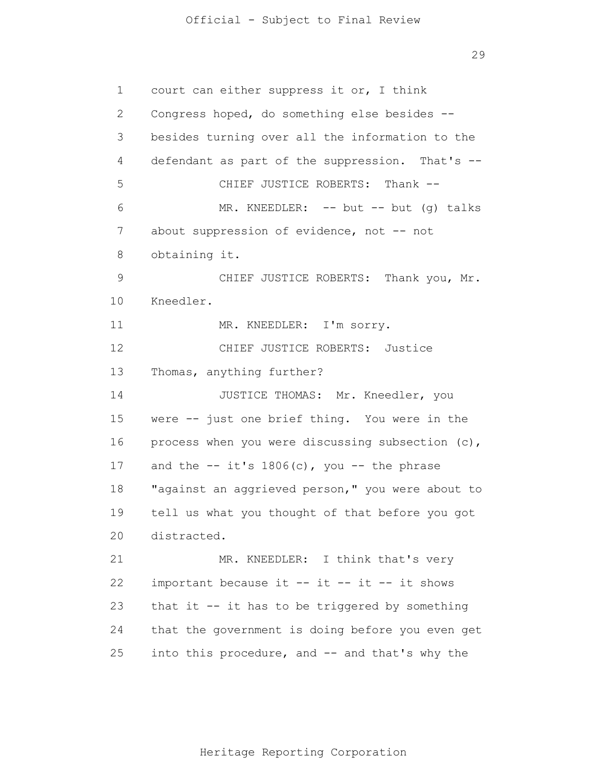29

1 2 3 4 5 6 7 8 9 10 11 12 13 14 15 16 17 18 19 20 21 22 23 24 25 court can either suppress it or, I think Congress hoped, do something else besides - besides turning over all the information to the defendant as part of the suppression. That's -- CHIEF JUSTICE ROBERTS: Thank -- MR. KNEEDLER:  $-$ - but  $-$  but (q) talks about suppression of evidence, not -- not obtaining it. CHIEF JUSTICE ROBERTS: Thank you, Mr. Kneedler. MR. KNEEDLER: I'm sorry. CHIEF JUSTICE ROBERTS: Justice Thomas, anything further? JUSTICE THOMAS: Mr. Kneedler, you were -- just one brief thing. You were in the process when you were discussing subsection (c), and the  $-$  it's  $1806(c)$ , you  $-$  the phrase "against an aggrieved person," you were about to tell us what you thought of that before you got distracted. MR. KNEEDLER: I think that's very important because it -- it -- it -- it shows that it -- it has to be triggered by something that the government is doing before you even get into this procedure, and -- and that's why the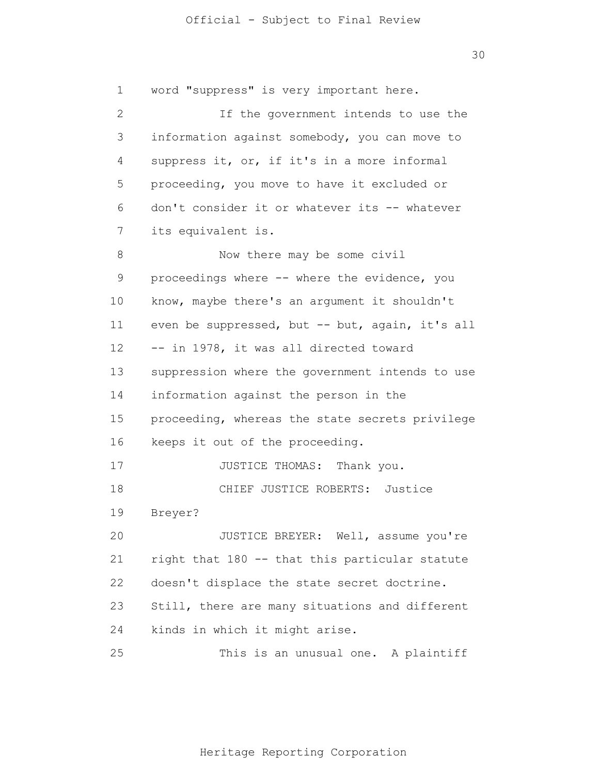1 2 3 4 5 6 7 8 9 10 11 12 13 14 15 16 17 18 19 20 21 22 23 24 25 word "suppress" is very important here. If the government intends to use the information against somebody, you can move to suppress it, or, if it's in a more informal proceeding, you move to have it excluded or don't consider it or whatever its -- whatever its equivalent is. Now there may be some civil proceedings where -- where the evidence, you know, maybe there's an argument it shouldn't even be suppressed, but -- but, again, it's all -- in 1978, it was all directed toward suppression where the government intends to use information against the person in the proceeding, whereas the state secrets privilege keeps it out of the proceeding. JUSTICE THOMAS: Thank you. CHIEF JUSTICE ROBERTS: Justice Breyer? JUSTICE BREYER: Well, assume you're right that 180 -- that this particular statute doesn't displace the state secret doctrine. Still, there are many situations and different kinds in which it might arise. This is an unusual one. A plaintiff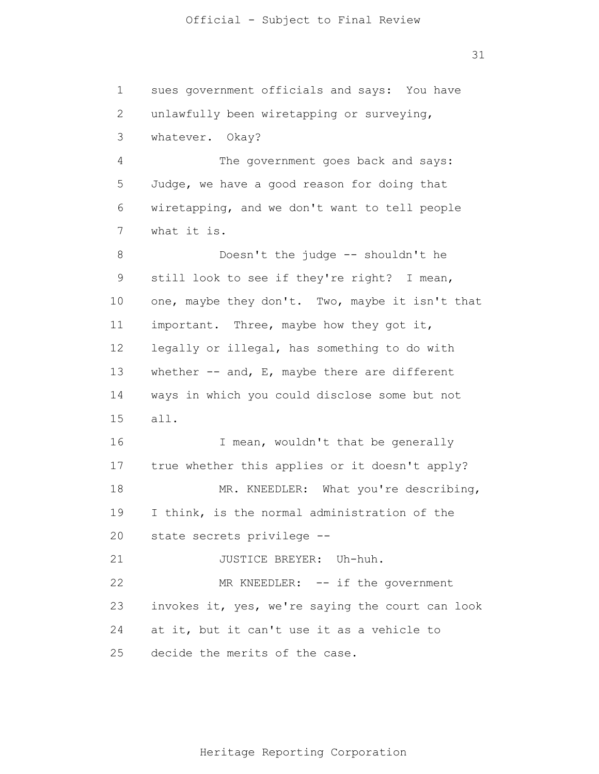1 2 3 4 5 6 7 8 9 10 11 12 13 14 15 16 17 18 19 20 21 22 23 24 25 sues government officials and says: You have unlawfully been wiretapping or surveying, whatever. Okay? The government goes back and says: Judge, we have a good reason for doing that wiretapping, and we don't want to tell people what it is. Doesn't the judge -- shouldn't he still look to see if they're right? I mean, one, maybe they don't. Two, maybe it isn't that important. Three, maybe how they got it, legally or illegal, has something to do with whether  $--$  and, E, maybe there are different ways in which you could disclose some but not all. I mean, wouldn't that be generally true whether this applies or it doesn't apply? MR. KNEEDLER: What you're describing, I think, is the normal administration of the state secrets privilege -- JUSTICE BREYER: Uh-huh. MR KNEEDLER: -- if the government invokes it, yes, we're saying the court can look at it, but it can't use it as a vehicle to decide the merits of the case.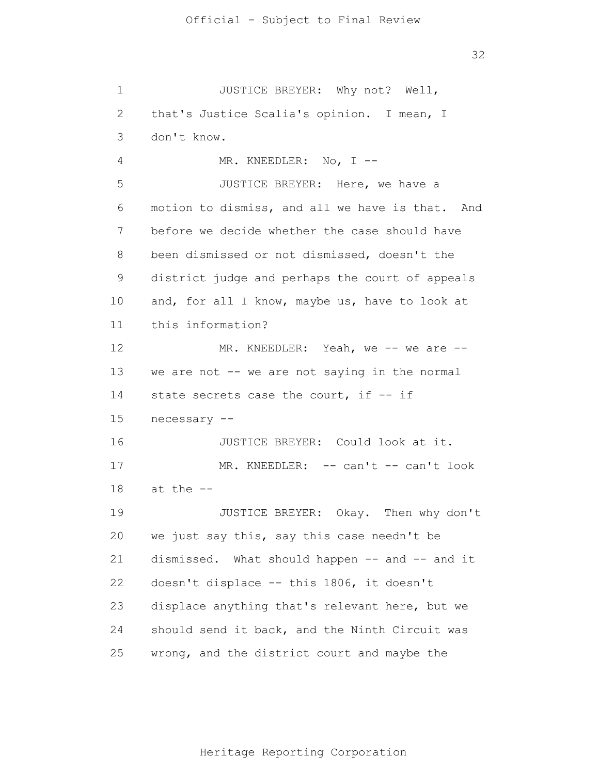1 2 3 4 5 6 7 8 9 10 11 12 13 14 15 16 17 18 19 20 21 22 23 24 25 JUSTICE BREYER: Why not? Well, that's Justice Scalia's opinion. I mean, I don't know. MR. KNEEDLER: No, I --JUSTICE BREYER: Here, we have a motion to dismiss, and all we have is that. And before we decide whether the case should have been dismissed or not dismissed, doesn't the district judge and perhaps the court of appeals and, for all I know, maybe us, have to look at this information? MR. KNEEDLER: Yeah, we -- we are -we are not -- we are not saying in the normal state secrets case the court, if -- if necessary -- JUSTICE BREYER: Could look at it. MR. KNEEDLER: -- can't -- can't look at the -- JUSTICE BREYER: Okay. Then why don't we just say this, say this case needn't be dismissed. What should happen -- and -- and it doesn't displace -- this 1806, it doesn't displace anything that's relevant here, but we should send it back, and the Ninth Circuit was wrong, and the district court and maybe the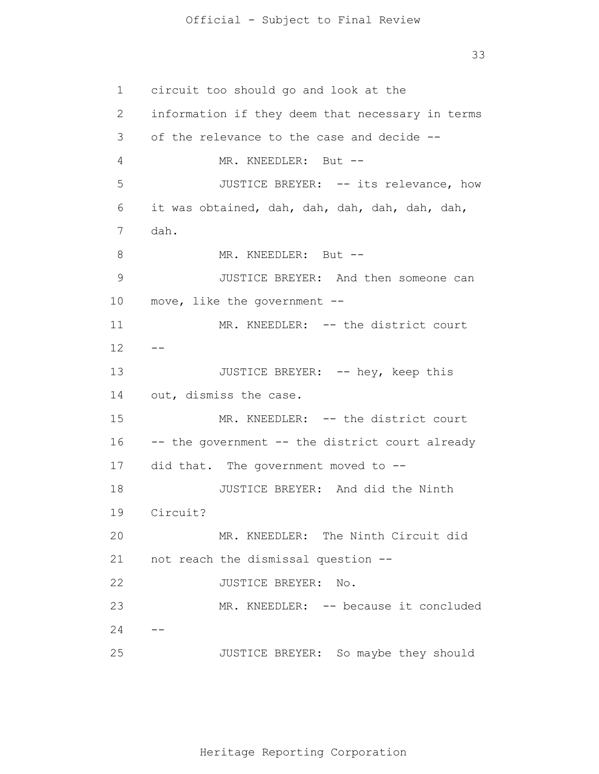33

1 2 3 4 5 6 7 8 9 10 11 12 13 14 15 16 17 18 19 20 21 22 23 24 25  $- -$ - circuit too should go and look at the information if they deem that necessary in terms of the relevance to the case and decide -- MR. KNEEDLER: But --JUSTICE BREYER: -- its relevance, how it was obtained, dah, dah, dah, dah, dah, dah, dah. MR. KNEEDLER: But --JUSTICE BREYER: And then someone can move, like the government -- MR. KNEEDLER: -- the district court JUSTICE BREYER: -- hey, keep this out, dismiss the case. MR. KNEEDLER: -- the district court -- the government -- the district court already did that. The government moved to -- JUSTICE BREYER: And did the Ninth Circuit? MR. KNEEDLER: The Ninth Circuit did not reach the dismissal question -- JUSTICE BREYER: No. MR. KNEEDLER: -- because it concluded JUSTICE BREYER: So maybe they should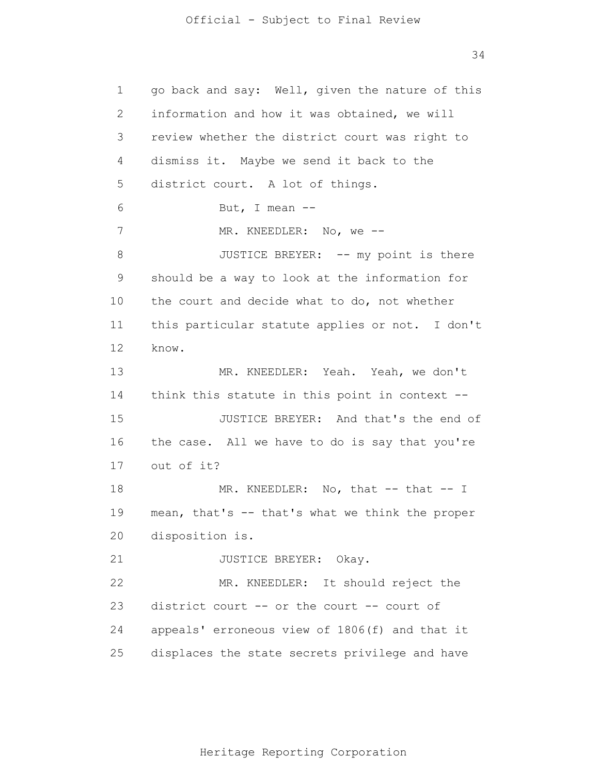1 2 3 4 5 6 7 8 9 10 11 12 13 14 15 16 17 18 19 20 21 22 23 24 25 go back and say: Well, given the nature of this information and how it was obtained, we will review whether the district court was right to dismiss it. Maybe we send it back to the district court. A lot of things. But, I mean -- MR. KNEEDLER: No, we -- JUSTICE BREYER: -- my point is there should be a way to look at the information for the court and decide what to do, not whether this particular statute applies or not. I don't know. MR. KNEEDLER: Yeah. Yeah, we don't think this statute in this point in context -- JUSTICE BREYER: And that's the end of the case. All we have to do is say that you're out of it? MR. KNEEDLER: No, that -- that -- I mean, that's -- that's what we think the proper disposition is. JUSTICE BREYER: Okay. MR. KNEEDLER: It should reject the district court -- or the court -- court of appeals' erroneous view of 1806(f) and that it displaces the state secrets privilege and have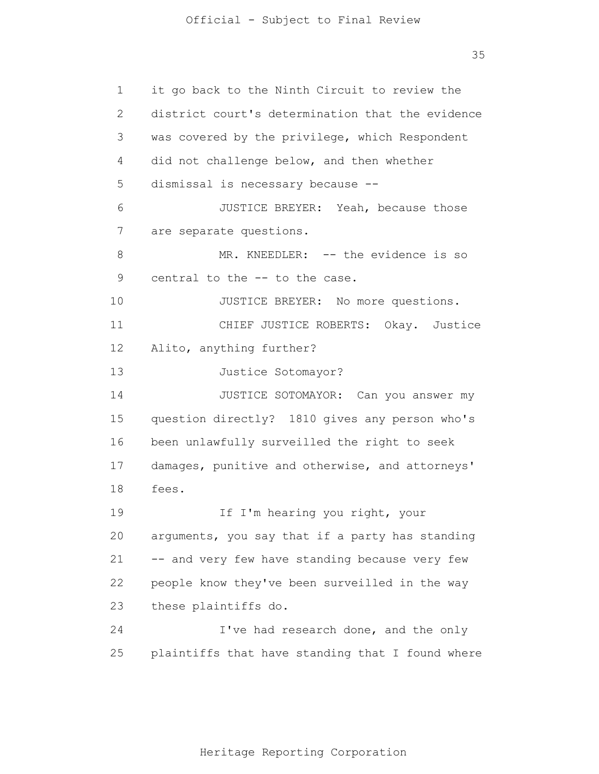35

1 2 3 4 5 6 7 8 9 10 11 12 13 14 15 16 17 18 19 20 21 22 23 24 25 it go back to the Ninth Circuit to review the district court's determination that the evidence was covered by the privilege, which Respondent did not challenge below, and then whether dismissal is necessary because -- JUSTICE BREYER: Yeah, because those are separate questions. MR. KNEEDLER: -- the evidence is so central to the -- to the case. JUSTICE BREYER: No more questions. CHIEF JUSTICE ROBERTS: Okay. Justice Alito, anything further? Justice Sotomayor? JUSTICE SOTOMAYOR: Can you answer my question directly? 1810 gives any person who's been unlawfully surveilled the right to seek damages, punitive and otherwise, and attorneys' fees. If I'm hearing you right, your arguments, you say that if a party has standing -- and very few have standing because very few people know they've been surveilled in the way these plaintiffs do. I've had research done, and the only plaintiffs that have standing that I found where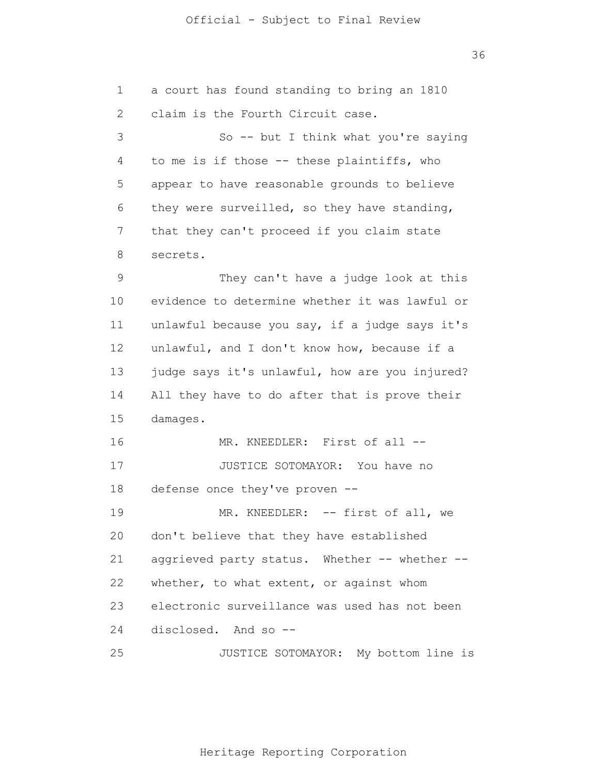a court has found standing to bring an 1810 claim is the Fourth Circuit case. So -- but I think what you're saying to me is if those -- these plaintiffs, who appear to have reasonable grounds to believe they were surveilled, so they have standing, that they can't proceed if you claim state secrets. They can't have a judge look at this evidence to determine whether it was lawful or unlawful because you say, if a judge says it's unlawful, and I don't know how, because if a judge says it's unlawful, how are you injured? All they have to do after that is prove their damages. MR. KNEEDLER: First of all --JUSTICE SOTOMAYOR: You have no defense once they've proven -- MR. KNEEDLER: -- first of all, we don't believe that they have established aggrieved party status. Whether -- whether - whether, to what extent, or against whom electronic surveillance was used has not been

24 disclosed. And so --

1

2

3

4

5

6

7

8

9

10

11

12

13

14

15

16

17

18

19

20

21

22

23

25 JUSTICE SOTOMAYOR: My bottom line is

36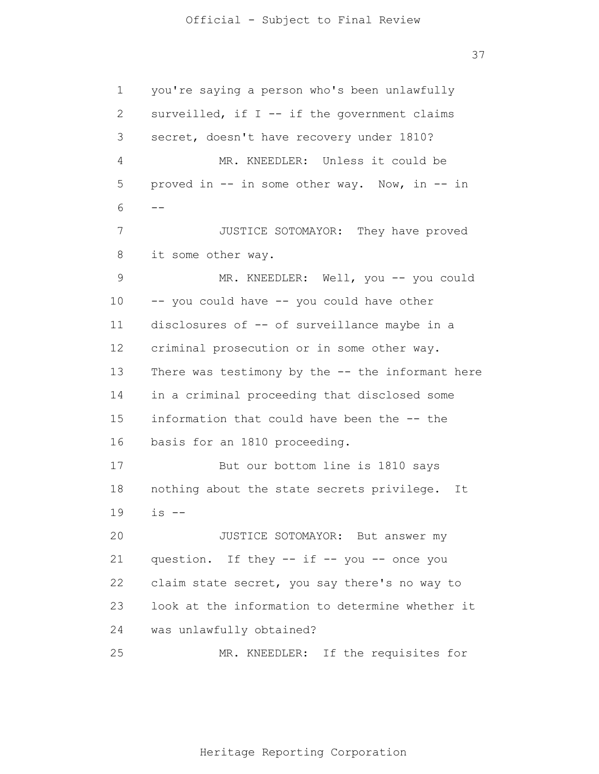1 2 3 4 5 6 7 8 9 10 11 12 13 14 15 16 17 18 19 20 21 22 23 24 25 - you're saying a person who's been unlawfully surveilled, if  $I$  -- if the government claims secret, doesn't have recovery under 1810? MR. KNEEDLER: Unless it could be proved in -- in some other way. Now, in -- in JUSTICE SOTOMAYOR: They have proved it some other way. MR. KNEEDLER: Well, you -- you could -- you could have -- you could have other disclosures of -- of surveillance maybe in a criminal prosecution or in some other way. There was testimony by the -- the informant here in a criminal proceeding that disclosed some information that could have been the -- the basis for an 1810 proceeding. But our bottom line is 1810 says nothing about the state secrets privilege. It  $is$   $--$ JUSTICE SOTOMAYOR: But answer my question. If they -- if -- you -- once you claim state secret, you say there's no way to look at the information to determine whether it was unlawfully obtained? MR. KNEEDLER: If the requisites for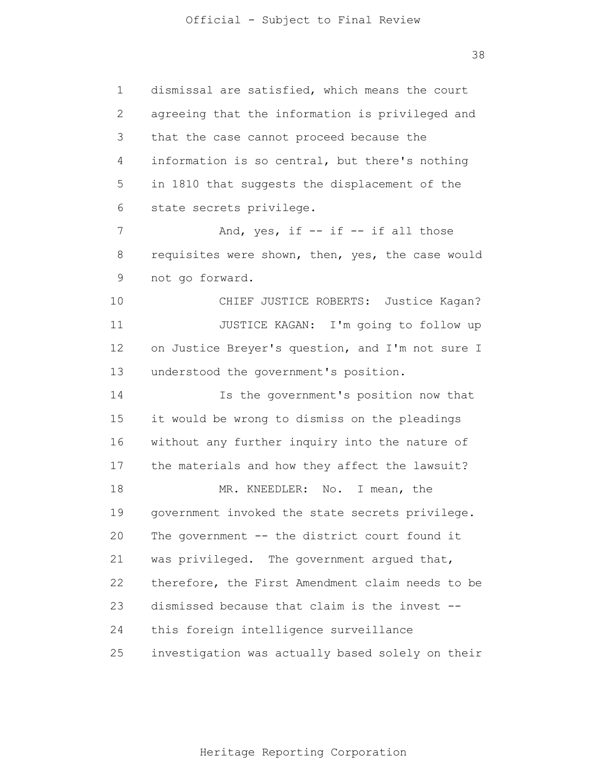1 2 3 4 5 6 7 8 9 10 11 12 13 14 15 16 17 18 19 20 21 22 23 24 25 dismissal are satisfied, which means the court agreeing that the information is privileged and that the case cannot proceed because the information is so central, but there's nothing in 1810 that suggests the displacement of the state secrets privilege. And, yes, if  $-$  if  $-$  if all those requisites were shown, then, yes, the case would not go forward. CHIEF JUSTICE ROBERTS: Justice Kagan? JUSTICE KAGAN: I'm going to follow up on Justice Breyer's question, and I'm not sure I understood the government's position. Is the government's position now that it would be wrong to dismiss on the pleadings without any further inquiry into the nature of the materials and how they affect the lawsuit? MR. KNEEDLER: No. I mean, the government invoked the state secrets privilege. The government -- the district court found it was privileged. The government argued that, therefore, the First Amendment claim needs to be dismissed because that claim is the invest - this foreign intelligence surveillance investigation was actually based solely on their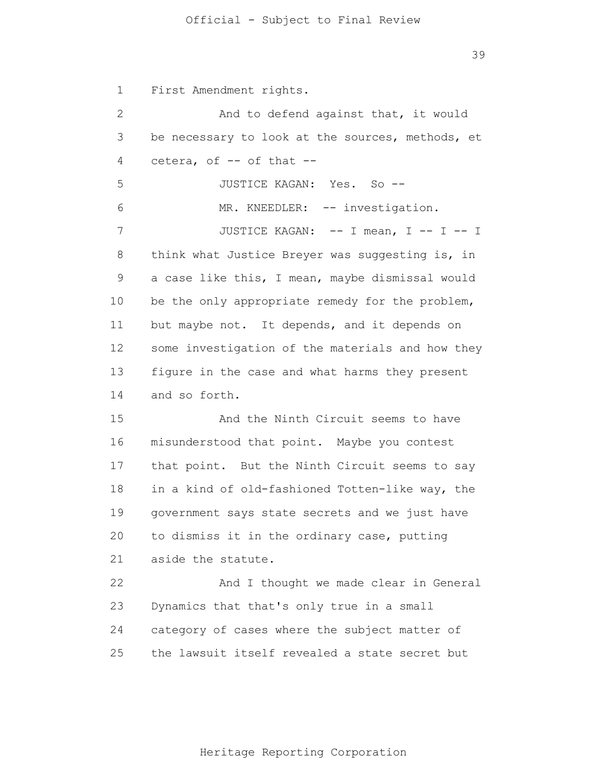1 2 3 4 5 6 7 8 9 10 11 12 13 14 15 16 17 18 19 20 21 22 23 24 25 First Amendment rights. And to defend against that, it would be necessary to look at the sources, methods, et cetera, of -- of that -- JUSTICE KAGAN: Yes. So -- MR. KNEEDLER: -- investigation. JUSTICE KAGAN: -- I mean, I -- I -- I think what Justice Breyer was suggesting is, in a case like this, I mean, maybe dismissal would be the only appropriate remedy for the problem, but maybe not. It depends, and it depends on some investigation of the materials and how they figure in the case and what harms they present and so forth. And the Ninth Circuit seems to have misunderstood that point. Maybe you contest that point. But the Ninth Circuit seems to say in a kind of old-fashioned Totten-like way, the government says state secrets and we just have to dismiss it in the ordinary case, putting aside the statute. And I thought we made clear in General Dynamics that that's only true in a small category of cases where the subject matter of the lawsuit itself revealed a state secret but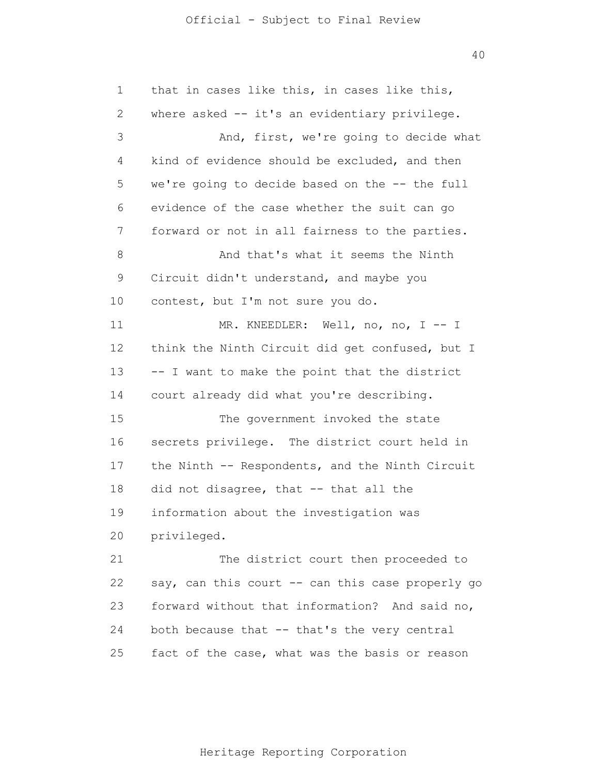40

1 2 3 4 5 6 7 8 9 10 11 12 13 14 15 16 17 18 19 20 21 22 23 24 25 that in cases like this, in cases like this, where asked -- it's an evidentiary privilege. And, first, we're going to decide what kind of evidence should be excluded, and then we're going to decide based on the -- the full evidence of the case whether the suit can go forward or not in all fairness to the parties. And that's what it seems the Ninth Circuit didn't understand, and maybe you contest, but I'm not sure you do. MR. KNEEDLER: Well, no, no, I -- I think the Ninth Circuit did get confused, but I -- I want to make the point that the district court already did what you're describing. The government invoked the state secrets privilege. The district court held in the Ninth -- Respondents, and the Ninth Circuit did not disagree, that -- that all the information about the investigation was privileged. The district court then proceeded to say, can this court -- can this case properly go forward without that information? And said no, both because that -- that's the very central fact of the case, what was the basis or reason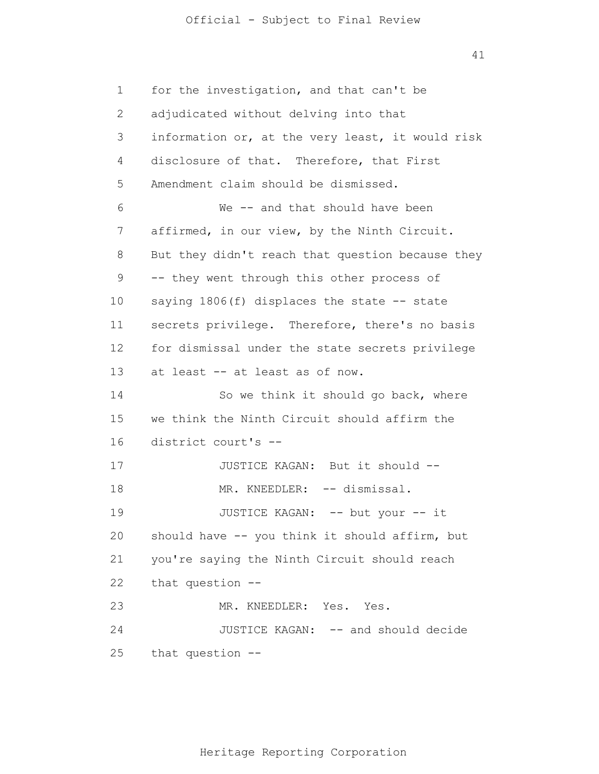41

1 2 3 4 5 6 7 8 9 10 11 12 13 14 15 16 17 18 19 20 21 22 23 24 25 for the investigation, and that can't be adjudicated without delving into that information or, at the very least, it would risk disclosure of that. Therefore, that First Amendment claim should be dismissed. We -- and that should have been affirmed, in our view, by the Ninth Circuit. But they didn't reach that question because they -- they went through this other process of saying  $1806(f)$  displaces the state  $-$ - state secrets privilege. Therefore, there's no basis for dismissal under the state secrets privilege at least -- at least as of now. So we think it should go back, where we think the Ninth Circuit should affirm the district court's -- JUSTICE KAGAN: But it should -- MR. KNEEDLER: -- dismissal. JUSTICE KAGAN: -- but your -- it should have -- you think it should affirm, but you're saying the Ninth Circuit should reach that question -- MR. KNEEDLER: Yes. Yes. JUSTICE KAGAN: -- and should decide that question --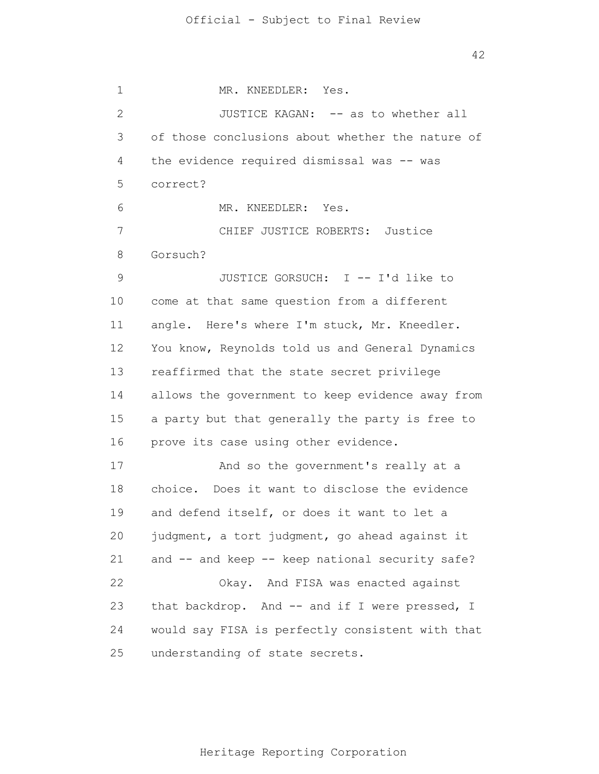1 2 3 4 5 6 7 8 9 10 11 12 13 14 15 16 17 18 19 20 21 22 23 24 25 MR. KNEEDLER: Yes. JUSTICE KAGAN: -- as to whether all of those conclusions about whether the nature of the evidence required dismissal was -- was correct? MR. KNEEDLER: Yes. CHIEF JUSTICE ROBERTS: Justice Gorsuch? JUSTICE GORSUCH: I -- I'd like to come at that same question from a different angle. Here's where I'm stuck, Mr. Kneedler. You know, Reynolds told us and General Dynamics reaffirmed that the state secret privilege allows the government to keep evidence away from a party but that generally the party is free to prove its case using other evidence. And so the government's really at a choice. Does it want to disclose the evidence and defend itself, or does it want to let a judgment, a tort judgment, go ahead against it and -- and keep -- keep national security safe? Okay. And FISA was enacted against that backdrop. And -- and if I were pressed, I would say FISA is perfectly consistent with that understanding of state secrets.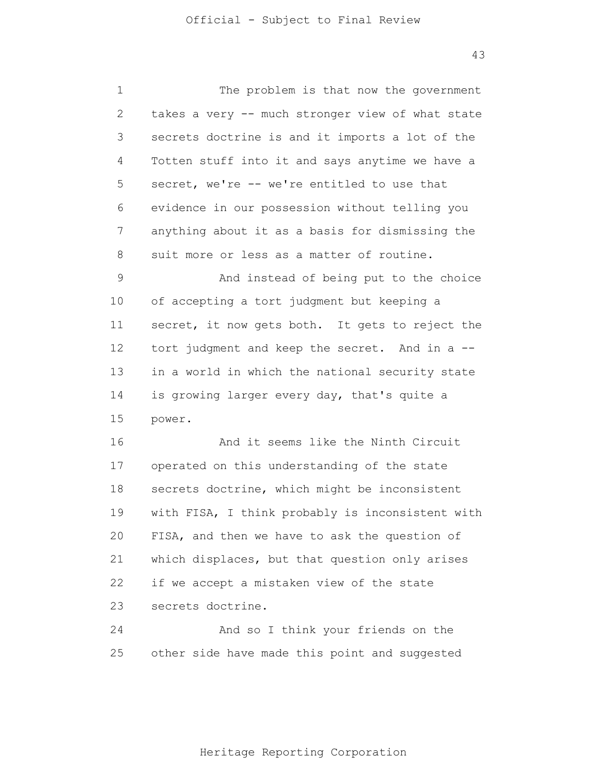1 2 3 4 5 6 7 8 9 10 11 12 13 14 15 16 17 18 19 20 21 22 23 24 25 The problem is that now the government takes a very -- much stronger view of what state secrets doctrine is and it imports a lot of the Totten stuff into it and says anytime we have a secret, we're -- we're entitled to use that evidence in our possession without telling you anything about it as a basis for dismissing the suit more or less as a matter of routine. And instead of being put to the choice of accepting a tort judgment but keeping a secret, it now gets both. It gets to reject the tort judgment and keep the secret. And in a - in a world in which the national security state is growing larger every day, that's quite a power. And it seems like the Ninth Circuit operated on this understanding of the state secrets doctrine, which might be inconsistent with FISA, I think probably is inconsistent with FISA, and then we have to ask the question of which displaces, but that question only arises if we accept a mistaken view of the state secrets doctrine. And so I think your friends on the other side have made this point and suggested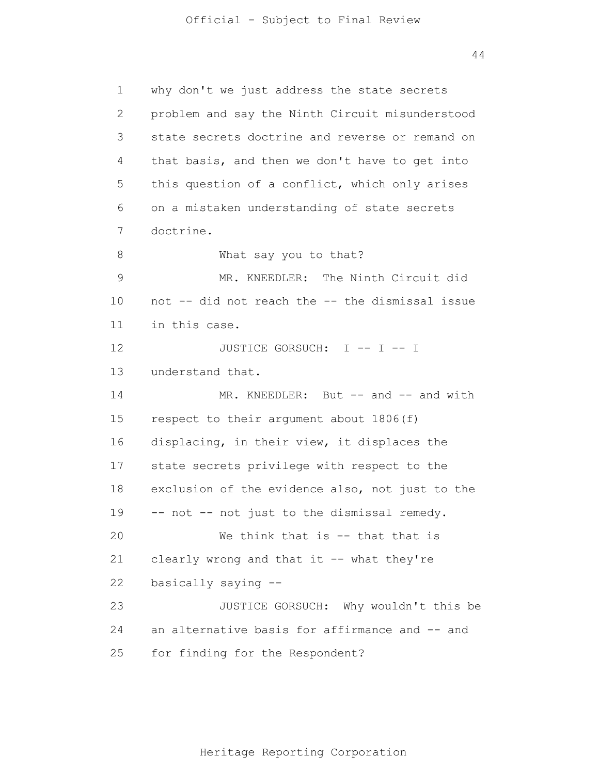1 2 3 4 5 6 7 8 9 10 11 12 13 14 15 16 17 18 19 20 21 22 23 24 25 why don't we just address the state secrets problem and say the Ninth Circuit misunderstood state secrets doctrine and reverse or remand on that basis, and then we don't have to get into this question of a conflict, which only arises on a mistaken understanding of state secrets doctrine. What say you to that? MR. KNEEDLER: The Ninth Circuit did not -- did not reach the -- the dismissal issue in this case. JUSTICE GORSUCH: I -- I -- I understand that. MR. KNEEDLER: But -- and -- and with respect to their argument about 1806(f) displacing, in their view, it displaces the state secrets privilege with respect to the exclusion of the evidence also, not just to the -- not -- not just to the dismissal remedy. We think that is -- that that is clearly wrong and that it -- what they're basically saying -- JUSTICE GORSUCH: Why wouldn't this be an alternative basis for affirmance and -- and for finding for the Respondent?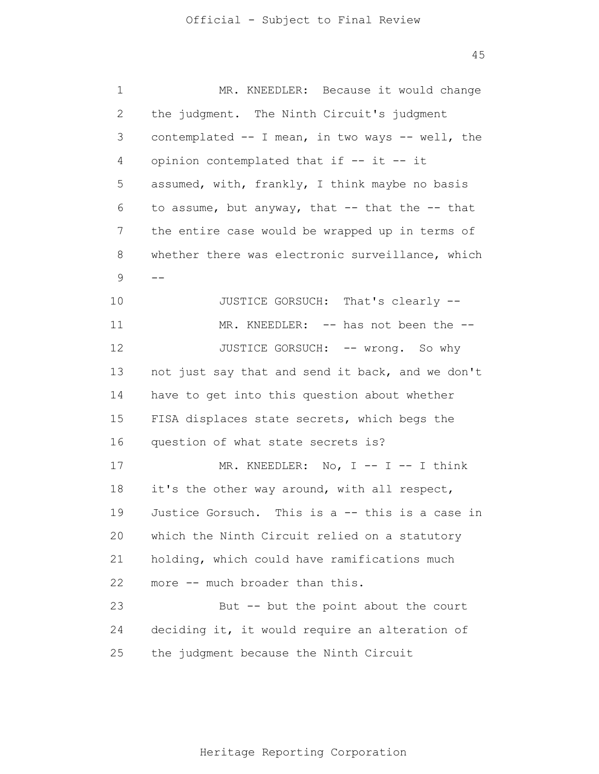| 1  | MR. KNEEDLER: Because it would change               |
|----|-----------------------------------------------------|
| 2  | the judgment. The Ninth Circuit's judgment          |
| 3  | contemplated -- I mean, in two ways -- well, the    |
| 4  | opinion contemplated that if -- it -- it            |
| 5  | assumed, with, frankly, I think maybe no basis      |
| 6  | to assume, but anyway, that $--$ that the $--$ that |
| 7  | the entire case would be wrapped up in terms of     |
| 8  | whether there was electronic surveillance, which    |
| 9  | $- -$                                               |
| 10 | JUSTICE GORSUCH: That's clearly --                  |
| 11 | MR. KNEEDLER: -- has not been the --                |
| 12 | JUSTICE GORSUCH: -- wrong. So why                   |
| 13 | not just say that and send it back, and we don't    |
| 14 | have to get into this question about whether        |
| 15 | FISA displaces state secrets, which begs the        |
| 16 | question of what state secrets is?                  |
| 17 | MR. KNEEDLER: No, $I$ -- $I$ -- I think             |
| 18 | it's the other way around, with all respect,        |
| 19 | Justice Gorsuch. This is a -- this is a case in     |
| 20 | which the Ninth Circuit relied on a statutory       |
| 21 | holding, which could have ramifications much        |
| 22 | more -- much broader than this.                     |
| 23 | But -- but the point about the court                |
| 24 | deciding it, it would require an alteration of      |
| 25 | the judgment because the Ninth Circuit              |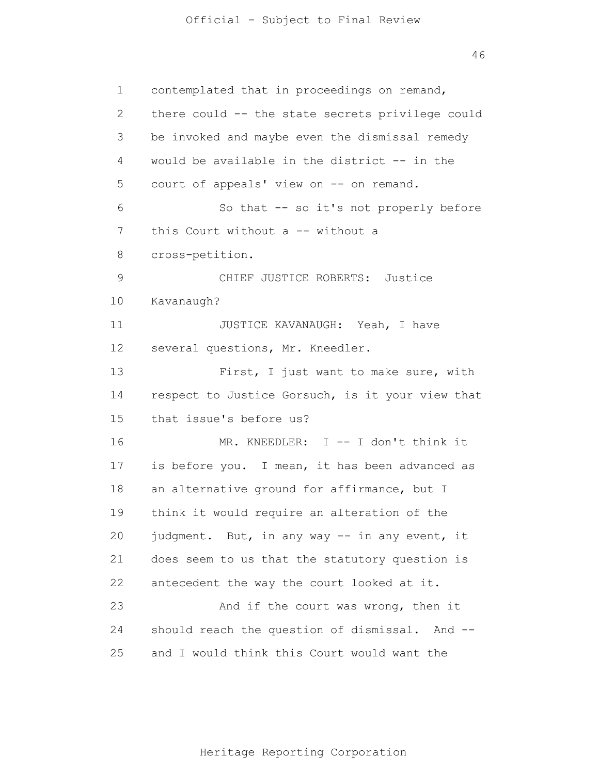46

1 2 3 4 5 6 7 8 9 10 11 12 13 14 15 16 17 18 19 20 21 22 23 24 25 contemplated that in proceedings on remand, there could -- the state secrets privilege could be invoked and maybe even the dismissal remedy would be available in the district -- in the court of appeals' view on -- on remand. So that -- so it's not properly before this Court without a -- without a cross-petition. CHIEF JUSTICE ROBERTS: Justice Kavanaugh? JUSTICE KAVANAUGH: Yeah, I have several questions, Mr. Kneedler. First, I just want to make sure, with respect to Justice Gorsuch, is it your view that that issue's before us? MR. KNEEDLER: I -- I don't think it is before you. I mean, it has been advanced as an alternative ground for affirmance, but I think it would require an alteration of the judgment. But, in any way -- in any event, it does seem to us that the statutory question is antecedent the way the court looked at it. And if the court was wrong, then it should reach the question of dismissal. And - and I would think this Court would want the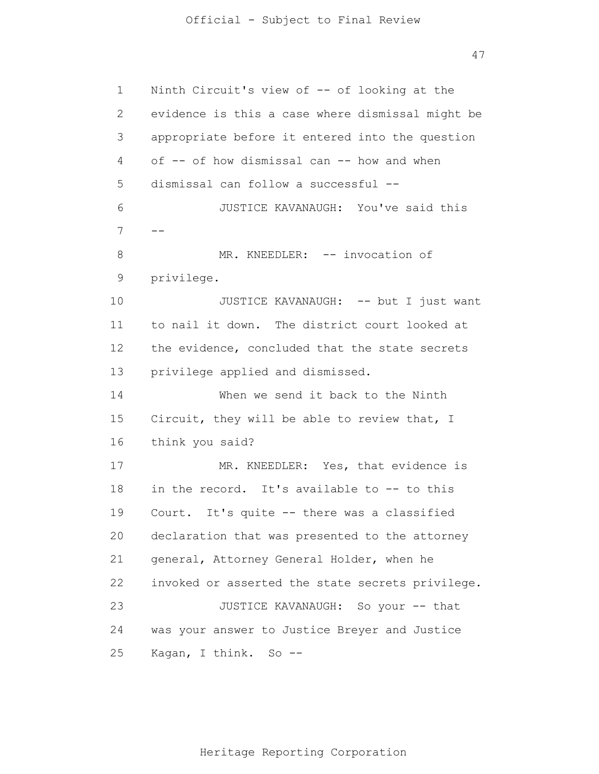47

1 2 3 4 5 6 7 8 9 10 11 12 13 14 15 16 17 18 19 20 21 22 23 24 25 -- Ninth Circuit's view of -- of looking at the evidence is this a case where dismissal might be appropriate before it entered into the question of -- of how dismissal can -- how and when dismissal can follow a successful -- JUSTICE KAVANAUGH: You've said this MR. KNEEDLER: -- invocation of privilege. JUSTICE KAVANAUGH: -- but I just want to nail it down. The district court looked at the evidence, concluded that the state secrets privilege applied and dismissed. When we send it back to the Ninth Circuit, they will be able to review that, I think you said? MR. KNEEDLER: Yes, that evidence is in the record. It's available to -- to this Court. It's quite -- there was a classified declaration that was presented to the attorney general, Attorney General Holder, when he invoked or asserted the state secrets privilege. JUSTICE KAVANAUGH: So your -- that was your answer to Justice Breyer and Justice Kagan, I think. So --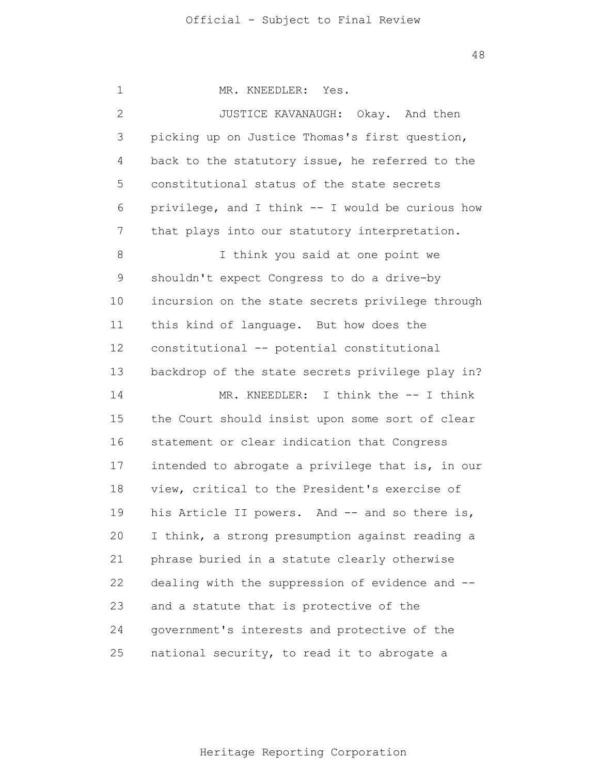| 1  | MR. KNEEDLER: Yes.                               |
|----|--------------------------------------------------|
| 2  | JUSTICE KAVANAUGH: Okay. And then                |
| 3  | picking up on Justice Thomas's first question,   |
| 4  | back to the statutory issue, he referred to the  |
| 5  | constitutional status of the state secrets       |
| 6  | privilege, and I think -- I would be curious how |
| 7  | that plays into our statutory interpretation.    |
| 8  | I think you said at one point we                 |
| 9  | shouldn't expect Congress to do a drive-by       |
| 10 | incursion on the state secrets privilege through |
| 11 | this kind of language. But how does the          |
| 12 | constitutional -- potential constitutional       |
| 13 | backdrop of the state secrets privilege play in? |
| 14 | MR. KNEEDLER: I think the -- I think             |
| 15 | the Court should insist upon some sort of clear  |
| 16 | statement or clear indication that Congress      |
| 17 | intended to abrogate a privilege that is, in our |
| 18 | view, critical to the President's exercise of    |
| 19 | his Article II powers. And -- and so there is,   |
| 20 | I think, a strong presumption against reading a  |
| 21 | phrase buried in a statute clearly otherwise     |
| 22 | dealing with the suppression of evidence and --  |
| 23 | and a statute that is protective of the          |
| 24 | government's interests and protective of the     |
| 25 | national security, to read it to abrogate a      |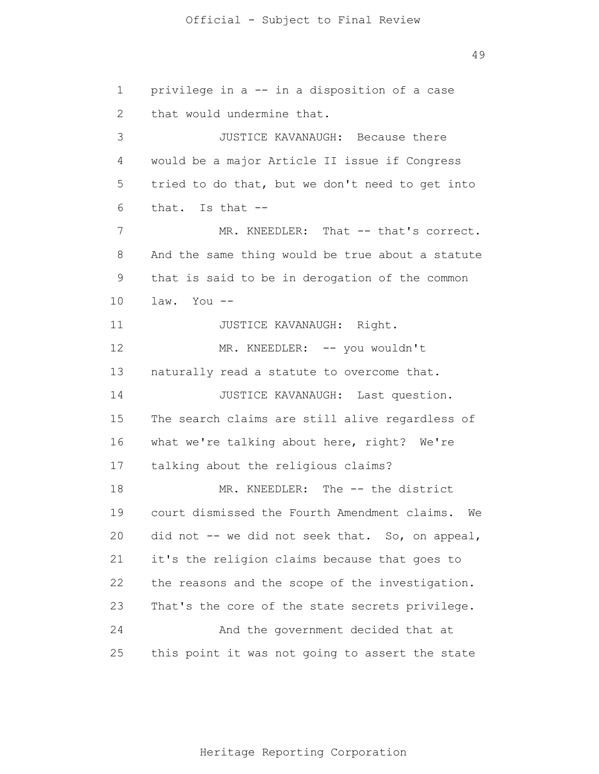1 2 3 4 5 6 7 8 9 10 11 12 13 14 15 16 17 18 19 20 21 22 23 24 25 privilege in a -- in a disposition of a case that would undermine that. JUSTICE KAVANAUGH: Because there would be a major Article II issue if Congress tried to do that, but we don't need to get into that. Is that -- MR. KNEEDLER: That -- that's correct. And the same thing would be true about a statute that is said to be in derogation of the common law. You -- JUSTICE KAVANAUGH: Right. MR. KNEEDLER: -- you wouldn't naturally read a statute to overcome that. JUSTICE KAVANAUGH: Last question. The search claims are still alive regardless of what we're talking about here, right? We're talking about the religious claims? MR. KNEEDLER: The -- the district court dismissed the Fourth Amendment claims. We did not -- we did not seek that. So, on appeal, it's the religion claims because that goes to the reasons and the scope of the investigation. That's the core of the state secrets privilege. And the government decided that at this point it was not going to assert the state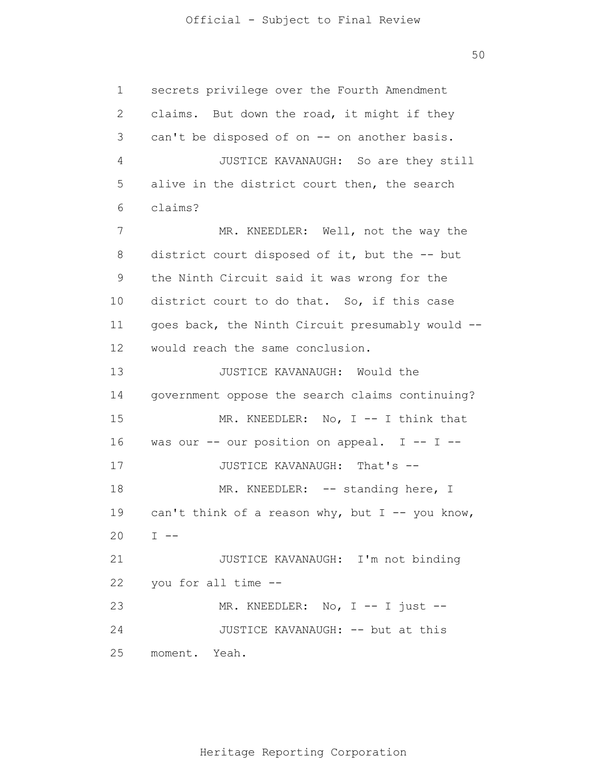1 2 3 4 5 6 7 8 9 10 11 12 13 14 15 16 17 18 19 20 21 22 23 24 25 secrets privilege over the Fourth Amendment claims. But down the road, it might if they can't be disposed of on -- on another basis. JUSTICE KAVANAUGH: So are they still alive in the district court then, the search claims? MR. KNEEDLER: Well, not the way the district court disposed of it, but the -- but the Ninth Circuit said it was wrong for the district court to do that. So, if this case goes back, the Ninth Circuit presumably would - would reach the same conclusion. JUSTICE KAVANAUGH: Would the government oppose the search claims continuing? MR. KNEEDLER: No, I -- I think that was our  $--$  our position on appeal. I  $--$  I  $--$ JUSTICE KAVANAUGH: That's -- MR. KNEEDLER: -- standing here, I can't think of a reason why, but  $I$  -- you know,  $I$  --JUSTICE KAVANAUGH: I'm not binding you for all time -- MR. KNEEDLER: No, I -- I just --JUSTICE KAVANAUGH: -- but at this moment. Yeah.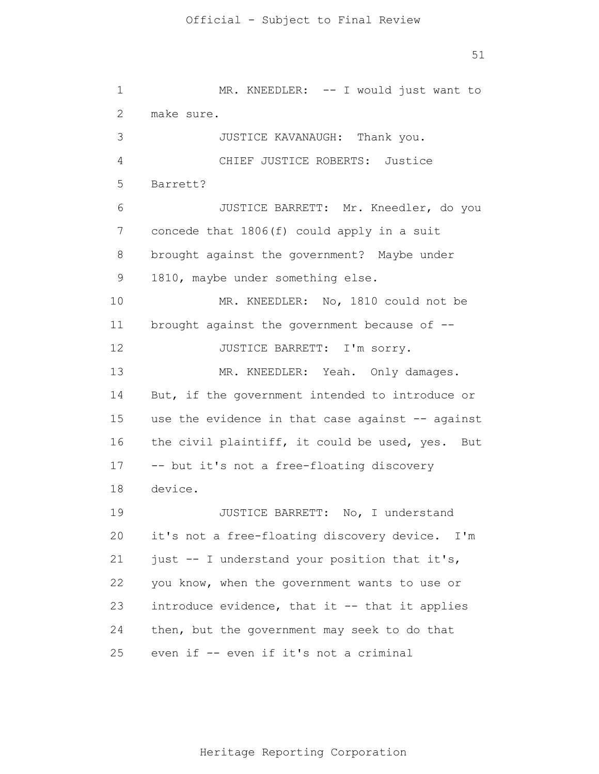1 2 3 4 5 6 7 8 9 10 11 12 13 14 15 16 17 18 19 20 21 22 23 24 25 MR. KNEEDLER: -- I would just want to make sure. JUSTICE KAVANAUGH: Thank you. CHIEF JUSTICE ROBERTS: Justice Barrett? JUSTICE BARRETT: Mr. Kneedler, do you concede that 1806(f) could apply in a suit brought against the government? Maybe under 1810, maybe under something else. MR. KNEEDLER: No, 1810 could not be brought against the government because of -- JUSTICE BARRETT: I'm sorry. MR. KNEEDLER: Yeah. Only damages. But, if the government intended to introduce or use the evidence in that case against -- against the civil plaintiff, it could be used, yes. But -- but it's not a free-floating discovery device. JUSTICE BARRETT: No, I understand it's not a free-floating discovery device. I'm just -- I understand your position that it's, you know, when the government wants to use or introduce evidence, that it -- that it applies then, but the government may seek to do that even if -- even if it's not a criminal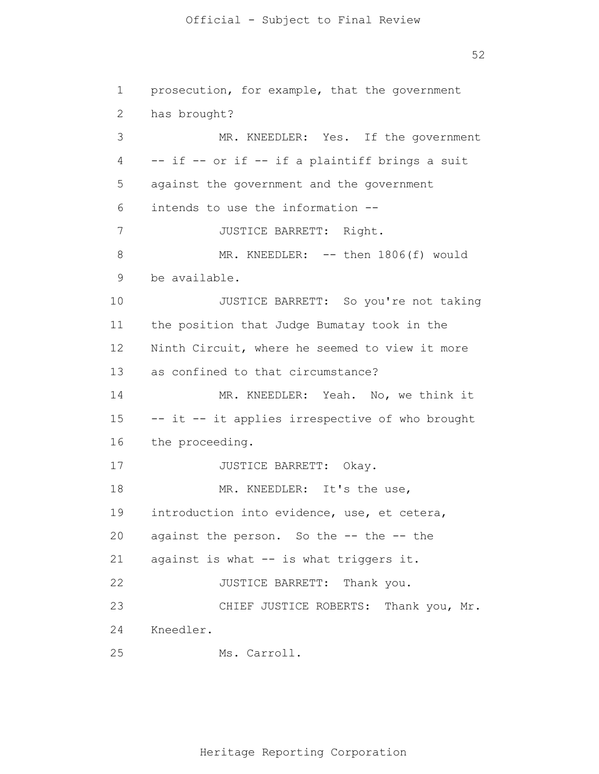52

1 2 3 4 5 6 7 8 9 10 11 12 13 14 15 16 17 18 19 20 21 22 23 24 25 prosecution, for example, that the government has brought? MR. KNEEDLER: Yes. If the government -- if -- or if -- if a plaintiff brings a suit against the government and the government intends to use the information -- JUSTICE BARRETT: Right. MR. KNEEDLER: -- then 1806(f) would be available. JUSTICE BARRETT: So you're not taking the position that Judge Bumatay took in the Ninth Circuit, where he seemed to view it more as confined to that circumstance? MR. KNEEDLER: Yeah. No, we think it -- it -- it applies irrespective of who brought the proceeding. JUSTICE BARRETT: Okay. MR. KNEEDLER: It's the use, introduction into evidence, use, et cetera, against the person. So the -- the -- the against is what -- is what triggers it. JUSTICE BARRETT: Thank you. CHIEF JUSTICE ROBERTS: Thank you, Mr. Kneedler. Ms. Carroll.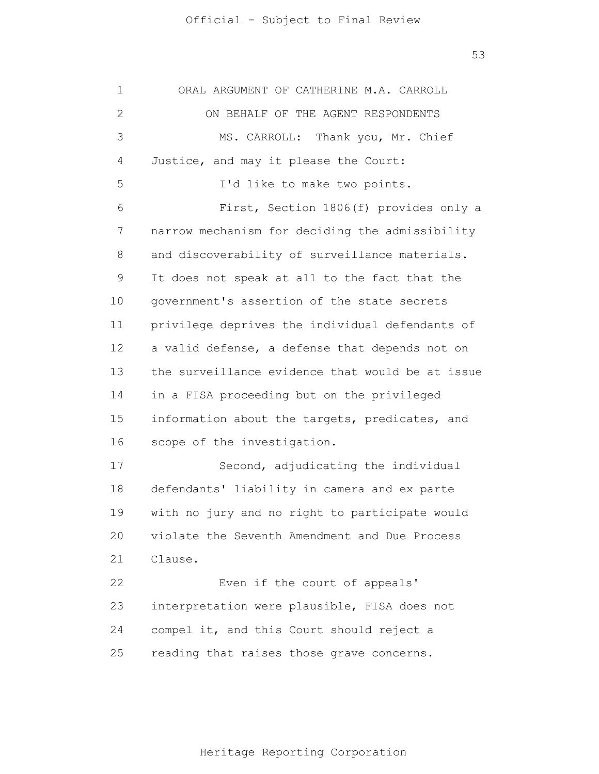53

1 2 3 4 5 6 7 8 9 10 11 12 13 14 15 16 17 18 19 20 21 22 23 24 25 ORAL ARGUMENT OF CATHERINE M.A. CARROLL ON BEHALF OF THE AGENT RESPONDENTS MS. CARROLL: Thank you, Mr. Chief Justice, and may it please the Court: I'd like to make two points. First, Section 1806(f) provides only a narrow mechanism for deciding the admissibility and discoverability of surveillance materials. It does not speak at all to the fact that the government's assertion of the state secrets privilege deprives the individual defendants of a valid defense, a defense that depends not on the surveillance evidence that would be at issue in a FISA proceeding but on the privileged information about the targets, predicates, and scope of the investigation. Second, adjudicating the individual defendants' liability in camera and ex parte with no jury and no right to participate would violate the Seventh Amendment and Due Process Clause. Even if the court of appeals' interpretation were plausible, FISA does not compel it, and this Court should reject a reading that raises those grave concerns.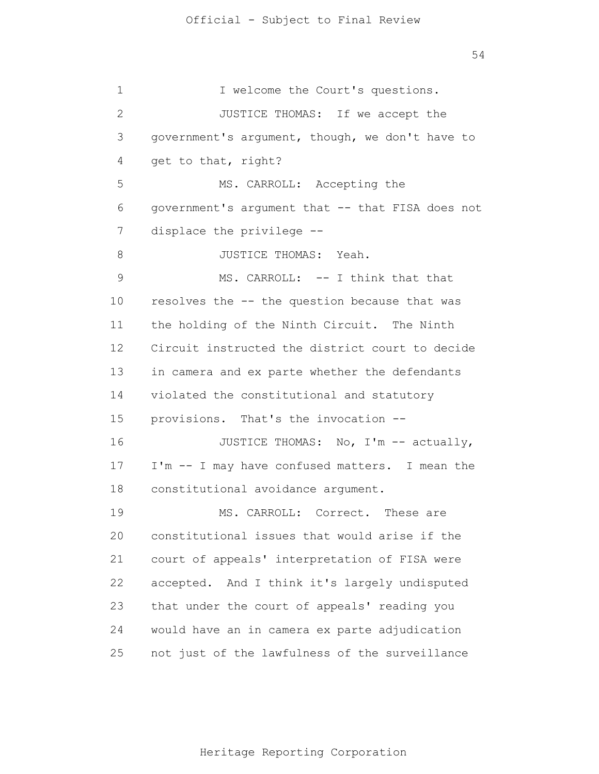1 2 3 4 5 6 7 8 9 10 11 12 13 14 15 16 17 18 19 20 21 22 23 24 25 I welcome the Court's questions. JUSTICE THOMAS: If we accept the government's argument, though, we don't have to get to that, right? MS. CARROLL: Accepting the government's argument that -- that FISA does not displace the privilege -- JUSTICE THOMAS: Yeah. MS. CARROLL: -- I think that that resolves the -- the question because that was the holding of the Ninth Circuit. The Ninth Circuit instructed the district court to decide in camera and ex parte whether the defendants violated the constitutional and statutory provisions. That's the invocation -- JUSTICE THOMAS: No, I'm -- actually, I'm -- I may have confused matters. I mean the constitutional avoidance argument. MS. CARROLL: Correct. These are constitutional issues that would arise if the court of appeals' interpretation of FISA were accepted. And I think it's largely undisputed that under the court of appeals' reading you would have an in camera ex parte adjudication not just of the lawfulness of the surveillance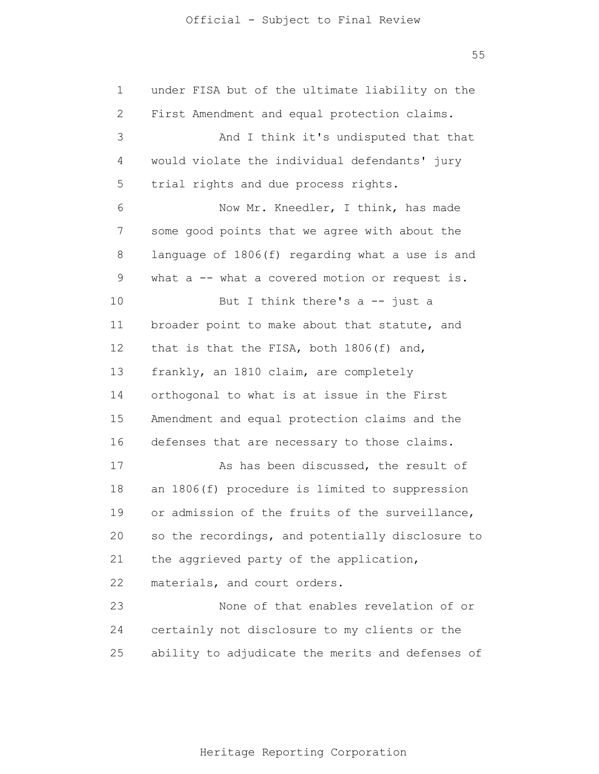1 2 3 4 5 6 7 8 9 10 11 12 13 14 15 16 17 18 19 20 21 22 23 24 25 under FISA but of the ultimate liability on the First Amendment and equal protection claims. And I think it's undisputed that that would violate the individual defendants' jury trial rights and due process rights. Now Mr. Kneedler, I think, has made some good points that we agree with about the language of 1806(f) regarding what a use is and what a -- what a covered motion or request is. But I think there's a -- just a broader point to make about that statute, and that is that the FISA, both 1806(f) and, frankly, an 1810 claim, are completely orthogonal to what is at issue in the First Amendment and equal protection claims and the defenses that are necessary to those claims. As has been discussed, the result of an 1806(f) procedure is limited to suppression or admission of the fruits of the surveillance, so the recordings, and potentially disclosure to the aggrieved party of the application, materials, and court orders. None of that enables revelation of or certainly not disclosure to my clients or the ability to adjudicate the merits and defenses of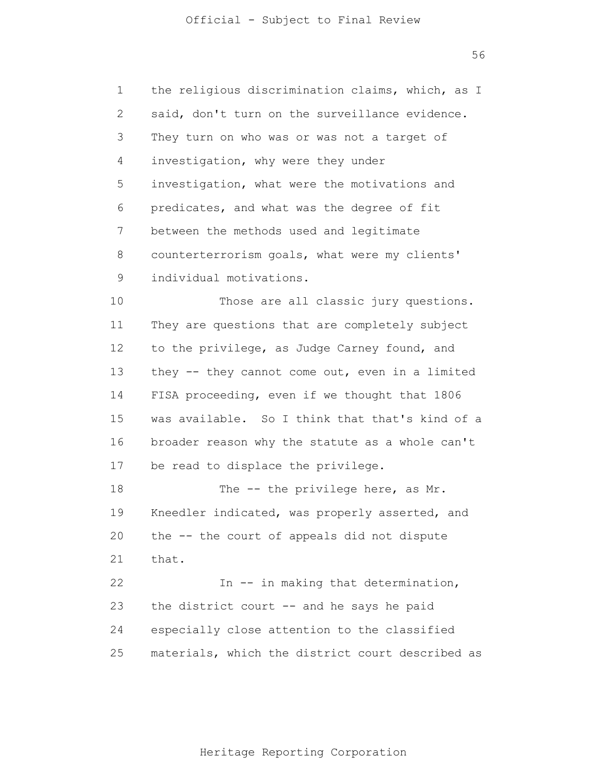1 2 3 4 5 6 7 8 9 10 11 12 13 14 15 16 17 18 19 20 21 22 23 24 25 the religious discrimination claims, which, as I said, don't turn on the surveillance evidence. They turn on who was or was not a target of investigation, why were they under investigation, what were the motivations and predicates, and what was the degree of fit between the methods used and legitimate counterterrorism goals, what were my clients' individual motivations. Those are all classic jury questions. They are questions that are completely subject to the privilege, as Judge Carney found, and they -- they cannot come out, even in a limited FISA proceeding, even if we thought that 1806 was available. So I think that that's kind of a broader reason why the statute as a whole can't be read to displace the privilege. The -- the privilege here, as Mr. Kneedler indicated, was properly asserted, and the -- the court of appeals did not dispute that. In -- in making that determination, the district court -- and he says he paid especially close attention to the classified materials, which the district court described as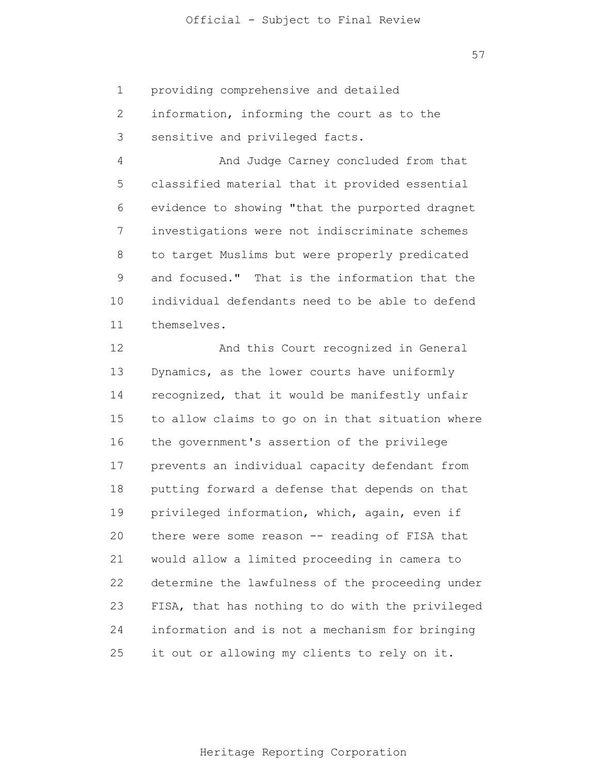1 providing comprehensive and detailed

2 3 information, informing the court as to the sensitive and privileged facts.

4 5 6 7 8 9 10 11 And Judge Carney concluded from that classified material that it provided essential evidence to showing "that the purported dragnet investigations were not indiscriminate schemes to target Muslims but were properly predicated and focused." That is the information that the individual defendants need to be able to defend themselves.

12 13 14 15 16 17 18 19 20 21 22 23 24 25 And this Court recognized in General Dynamics, as the lower courts have uniformly recognized, that it would be manifestly unfair to allow claims to go on in that situation where the government's assertion of the privilege prevents an individual capacity defendant from putting forward a defense that depends on that privileged information, which, again, even if there were some reason -- reading of FISA that would allow a limited proceeding in camera to determine the lawfulness of the proceeding under FISA, that has nothing to do with the privileged information and is not a mechanism for bringing it out or allowing my clients to rely on it.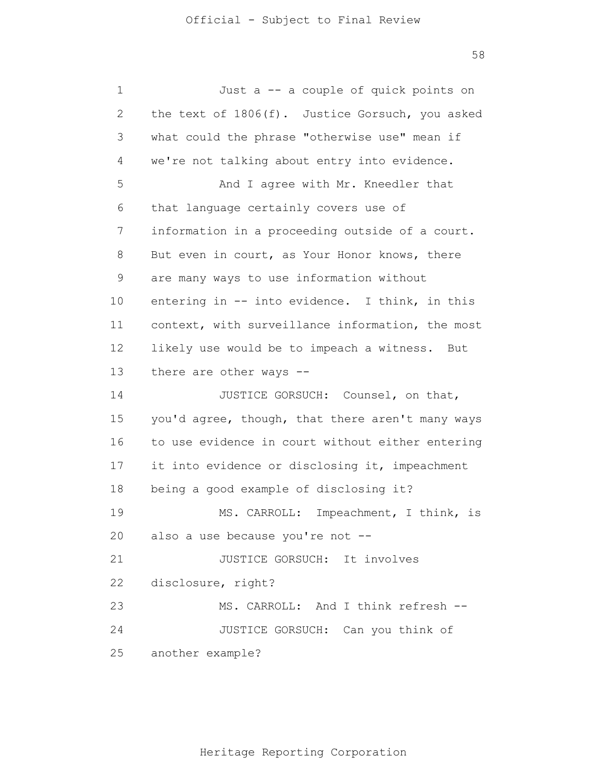| 1              | Just a -- a couple of quick points on            |
|----------------|--------------------------------------------------|
| 2              | the text of 1806(f). Justice Gorsuch, you asked  |
| 3              | what could the phrase "otherwise use" mean if    |
| $\overline{4}$ | we're not talking about entry into evidence.     |
| 5              | And I agree with Mr. Kneedler that               |
| 6              | that language certainly covers use of            |
| 7              | information in a proceeding outside of a court.  |
| 8              | But even in court, as Your Honor knows, there    |
| 9              | are many ways to use information without         |
| 10             | entering in -- into evidence. I think, in this   |
| 11             | context, with surveillance information, the most |
| 12             | likely use would be to impeach a witness. But    |
| 13             | there are other ways --                          |
| 14             | JUSTICE GORSUCH: Counsel, on that,               |
| 15             | you'd agree, though, that there aren't many ways |
| 16             | to use evidence in court without either entering |
| 17             | it into evidence or disclosing it, impeachment   |
| 18             | being a good example of disclosing it?           |
| 19             | MS. CARROLL: Impeachment, I think, is            |
|                | 20 also a use because you're not --              |
| 21             | JUSTICE GORSUCH: It involves                     |
| 22             | disclosure, right?                               |
| 23             | MS. CARROLL: And I think refresh --              |
| 24             | JUSTICE GORSUCH: Can you think of                |
| 25             | another example?                                 |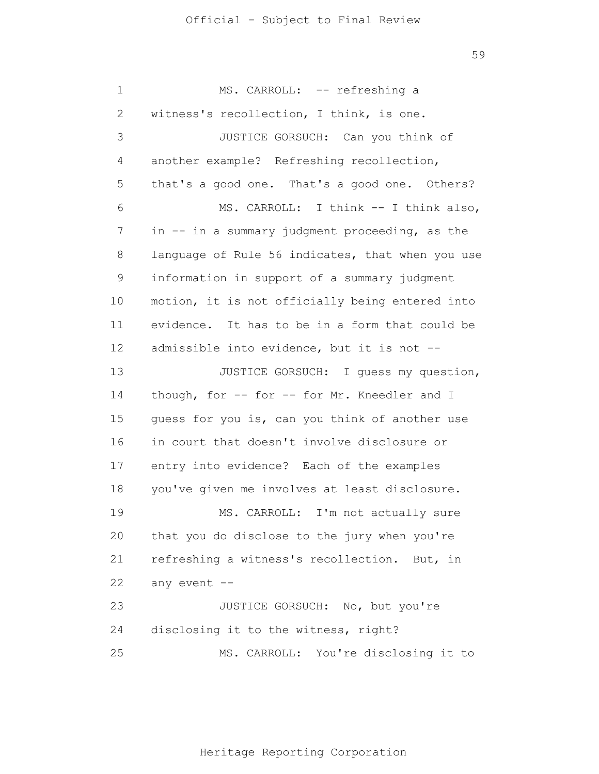1 2 3 4 5 6 7 8 9 10 11 12 13 14 15 16 17 18 19 20 21 22 23 24 25 MS. CARROLL: -- refreshing a witness's recollection, I think, is one. JUSTICE GORSUCH: Can you think of another example? Refreshing recollection, that's a good one. That's a good one. Others? MS. CARROLL: I think -- I think also, in -- in a summary judgment proceeding, as the language of Rule 56 indicates, that when you use information in support of a summary judgment motion, it is not officially being entered into evidence. It has to be in a form that could be admissible into evidence, but it is not -- JUSTICE GORSUCH: I guess my question, though, for -- for -- for Mr. Kneedler and I guess for you is, can you think of another use in court that doesn't involve disclosure or entry into evidence? Each of the examples you've given me involves at least disclosure. MS. CARROLL: I'm not actually sure that you do disclose to the jury when you're refreshing a witness's recollection. But, in any event -- JUSTICE GORSUCH: No, but you're disclosing it to the witness, right? MS. CARROLL: You're disclosing it to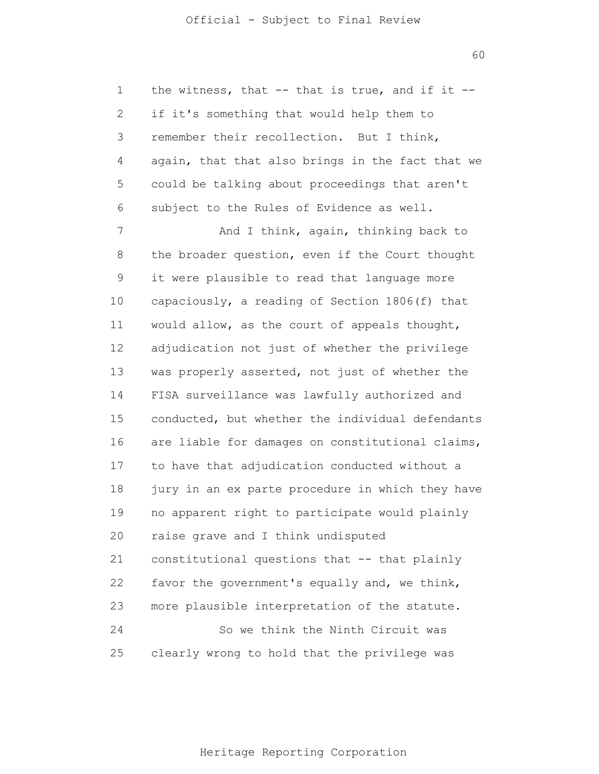1 2 3 4 5 6 the witness, that  $--$  that is true, and if it  $-$ if it's something that would help them to remember their recollection. But I think, again, that that also brings in the fact that we could be talking about proceedings that aren't subject to the Rules of Evidence as well.

7 8 9 10 11 12 13 14 15 16 17 18 19 20 21 22 23 24 25 And I think, again, thinking back to the broader question, even if the Court thought it were plausible to read that language more capaciously, a reading of Section 1806(f) that would allow, as the court of appeals thought, adjudication not just of whether the privilege was properly asserted, not just of whether the FISA surveillance was lawfully authorized and conducted, but whether the individual defendants are liable for damages on constitutional claims, to have that adjudication conducted without a jury in an ex parte procedure in which they have no apparent right to participate would plainly raise grave and I think undisputed constitutional questions that -- that plainly favor the government's equally and, we think, more plausible interpretation of the statute. So we think the Ninth Circuit was clearly wrong to hold that the privilege was

60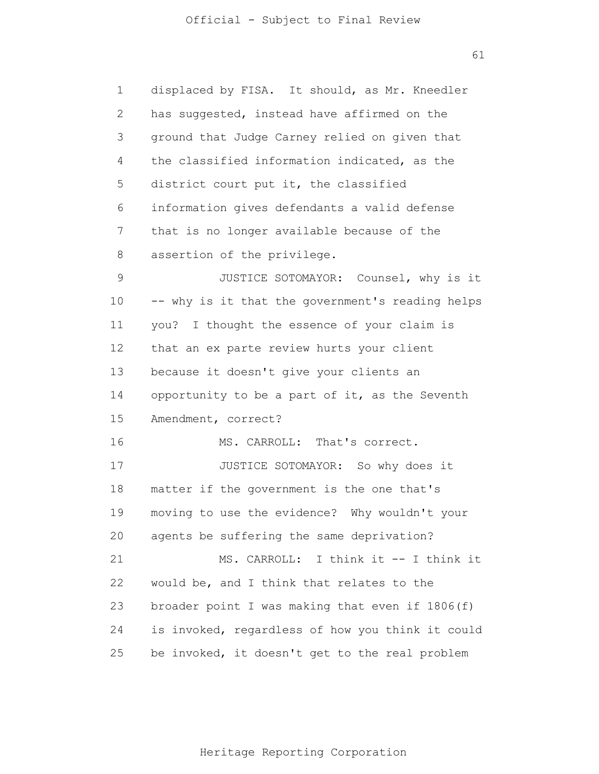1 2 3 4 5 6 7 8 9 10 11 12 13 14 15 16 17 18 19 20 21 22 23 24 25 displaced by FISA. It should, as Mr. Kneedler has suggested, instead have affirmed on the ground that Judge Carney relied on given that the classified information indicated, as the district court put it, the classified information gives defendants a valid defense that is no longer available because of the assertion of the privilege. JUSTICE SOTOMAYOR: Counsel, why is it -- why is it that the government's reading helps you? I thought the essence of your claim is that an ex parte review hurts your client because it doesn't give your clients an opportunity to be a part of it, as the Seventh Amendment, correct? MS. CARROLL: That's correct. JUSTICE SOTOMAYOR: So why does it matter if the government is the one that's moving to use the evidence? Why wouldn't your agents be suffering the same deprivation? MS. CARROLL: I think it -- I think it would be, and I think that relates to the broader point I was making that even if 1806(f) is invoked, regardless of how you think it could be invoked, it doesn't get to the real problem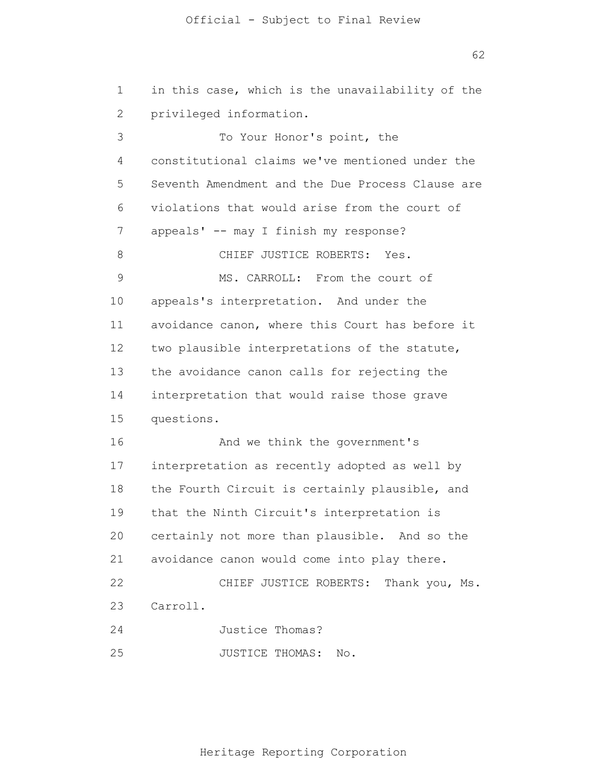62

| $\mathbf 1$ | in this case, which is the unavailability of the |
|-------------|--------------------------------------------------|
| 2           | privileged information.                          |
| 3           | To Your Honor's point, the                       |
| 4           | constitutional claims we've mentioned under the  |
| 5           | Seventh Amendment and the Due Process Clause are |
| 6           | violations that would arise from the court of    |
| 7           | appeals' -- may I finish my response?            |
| 8           | CHIEF JUSTICE ROBERTS: Yes.                      |
| $\mathsf 9$ | MS. CARROLL: From the court of                   |
| 10          | appeals's interpretation. And under the          |
| 11          | avoidance canon, where this Court has before it  |
| 12          | two plausible interpretations of the statute,    |
| 13          | the avoidance canon calls for rejecting the      |
| 14          | interpretation that would raise those grave      |
| 15          | questions.                                       |
| 16          | And we think the government's                    |
| 17          | interpretation as recently adopted as well by    |
| 18          | the Fourth Circuit is certainly plausible, and   |
| 19          | that the Ninth Circuit's interpretation is       |
| 20          | certainly not more than plausible. And so the    |
| 21          | avoidance canon would come into play there.      |
| 22          | CHIEF JUSTICE ROBERTS: Thank you, Ms.            |
| 23          | Carroll.                                         |
| 24          | Justice Thomas?                                  |
| 25          | JUSTICE THOMAS:<br>No.                           |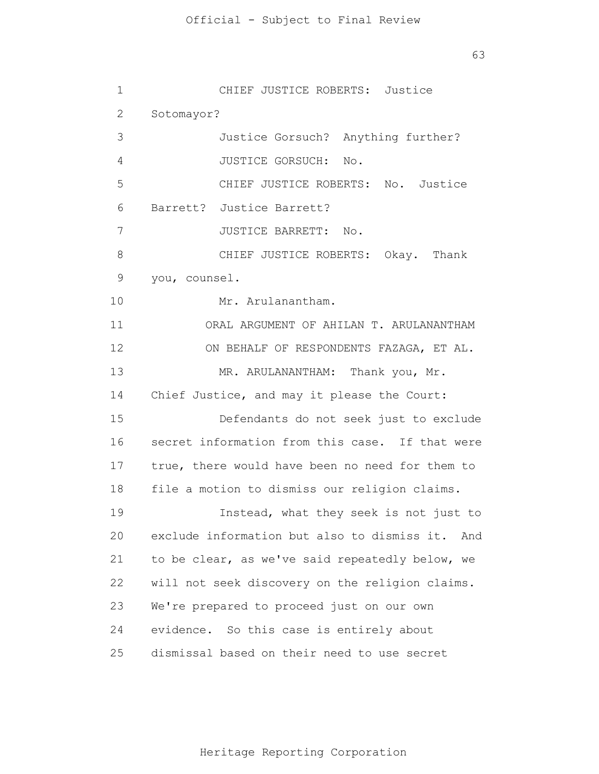63

1 2 3 4 5 6 7 8 9 10 11 12 13 14 15 16 17 18 19 20 21 22 23 24 25 CHIEF JUSTICE ROBERTS: Justice Sotomayor? Justice Gorsuch? Anything further? JUSTICE GORSUCH: No. CHIEF JUSTICE ROBERTS: No. Justice Barrett? Justice Barrett? JUSTICE BARRETT: No. CHIEF JUSTICE ROBERTS: Okay. Thank you, counsel. Mr. Arulanantham. ORAL ARGUMENT OF AHILAN T. ARULANANTHAM ON BEHALF OF RESPONDENTS FAZAGA, ET AL. MR. ARULANANTHAM: Thank you, Mr. Chief Justice, and may it please the Court: Defendants do not seek just to exclude secret information from this case. If that were true, there would have been no need for them to file a motion to dismiss our religion claims. Instead, what they seek is not just to exclude information but also to dismiss it. And to be clear, as we've said repeatedly below, we will not seek discovery on the religion claims. We're prepared to proceed just on our own evidence. So this case is entirely about dismissal based on their need to use secret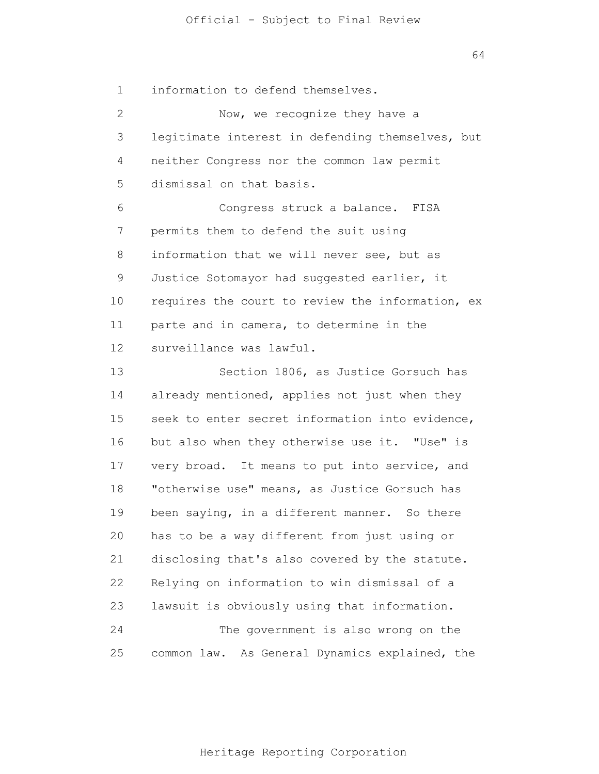1 information to defend themselves.

2 3 4 5 6 7 8 9 10 11 12 13 14 15 16 17 18 19 20 21 22 23 24 25 Now, we recognize they have a legitimate interest in defending themselves, but neither Congress nor the common law permit dismissal on that basis. Congress struck a balance. FISA permits them to defend the suit using information that we will never see, but as Justice Sotomayor had suggested earlier, it requires the court to review the information, ex parte and in camera, to determine in the surveillance was lawful. Section 1806, as Justice Gorsuch has already mentioned, applies not just when they seek to enter secret information into evidence, but also when they otherwise use it. "Use" is very broad. It means to put into service, and "otherwise use" means, as Justice Gorsuch has been saying, in a different manner. So there has to be a way different from just using or disclosing that's also covered by the statute. Relying on information to win dismissal of a lawsuit is obviously using that information. The government is also wrong on the common law. As General Dynamics explained, the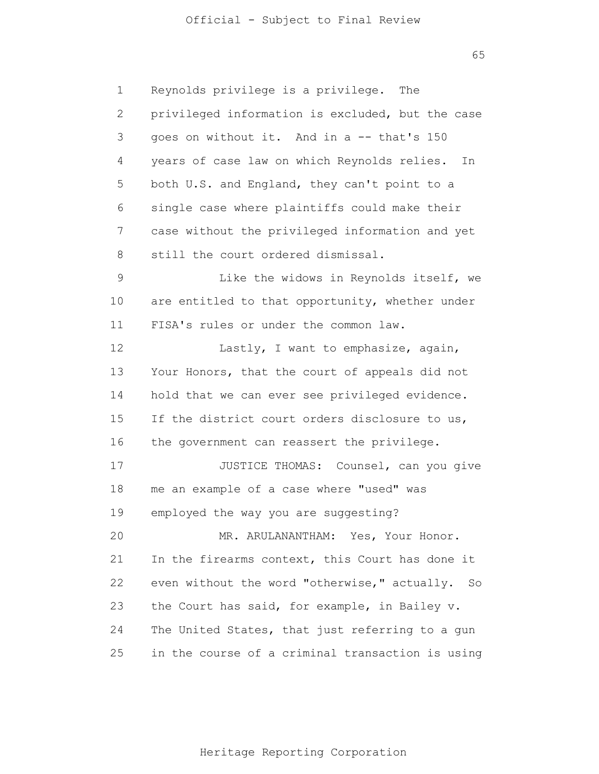65

1 2 3 4 5 6 7 8 9 10 11 12 13 14 15 16 17 18 19 20 21 22 23 24 25 Reynolds privilege is a privilege. The privileged information is excluded, but the case goes on without it. And in a -- that's 150 years of case law on which Reynolds relies. In both U.S. and England, they can't point to a single case where plaintiffs could make their case without the privileged information and yet still the court ordered dismissal. Like the widows in Reynolds itself, we are entitled to that opportunity, whether under FISA's rules or under the common law. Lastly, I want to emphasize, again, Your Honors, that the court of appeals did not hold that we can ever see privileged evidence. If the district court orders disclosure to us, the government can reassert the privilege. JUSTICE THOMAS: Counsel, can you give me an example of a case where "used" was employed the way you are suggesting? MR. ARULANANTHAM: Yes, Your Honor. In the firearms context, this Court has done it even without the word "otherwise," actually. So the Court has said, for example, in Bailey v. The United States, that just referring to a gun in the course of a criminal transaction is using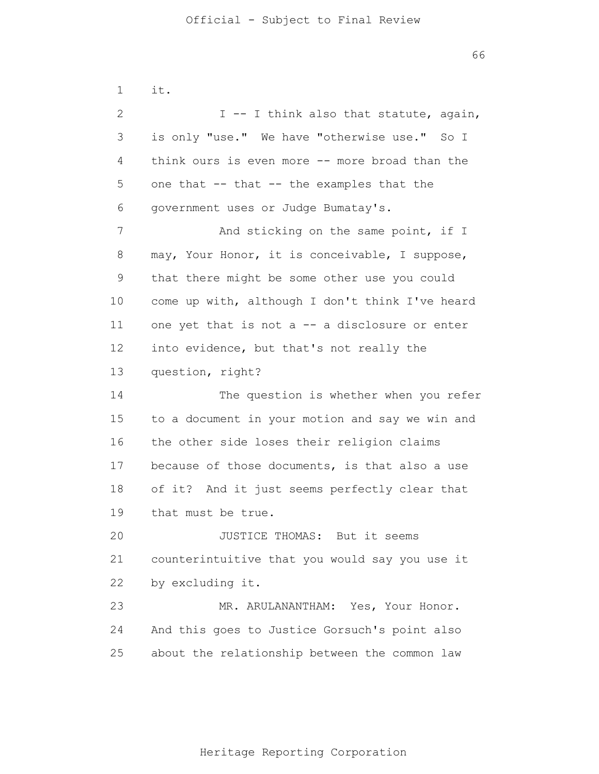1 2 3 4 5 6 7 8 9 10 11 12 13 14 15 16 17 18 19 20 21 22 23 24 25 it. I -- I think also that statute, again, is only "use." We have "otherwise use." So I think ours is even more -- more broad than the one that -- that -- the examples that the government uses or Judge Bumatay's. And sticking on the same point, if I may, Your Honor, it is conceivable, I suppose, that there might be some other use you could come up with, although I don't think I've heard one yet that is not a -- a disclosure or enter into evidence, but that's not really the question, right? The question is whether when you refer to a document in your motion and say we win and the other side loses their religion claims because of those documents, is that also a use of it? And it just seems perfectly clear that that must be true. JUSTICE THOMAS: But it seems counterintuitive that you would say you use it by excluding it. MR. ARULANANTHAM: Yes, Your Honor. And this goes to Justice Gorsuch's point also about the relationship between the common law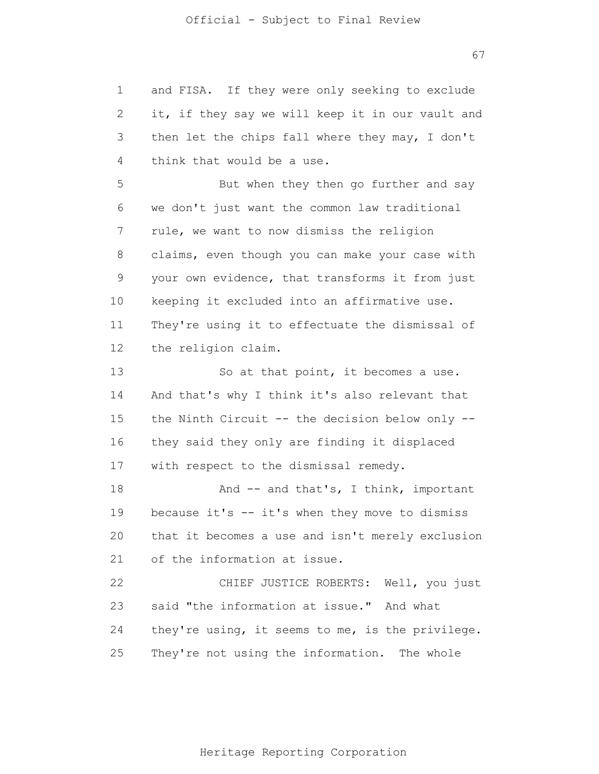| 1            | and FISA. If they were only seeking to exclude   |
|--------------|--------------------------------------------------|
| $\mathbf{2}$ | it, if they say we will keep it in our vault and |
| 3            | then let the chips fall where they may, I don't  |
| 4            | think that would be a use.                       |
| 5            | But when they then go further and say            |
| 6            | we don't just want the common law traditional    |
| 7            | rule, we want to now dismiss the religion        |
| 8            | claims, even though you can make your case with  |
| $\mathsf 9$  | your own evidence, that transforms it from just  |
| 10           | keeping it excluded into an affirmative use.     |
| 11           | They're using it to effectuate the dismissal of  |
| 12           | the religion claim.                              |
| 13           | So at that point, it becomes a use.              |
| 14           | And that's why I think it's also relevant that   |
| 15           | the Ninth Circuit -- the decision below only --  |
| 16           | they said they only are finding it displaced     |
| 17           | with respect to the dismissal remedy.            |
| 18           | And -- and that's, I think, important            |
| 19           | because it's -- it's when they move to dismiss   |
| 20           | that it becomes a use and isn't merely exclusion |
| 21           | of the information at issue.                     |
| 22           | CHIEF JUSTICE ROBERTS: Well, you just            |
| 23           | said "the information at issue." And what        |
| 24           | they're using, it seems to me, is the privilege. |
| 25           | They're not using the information. The whole     |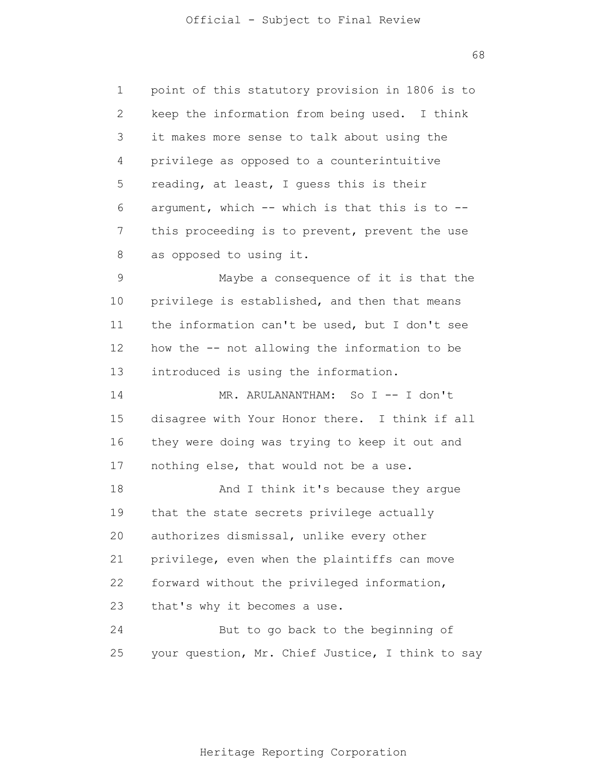1 2 3 4 5 6 7 8 9 10 11 12 13 14 15 16 17 18 19 20 21 22 23 24 25 point of this statutory provision in 1806 is to keep the information from being used. I think it makes more sense to talk about using the privilege as opposed to a counterintuitive reading, at least, I guess this is their argument, which  $--$  which is that this is to  $-$ this proceeding is to prevent, prevent the use as opposed to using it. Maybe a consequence of it is that the privilege is established, and then that means the information can't be used, but I don't see how the -- not allowing the information to be introduced is using the information. MR. ARULANANTHAM: So I -- I don't disagree with Your Honor there. I think if all they were doing was trying to keep it out and nothing else, that would not be a use. And I think it's because they argue that the state secrets privilege actually authorizes dismissal, unlike every other privilege, even when the plaintiffs can move forward without the privileged information, that's why it becomes a use. But to go back to the beginning of your question, Mr. Chief Justice, I think to say

68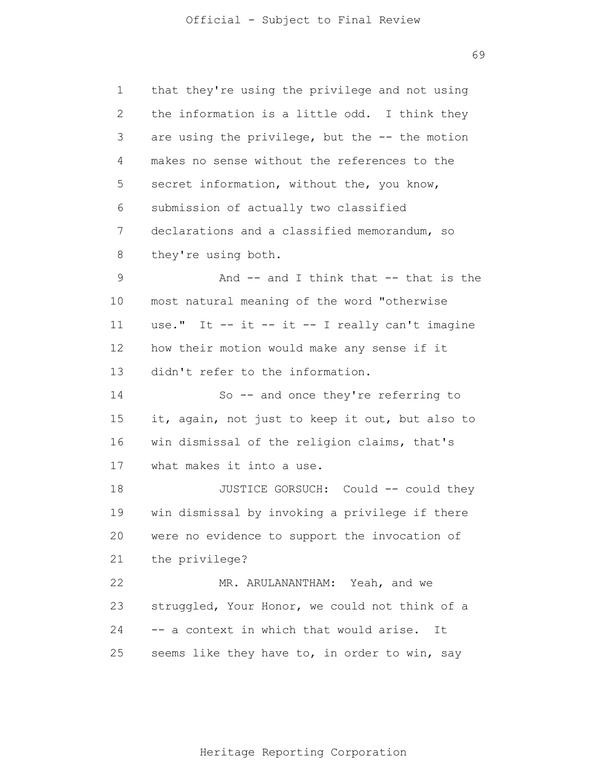1 2 3 4 5 6 7 8 9 10 11 12 13 14 15 16 17 18 19 20 21 22 23 24 25 that they're using the privilege and not using the information is a little odd. I think they are using the privilege, but the -- the motion makes no sense without the references to the secret information, without the, you know, submission of actually two classified declarations and a classified memorandum, so they're using both. And -- and I think that -- that is the most natural meaning of the word "otherwise use." It  $-$  it  $-$  it  $-$  I really can't imagine how their motion would make any sense if it didn't refer to the information. So -- and once they're referring to it, again, not just to keep it out, but also to win dismissal of the religion claims, that's what makes it into a use. JUSTICE GORSUCH: Could -- could they win dismissal by invoking a privilege if there were no evidence to support the invocation of the privilege? MR. ARULANANTHAM: Yeah, and we struggled, Your Honor, we could not think of a -- a context in which that would arise. It seems like they have to, in order to win, say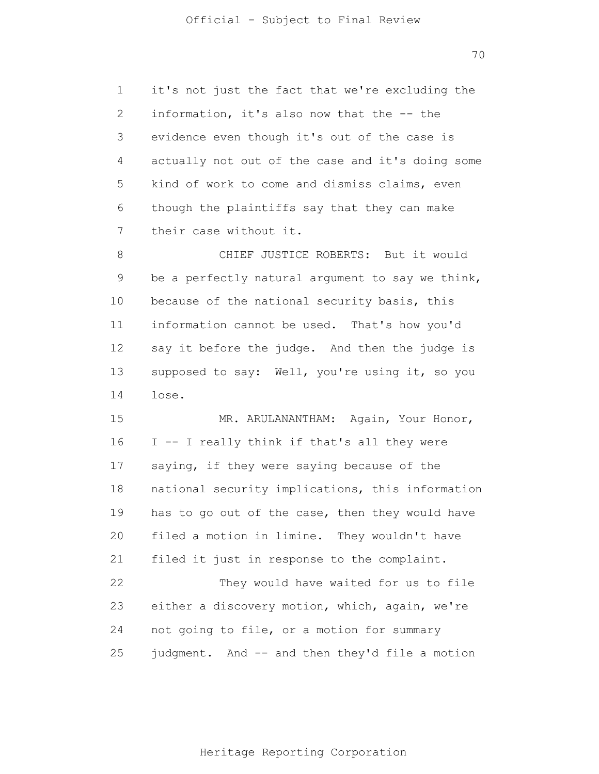1 2 3 4 5 6 7 it's not just the fact that we're excluding the information, it's also now that the -- the evidence even though it's out of the case is actually not out of the case and it's doing some kind of work to come and dismiss claims, even though the plaintiffs say that they can make their case without it.

8 9 10 11 12 13 14 CHIEF JUSTICE ROBERTS: But it would be a perfectly natural argument to say we think, because of the national security basis, this information cannot be used. That's how you'd say it before the judge. And then the judge is supposed to say: Well, you're using it, so you lose.

15 16 17 18 19 20 21 22 23 24 25 MR. ARULANANTHAM: Again, Your Honor, I -- I really think if that's all they were saying, if they were saying because of the national security implications, this information has to go out of the case, then they would have filed a motion in limine. They wouldn't have filed it just in response to the complaint. They would have waited for us to file either a discovery motion, which, again, we're not going to file, or a motion for summary judgment. And -- and then they'd file a motion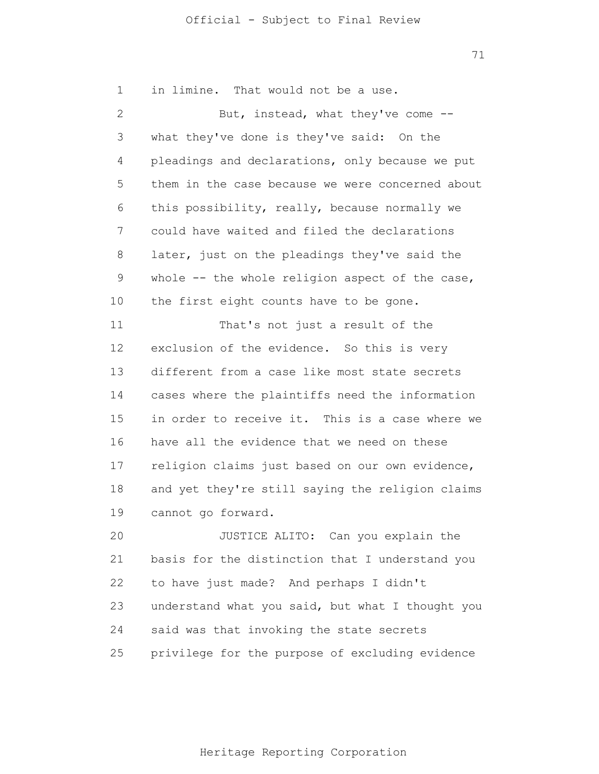71

1 2 3 4 5 6 7 8 9 10 11 12 13 14 15 16 17 18 19 20 21 22 23 24 25 in limine. That would not be a use. But, instead, what they've come - what they've done is they've said: On the pleadings and declarations, only because we put them in the case because we were concerned about this possibility, really, because normally we could have waited and filed the declarations later, just on the pleadings they've said the whole -- the whole religion aspect of the case, the first eight counts have to be gone. That's not just a result of the exclusion of the evidence. So this is very different from a case like most state secrets cases where the plaintiffs need the information in order to receive it. This is a case where we have all the evidence that we need on these religion claims just based on our own evidence, and yet they're still saying the religion claims cannot go forward. JUSTICE ALITO: Can you explain the basis for the distinction that I understand you to have just made? And perhaps I didn't understand what you said, but what I thought you said was that invoking the state secrets privilege for the purpose of excluding evidence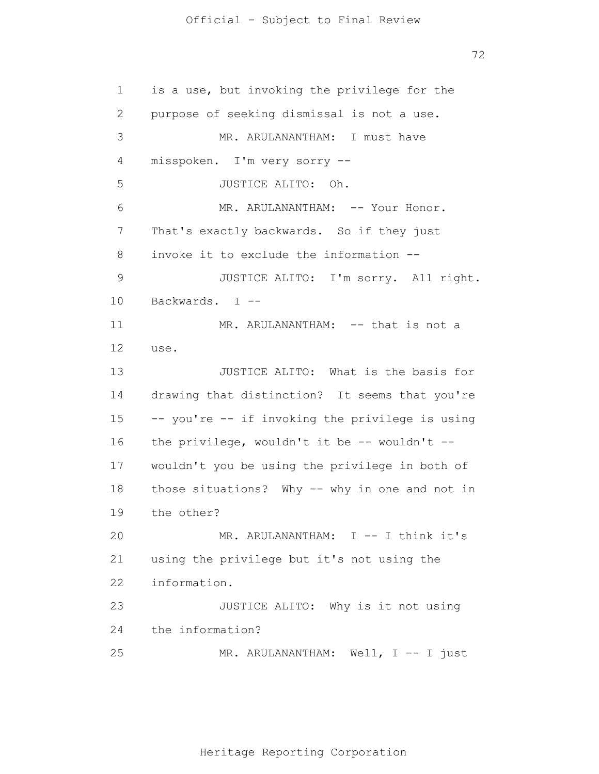72

1 2 3 4 5 6 7 8 9 10 11 12 13 14 15 16 17 18 19 20 21 22 23 24 25 is a use, but invoking the privilege for the purpose of seeking dismissal is not a use. MR. ARULANANTHAM: I must have misspoken. I'm very sorry -- JUSTICE ALITO: Oh. MR. ARULANANTHAM: -- Your Honor. That's exactly backwards. So if they just invoke it to exclude the information -- JUSTICE ALITO: I'm sorry. All right. Backwards. I -- MR. ARULANANTHAM: -- that is not a use. JUSTICE ALITO: What is the basis for drawing that distinction? It seems that you're -- you're -- if invoking the privilege is using the privilege, wouldn't it be  $--$  wouldn't  $-$ wouldn't you be using the privilege in both of those situations? Why -- why in one and not in the other? MR. ARULANANTHAM: I -- I think it's using the privilege but it's not using the information. JUSTICE ALITO: Why is it not using the information? MR. ARULANANTHAM: Well, I -- I just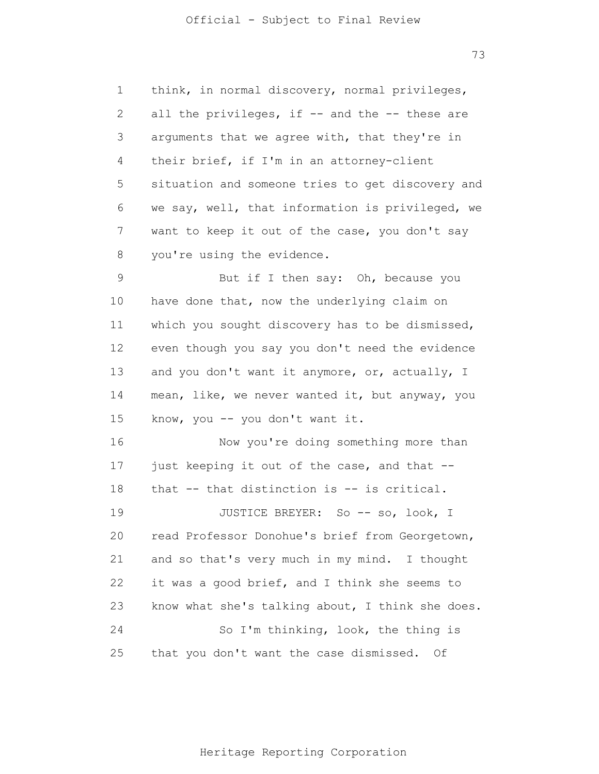1 2 3 4 5 6 7 8 9 10 11 12 13 14 15 16 17 18 19 20 21 22 23 24 25 think, in normal discovery, normal privileges, all the privileges, if -- and the -- these are arguments that we agree with, that they're in their brief, if I'm in an attorney-client situation and someone tries to get discovery and we say, well, that information is privileged, we want to keep it out of the case, you don't say you're using the evidence. But if I then say: Oh, because you have done that, now the underlying claim on which you sought discovery has to be dismissed, even though you say you don't need the evidence and you don't want it anymore, or, actually, I mean, like, we never wanted it, but anyway, you know, you -- you don't want it. Now you're doing something more than just keeping it out of the case, and that - that -- that distinction is -- is critical. JUSTICE BREYER: So -- so, look, I read Professor Donohue's brief from Georgetown, and so that's very much in my mind. I thought it was a good brief, and I think she seems to know what she's talking about, I think she does. So I'm thinking, look, the thing is that you don't want the case dismissed. Of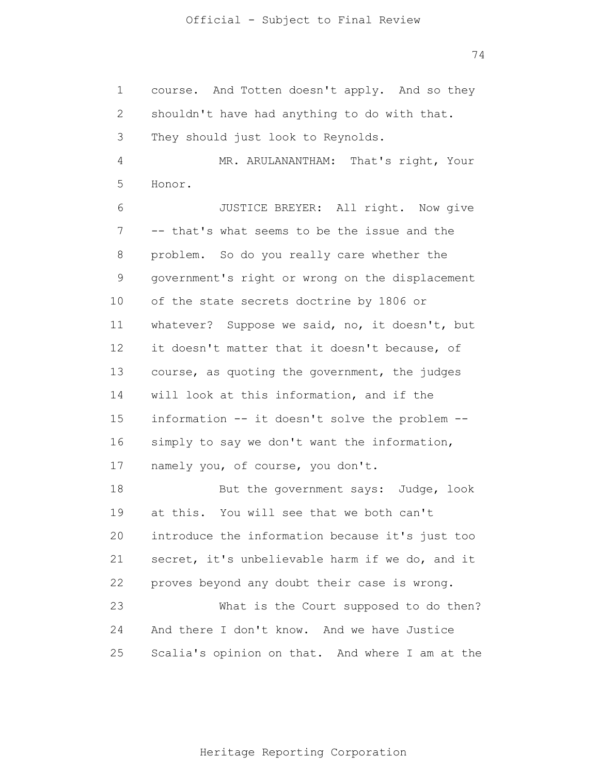74

1 2 3 4 5 6 7 8 9 10 11 12 13 14 15 16 17 18 19 20 21 22 23 24 25 course. And Totten doesn't apply. And so they shouldn't have had anything to do with that. They should just look to Reynolds. MR. ARULANANTHAM: That's right, Your Honor. JUSTICE BREYER: All right. Now give -- that's what seems to be the issue and the problem. So do you really care whether the government's right or wrong on the displacement of the state secrets doctrine by 1806 or whatever? Suppose we said, no, it doesn't, but it doesn't matter that it doesn't because, of course, as quoting the government, the judges will look at this information, and if the information -- it doesn't solve the problem - simply to say we don't want the information, namely you, of course, you don't. But the government says: Judge, look at this. You will see that we both can't introduce the information because it's just too secret, it's unbelievable harm if we do, and it proves beyond any doubt their case is wrong. What is the Court supposed to do then? And there I don't know. And we have Justice Scalia's opinion on that. And where I am at the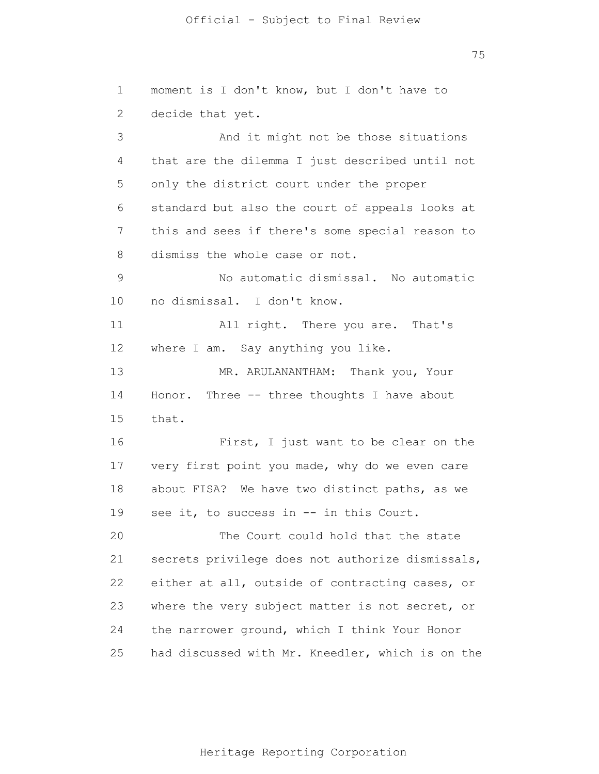75

1 2 3 4 5 6 7 8 9 10 11 12 13 14 15 16 17 18 19 20 21 22 23 24 25 moment is I don't know, but I don't have to decide that yet. And it might not be those situations that are the dilemma I just described until not only the district court under the proper standard but also the court of appeals looks at this and sees if there's some special reason to dismiss the whole case or not. No automatic dismissal. No automatic no dismissal. I don't know. All right. There you are. That's where I am. Say anything you like. MR. ARULANANTHAM: Thank you, Your Honor. Three -- three thoughts I have about that. First, I just want to be clear on the very first point you made, why do we even care about FISA? We have two distinct paths, as we see it, to success in -- in this Court. The Court could hold that the state secrets privilege does not authorize dismissals, either at all, outside of contracting cases, or where the very subject matter is not secret, or the narrower ground, which I think Your Honor had discussed with Mr. Kneedler, which is on the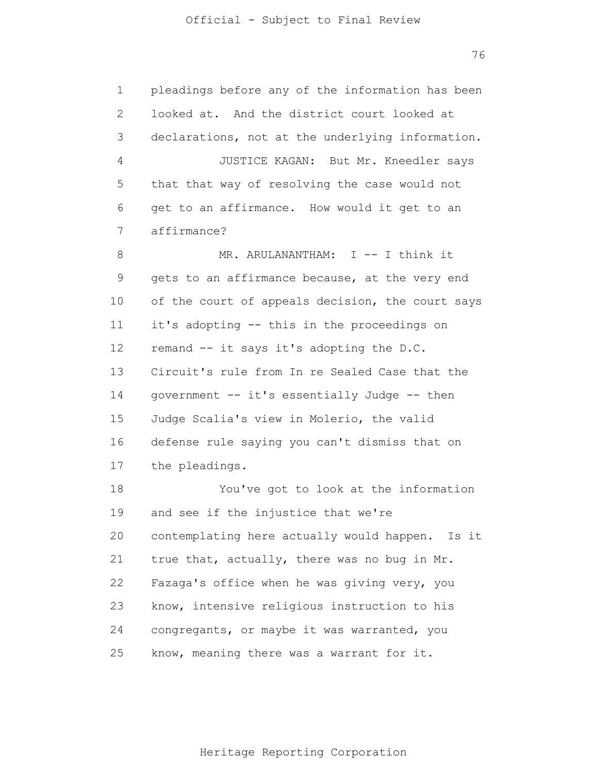1 2 3 4 5 6 7 8 9 10 11 12 13 14 15 16 17 18 19 20 21 22 23 24 25 pleadings before any of the information has been looked at. And the district court looked at declarations, not at the underlying information. JUSTICE KAGAN: But Mr. Kneedler says that that way of resolving the case would not get to an affirmance. How would it get to an affirmance? MR. ARULANANTHAM: I -- I think it gets to an affirmance because, at the very end of the court of appeals decision, the court says it's adopting -- this in the proceedings on remand -- it says it's adopting the D.C. Circuit's rule from In re Sealed Case that the government -- it's essentially Judge -- then Judge Scalia's view in Molerio, the valid defense rule saying you can't dismiss that on the pleadings. You've got to look at the information and see if the injustice that we're contemplating here actually would happen. Is it true that, actually, there was no bug in Mr. Fazaga's office when he was giving very, you know, intensive religious instruction to his congregants, or maybe it was warranted, you know, meaning there was a warrant for it.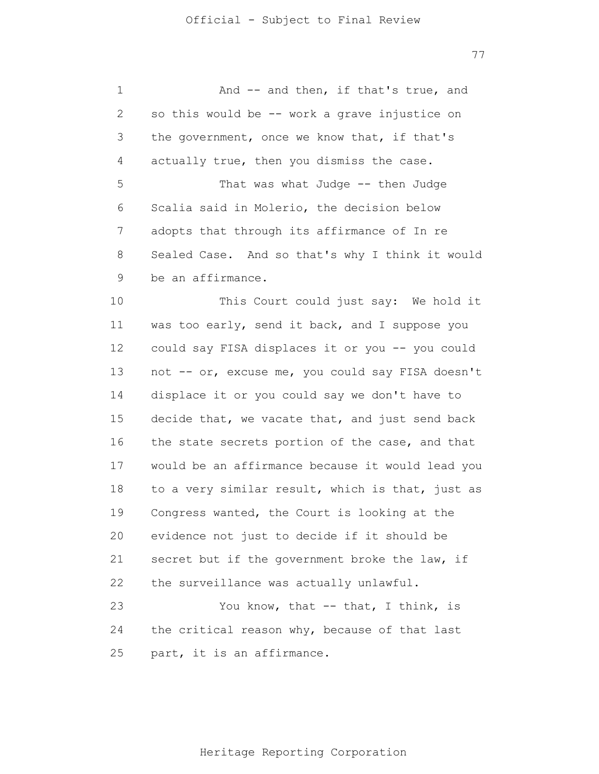1 2 3 4 5 6 7 8 9 10 11 12 13 14 15 16 17 18 19 20 21 22 23 And -- and then, if that's true, and so this would be -- work a grave injustice on the government, once we know that, if that's actually true, then you dismiss the case. That was what Judge -- then Judge Scalia said in Molerio, the decision below adopts that through its affirmance of In re Sealed Case. And so that's why I think it would be an affirmance. This Court could just say: We hold it was too early, send it back, and I suppose you could say FISA displaces it or you -- you could not -- or, excuse me, you could say FISA doesn't displace it or you could say we don't have to decide that, we vacate that, and just send back the state secrets portion of the case, and that would be an affirmance because it would lead you to a very similar result, which is that, just as Congress wanted, the Court is looking at the evidence not just to decide if it should be secret but if the government broke the law, if the surveillance was actually unlawful. You know, that -- that, I think, is

24 25 the critical reason why, because of that last part, it is an affirmance.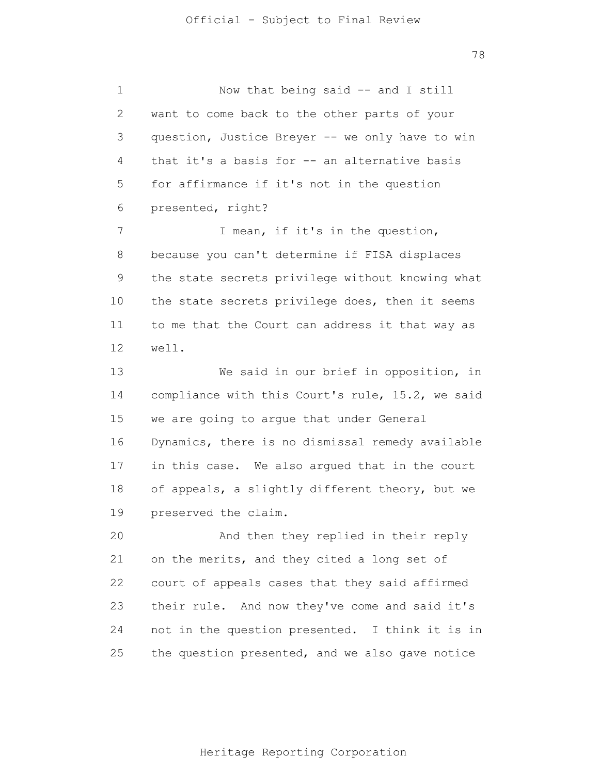1 2 3 4 5 6 7 8 9 10 11 12 13 14 15 16 17 18 19 20 21 22 23 24 25 Now that being said -- and I still want to come back to the other parts of your question, Justice Breyer -- we only have to win that it's a basis for -- an alternative basis for affirmance if it's not in the question presented, right? I mean, if it's in the question, because you can't determine if FISA displaces the state secrets privilege without knowing what the state secrets privilege does, then it seems to me that the Court can address it that way as well. We said in our brief in opposition, in compliance with this Court's rule, 15.2, we said we are going to argue that under General Dynamics, there is no dismissal remedy available in this case. We also argued that in the court of appeals, a slightly different theory, but we preserved the claim. And then they replied in their reply on the merits, and they cited a long set of court of appeals cases that they said affirmed their rule. And now they've come and said it's not in the question presented. I think it is in the question presented, and we also gave notice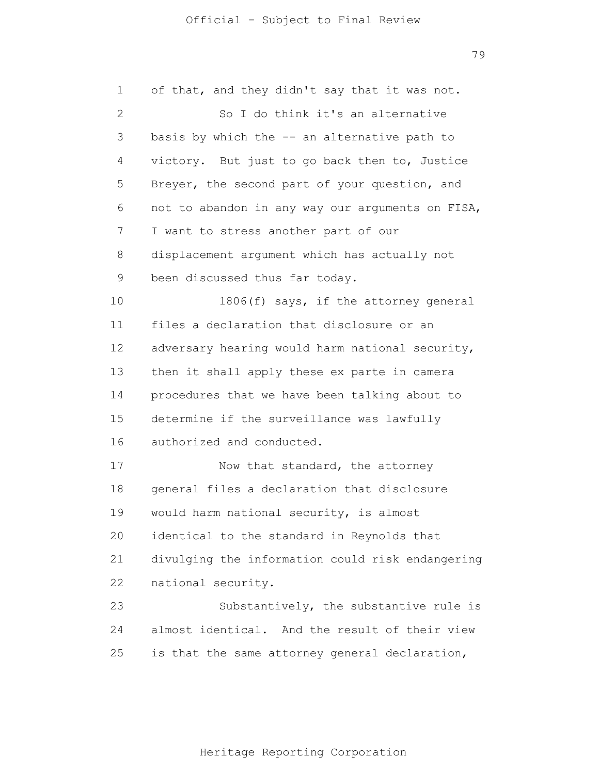1 2 3 4 5 6 7 8 9 10 11 12 13 14 15 16 17 18 19 20 21 22 23 24 25 of that, and they didn't say that it was not. So I do think it's an alternative basis by which the  $-$  an alternative path to victory. But just to go back then to, Justice Breyer, the second part of your question, and not to abandon in any way our arguments on FISA, I want to stress another part of our displacement argument which has actually not been discussed thus far today. 1806(f) says, if the attorney general files a declaration that disclosure or an adversary hearing would harm national security, then it shall apply these ex parte in camera procedures that we have been talking about to determine if the surveillance was lawfully authorized and conducted. Now that standard, the attorney general files a declaration that disclosure would harm national security, is almost identical to the standard in Reynolds that divulging the information could risk endangering national security. Substantively, the substantive rule is almost identical. And the result of their view is that the same attorney general declaration,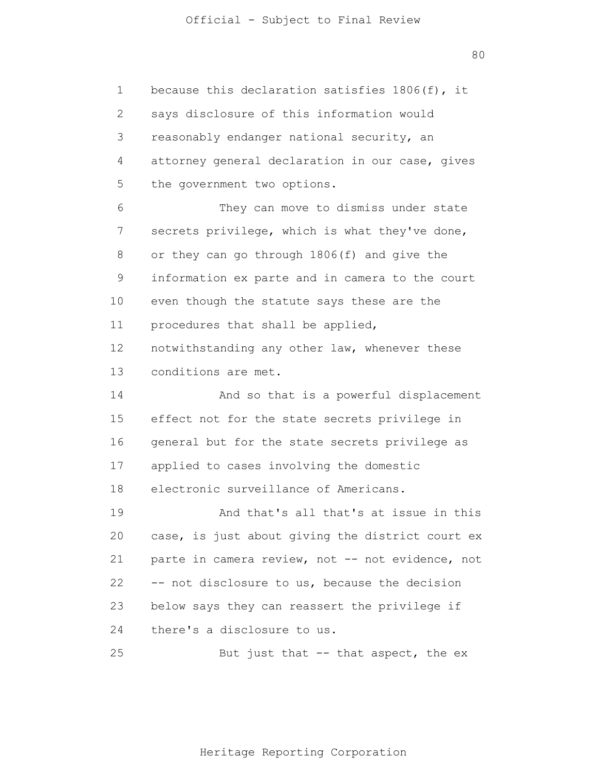1 2 3 4 5 6 7 8 9 10 11 12 13 14 15 16 17 18 19 20 21 22 23 24 because this declaration satisfies 1806(f), it says disclosure of this information would reasonably endanger national security, an attorney general declaration in our case, gives the government two options. They can move to dismiss under state secrets privilege, which is what they've done, or they can go through 1806(f) and give the information ex parte and in camera to the court even though the statute says these are the procedures that shall be applied, notwithstanding any other law, whenever these conditions are met. And so that is a powerful displacement effect not for the state secrets privilege in general but for the state secrets privilege as applied to cases involving the domestic electronic surveillance of Americans. And that's all that's at issue in this case, is just about giving the district court ex parte in camera review, not -- not evidence, not -- not disclosure to us, because the decision below says they can reassert the privilege if there's a disclosure to us.

25 But just that  $-$  that aspect, the  $ex$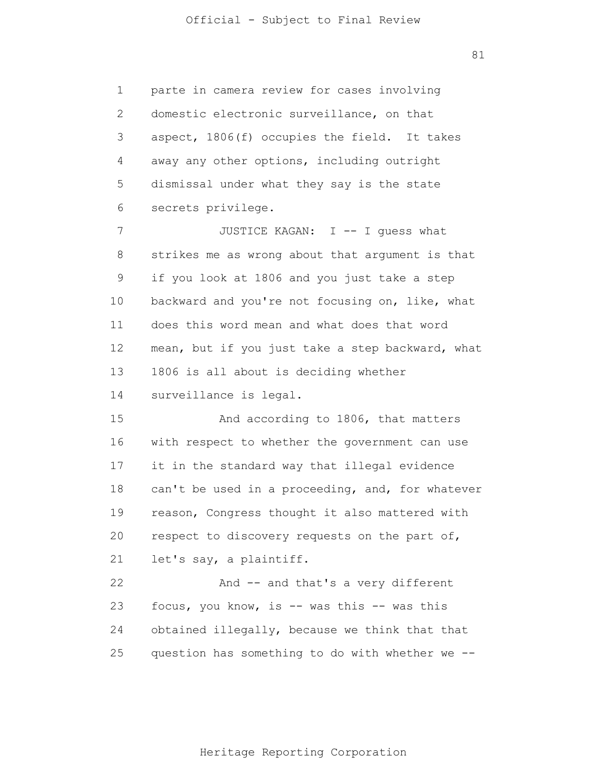81

1 2 3 4 5 6 parte in camera review for cases involving domestic electronic surveillance, on that aspect, 1806(f) occupies the field. It takes away any other options, including outright dismissal under what they say is the state secrets privilege.

7 8 9 10 11 12 13 14 JUSTICE KAGAN: I -- I guess what strikes me as wrong about that argument is that if you look at 1806 and you just take a step backward and you're not focusing on, like, what does this word mean and what does that word mean, but if you just take a step backward, what 1806 is all about is deciding whether surveillance is legal.

15 16 17 18 19 20 21 And according to 1806, that matters with respect to whether the government can use it in the standard way that illegal evidence can't be used in a proceeding, and, for whatever reason, Congress thought it also mattered with respect to discovery requests on the part of, let's say, a plaintiff.

22 23 24 25 And -- and that's a very different focus, you know, is -- was this -- was this obtained illegally, because we think that that question has something to do with whether we --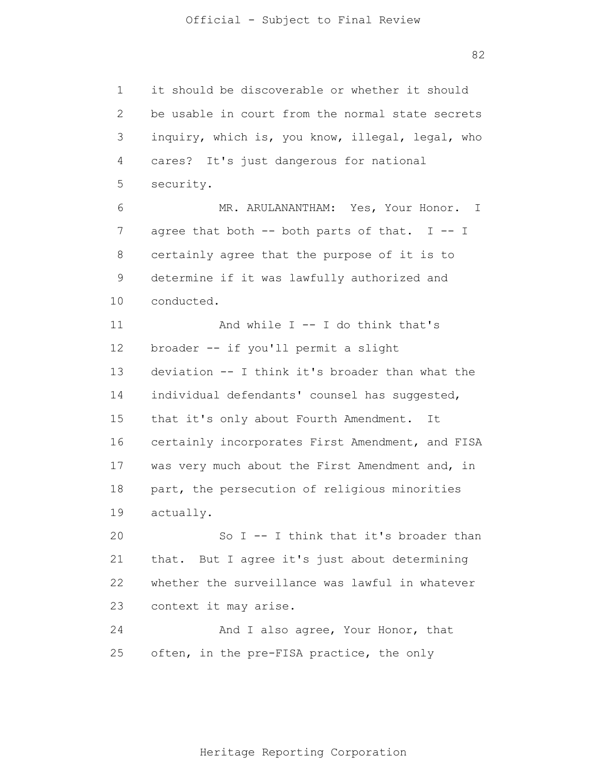1 2 3 4 5 6 7 8 9 10 11 12 13 14 15 16 17 18 19 20 21 22 23 24 25 it should be discoverable or whether it should be usable in court from the normal state secrets inquiry, which is, you know, illegal, legal, who cares? It's just dangerous for national security. MR. ARULANANTHAM: Yes, Your Honor. I agree that both  $--$  both parts of that. I  $--$  I certainly agree that the purpose of it is to determine if it was lawfully authorized and conducted. And while  $I - I$  do think that's broader -- if you'll permit a slight deviation -- I think it's broader than what the individual defendants' counsel has suggested, that it's only about Fourth Amendment. It certainly incorporates First Amendment, and FISA was very much about the First Amendment and, in part, the persecution of religious minorities actually. So I -- I think that it's broader than that. But I agree it's just about determining whether the surveillance was lawful in whatever context it may arise. And I also agree, Your Honor, that often, in the pre-FISA practice, the only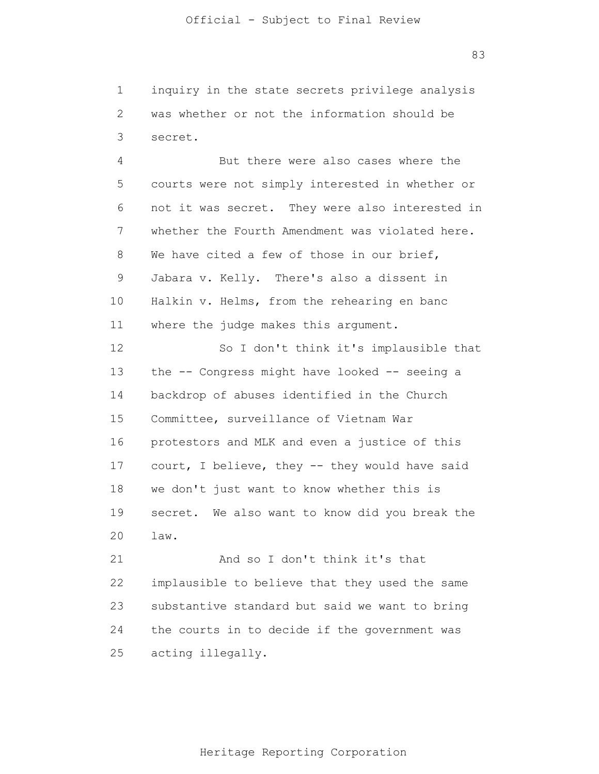1 2 3 inquiry in the state secrets privilege analysis was whether or not the information should be secret.

4 5 6 7 8 9 10 11 But there were also cases where the courts were not simply interested in whether or not it was secret. They were also interested in whether the Fourth Amendment was violated here. We have cited a few of those in our brief, Jabara v. Kelly. There's also a dissent in Halkin v. Helms, from the rehearing en banc where the judge makes this argument.

12 13 14 15 16 17 18 19 20 So I don't think it's implausible that the -- Congress might have looked -- seeing a backdrop of abuses identified in the Church Committee, surveillance of Vietnam War protestors and MLK and even a justice of this court, I believe, they -- they would have said we don't just want to know whether this is secret. We also want to know did you break the law.

21 22 23 24 25 And so I don't think it's that implausible to believe that they used the same substantive standard but said we want to bring the courts in to decide if the government was acting illegally.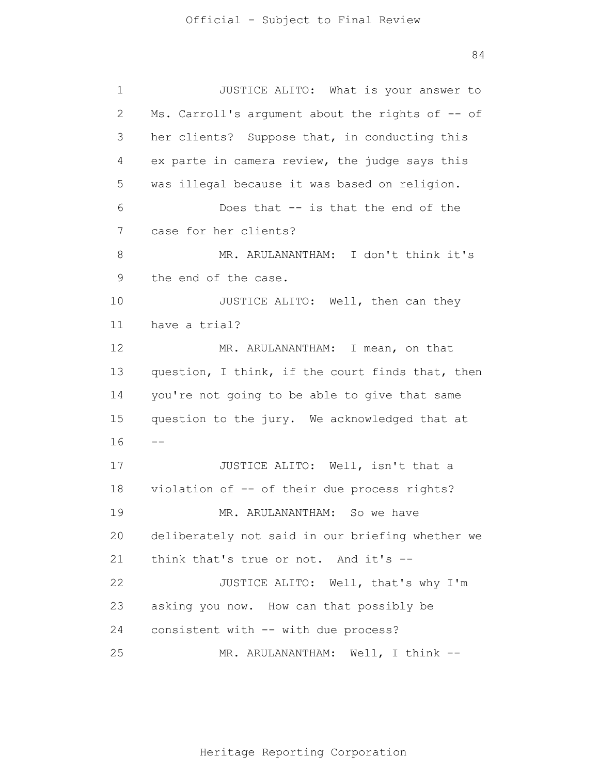1 2 3 4 5 6 7 8 9 10 11 12 13 14 15 16 17 18 19 20 21 22 23 24 25 -- JUSTICE ALITO: What is your answer to Ms. Carroll's argument about the rights of -- of her clients? Suppose that, in conducting this ex parte in camera review, the judge says this was illegal because it was based on religion. Does that -- is that the end of the case for her clients? MR. ARULANANTHAM: I don't think it's the end of the case. JUSTICE ALITO: Well, then can they have a trial? MR. ARULANANTHAM: I mean, on that question, I think, if the court finds that, then you're not going to be able to give that same question to the jury. We acknowledged that at JUSTICE ALITO: Well, isn't that a violation of -- of their due process rights? MR. ARULANANTHAM: So we have deliberately not said in our briefing whether we think that's true or not. And it's -- JUSTICE ALITO: Well, that's why I'm asking you now. How can that possibly be consistent with -- with due process? MR. ARULANANTHAM: Well, I think --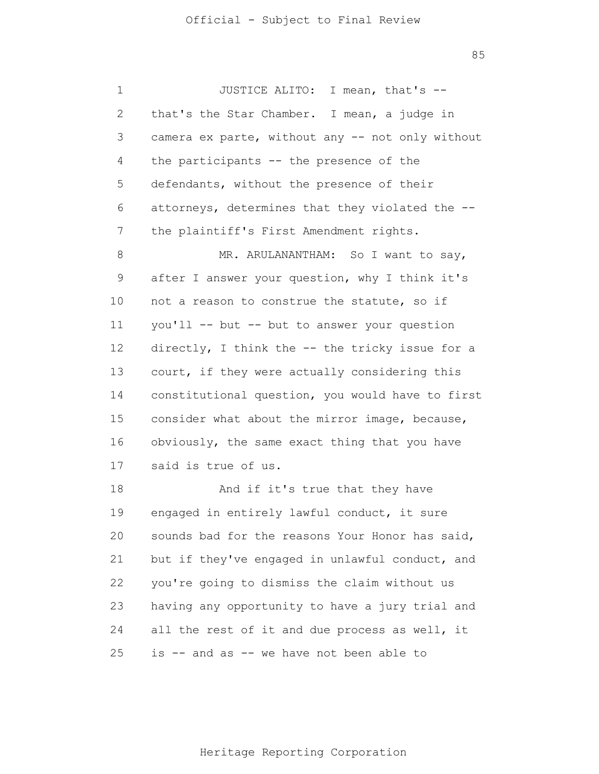1 2 3 4 5 6 7 8 9 10 11 12 13 14 15 16 17 18 19 20 21 22 23 24 25 JUSTICE ALITO: I mean, that's - that's the Star Chamber. I mean, a judge in camera ex parte, without any -- not only without the participants -- the presence of the defendants, without the presence of their attorneys, determines that they violated the - the plaintiff's First Amendment rights. MR. ARULANANTHAM: So I want to say, after I answer your question, why I think it's not a reason to construe the statute, so if you'll -- but -- but to answer your question directly, I think the -- the tricky issue for a court, if they were actually considering this constitutional question, you would have to first consider what about the mirror image, because, obviously, the same exact thing that you have said is true of us. And if it's true that they have engaged in entirely lawful conduct, it sure sounds bad for the reasons Your Honor has said, but if they've engaged in unlawful conduct, and you're going to dismiss the claim without us having any opportunity to have a jury trial and all the rest of it and due process as well, it is -- and as -- we have not been able to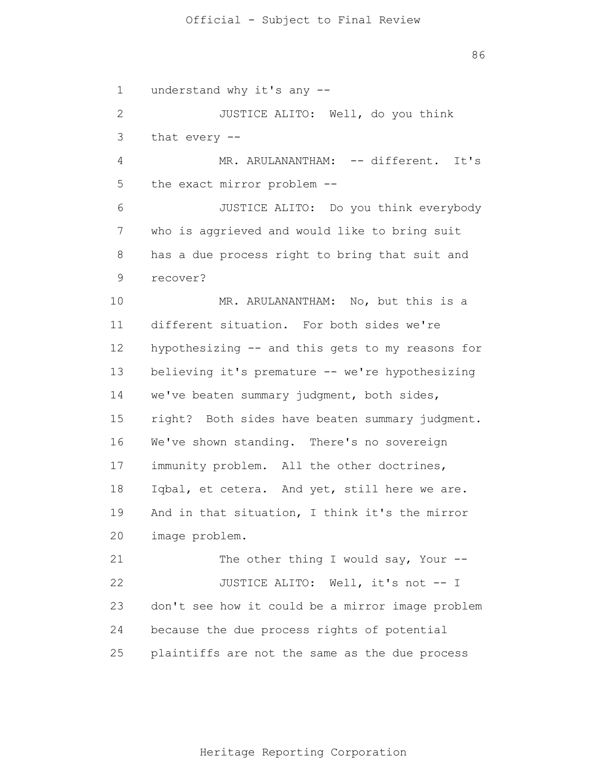1 2 3 4 5 6 7 8 9 10 11 12 13 14 15 16 17 18 19 20 21 22 23 24 25 understand why it's any -- JUSTICE ALITO: Well, do you think that every -- MR. ARULANANTHAM: -- different. It's the exact mirror problem -- JUSTICE ALITO: Do you think everybody who is aggrieved and would like to bring suit has a due process right to bring that suit and recover? MR. ARULANANTHAM: No, but this is a different situation. For both sides we're hypothesizing -- and this gets to my reasons for believing it's premature -- we're hypothesizing we've beaten summary judgment, both sides, right? Both sides have beaten summary judgment. We've shown standing. There's no sovereign immunity problem. All the other doctrines, Iqbal, et cetera. And yet, still here we are. And in that situation, I think it's the mirror image problem. The other thing I would say, Your  $-$ -JUSTICE ALITO: Well, it's not -- I don't see how it could be a mirror image problem because the due process rights of potential plaintiffs are not the same as the due process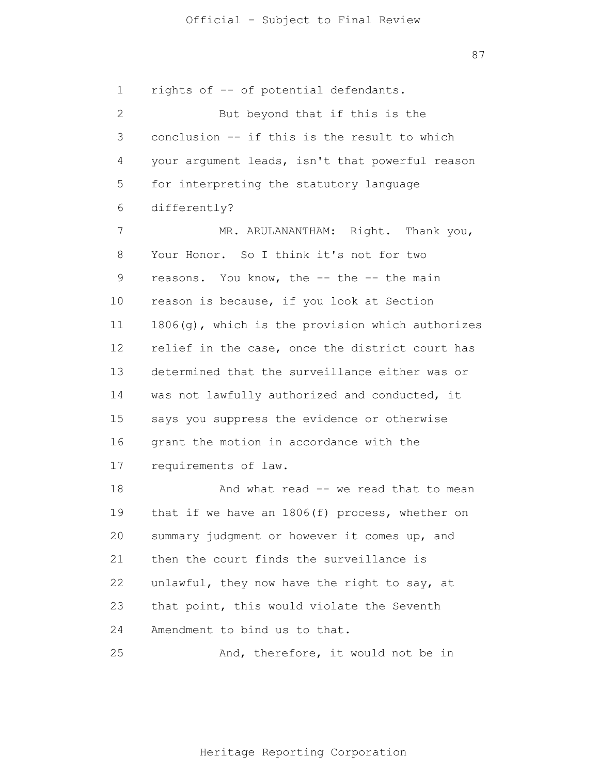1 2 3 4 5 6 7 8 9 10 11 12 13 14 15 16 17 18 19 20 21 22 23 24 25 rights of -- of potential defendants. But beyond that if this is the conclusion -- if this is the result to which your argument leads, isn't that powerful reason for interpreting the statutory language differently? MR. ARULANANTHAM: Right. Thank you, Your Honor. So I think it's not for two reasons. You know, the -- the -- the main reason is because, if you look at Section 1806(g), which is the provision which authorizes relief in the case, once the district court has determined that the surveillance either was or was not lawfully authorized and conducted, it says you suppress the evidence or otherwise grant the motion in accordance with the requirements of law. And what read -- we read that to mean that if we have an 1806(f) process, whether on summary judgment or however it comes up, and then the court finds the surveillance is unlawful, they now have the right to say, at that point, this would violate the Seventh Amendment to bind us to that. And, therefore, it would not be in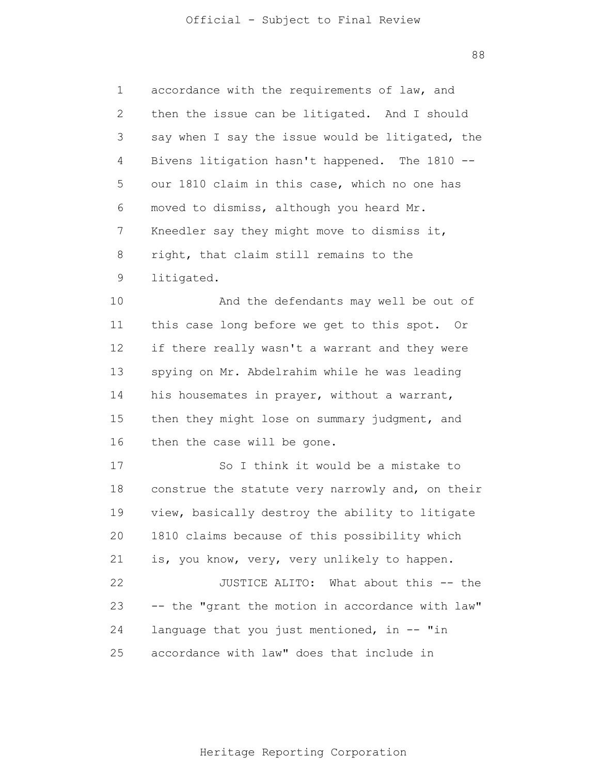1 2 3 4 5 6 7 8 9 accordance with the requirements of law, and then the issue can be litigated. And I should say when I say the issue would be litigated, the Bivens litigation hasn't happened. The 1810 - our 1810 claim in this case, which no one has moved to dismiss, although you heard Mr. Kneedler say they might move to dismiss it, right, that claim still remains to the litigated.

10 11 12 13 14 15 16 And the defendants may well be out of this case long before we get to this spot. Or if there really wasn't a warrant and they were spying on Mr. Abdelrahim while he was leading his housemates in prayer, without a warrant, then they might lose on summary judgment, and then the case will be gone.

17 18 19 20 21 22 23 24 25 So I think it would be a mistake to construe the statute very narrowly and, on their view, basically destroy the ability to litigate 1810 claims because of this possibility which is, you know, very, very unlikely to happen. JUSTICE ALITO: What about this -- the -- the "grant the motion in accordance with law" language that you just mentioned, in -- "in accordance with law" does that include in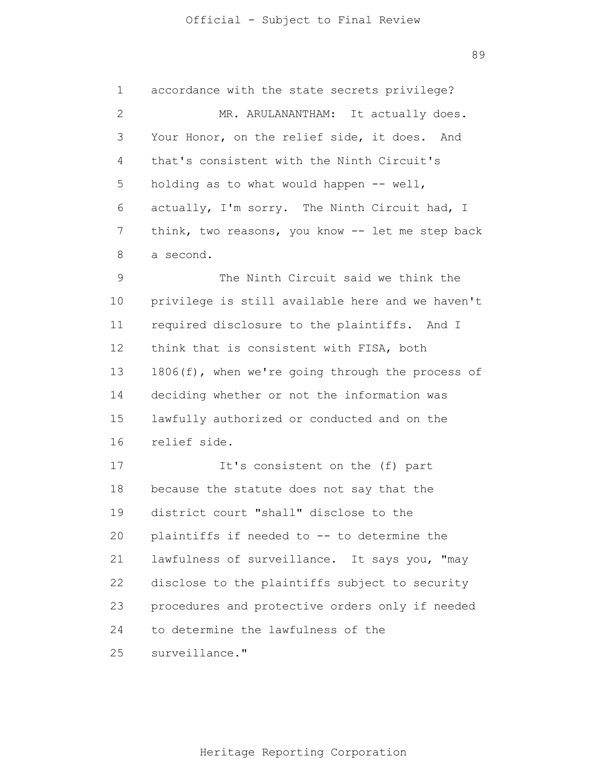1 2 3 4 5 6 7 8 9 10 11 12 13 14 15 16 17 18 19 accordance with the state secrets privilege? MR. ARULANANTHAM: It actually does. Your Honor, on the relief side, it does. And that's consistent with the Ninth Circuit's holding as to what would happen -- well, actually, I'm sorry. The Ninth Circuit had, I think, two reasons, you know -- let me step back a second. The Ninth Circuit said we think the privilege is still available here and we haven't required disclosure to the plaintiffs. And I think that is consistent with FISA, both 1806(f), when we're going through the process of deciding whether or not the information was lawfully authorized or conducted and on the relief side. It's consistent on the (f) part because the statute does not say that the district court "shall" disclose to the

20 21 22 23 24 25 plaintiffs if needed to -- to determine the lawfulness of surveillance. It says you, "may disclose to the plaintiffs subject to security procedures and protective orders only if needed to determine the lawfulness of the surveillance."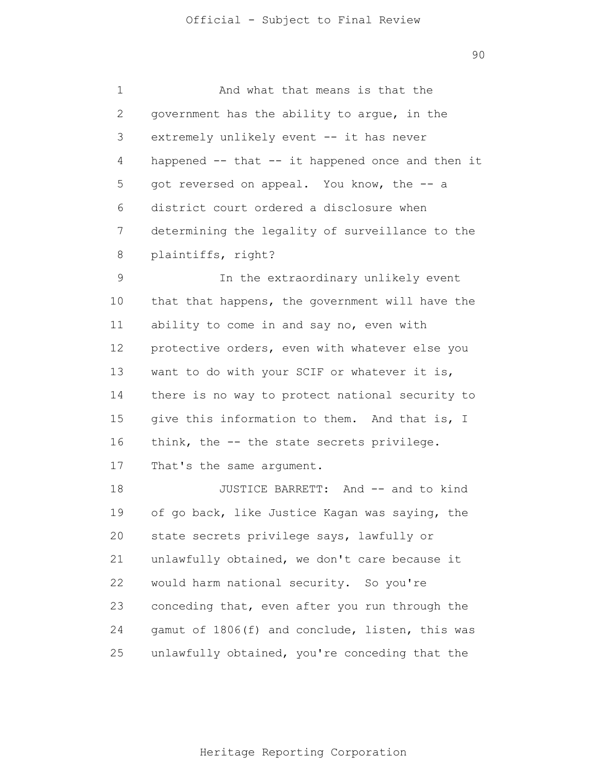1 2 3 4 5 6 7 8 9 And what that means is that the government has the ability to argue, in the extremely unlikely event -- it has never happened -- that -- it happened once and then it got reversed on appeal. You know, the -- a district court ordered a disclosure when determining the legality of surveillance to the plaintiffs, right? In the extraordinary unlikely event

10 11 12 13 14 15 16 that that happens, the government will have the ability to come in and say no, even with protective orders, even with whatever else you want to do with your SCIF or whatever it is, there is no way to protect national security to give this information to them. And that is, I think, the -- the state secrets privilege.

17 That's the same argument.

18 19 20 21 22 23 24 25 JUSTICE BARRETT: And -- and to kind of go back, like Justice Kagan was saying, the state secrets privilege says, lawfully or unlawfully obtained, we don't care because it would harm national security. So you're conceding that, even after you run through the gamut of 1806(f) and conclude, listen, this was unlawfully obtained, you're conceding that the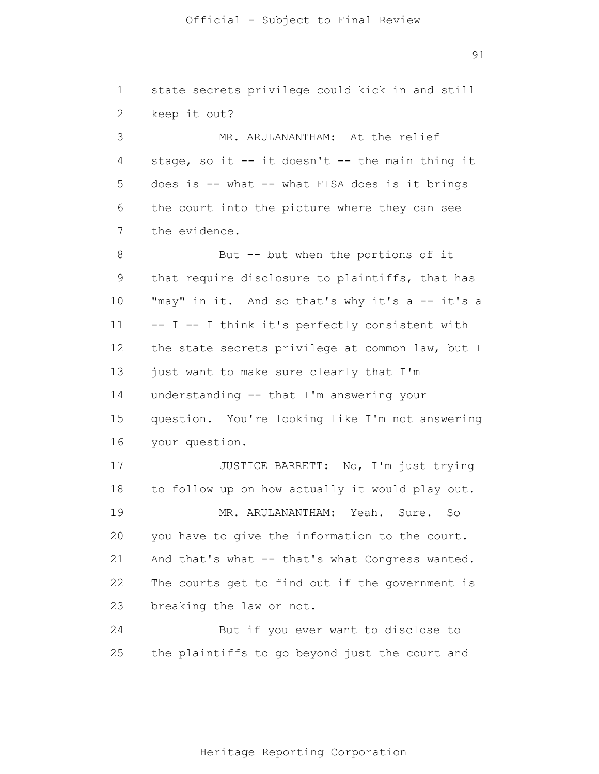1 2 3 4 5 6 7 8 9 10 11 12 13 14 15 16 17 18 19 20 21 22 23 24 25 state secrets privilege could kick in and still keep it out? MR. ARULANANTHAM: At the relief stage, so it -- it doesn't -- the main thing it does is  $--$  what  $--$  what FISA does is it brings the court into the picture where they can see the evidence. But -- but when the portions of it that require disclosure to plaintiffs, that has "may" in it. And so that's why it's a -- it's a -- I -- I think it's perfectly consistent with the state secrets privilege at common law, but I just want to make sure clearly that I'm understanding -- that I'm answering your question. You're looking like I'm not answering your question. JUSTICE BARRETT: No, I'm just trying to follow up on how actually it would play out. MR. ARULANANTHAM: Yeah. Sure. So you have to give the information to the court. And that's what -- that's what Congress wanted. The courts get to find out if the government is breaking the law or not. But if you ever want to disclose to the plaintiffs to go beyond just the court and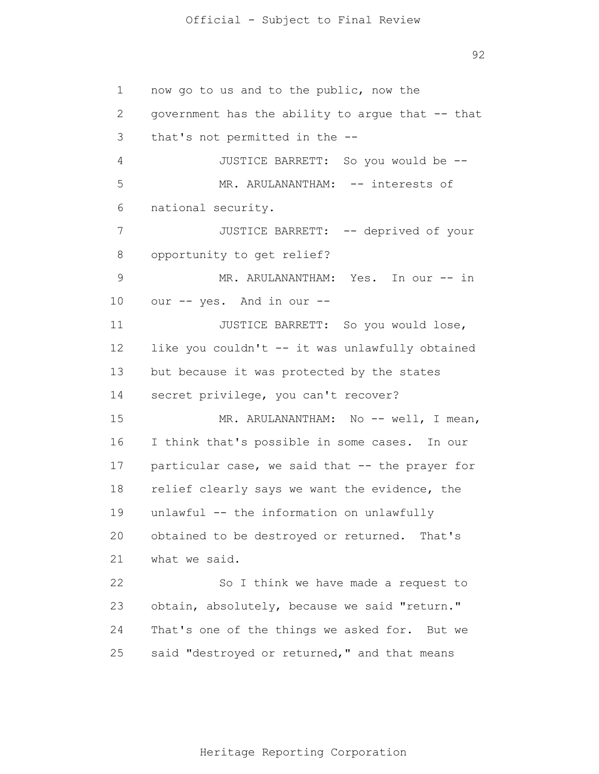1 2 3 4 5 6 7 8 9 10 11 12 13 14 15 16 17 18 19 20 21 22 23 24 25 now go to us and to the public, now the government has the ability to argue that -- that that's not permitted in the -- JUSTICE BARRETT: So you would be -- MR. ARULANANTHAM: -- interests of national security. JUSTICE BARRETT: -- deprived of your opportunity to get relief? MR. ARULANANTHAM: Yes. In our -- in our -- yes. And in our -- JUSTICE BARRETT: So you would lose, like you couldn't -- it was unlawfully obtained but because it was protected by the states secret privilege, you can't recover? MR. ARULANANTHAM: No -- well, I mean, I think that's possible in some cases. In our particular case, we said that -- the prayer for relief clearly says we want the evidence, the unlawful -- the information on unlawfully obtained to be destroyed or returned. That's what we said. So I think we have made a request to obtain, absolutely, because we said "return." That's one of the things we asked for. But we said "destroyed or returned," and that means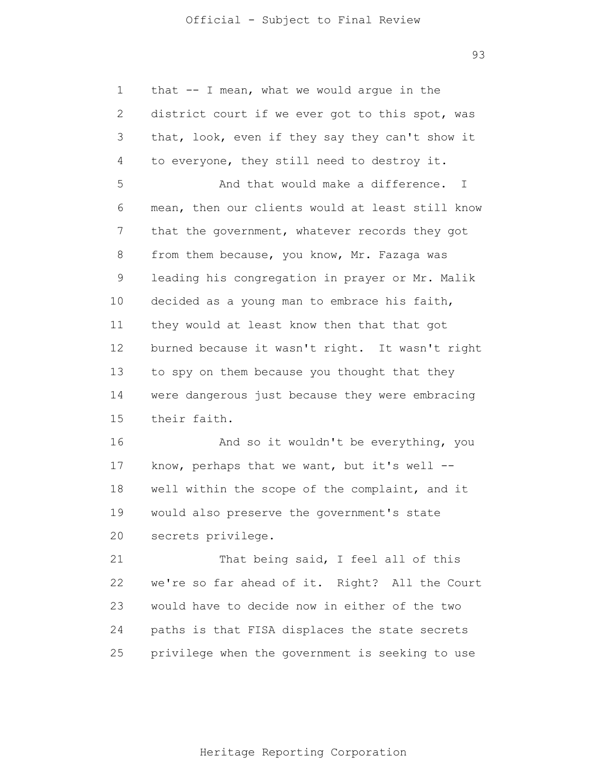93

1 2 3 4 5 6 7 8 9 10 11 12 13 14 15 16 17 18 19 20 21 22 23 24 25 that -- I mean, what we would argue in the district court if we ever got to this spot, was that, look, even if they say they can't show it to everyone, they still need to destroy it. And that would make a difference. I mean, then our clients would at least still know that the government, whatever records they got from them because, you know, Mr. Fazaga was leading his congregation in prayer or Mr. Malik decided as a young man to embrace his faith, they would at least know then that that got burned because it wasn't right. It wasn't right to spy on them because you thought that they were dangerous just because they were embracing their faith. And so it wouldn't be everything, you know, perhaps that we want, but it's well  $-$ well within the scope of the complaint, and it would also preserve the government's state secrets privilege. That being said, I feel all of this we're so far ahead of it. Right? All the Court would have to decide now in either of the two paths is that FISA displaces the state secrets privilege when the government is seeking to use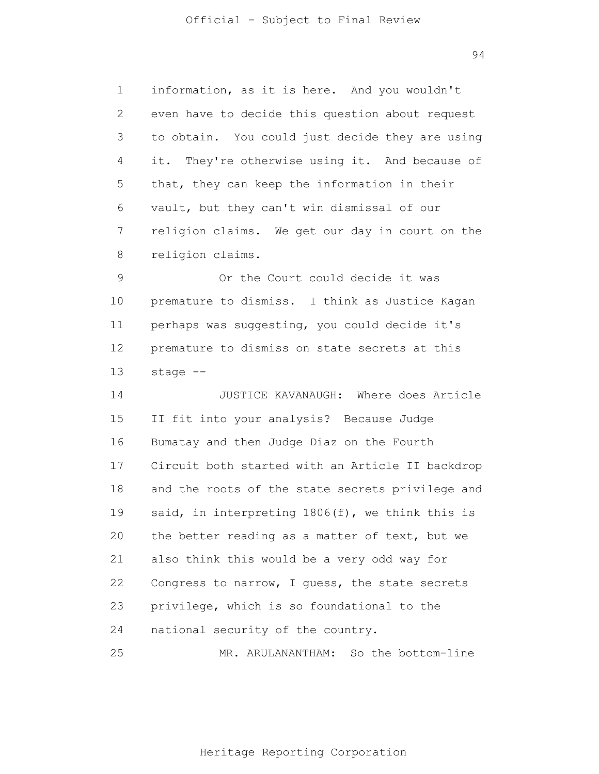1 2 3 4 5 6 7 8 information, as it is here. And you wouldn't even have to decide this question about request to obtain. You could just decide they are using it. They're otherwise using it. And because of that, they can keep the information in their vault, but they can't win dismissal of our religion claims. We get our day in court on the religion claims.

9 10 11 12 13 Or the Court could decide it was premature to dismiss. I think as Justice Kagan perhaps was suggesting, you could decide it's premature to dismiss on state secrets at this stage --

14 15 16 17 18 19 20 21 22 23 24 JUSTICE KAVANAUGH: Where does Article II fit into your analysis? Because Judge Bumatay and then Judge Diaz on the Fourth Circuit both started with an Article II backdrop and the roots of the state secrets privilege and said, in interpreting 1806(f), we think this is the better reading as a matter of text, but we also think this would be a very odd way for Congress to narrow, I guess, the state secrets privilege, which is so foundational to the national security of the country.

Heritage Reporting Corporation

MR. ARULANANTHAM: So the bottom-line

25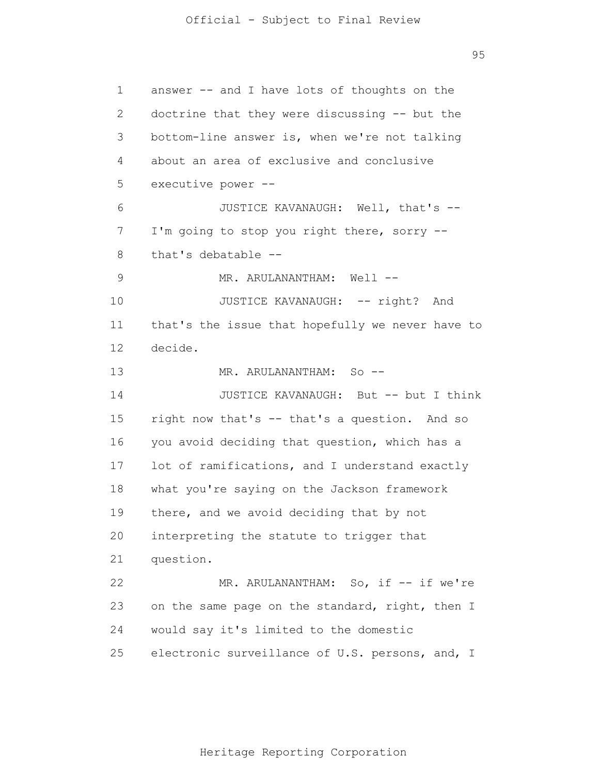1 2 3 4 5 6 7 8 9 10 11 12 13 14 15 16 17 18 19 20 21 22 23 24 25 answer -- and I have lots of thoughts on the doctrine that they were discussing -- but the bottom-line answer is, when we're not talking about an area of exclusive and conclusive executive power -- JUSTICE KAVANAUGH: Well, that's -- I'm going to stop you right there, sorry - that's debatable -- MR. ARULANANTHAM: Well --JUSTICE KAVANAUGH: -- right? And that's the issue that hopefully we never have to decide. MR. ARULANANTHAM: So --JUSTICE KAVANAUGH: But -- but I think right now that's -- that's a question. And so you avoid deciding that question, which has a lot of ramifications, and I understand exactly what you're saying on the Jackson framework there, and we avoid deciding that by not interpreting the statute to trigger that question. MR. ARULANANTHAM: So, if -- if we're on the same page on the standard, right, then I would say it's limited to the domestic electronic surveillance of U.S. persons, and, I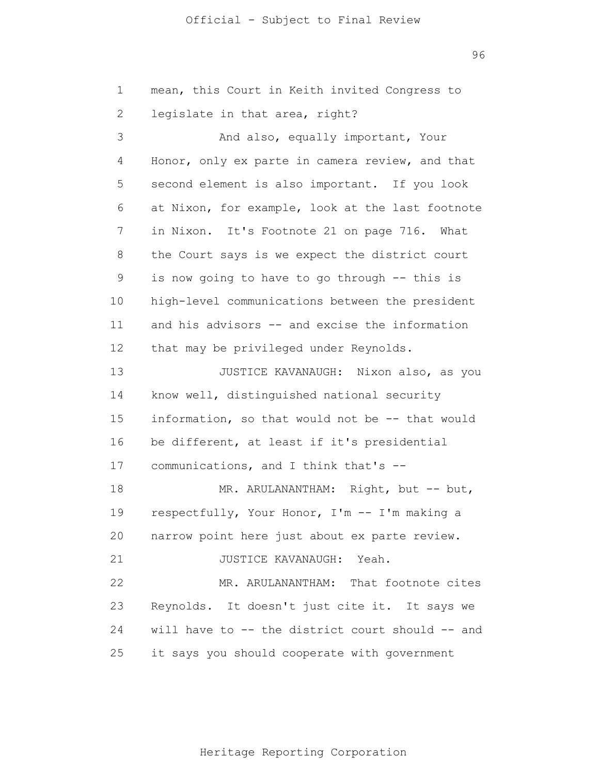96

1 2 3 4 5 6 7 8 9 10 11 12 13 14 15 16 17 18 19 20 21 22 23 24 25 mean, this Court in Keith invited Congress to legislate in that area, right? And also, equally important, Your Honor, only ex parte in camera review, and that second element is also important. If you look at Nixon, for example, look at the last footnote in Nixon. It's Footnote 21 on page 716. What the Court says is we expect the district court is now going to have to go through -- this is high-level communications between the president and his advisors -- and excise the information that may be privileged under Reynolds. JUSTICE KAVANAUGH: Nixon also, as you know well, distinguished national security information, so that would not be -- that would be different, at least if it's presidential communications, and I think that's -- MR. ARULANANTHAM: Right, but -- but, respectfully, Your Honor, I'm -- I'm making a narrow point here just about ex parte review. JUSTICE KAVANAUGH: Yeah. MR. ARULANANTHAM: That footnote cites Reynolds. It doesn't just cite it. It says we will have to -- the district court should -- and it says you should cooperate with government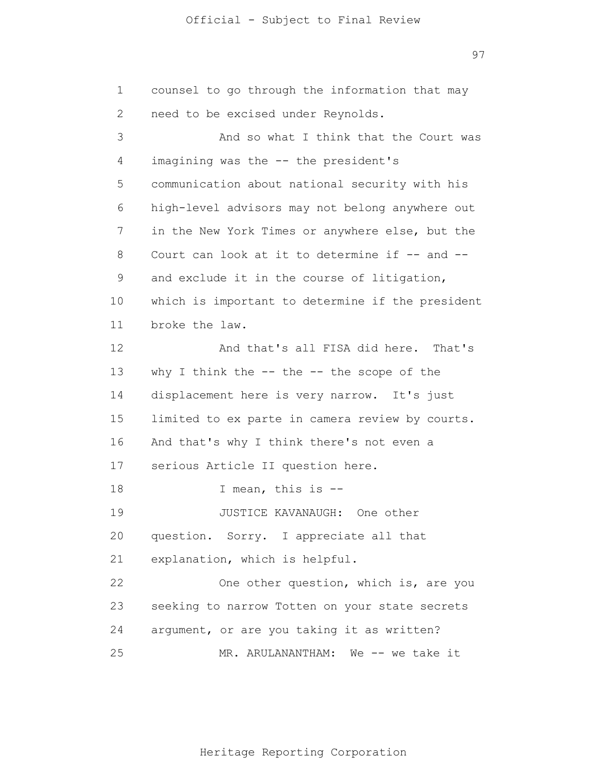97

1 2 3 4 5 6 7 8 9 10 11 12 13 14 15 16 17 18 19 20 21 22 23 24 25 counsel to go through the information that may need to be excised under Reynolds. And so what I think that the Court was imagining was the -- the president's communication about national security with his high-level advisors may not belong anywhere out in the New York Times or anywhere else, but the Court can look at it to determine if -- and -and exclude it in the course of litigation, which is important to determine if the president broke the law. And that's all FISA did here. That's why I think the  $--$  the  $--$  the scope of the displacement here is very narrow. It's just limited to ex parte in camera review by courts. And that's why I think there's not even a serious Article II question here. I mean, this is -- JUSTICE KAVANAUGH: One other question. Sorry. I appreciate all that explanation, which is helpful. One other question, which is, are you seeking to narrow Totten on your state secrets argument, or are you taking it as written? MR. ARULANANTHAM: We -- we take it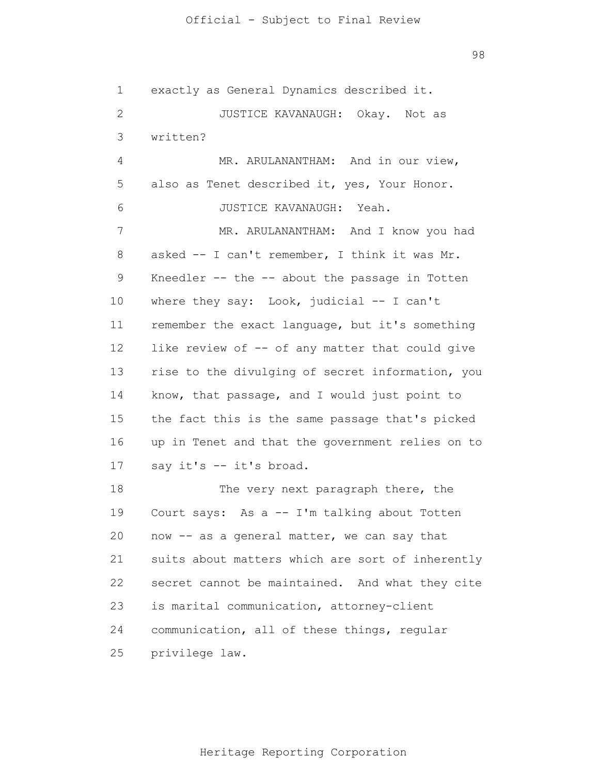98

1 2 3 4 5 6 7 8 9 10 11 12 13 14 15 16 17 18 19 20 21 22 23 24 25 exactly as General Dynamics described it. JUSTICE KAVANAUGH: Okay. Not as written? MR. ARULANANTHAM: And in our view, also as Tenet described it, yes, Your Honor. JUSTICE KAVANAUGH: Yeah. MR. ARULANANTHAM: And I know you had asked -- I can't remember, I think it was Mr. Kneedler  $--$  the  $--$  about the passage in Totten where they say: Look, judicial -- I can't remember the exact language, but it's something like review of -- of any matter that could give rise to the divulging of secret information, you know, that passage, and I would just point to the fact this is the same passage that's picked up in Tenet and that the government relies on to say it's -- it's broad. The very next paragraph there, the Court says: As a -- I'm talking about Totten now -- as a general matter, we can say that suits about matters which are sort of inherently secret cannot be maintained. And what they cite is marital communication, attorney-client communication, all of these things, regular privilege law.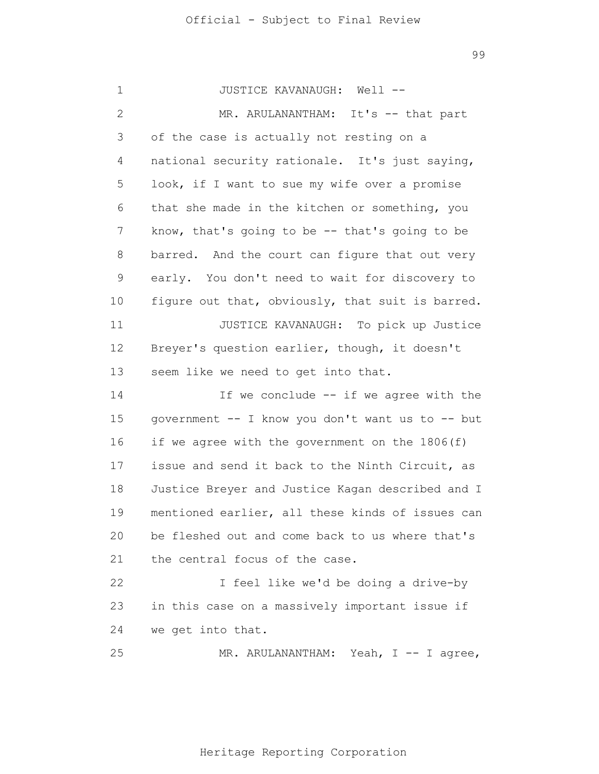1 2 3 4 5 6 7 8 9 10 11 12 13 14 15 16 17 18 19 20 21 22 23 24 25 JUSTICE KAVANAUGH: Well -- MR. ARULANANTHAM: It's -- that part of the case is actually not resting on a national security rationale. It's just saying, look, if I want to sue my wife over a promise that she made in the kitchen or something, you know, that's going to be -- that's going to be barred. And the court can figure that out very early. You don't need to wait for discovery to figure out that, obviously, that suit is barred. JUSTICE KAVANAUGH: To pick up Justice Breyer's question earlier, though, it doesn't seem like we need to get into that. If we conclude -- if we agree with the government -- I know you don't want us to -- but if we agree with the government on the 1806(f) issue and send it back to the Ninth Circuit, as Justice Breyer and Justice Kagan described and I mentioned earlier, all these kinds of issues can be fleshed out and come back to us where that's the central focus of the case. I feel like we'd be doing a drive-by in this case on a massively important issue if we get into that. MR. ARULANANTHAM: Yeah, I -- I agree,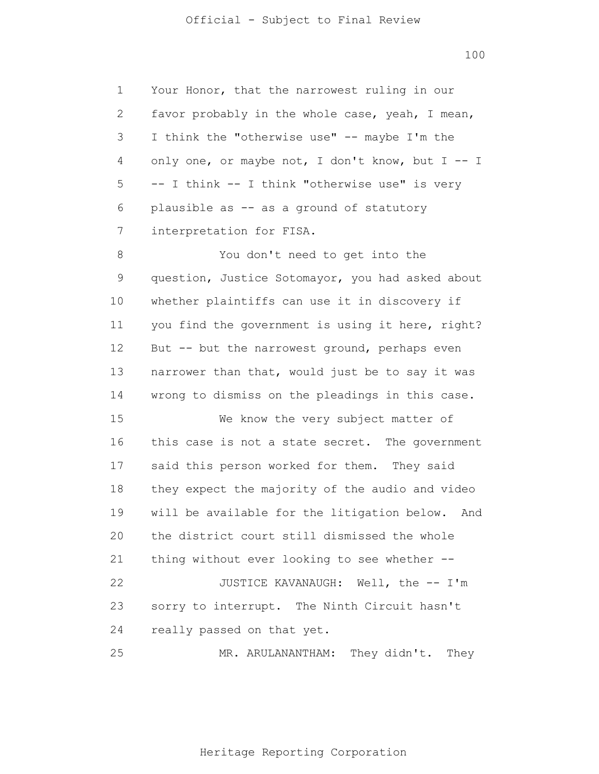1 2 3 4 5 6 7 Your Honor, that the narrowest ruling in our favor probably in the whole case, yeah, I mean, I think the "otherwise use" -- maybe I'm the only one, or maybe not, I don't know, but  $I - I$ -- I think -- I think "otherwise use" is very plausible as -- as a ground of statutory interpretation for FISA.

8 9 10 11 12 13 14 15 16 17 18 19 20 21 22 23 You don't need to get into the question, Justice Sotomayor, you had asked about whether plaintiffs can use it in discovery if you find the government is using it here, right? But -- but the narrowest ground, perhaps even narrower than that, would just be to say it was wrong to dismiss on the pleadings in this case. We know the very subject matter of this case is not a state secret. The government said this person worked for them. They said they expect the majority of the audio and video will be available for the litigation below. And the district court still dismissed the whole thing without ever looking to see whether -- JUSTICE KAVANAUGH: Well, the -- I'm sorry to interrupt. The Ninth Circuit hasn't

24 really passed on that yet.

25 MR. ARULANANTHAM: They didn't. They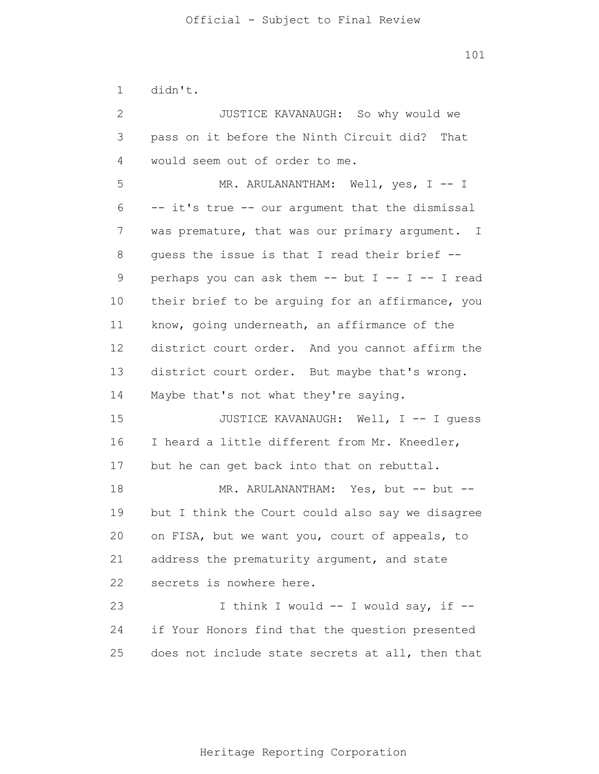1 didn't.

2 3 4 5 6 7 8 9 10 11 12 13 14 15 16 17 18 19 20 21 22 23 24 25 JUSTICE KAVANAUGH: So why would we pass on it before the Ninth Circuit did? That would seem out of order to me. MR. ARULANANTHAM: Well, yes, I -- I -- it's true -- our argument that the dismissal was premature, that was our primary argument. I guess the issue is that I read their brief - perhaps you can ask them  $--$  but I  $--$  I  $--$  I read their brief to be arguing for an affirmance, you know, going underneath, an affirmance of the district court order. And you cannot affirm the district court order. But maybe that's wrong. Maybe that's not what they're saying. JUSTICE KAVANAUGH: Well, I -- I guess I heard a little different from Mr. Kneedler, but he can get back into that on rebuttal. MR. ARULANANTHAM: Yes, but -- but -but I think the Court could also say we disagree on FISA, but we want you, court of appeals, to address the prematurity argument, and state secrets is nowhere here. I think I would -- I would say, if - if Your Honors find that the question presented does not include state secrets at all, then that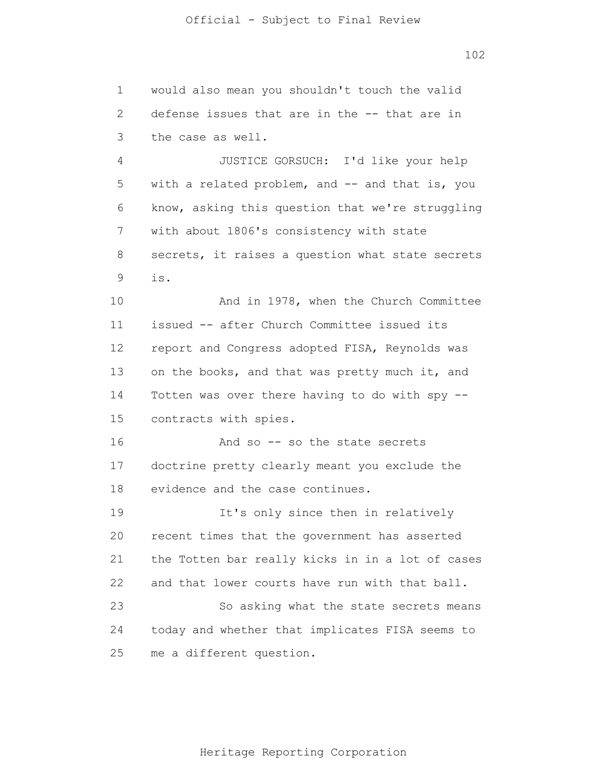1 2 3 4 would also mean you shouldn't touch the valid defense issues that are in the -- that are in the case as well. JUSTICE GORSUCH: I'd like your help

5 6 7 8 9 with a related problem, and -- and that is, you know, asking this question that we're struggling with about 1806's consistency with state secrets, it raises a question what state secrets is.

10 11 12 13 14 15 And in 1978, when the Church Committee issued -- after Church Committee issued its report and Congress adopted FISA, Reynolds was on the books, and that was pretty much it, and Totten was over there having to do with spy - contracts with spies.

16 17 18 And so -- so the state secrets doctrine pretty clearly meant you exclude the evidence and the case continues.

19 20 21 22 23 24 25 It's only since then in relatively recent times that the government has asserted the Totten bar really kicks in in a lot of cases and that lower courts have run with that ball. So asking what the state secrets means today and whether that implicates FISA seems to me a different question.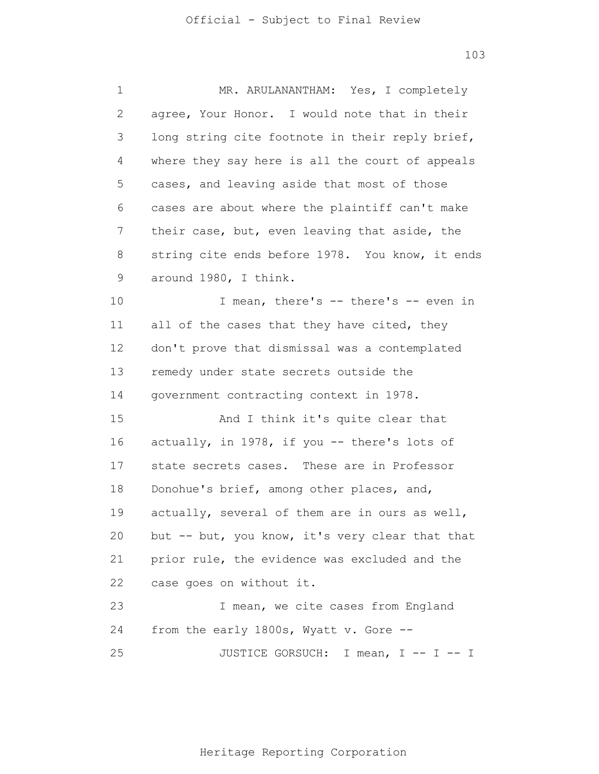| 1            | MR. ARULANANTHAM: Yes, I completely             |
|--------------|-------------------------------------------------|
| $\mathbf{2}$ | agree, Your Honor. I would note that in their   |
| 3            | long string cite footnote in their reply brief, |
| 4            | where they say here is all the court of appeals |
| 5            | cases, and leaving aside that most of those     |
| 6            | cases are about where the plaintiff can't make  |
| 7            | their case, but, even leaving that aside, the   |
| 8            | string cite ends before 1978. You know, it ends |
| 9            | around 1980, I think.                           |
| 10           | I mean, there's -- there's -- even in           |
| 11           | all of the cases that they have cited, they     |
| 12           | don't prove that dismissal was a contemplated   |
| 13           | remedy under state secrets outside the          |
| 14           | government contracting context in 1978.         |
| 15           | And I think it's quite clear that               |
| 16           | actually, in 1978, if you -- there's lots of    |
| 17           | state secrets cases. These are in Professor     |
| 18           | Donohue's brief, among other places, and,       |
| 19           | actually, several of them are in ours as well,  |
| 20           | but -- but, you know, it's very clear that that |
| 21           | prior rule, the evidence was excluded and the   |
| 22           | case goes on without it.                        |
| 23           | I mean, we cite cases from England              |
| 24           | from the early 1800s, Wyatt v. Gore --          |
| 25           | JUSTICE GORSUCH: I mean, I -- I -- I            |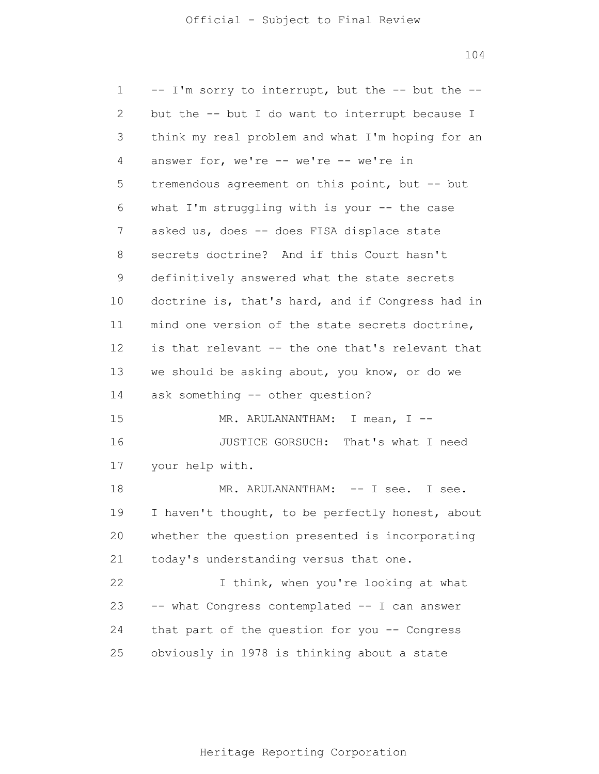1 2 3 4 5 6 7 8 9 10 11 12 13 14 15 16 17 18 19 20 21 22 23 24 25 -- I'm sorry to interrupt, but the -- but the - but the -- but I do want to interrupt because I think my real problem and what I'm hoping for an answer for, we're -- we're -- we're in tremendous agreement on this point, but -- but what I'm struggling with is your  $-$  the case asked us, does -- does FISA displace state secrets doctrine? And if this Court hasn't definitively answered what the state secrets doctrine is, that's hard, and if Congress had in mind one version of the state secrets doctrine, is that relevant -- the one that's relevant that we should be asking about, you know, or do we ask something -- other question? MR. ARULANANTHAM: I mean, I --JUSTICE GORSUCH: That's what I need your help with. MR. ARULANANTHAM: -- I see. I see. I haven't thought, to be perfectly honest, about whether the question presented is incorporating today's understanding versus that one. I think, when you're looking at what -- what Congress contemplated -- I can answer that part of the question for you -- Congress obviously in 1978 is thinking about a state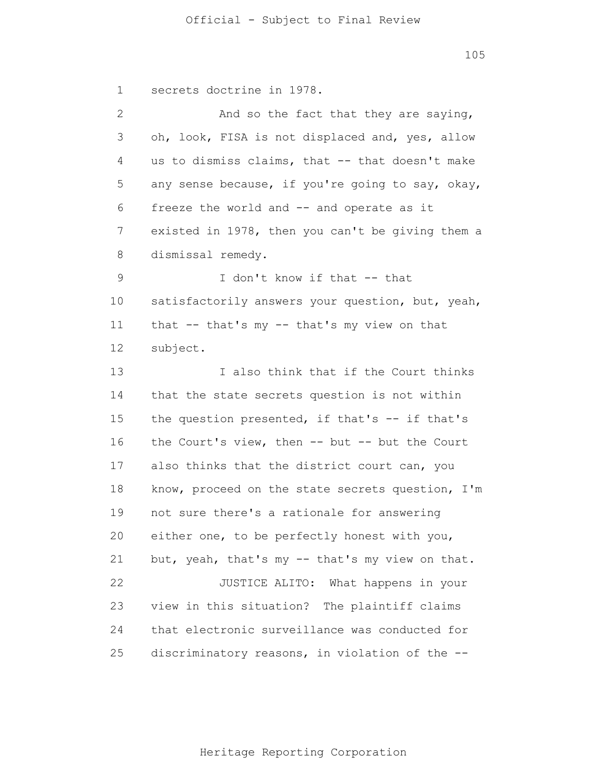1 2 3 4 5 6 7 8 9 10 11 12 13 14 15 16 17 18 19 20 21 22 23 24 25 secrets doctrine in 1978. And so the fact that they are saying, oh, look, FISA is not displaced and, yes, allow us to dismiss claims, that -- that doesn't make any sense because, if you're going to say, okay, freeze the world and -- and operate as it existed in 1978, then you can't be giving them a dismissal remedy. I don't know if that -- that satisfactorily answers your question, but, yeah, that -- that's my -- that's my view on that subject. I also think that if the Court thinks that the state secrets question is not within the question presented, if that's -- if that's the Court's view, then -- but -- but the Court also thinks that the district court can, you know, proceed on the state secrets question, I'm not sure there's a rationale for answering either one, to be perfectly honest with you, but, yeah, that's my -- that's my view on that. JUSTICE ALITO: What happens in your view in this situation? The plaintiff claims that electronic surveillance was conducted for discriminatory reasons, in violation of the --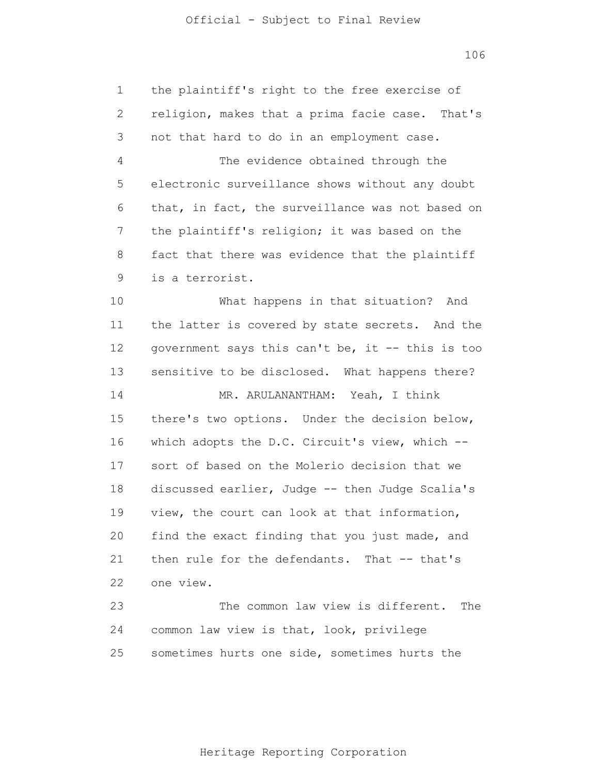| 1              | the plaintiff's right to the free exercise of    |
|----------------|--------------------------------------------------|
| $\mathbf{2}$   | religion, makes that a prima facie case. That's  |
| 3              | not that hard to do in an employment case.       |
| $\overline{4}$ | The evidence obtained through the                |
| 5              | electronic surveillance shows without any doubt  |
| 6              | that, in fact, the surveillance was not based on |
| 7              | the plaintiff's religion; it was based on the    |
| 8              | fact that there was evidence that the plaintiff  |
| $\mathsf 9$    | is a terrorist.                                  |
| 10             | What happens in that situation? And              |
| 11             | the latter is covered by state secrets. And the  |
| 12             | government says this can't be, it -- this is too |
| 13             | sensitive to be disclosed. What happens there?   |
| 14             | MR. ARULANANTHAM: Yeah, I think                  |
| 15             | there's two options. Under the decision below,   |
| 16             | which adopts the D.C. Circuit's view, which --   |
| 17             | sort of based on the Molerio decision that we    |
| 18             | discussed earlier, Judge -- then Judge Scalia's  |
| 19             | view, the court can look at that information,    |
| 20             | find the exact finding that you just made, and   |
| 21             | then rule for the defendants. That -- that's     |
| 22             | one view.                                        |
| 23             | The common law view is different.<br>The         |
| 24             | common law view is that, look, privilege         |
| 25             | sometimes hurts one side, sometimes hurts the    |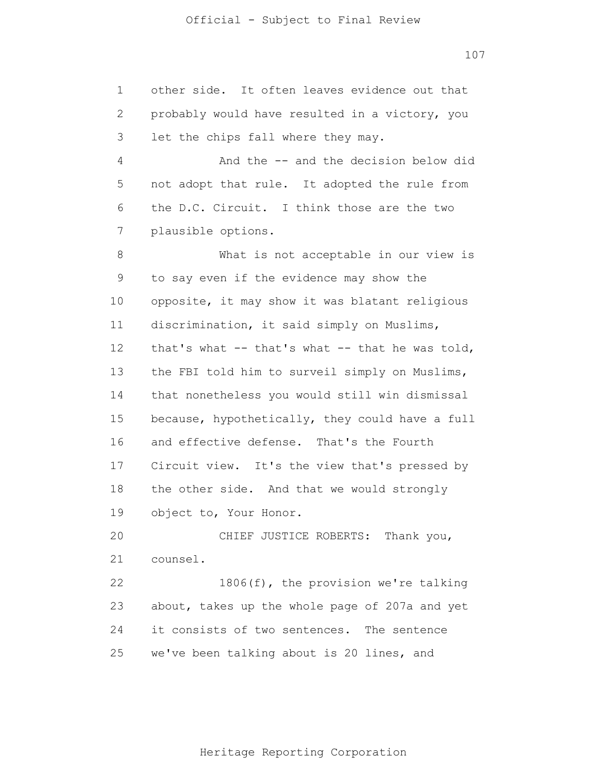1 2 3 4 5 6 7 8 9 10 11 12 13 14 15 16 17 18 19 20 21 22 23 24 25 other side. It often leaves evidence out that probably would have resulted in a victory, you let the chips fall where they may. And the -- and the decision below did not adopt that rule. It adopted the rule from the D.C. Circuit. I think those are the two plausible options. What is not acceptable in our view is to say even if the evidence may show the opposite, it may show it was blatant religious discrimination, it said simply on Muslims, that's what -- that's what -- that he was told, the FBI told him to surveil simply on Muslims, that nonetheless you would still win dismissal because, hypothetically, they could have a full and effective defense. That's the Fourth Circuit view. It's the view that's pressed by the other side. And that we would strongly object to, Your Honor. CHIEF JUSTICE ROBERTS: Thank you, counsel. 1806(f), the provision we're talking about, takes up the whole page of 207a and yet it consists of two sentences. The sentence we've been talking about is 20 lines, and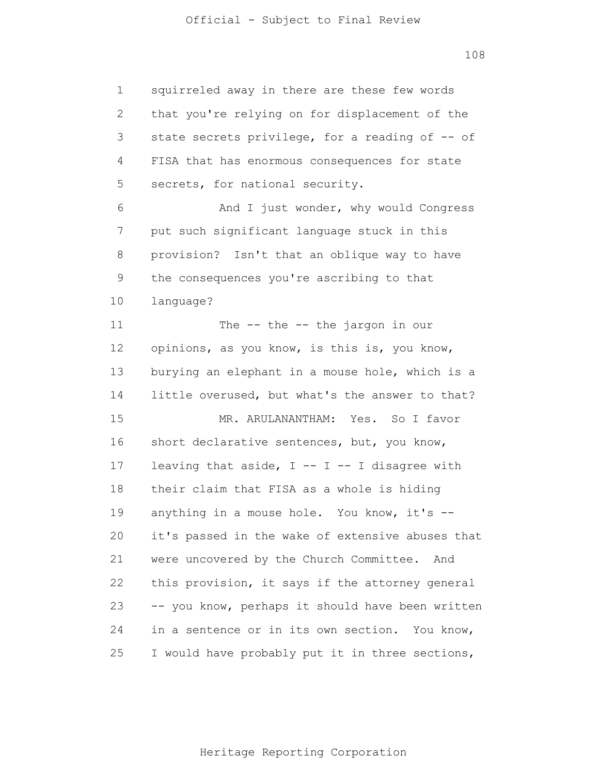1 2 3 4 5 6 7 8 9 10 11 12 13 14 15 16 17 18 19 20 21 22 23 24 25 squirreled away in there are these few words that you're relying on for displacement of the state secrets privilege, for a reading of -- of FISA that has enormous consequences for state secrets, for national security. And I just wonder, why would Congress put such significant language stuck in this provision? Isn't that an oblique way to have the consequences you're ascribing to that language? The -- the -- the jargon in our opinions, as you know, is this is, you know, burying an elephant in a mouse hole, which is a little overused, but what's the answer to that? MR. ARULANANTHAM: Yes. So I favor short declarative sentences, but, you know, leaving that aside,  $I$  --  $I$  -- I disagree with their claim that FISA as a whole is hiding anything in a mouse hole. You know, it's - it's passed in the wake of extensive abuses that were uncovered by the Church Committee. And this provision, it says if the attorney general -- you know, perhaps it should have been written in a sentence or in its own section. You know, I would have probably put it in three sections,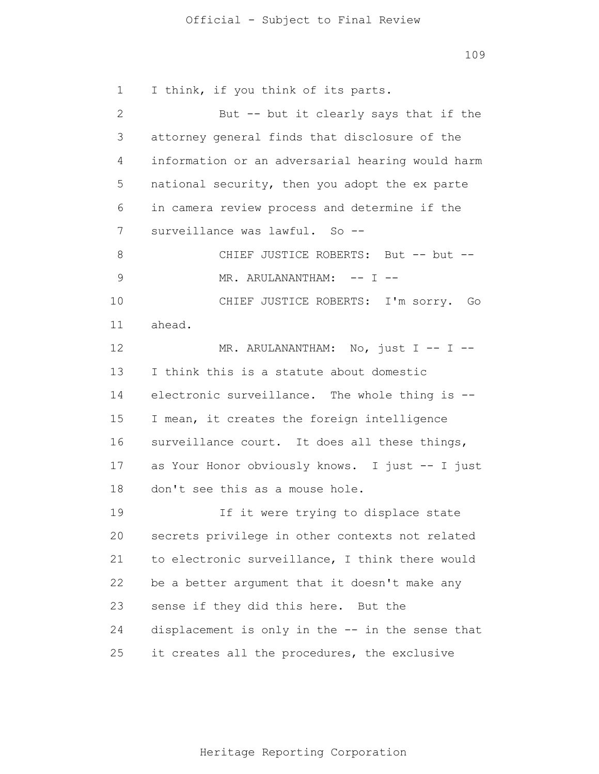1 2 3 4 5 6 7 8 9 10 11 12 13 14 15 16 17 18 19 20 21 22 23 24 25 I think, if you think of its parts. But -- but it clearly says that if the attorney general finds that disclosure of the information or an adversarial hearing would harm national security, then you adopt the ex parte in camera review process and determine if the surveillance was lawful. So --CHIEF JUSTICE ROBERTS: But -- but --MR. ARULANANTHAM: -- I --CHIEF JUSTICE ROBERTS: I'm sorry. Go ahead. MR. ARULANANTHAM: No, just I -- I --I think this is a statute about domestic electronic surveillance. The whole thing is -- I mean, it creates the foreign intelligence surveillance court. It does all these things, as Your Honor obviously knows. I just -- I just don't see this as a mouse hole. If it were trying to displace state secrets privilege in other contexts not related to electronic surveillance, I think there would be a better argument that it doesn't make any sense if they did this here. But the displacement is only in the -- in the sense that it creates all the procedures, the exclusive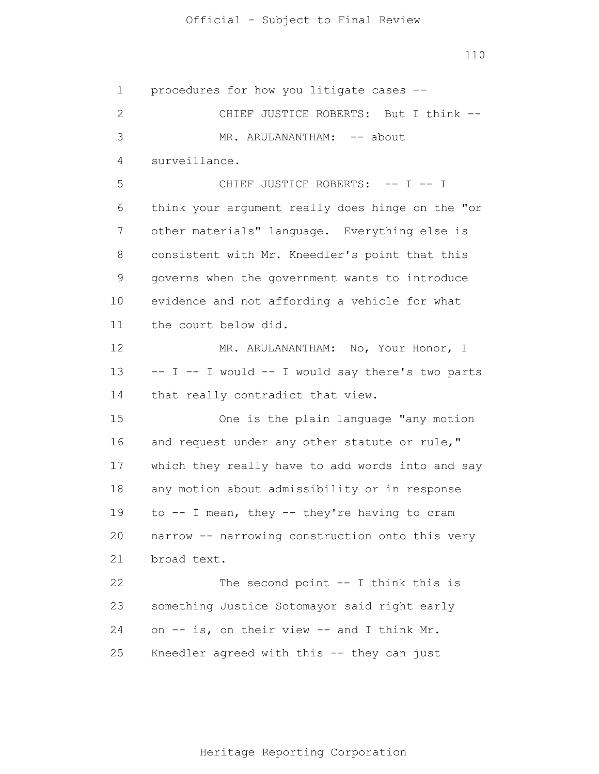1 2 3 4 5 6 7 8 9 10 11 12 13 14 15 16 17 18 19 20 21 22 23 24 25 procedures for how you litigate cases -- CHIEF JUSTICE ROBERTS: But I think -- MR. ARULANANTHAM: -- about surveillance. CHIEF JUSTICE ROBERTS: -- I -- I think your argument really does hinge on the "or other materials" language. Everything else is consistent with Mr. Kneedler's point that this governs when the government wants to introduce evidence and not affording a vehicle for what the court below did. MR. ARULANANTHAM: No, Your Honor, I -- I -- I would -- I would say there's two parts that really contradict that view. One is the plain language "any motion and request under any other statute or rule," which they really have to add words into and say any motion about admissibility or in response to -- I mean, they -- they're having to cram narrow -- narrowing construction onto this very broad text. The second point  $--$  I think this is something Justice Sotomayor said right early on -- is, on their view -- and I think Mr. Kneedler agreed with this -- they can just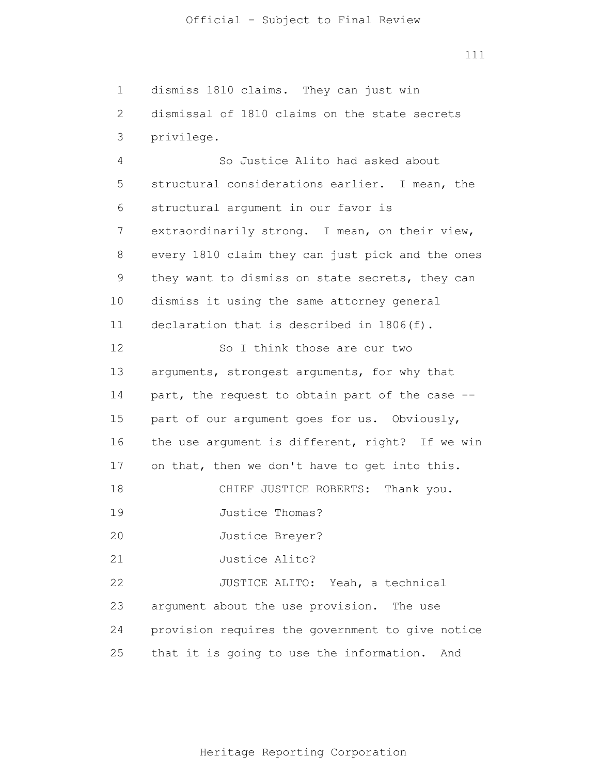1 2 3 dismiss 1810 claims. They can just win dismissal of 1810 claims on the state secrets privilege.

4 5 6 7 8 9 10 11 12 13 14 15 16 17 18 19 20 21 22 23 24 25 So Justice Alito had asked about structural considerations earlier. I mean, the structural argument in our favor is extraordinarily strong. I mean, on their view, every 1810 claim they can just pick and the ones they want to dismiss on state secrets, they can dismiss it using the same attorney general declaration that is described in 1806(f). So I think those are our two arguments, strongest arguments, for why that part, the request to obtain part of the case - part of our argument goes for us. Obviously, the use argument is different, right? If we win on that, then we don't have to get into this. CHIEF JUSTICE ROBERTS: Thank you. Justice Thomas? Justice Breyer? Justice Alito? JUSTICE ALITO: Yeah, a technical argument about the use provision. The use provision requires the government to give notice that it is going to use the information. And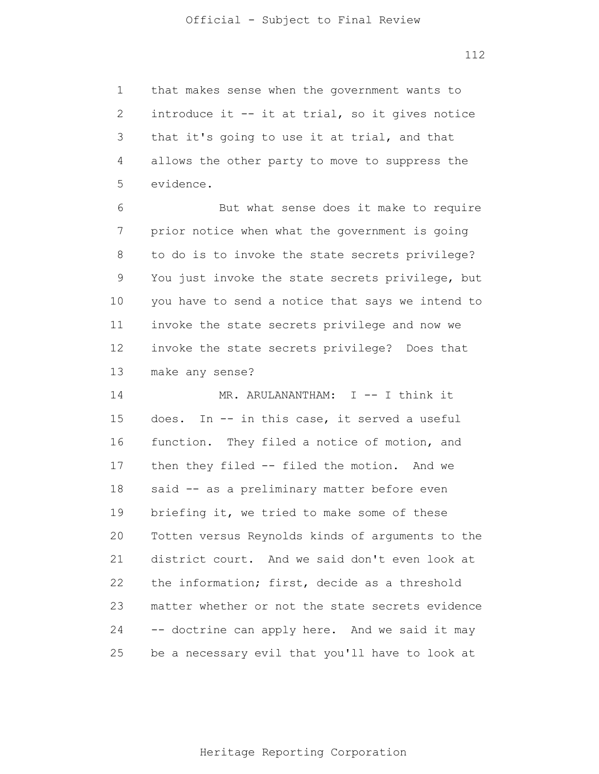1 2 3 4 5 that makes sense when the government wants to introduce it -- it at trial, so it gives notice that it's going to use it at trial, and that allows the other party to move to suppress the evidence.

6 7 8 9 10 11 12 13 But what sense does it make to require prior notice when what the government is going to do is to invoke the state secrets privilege? You just invoke the state secrets privilege, but you have to send a notice that says we intend to invoke the state secrets privilege and now we invoke the state secrets privilege? Does that make any sense?

14 15 16 17 18 19 20 21 22 23 24 25 MR. ARULANANTHAM: I -- I think it does. In -- in this case, it served a useful function. They filed a notice of motion, and then they filed -- filed the motion. And we said -- as a preliminary matter before even briefing it, we tried to make some of these Totten versus Reynolds kinds of arguments to the district court. And we said don't even look at the information; first, decide as a threshold matter whether or not the state secrets evidence -- doctrine can apply here. And we said it may be a necessary evil that you'll have to look at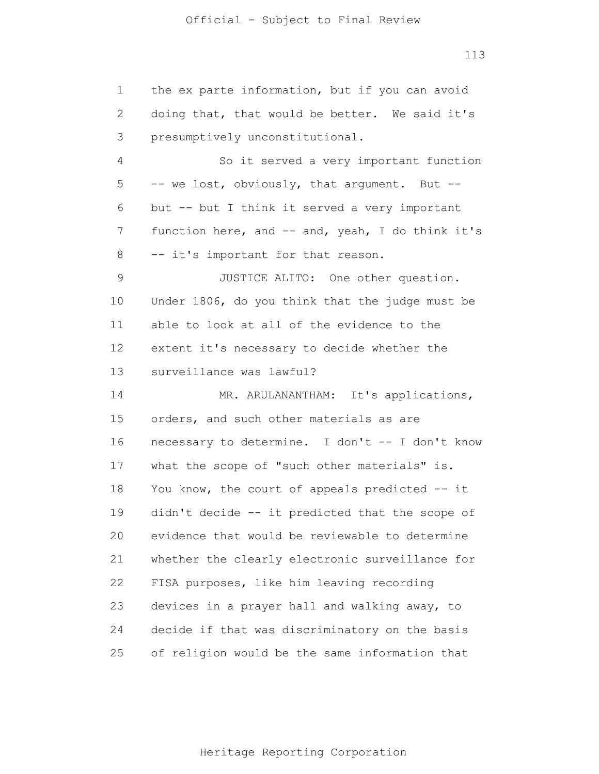| 1             | the ex parte information, but if you can avoid   |
|---------------|--------------------------------------------------|
| 2             | doing that, that would be better. We said it's   |
| 3             | presumptively unconstitutional.                  |
| 4             | So it served a very important function           |
| 5             | -- we lost, obviously, that argument. But --     |
| 6             | but -- but I think it served a very important    |
| 7             | function here, and -- and, yeah, I do think it's |
| 8             | -- it's important for that reason.               |
| $\mathcal{G}$ | JUSTICE ALITO: One other question.               |
| 10            | Under 1806, do you think that the judge must be  |
| 11            | able to look at all of the evidence to the       |
| 12            | extent it's necessary to decide whether the      |
| 13            | surveillance was lawful?                         |
| 14            | MR. ARULANANTHAM: It's applications,             |
| 15            | orders, and such other materials as are          |
| 16            | necessary to determine. I don't -- I don't know  |
| 17            | what the scope of "such other materials" is.     |
| 18            | You know, the court of appeals predicted -- it   |
| 19            | didn't decide -- it predicted that the scope of  |
| 20            | evidence that would be reviewable to determine   |
| 21            | whether the clearly electronic surveillance for  |
| 22            | FISA purposes, like him leaving recording        |
| 23            | devices in a prayer hall and walking away, to    |
| 24            | decide if that was discriminatory on the basis   |
| 25            | of religion would be the same information that   |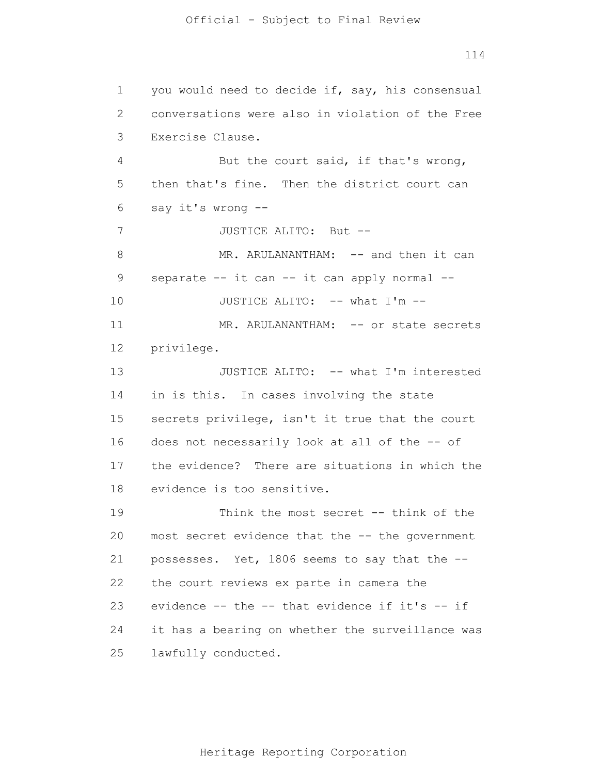1 2 3 4 5 6 7 8 9 10 11 12 13 14 15 16 17 18 19 20 21 22 23 24 25 you would need to decide if, say, his consensual conversations were also in violation of the Free Exercise Clause. But the court said, if that's wrong, then that's fine. Then the district court can say it's wrong -- JUSTICE ALITO: But -- MR. ARULANANTHAM: -- and then it can separate -- it can -- it can apply normal --JUSTICE ALITO: -- what I'm -- MR. ARULANANTHAM: -- or state secrets privilege. JUSTICE ALITO: -- what I'm interested in is this. In cases involving the state secrets privilege, isn't it true that the court does not necessarily look at all of the -- of the evidence? There are situations in which the evidence is too sensitive. Think the most secret -- think of the most secret evidence that the -- the government possesses. Yet, 1806 seems to say that the - the court reviews ex parte in camera the evidence -- the -- that evidence if it's -- if it has a bearing on whether the surveillance was lawfully conducted.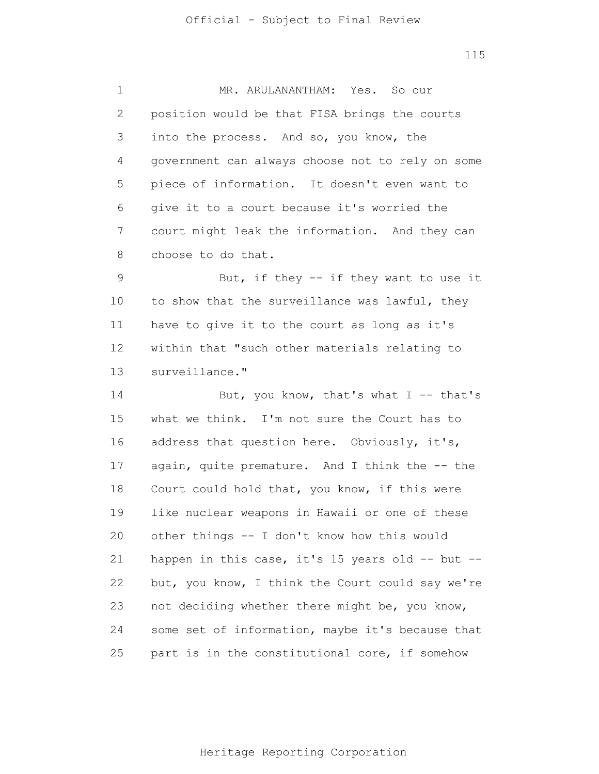1 2 3 4 5 6 7 8 9 10 11 12 13 14 15 16 17 18 19 20 21 22 23 24 25 MR. ARULANANTHAM: Yes. So our position would be that FISA brings the courts into the process. And so, you know, the government can always choose not to rely on some piece of information. It doesn't even want to give it to a court because it's worried the court might leak the information. And they can choose to do that. But, if they -- if they want to use it to show that the surveillance was lawful, they have to give it to the court as long as it's within that "such other materials relating to surveillance." But, you know, that's what  $I$  -- that's what we think. I'm not sure the Court has to address that question here. Obviously, it's, again, quite premature. And I think the -- the Court could hold that, you know, if this were like nuclear weapons in Hawaii or one of these other things -- I don't know how this would happen in this case, it's 15 years old -- but -but, you know, I think the Court could say we're not deciding whether there might be, you know, some set of information, maybe it's because that part is in the constitutional core, if somehow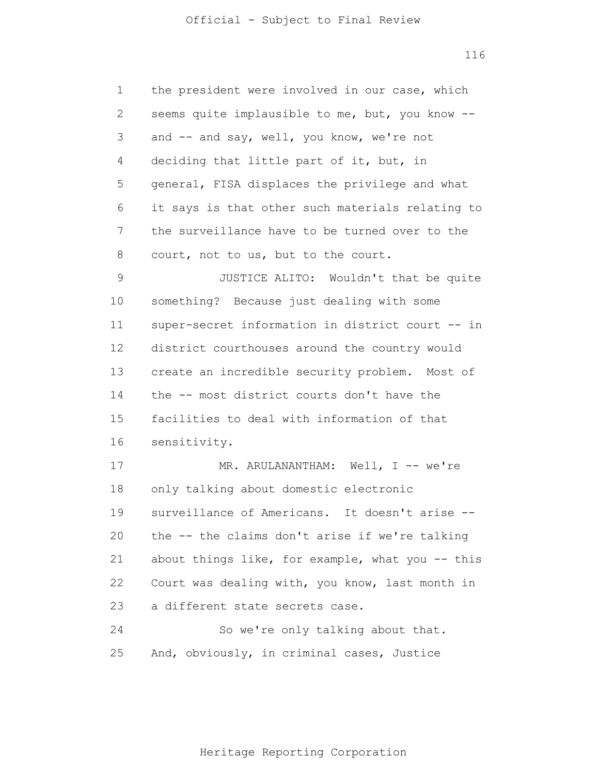| 1              | the president were involved in our case, which   |
|----------------|--------------------------------------------------|
| $\mathbf{2}$   | seems quite implausible to me, but, you know --  |
| $\mathfrak{Z}$ | and -- and say, well, you know, we're not        |
| 4              | deciding that little part of it, but, in         |
| 5              | general, FISA displaces the privilege and what   |
| 6              | it says is that other such materials relating to |
| 7              | the surveillance have to be turned over to the   |
| 8              | court, not to us, but to the court.              |
| $\mathcal{G}$  | JUSTICE ALITO: Wouldn't that be quite            |
| 10             | something? Because just dealing with some        |
| 11             | super-secret information in district court -- in |
| 12             | district courthouses around the country would    |
| 13             | create an incredible security problem. Most of   |
| 14             | the -- most district courts don't have the       |
| 15             | facilities to deal with information of that      |
| 16             | sensitivity.                                     |
| 17             | MR. ARULANANTHAM: Well, I -- we're               |
| 18             | only talking about domestic electronic           |
| 19             | surveillance of Americans. It doesn't arise --   |
| 20             | the -- the claims don't arise if we're talking   |
| 21             | about things like, for example, what you -- this |
| 22             | Court was dealing with, you know, last month in  |
| 23             | a different state secrets case.                  |
| 24             | So we're only talking about that.                |
| 25             | And, obviously, in criminal cases, Justice       |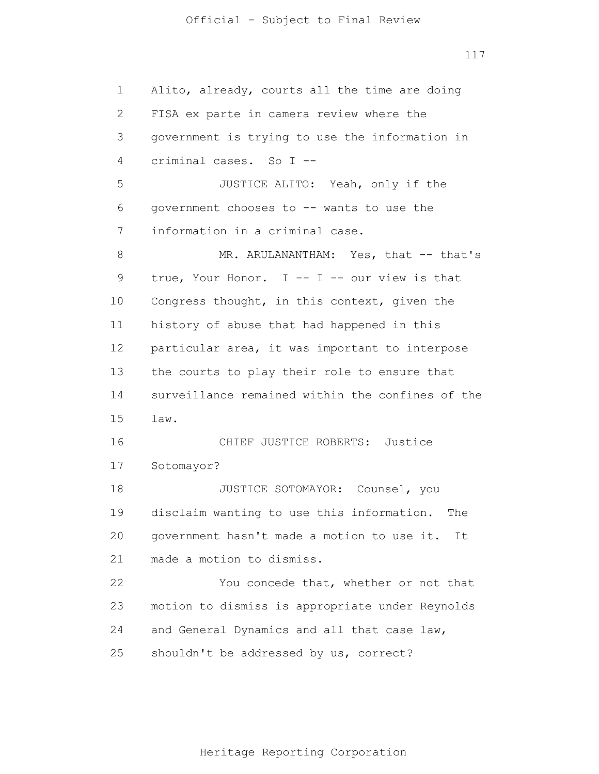## Official - Subject to Final Review

117

1 2 3 4 5 6 7 8 9 10 11 12 13 14 15 16 17 18 19 20 21 22 23 24 25 Alito, already, courts all the time are doing FISA ex parte in camera review where the government is trying to use the information in criminal cases. So I -- JUSTICE ALITO: Yeah, only if the government chooses to -- wants to use the information in a criminal case. MR. ARULANANTHAM: Yes, that -- that's true, Your Honor. I -- I -- our view is that Congress thought, in this context, given the history of abuse that had happened in this particular area, it was important to interpose the courts to play their role to ensure that surveillance remained within the confines of the law. CHIEF JUSTICE ROBERTS: Justice Sotomayor? JUSTICE SOTOMAYOR: Counsel, you disclaim wanting to use this information. The government hasn't made a motion to use it. It made a motion to dismiss. You concede that, whether or not that motion to dismiss is appropriate under Reynolds and General Dynamics and all that case law, shouldn't be addressed by us, correct?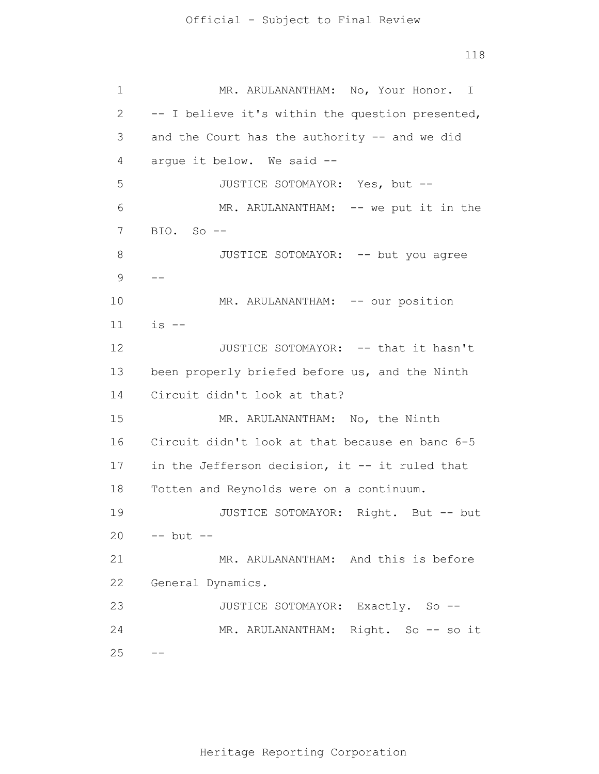1 2 3 4 5 6 7 8 9 10 11 12 13 14 15 16 17 18 19 20 21 22 23 24 25 -- -- MR. ARULANANTHAM: No, Your Honor. I -- I believe it's within the question presented, and the Court has the authority -- and we did argue it below. We said -- JUSTICE SOTOMAYOR: Yes, but -- MR. ARULANANTHAM: -- we put it in the BIO. So -- JUSTICE SOTOMAYOR: -- but you agree MR. ARULANANTHAM: -- our position  $is$   $--$ JUSTICE SOTOMAYOR: -- that it hasn't been properly briefed before us, and the Ninth Circuit didn't look at that? MR. ARULANANTHAM: No, the Ninth Circuit didn't look at that because en banc 6-5 in the Jefferson decision, it -- it ruled that Totten and Reynolds were on a continuum. JUSTICE SOTOMAYOR: Right. But -- but -- but -- MR. ARULANANTHAM: And this is before General Dynamics. JUSTICE SOTOMAYOR: Exactly. So -- MR. ARULANANTHAM: Right. So -- so it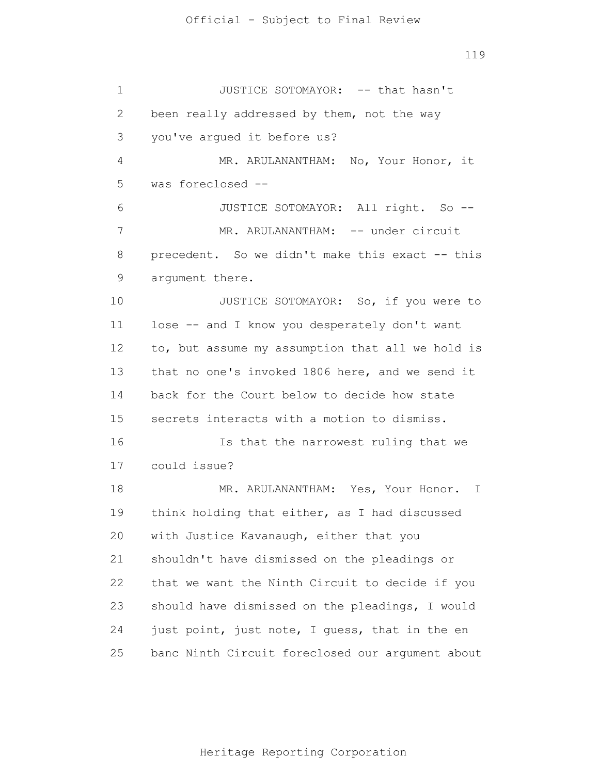1 2 3 4 5 6 7 8 9 10 11 12 13 14 15 16 17 18 19 20 21 22 23 24 25 JUSTICE SOTOMAYOR: -- that hasn't been really addressed by them, not the way you've argued it before us? MR. ARULANANTHAM: No, Your Honor, it was foreclosed -- JUSTICE SOTOMAYOR: All right. So -- MR. ARULANANTHAM: -- under circuit precedent. So we didn't make this exact -- this argument there. JUSTICE SOTOMAYOR: So, if you were to lose -- and I know you desperately don't want to, but assume my assumption that all we hold is that no one's invoked 1806 here, and we send it back for the Court below to decide how state secrets interacts with a motion to dismiss. Is that the narrowest ruling that we could issue? MR. ARULANANTHAM: Yes, Your Honor. I think holding that either, as I had discussed with Justice Kavanaugh, either that you shouldn't have dismissed on the pleadings or that we want the Ninth Circuit to decide if you should have dismissed on the pleadings, I would just point, just note, I guess, that in the en banc Ninth Circuit foreclosed our argument about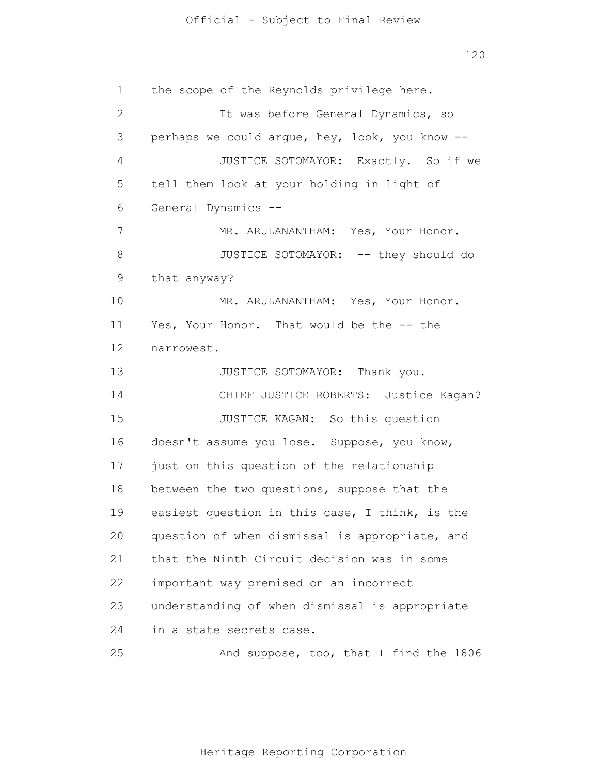## Official - Subject to Final Review

120

1 2 3 4 5 6 7 8 9 10 11 12 13 14 15 16 17 18 19 20 21 22 23 24 25 the scope of the Reynolds privilege here. It was before General Dynamics, so perhaps we could argue, hey, look, you know -- JUSTICE SOTOMAYOR: Exactly. So if we tell them look at your holding in light of General Dynamics -- MR. ARULANANTHAM: Yes, Your Honor. JUSTICE SOTOMAYOR: -- they should do that anyway? MR. ARULANANTHAM: Yes, Your Honor. Yes, Your Honor. That would be the -- the narrowest. JUSTICE SOTOMAYOR: Thank you. CHIEF JUSTICE ROBERTS: Justice Kagan? JUSTICE KAGAN: So this question doesn't assume you lose. Suppose, you know, just on this question of the relationship between the two questions, suppose that the easiest question in this case, I think, is the question of when dismissal is appropriate, and that the Ninth Circuit decision was in some important way premised on an incorrect understanding of when dismissal is appropriate in a state secrets case. And suppose, too, that I find the 1806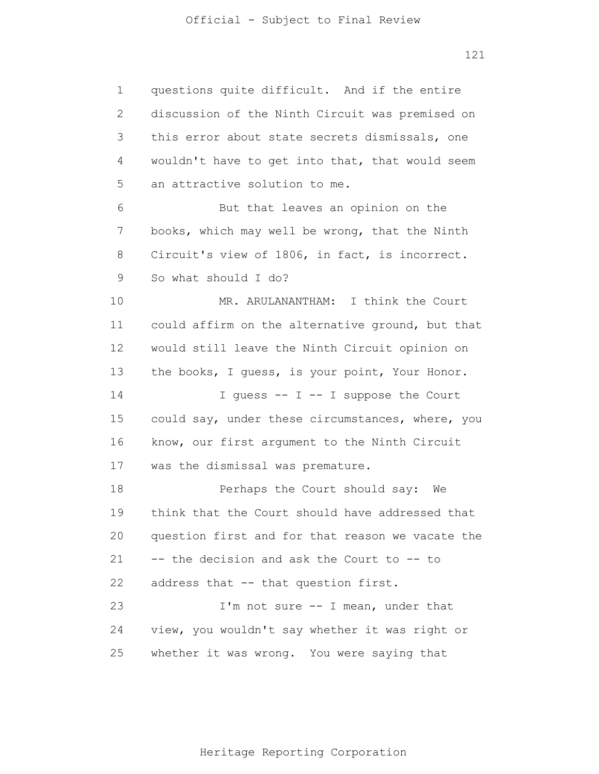1 2 3 4 5 6 7 8 9 10 11 12 13 14 15 16 17 18 19 20 21 22 23 24 25 questions quite difficult. And if the entire discussion of the Ninth Circuit was premised on this error about state secrets dismissals, one wouldn't have to get into that, that would seem an attractive solution to me. But that leaves an opinion on the books, which may well be wrong, that the Ninth Circuit's view of 1806, in fact, is incorrect. So what should I do? MR. ARULANANTHAM: I think the Court could affirm on the alternative ground, but that would still leave the Ninth Circuit opinion on the books, I guess, is your point, Your Honor. I guess  $-$  I  $-$  I suppose the Court could say, under these circumstances, where, you know, our first argument to the Ninth Circuit was the dismissal was premature. Perhaps the Court should say: We think that the Court should have addressed that question first and for that reason we vacate the -- the decision and ask the Court to -- to address that -- that question first. I'm not sure -- I mean, under that view, you wouldn't say whether it was right or whether it was wrong. You were saying that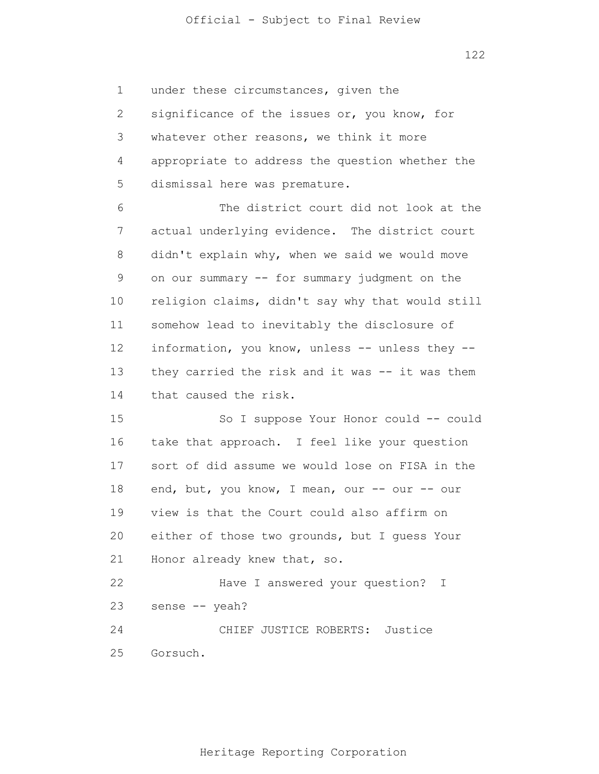1 2 3 4 5 under these circumstances, given the significance of the issues or, you know, for whatever other reasons, we think it more appropriate to address the question whether the dismissal here was premature.

6 7 8 9 10 11 12 13 14 The district court did not look at the actual underlying evidence. The district court didn't explain why, when we said we would move on our summary -- for summary judgment on the religion claims, didn't say why that would still somehow lead to inevitably the disclosure of information, you know, unless -- unless they - they carried the risk and it was -- it was them that caused the risk.

15 16 17 18 19 20 21 22 23 24 25 So I suppose Your Honor could -- could take that approach. I feel like your question sort of did assume we would lose on FISA in the end, but, you know, I mean, our -- our -- our view is that the Court could also affirm on either of those two grounds, but I guess Your Honor already knew that, so. Have I answered your question? I sense -- yeah? CHIEF JUSTICE ROBERTS: Justice Gorsuch.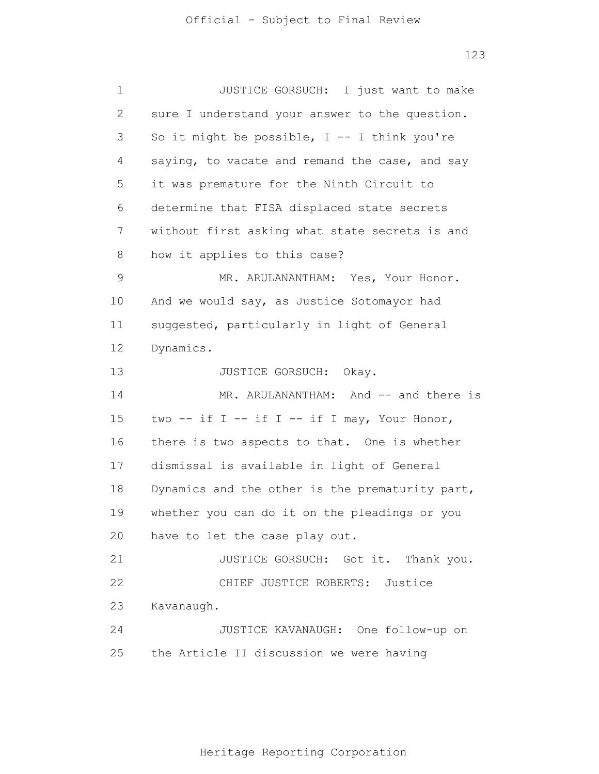| 1            | JUSTICE GORSUCH: I just want to make            |
|--------------|-------------------------------------------------|
| $\mathbf{2}$ | sure I understand your answer to the question.  |
| 3            | So it might be possible, $I$ -- I think you're  |
| 4            | saying, to vacate and remand the case, and say  |
| 5            | it was premature for the Ninth Circuit to       |
| 6            | determine that FISA displaced state secrets     |
| 7            | without first asking what state secrets is and  |
| 8            | how it applies to this case?                    |
| 9            | MR. ARULANANTHAM: Yes, Your Honor.              |
| 10           | And we would say, as Justice Sotomayor had      |
| 11           | suggested, particularly in light of General     |
| 12           | Dynamics.                                       |
| 13           | JUSTICE GORSUCH: Okay.                          |
| 14           | MR. ARULANANTHAM: And -- and there is           |
| 15           | two -- if I -- if I -- if I may, Your Honor,    |
| 16           | there is two aspects to that. One is whether    |
| 17           | dismissal is available in light of General      |
| 18           | Dynamics and the other is the prematurity part, |
| 19           | whether you can do it on the pleadings or you   |
|              | 20 have to let the case play out.               |
| 21           | JUSTICE GORSUCH: Got it. Thank you.             |
| 22           | CHIEF JUSTICE ROBERTS: Justice                  |
| 23           | Kavanaugh.                                      |
| 24           | JUSTICE KAVANAUGH: One follow-up on             |
| 25           | the Article II discussion we were having        |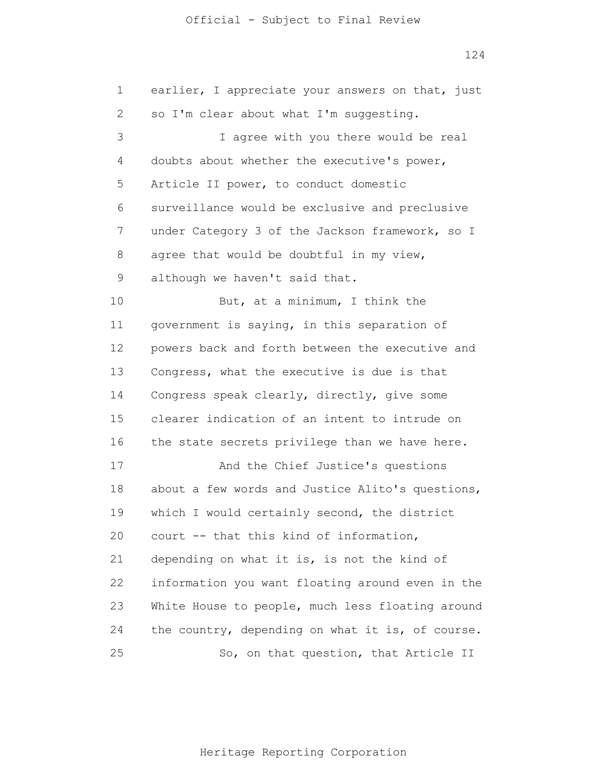#### Official - Subject to Final Review

124

1 2 3 4 5 6 7 8 9 10 11 12 13 14 15 16 17 18 19 20 21 22 23 24 25 earlier, I appreciate your answers on that, just so I'm clear about what I'm suggesting. I agree with you there would be real doubts about whether the executive's power, Article II power, to conduct domestic surveillance would be exclusive and preclusive under Category 3 of the Jackson framework, so I agree that would be doubtful in my view, although we haven't said that. But, at a minimum, I think the government is saying, in this separation of powers back and forth between the executive and Congress, what the executive is due is that Congress speak clearly, directly, give some clearer indication of an intent to intrude on the state secrets privilege than we have here. And the Chief Justice's questions about a few words and Justice Alito's questions, which I would certainly second, the district court -- that this kind of information, depending on what it is, is not the kind of information you want floating around even in the White House to people, much less floating around the country, depending on what it is, of course. So, on that question, that Article II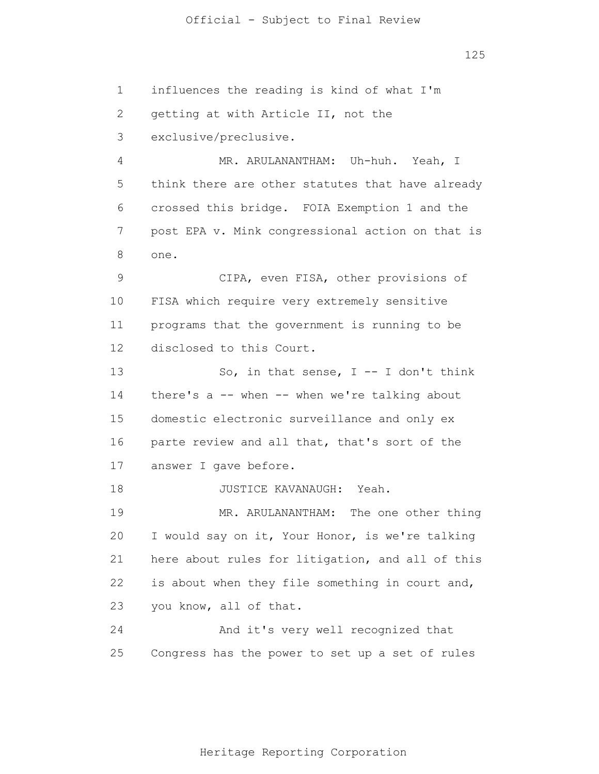1 2 3 4 5 6 7 8 9 10 11 12 13 14 15 16 17 18 19 20 21 22 23 24 25 influences the reading is kind of what I'm getting at with Article II, not the exclusive/preclusive. MR. ARULANANTHAM: Uh-huh. Yeah, I think there are other statutes that have already crossed this bridge. FOIA Exemption 1 and the post EPA v. Mink congressional action on that is one. CIPA, even FISA, other provisions of FISA which require very extremely sensitive programs that the government is running to be disclosed to this Court. So, in that sense,  $I$  -- I don't think there's a -- when -- when we're talking about domestic electronic surveillance and only ex parte review and all that, that's sort of the answer I gave before. JUSTICE KAVANAUGH: Yeah. MR. ARULANANTHAM: The one other thing I would say on it, Your Honor, is we're talking here about rules for litigation, and all of this is about when they file something in court and, you know, all of that. And it's very well recognized that Congress has the power to set up a set of rules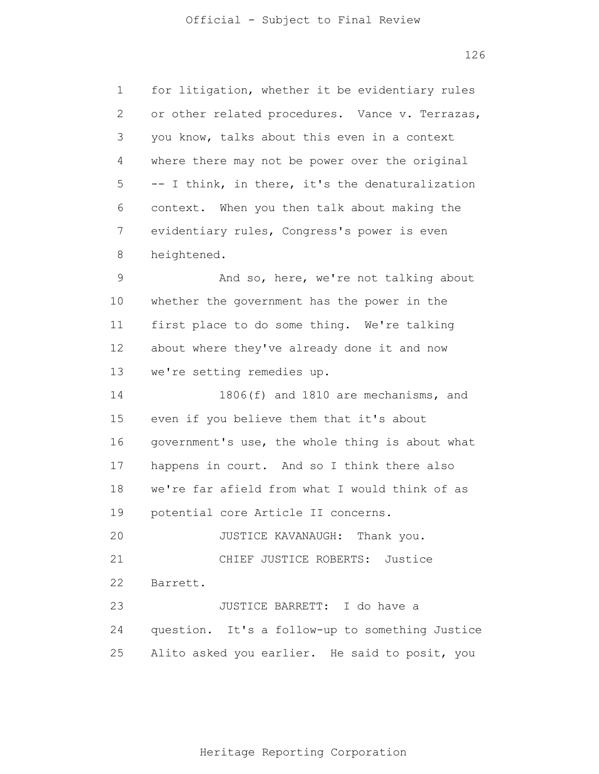1 2 3 4 5 6 7 8 9 10 11 12 13 14 15 16 17 18 19 20 21 22 23 24 25 for litigation, whether it be evidentiary rules or other related procedures. Vance v. Terrazas, you know, talks about this even in a context where there may not be power over the original -- I think, in there, it's the denaturalization context. When you then talk about making the evidentiary rules, Congress's power is even heightened. And so, here, we're not talking about whether the government has the power in the first place to do some thing. We're talking about where they've already done it and now we're setting remedies up. 1806(f) and 1810 are mechanisms, and even if you believe them that it's about government's use, the whole thing is about what happens in court. And so I think there also we're far afield from what I would think of as potential core Article II concerns. JUSTICE KAVANAUGH: Thank you. CHIEF JUSTICE ROBERTS: Justice Barrett. JUSTICE BARRETT: I do have a question. It's a follow-up to something Justice Alito asked you earlier. He said to posit, you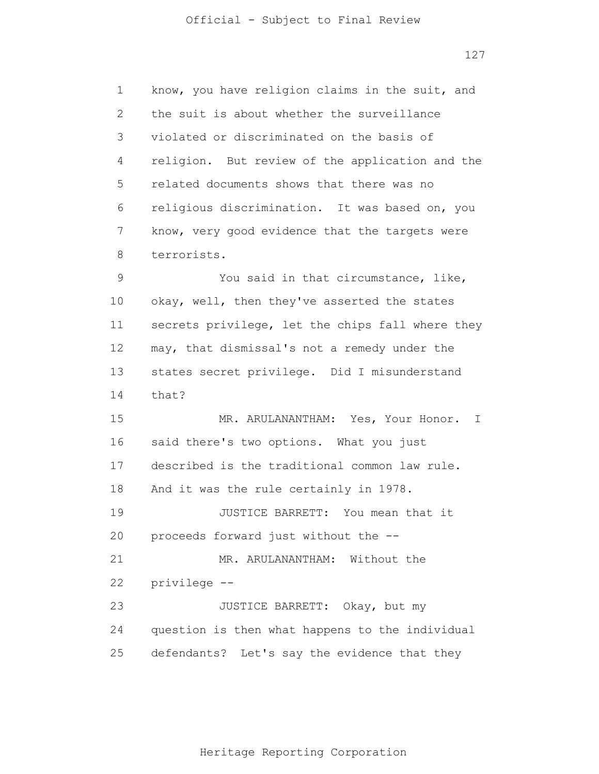1 2 3 4 5 6 7 8 9 10 11 12 13 14 15 16 17 18 19 20 21 22 23 24 25 know, you have religion claims in the suit, and the suit is about whether the surveillance violated or discriminated on the basis of religion. But review of the application and the related documents shows that there was no religious discrimination. It was based on, you know, very good evidence that the targets were terrorists. You said in that circumstance, like, okay, well, then they've asserted the states secrets privilege, let the chips fall where they may, that dismissal's not a remedy under the states secret privilege. Did I misunderstand that? MR. ARULANANTHAM: Yes, Your Honor. I said there's two options. What you just described is the traditional common law rule. And it was the rule certainly in 1978. JUSTICE BARRETT: You mean that it proceeds forward just without the -- MR. ARULANANTHAM: Without the privilege -- JUSTICE BARRETT: Okay, but my question is then what happens to the individual defendants? Let's say the evidence that they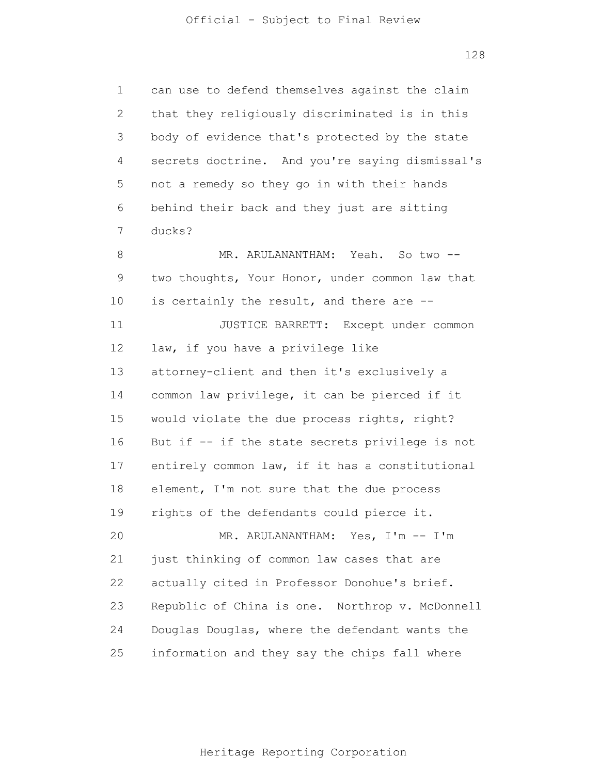1 2 3 4 5 6 7 8 9 10 11 12 13 14 15 16 17 18 19 20 21 22 23 24 25 can use to defend themselves against the claim that they religiously discriminated is in this body of evidence that's protected by the state secrets doctrine. And you're saying dismissal's not a remedy so they go in with their hands behind their back and they just are sitting ducks? MR. ARULANANTHAM: Yeah. So two -two thoughts, Your Honor, under common law that is certainly the result, and there are -- JUSTICE BARRETT: Except under common law, if you have a privilege like attorney-client and then it's exclusively a common law privilege, it can be pierced if it would violate the due process rights, right? But if -- if the state secrets privilege is not entirely common law, if it has a constitutional element, I'm not sure that the due process rights of the defendants could pierce it. MR. ARULANANTHAM: Yes, I'm -- I'm just thinking of common law cases that are actually cited in Professor Donohue's brief. Republic of China is one. Northrop v. McDonnell Douglas Douglas, where the defendant wants the information and they say the chips fall where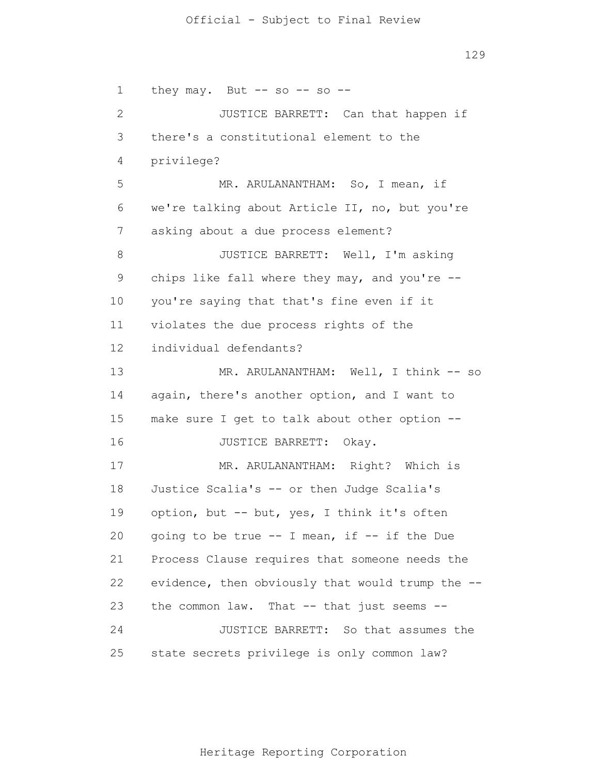#### Official - Subject to Final Review

129

1 2 3 4 5 6 7 8 9 10 11 12 13 14 15 16 17 18 19 20 21 22 23 24 25 they may. But  $--$  so  $--$  so  $--$ JUSTICE BARRETT: Can that happen if there's a constitutional element to the privilege? MR. ARULANANTHAM: So, I mean, if we're talking about Article II, no, but you're asking about a due process element? JUSTICE BARRETT: Well, I'm asking chips like fall where they may, and you're - you're saying that that's fine even if it violates the due process rights of the individual defendants? MR. ARULANANTHAM: Well, I think -- so again, there's another option, and I want to make sure I get to talk about other option -- JUSTICE BARRETT: Okay. MR. ARULANANTHAM: Right? Which is Justice Scalia's -- or then Judge Scalia's option, but -- but, yes, I think it's often going to be true -- I mean, if -- if the Due Process Clause requires that someone needs the evidence, then obviously that would trump the - the common law. That -- that just seems -- JUSTICE BARRETT: So that assumes the state secrets privilege is only common law?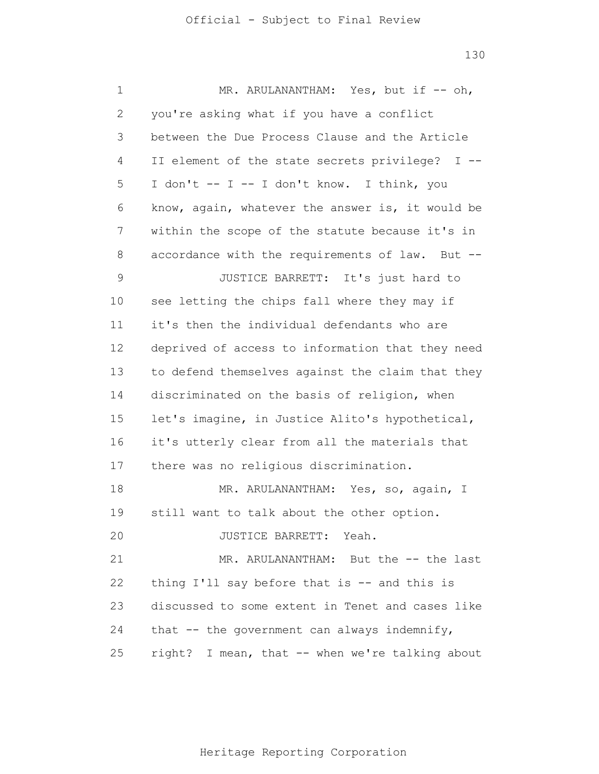| 1  | MR. ARULANANTHAM: Yes, but if -- oh,             |
|----|--------------------------------------------------|
| 2  | you're asking what if you have a conflict        |
| 3  | between the Due Process Clause and the Article   |
| 4  | II element of the state secrets privilege? I --  |
| 5  | I don't -- I -- I don't know. I think, you       |
| 6  | know, again, whatever the answer is, it would be |
| 7  | within the scope of the statute because it's in  |
| 8  | accordance with the requirements of law. But --  |
| 9  | JUSTICE BARRETT: It's just hard to               |
| 10 | see letting the chips fall where they may if     |
| 11 | it's then the individual defendants who are      |
| 12 | deprived of access to information that they need |
| 13 | to defend themselves against the claim that they |
| 14 | discriminated on the basis of religion, when     |
| 15 | let's imagine, in Justice Alito's hypothetical,  |
| 16 | it's utterly clear from all the materials that   |
| 17 | there was no religious discrimination.           |
| 18 | MR. ARULANANTHAM: Yes, so, again, I              |
| 19 | still want to talk about the other option.       |
| 20 | JUSTICE BARRETT: Yeah.                           |
| 21 | MR. ARULANANTHAM: But the -- the last            |
| 22 | thing I'll say before that is $-$ and this is    |
| 23 | discussed to some extent in Tenet and cases like |
| 24 | that $--$ the government can always indemnify,   |
| 25 | right? I mean, that -- when we're talking about  |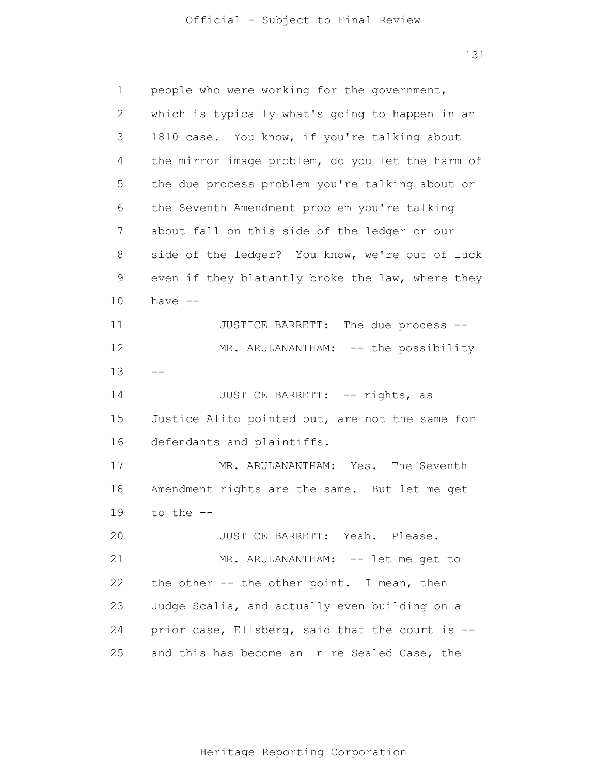| 1            | people who were working for the government,      |
|--------------|--------------------------------------------------|
| $\mathbf{2}$ | which is typically what's going to happen in an  |
| 3            | 1810 case. You know, if you're talking about     |
| 4            | the mirror image problem, do you let the harm of |
| 5            | the due process problem you're talking about or  |
| 6            | the Seventh Amendment problem you're talking     |
| 7            | about fall on this side of the ledger or our     |
| 8            | side of the ledger? You know, we're out of luck  |
| 9            | even if they blatantly broke the law, where they |
| 10           | have $--$                                        |
| 11           | The due process --<br>JUSTICE BARRETT:           |
| 12           | MR. ARULANANTHAM: -- the possibility             |
| 13           |                                                  |
| 14           | JUSTICE BARRETT: -- rights, as                   |
| 15           | Justice Alito pointed out, are not the same for  |
| 16           | defendants and plaintiffs.                       |
| 17           | The Seventh<br>MR. ARULANANTHAM: Yes.            |
| 18           | Amendment rights are the same. But let me get    |
| 19           | to the $-$                                       |
| 20           | JUSTICE BARRETT: Yeah. Please.                   |
| 21           | MR. ARULANANTHAM: -- let me get to               |
| 22           | the other -- the other point. I mean, then       |
| 23           | Judge Scalia, and actually even building on a    |
| 24           | prior case, Ellsberg, said that the court is --  |
| 25           | and this has become an In re Sealed Case, the    |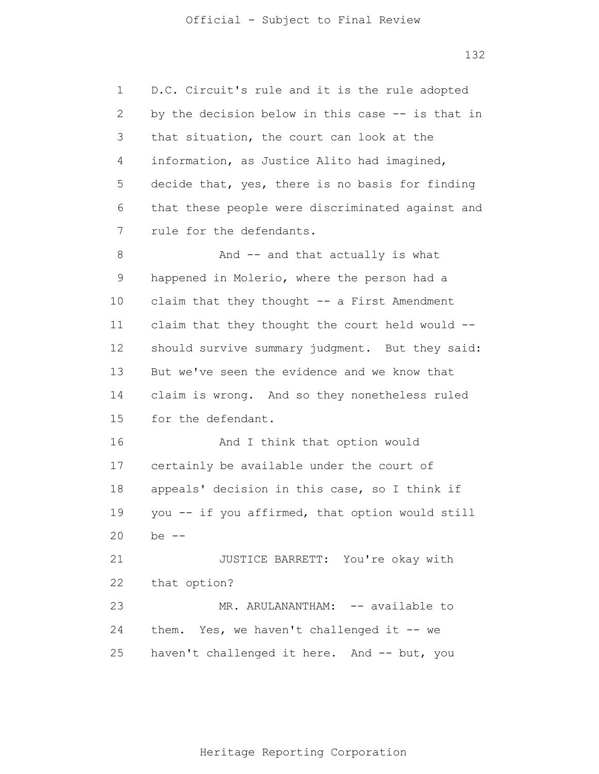1 2 3 4 5 6 7 8 9 10 11 12 13 14 15 16 17 18 19 20 21 22 23 24 25 D.C. Circuit's rule and it is the rule adopted by the decision below in this case -- is that in that situation, the court can look at the information, as Justice Alito had imagined, decide that, yes, there is no basis for finding that these people were discriminated against and rule for the defendants. And -- and that actually is what happened in Molerio, where the person had a claim that they thought -- a First Amendment claim that they thought the court held would - should survive summary judgment. But they said: But we've seen the evidence and we know that claim is wrong. And so they nonetheless ruled for the defendant. And I think that option would certainly be available under the court of appeals' decision in this case, so I think if you -- if you affirmed, that option would still be  $-$ JUSTICE BARRETT: You're okay with that option? MR. ARULANANTHAM: -- available to them. Yes, we haven't challenged it -- we haven't challenged it here. And -- but, you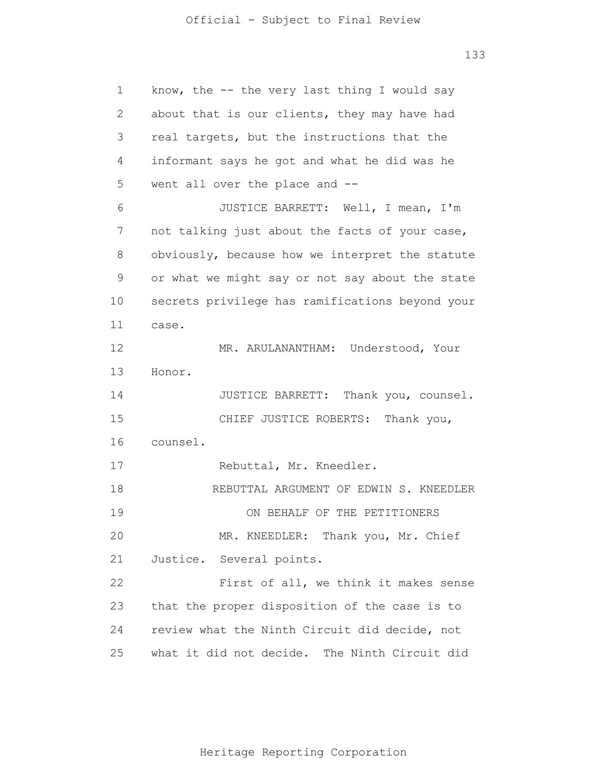1 2 3 4 5 6 7 8 9 10 11 12 13 14 15 16 17 18 19 20 21 22 23 24 25 know, the  $-$  the very last thing I would say about that is our clients, they may have had real targets, but the instructions that the informant says he got and what he did was he went all over the place and -- JUSTICE BARRETT: Well, I mean, I'm not talking just about the facts of your case, obviously, because how we interpret the statute or what we might say or not say about the state secrets privilege has ramifications beyond your case. MR. ARULANANTHAM: Understood, Your Honor. JUSTICE BARRETT: Thank you, counsel. CHIEF JUSTICE ROBERTS: Thank you, counsel. Rebuttal, Mr. Kneedler. REBUTTAL ARGUMENT OF EDWIN S. KNEEDLER ON BEHALF OF THE PETITIONERS MR. KNEEDLER: Thank you, Mr. Chief Justice. Several points. First of all, we think it makes sense that the proper disposition of the case is to review what the Ninth Circuit did decide, not what it did not decide. The Ninth Circuit did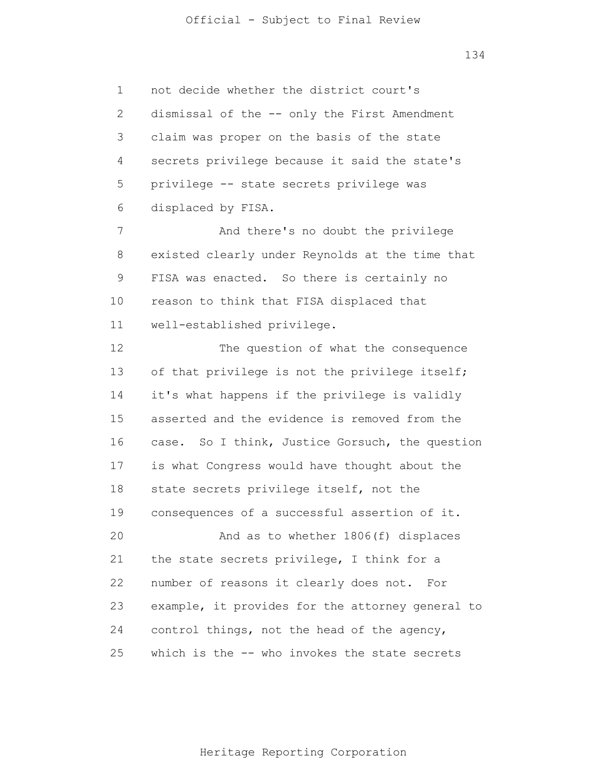## Official - Subject to Final Review

134

1 2 3 4 5 6 not decide whether the district court's dismissal of the -- only the First Amendment claim was proper on the basis of the state secrets privilege because it said the state's privilege -- state secrets privilege was displaced by FISA.

7 8 9 10 11 And there's no doubt the privilege existed clearly under Reynolds at the time that FISA was enacted. So there is certainly no reason to think that FISA displaced that well-established privilege.

12 13 14 15 16 17 18 19 20 21 22 23 24 25 The question of what the consequence of that privilege is not the privilege itself; it's what happens if the privilege is validly asserted and the evidence is removed from the case. So I think, Justice Gorsuch, the question is what Congress would have thought about the state secrets privilege itself, not the consequences of a successful assertion of it. And as to whether 1806(f) displaces the state secrets privilege, I think for a number of reasons it clearly does not. For example, it provides for the attorney general to control things, not the head of the agency, which is the -- who invokes the state secrets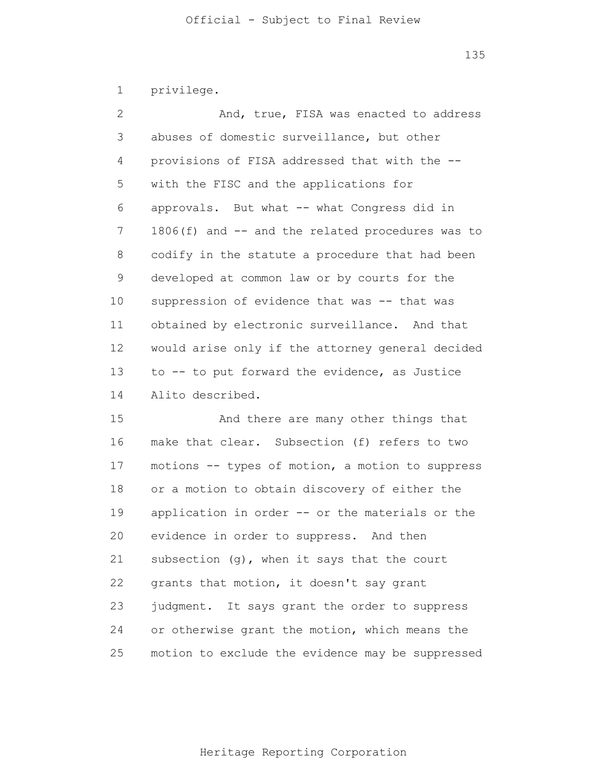1 privilege.

| 2              | And, true, FISA was enacted to address           |
|----------------|--------------------------------------------------|
| 3              | abuses of domestic surveillance, but other       |
| $\overline{4}$ | provisions of FISA addressed that with the --    |
| 5              | with the FISC and the applications for           |
| 6              | approvals. But what -- what Congress did in      |
| 7              | 1806(f) and -- and the related procedures was to |
| $8\,$          | codify in the statute a procedure that had been  |
| 9              | developed at common law or by courts for the     |
| 10             | suppression of evidence that was -- that was     |
| 11             | obtained by electronic surveillance. And that    |
| 12             | would arise only if the attorney general decided |
| 13             | to -- to put forward the evidence, as Justice    |
| 14             | Alito described.                                 |

15 16 17 18 19 20 21 22 23 24 25 And there are many other things that make that clear. Subsection (f) refers to two motions -- types of motion, a motion to suppress or a motion to obtain discovery of either the application in order -- or the materials or the evidence in order to suppress. And then subsection (g), when it says that the court grants that motion, it doesn't say grant judgment. It says grant the order to suppress or otherwise grant the motion, which means the motion to exclude the evidence may be suppressed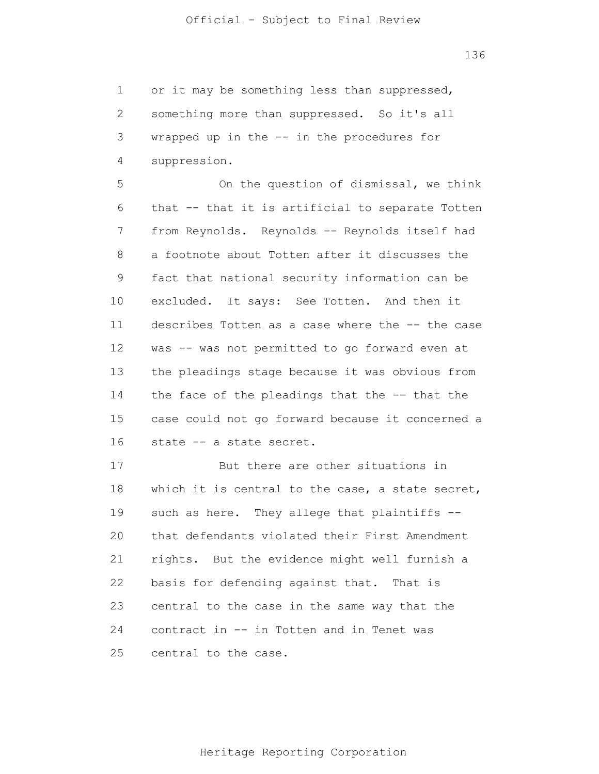1 2 3 4 or it may be something less than suppressed, something more than suppressed. So it's all wrapped up in the -- in the procedures for suppression.

5 6 7 8 9 10 11 12 13 14 15 16 On the question of dismissal, we think that -- that it is artificial to separate Totten from Reynolds. Reynolds -- Reynolds itself had a footnote about Totten after it discusses the fact that national security information can be excluded. It says: See Totten. And then it describes Totten as a case where the -- the case was -- was not permitted to go forward even at the pleadings stage because it was obvious from the face of the pleadings that the -- that the case could not go forward because it concerned a state -- a state secret.

17 18 19 20 21 22 23 24 25 But there are other situations in which it is central to the case, a state secret, such as here. They allege that plaintiffs -that defendants violated their First Amendment rights. But the evidence might well furnish a basis for defending against that. That is central to the case in the same way that the contract in -- in Totten and in Tenet was central to the case.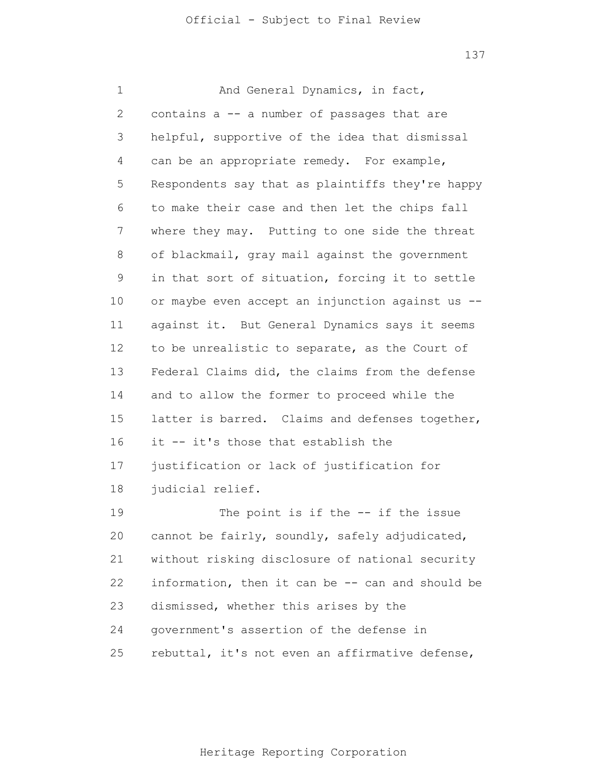1 2 3 4 5 6 7 8 9 10 11 12 13 14 15 16 17 18 19 20 21 22 23 24 25 And General Dynamics, in fact, contains a -- a number of passages that are helpful, supportive of the idea that dismissal can be an appropriate remedy. For example, Respondents say that as plaintiffs they're happy to make their case and then let the chips fall where they may. Putting to one side the threat of blackmail, gray mail against the government in that sort of situation, forcing it to settle or maybe even accept an injunction against us - against it. But General Dynamics says it seems to be unrealistic to separate, as the Court of Federal Claims did, the claims from the defense and to allow the former to proceed while the latter is barred. Claims and defenses together, it -- it's those that establish the justification or lack of justification for judicial relief. The point is if the -- if the issue cannot be fairly, soundly, safely adjudicated, without risking disclosure of national security information, then it can be -- can and should be dismissed, whether this arises by the government's assertion of the defense in rebuttal, it's not even an affirmative defense,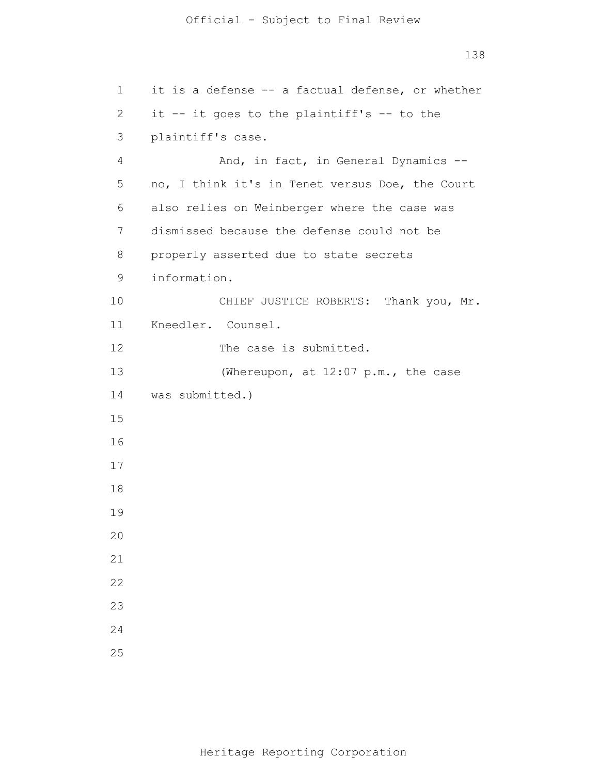```
138
```

```
1 
 2 
 3 
 4 
 5 
 6 
 7 
 8 
 9 
10 
11 
12 
13 
14 
15
16
17
18
19
20
21
22
23
24
25
      it is a defense -- a factual defense, or whether
       it -- it goes to the plaintiff's -- to the
       plaintiff's case.
                 And, in fact, in General Dynamics --
      no, I think it's in Tenet versus Doe, the Court 
      also relies on Weinberger where the case was
       dismissed because the defense could not be 
      properly asserted due to state secrets
       information. 
                CHIEF JUSTICE ROBERTS: Thank you, Mr. 
      Kneedler. Counsel. 
                The case is submitted. 
                 (Whereupon, at 12:07 p.m., the case 
      was submitted.)
```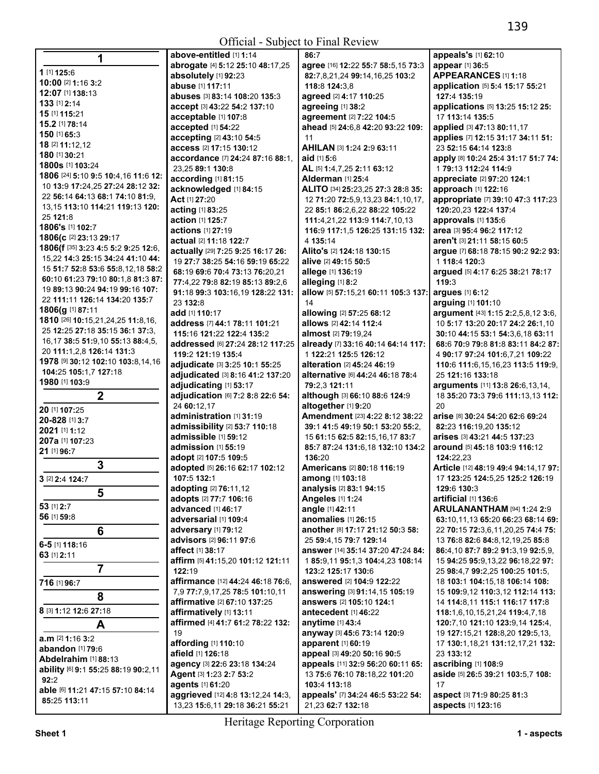| 1                                       | above-entitled [1] 1:14                         | 86:7                                                             | appeals's [1] 62:10                  |
|-----------------------------------------|-------------------------------------------------|------------------------------------------------------------------|--------------------------------------|
|                                         | abrogate [4] 5:12 25:10 48:17,25                | agree [16] 12:22 55:7 58:5,15 73:3                               | appear [1] 36:5                      |
| 1 [1] 125:6                             | absolutely [1] 92:23                            | 82:7,8,21,24 99:14,16,25 103:2                                   | APPEARANCES [1] 1:18                 |
| 10:00 [2] 1:16 3:2                      | <b>abuse</b> [1] 117:11                         | 118:8 124:3.8                                                    | application [5] 5:4 15:17 55:21      |
| 12:07 [1] 138:13                        | <b>abuses</b> [3] 83:14 108:20 135:3            | agreed [2] 4:17 110:25                                           | 127:4 135:19                         |
| 133 [1] 2:14                            | accept [3] 43:22 54:2 137:10                    | agreeing [1] 38:2                                                | applications [5] 13:25 15:12 25:     |
| 15 [1] 115:21                           | acceptable [1] 107:8                            | agreement [2] 7:22 104:5                                         | 17 113:14 135:5                      |
| 15.2 [1] 78:14                          | accepted [1] 54:22                              | ahead [5] 24:6,8 42:20 93:22 109:                                | applied [3] 47:13 80:11,17           |
| 150 [1] 65:3                            | accepting [2] 43:10 54:5                        | 11                                                               | applies [7] 12:15 31:17 34:11 51:    |
| 18 [2] 11:12,12                         | access [2] 17:15 130:12                         | AHILAN [3] 1:24 2:9 63:11                                        | 23 52:15 64:14 123:8                 |
| 180 [1] 30:21                           | accordance [7] 24:24 87:16 88:1,                | aid $[1]$ 5:6                                                    | apply [8] 10:24 25:4 31:17 51:7 74:  |
| 1800s [1] 103:24                        | 23,25 89:1 130:8                                | AL [5] 1:4,7,25 2:11 63:12                                       | 1 79:13 112:24 114:9                 |
| 1806 [24] 5:10 9:5 10:4,16 11:6 12:     | according [1] 81:15                             | Alderman [1] 25:4                                                | appreciate [2] 97:20 124:1           |
| 10 13:9 17:24,25 27:24 28:12 32:        | acknowledged [1] 84:15                          | ALITO [34] 25:23,25 27:3 28:8 35:                                | approach [1] 122:16                  |
| 22 56:14 64:13 68:1 74:10 81:9,         | Act [1] 27:20                                   | 12 71:20 72:5,9,13,23 84:1,10,17,                                | appropriate [7] 39:10 47:3 117:23    |
| 13, 15 113: 10 114: 21 119: 13 120:     | acting [1] 83:25                                | 22 85:1 86:2,6,22 88:22 105:22                                   | 120:20,23 122:4 137:4                |
| 25 121:8                                | action [1] 125:7                                | 111:4,21,22 113:9 114:7,10,13                                    | approvals [1] 135:6                  |
| 1806's [1] 102:7                        | actions [1] 27:19                               | 116:9 117:1,5 126:25 131:15 132:                                 | area [3] 95:4 96:2 117:12            |
| 1806(c [2] 23:13 29:17                  | actual [2] 11:18 122:7                          | 4 135:14                                                         | aren't [3] 21:11 58:15 60:5          |
| 1806(f [35] 3:23 4:5 5:2 9:25 12:6,     | actually [29] 7:25 9:25 16:17 26:               | Alito's [2] 124:18 130:15                                        | argue [7] 68:18 78:15 90:2 92:2 93:  |
| 15,22 14:3 25:15 34:24 41:10 44:        | 19 27:7 38:25 54:16 59:19 65:22                 | alive [2] 49:15 50:5                                             | 1 118:4 120:3                        |
| 15 51:7 52:8 53:6 55:8,12,18 58:2       | 68:19 69:6 70:4 73:13 76:20,21                  | allege [1] 136:19                                                | argued [5] 4:17 6:25 38:21 78:17     |
| 60:10 61:23 79:10 80:1,8 81:3 87:       | 77:4.22 79:8 82:19 85:13 89:2.6                 | alleging [1] 8:2                                                 | 119:3                                |
| 19 89:13 90:24 94:19 99:16 107:         | 91:18 99:3 103:16,19 128:22 131:                | allow [5] 57:15,21 60:11 105:3 137:                              | argues [1] 6:12                      |
| 22 111:11 126:14 134:20 135:7           | 23 132:8                                        | 14                                                               | arguing [1] 101:10                   |
| 1806(g [1] 87:11                        | add [1] 110:17                                  | allowing [2] 57:25 68:12                                         | argument [43] 1:15 2:2,5,8,12 3:6,   |
| 1810 [26] 10:15,21,24,25 11:8,16,       | address [7] 44:1 78:11 101:21                   | allows [2] 42:14 112:4                                           | 10 5:17 13:20 20:17 24:2 26:1,10     |
| 25 12:25 27:18 35:15 36:1 37:3,         | 115:16 121:22 122:4 135:2                       | almost [2] 79:19,24                                              | 30:10 44:15 53:1 54:3,6,18 63:11     |
| 16, 17 38: 5 51: 9, 10 55: 13 88: 4, 5, | <b>addressed</b> [6] <b>27:24 28:12 117:2</b> 5 | already [7] 33:16 40:14 64:14 117:                               | 68:6 70:9 79:8 81:8 83:11 84:2 87:   |
| 20 111:1,2,8 126:14 131:3               | 119:2 121:19 135:4                              | 1 122:21 125:5 126:12                                            | 4 90:17 97:24 101:6,7,21 109:22      |
| 1978 [9] 30:12 102:10 103:8,14,16       | adjudicate [3] 3:25 10:1 55:25                  | <b>alteration</b> [2] <b>45:24 46:19</b>                         | 110:6 111:6,15,16,23 113:5 119:9,    |
| 104:25 105:1,7 127:18<br>1980 [1] 103:9 | adjudicated [3] 8:16 41:2 137:20                | <b>alternative</b> [6] 44:24 46:18 78:4                          | 25 121:16 133:18                     |
|                                         | adjudicating [1] 53:17                          | 79:2,3 121:11                                                    | arguments [11] 13:8 26:6,13,14,      |
| $\boldsymbol{2}$                        | adjudication [6] 7:2 8:8 22:6 54:               | although [3] 66:10 88:6 124:9                                    | 18 35:20 73:3 79:6 111:13,13 112:    |
| 20 [1] 107:25                           | 24 60:12.17                                     | altogether [1] 9:20                                              | 20                                   |
| 20-828 [1] 3:7                          | administration [1] 31:19                        | Amendment [23] 4:22 8:12 38:22                                   | arise [8] 30:24 54:20 62:6 69:24     |
| 2021 [1] 1:12                           | <b>admissibility</b> [2] 53:7 110:18            | 39:1 41:5 49:19 50:1 53:20 55:2.                                 | 82:23 116:19,20 135:12               |
| 207a [1] 107:23                         | admissible [1] 59:12                            | 15 61:15 62:5 82:15,16,17 83:7                                   | arises [3] 43:21 44:5 137:23         |
| 21 [1] 96:7                             | admission [1] 55:19                             | 85:7 87:24 131:6,18 132:10 134:2                                 | around [5] 45:18 103:9 116:12        |
| 3                                       | adopt [2] 107:5 109:5                           | 136:20                                                           | 124:22.23                            |
|                                         | adopted [5] 26:16 62:17 102:12                  | <b>Americans [2] 80:18 116:19</b>                                | Article [12] 48:19 49:4 94:14,17 97: |
| 3 [2] 2:4 124:7                         | 107:5 132:1                                     | among [1] 103:18                                                 | 17 123:25 124:5,25 125:2 126:19      |
| 5                                       | adopting [2] 76:11,12<br>adopts [2] 77:7 106:16 | <b>analysis</b> [2] <b>83:1 94:15</b><br><b>Angeles [1] 1:24</b> | 129:6 130:3<br>artificial [1] 136:6  |
| 53 [1] 2:7                              | advanced [1] 46:17                              | angle [1] 42:11                                                  | <b>ARULANANTHAM</b> [94] 1:24 2:9    |
| 56 [1] 59:8                             | adversarial [1] 109:4                           | anomalies [1] 26:15                                              | 63:10.11.13 65:20 66:23 68:14 69:    |
| 6                                       | adversary [1] 79:12                             | another [8] 17:17 21:12 50:3 58:                                 | 22 70:15 72:3,6,11,20,25 74:4 75:    |
|                                         | advisors [2] 96:11 97:6                         | 25 59:4,15 79:7 129:14                                           | 13 76:8 82:6 84:8,12,19,25 85:8      |
| 6-5 [1] 118:16                          | affect [1] 38:17                                | answer [14] 35:14 37:20 47:24 84:                                | 86:4,10 87:7 89:2 91:3,19 92:5,9,    |
| 63 [1] 2:11                             | affirm [5] 41:15,20 101:12 121:11               | 1 85:9,11 95:1,3 104:4,23 108:14                                 | 15 94:25 95:9,13,22 96:18,22 97:     |
| $\overline{7}$                          | 122:19                                          | 123:2 125:17 130:6                                               | 25 98:4,7 99:2,25 100:25 101:5,      |
| 716 [1] 96:7                            | affirmance [12] 44:24 46:18 76:6.               | answered [2] 104:9 122:22                                        | 18 103:1 104:15,18 106:14 108:       |
|                                         | 7.9 77:7.9.17.25 78:5 101:10.11                 | answering [3] 91:14,15 105:19                                    | 15 109:9,12 110:3,12 112:14 113:     |
| 8                                       | affirmative [2] 67:10 137:25                    | answers [2] 105:10 124:1                                         | 14 114:8,11 115:1 116:17 117:8       |
| 8 [3] 1:12 12:6 27:18                   | affirmatively [1] 13:11                         | antecedent [1] 46:22                                             | 118:1,6,10,15,21,24 119:4,7,18       |
|                                         | affirmed [4] 41:7 61:2 78:22 132:               | anytime [1] 43:4                                                 | 120:7,10 121:10 123:9,14 125:4,      |
| A                                       | 19                                              | anyway [3] 45:6 73:14 120:9                                      | 19 127:15,21 128:8,20 129:5,13,      |
| a.m [2] 1:16 3:2                        | affording [1] 110:10                            | apparent [1] 60:19                                               | 17 130:1,18,21 131:12,17,21 132:     |
| abandon [1] 79:6                        | afield [1] 126:18                               | appeal [3] 49:20 50:16 90:5                                      | 23 133:12                            |
| Abdelrahim [1] 88:13                    | agency [3] 22:6 23:18 134:24                    | appeals [11] 32:9 56:20 60:11 65:                                | ascribing [1] 108:9                  |
| ability [6] 9:1 55:25 88:19 90:2,11     | Agent [3] 1:23 2:7 53:2                         | 13 75:6 76:10 78:18,22 101:20                                    | aside [5] 26:5 39:21 103:5,7 108:    |
| 92:2                                    | agents [1] 61:20                                | 103:4 113:18                                                     | 17                                   |
| able [6] 11:21 47:15 57:10 84:14        | aggrieved [12] 4:8 13:12,24 14:3,               | appeals' [7] 34:24 46:5 53:22 54:                                | aspect [3] 71:9 80:25 81:3           |
| 85:25 113:11                            | 13,23 15:6,11 29:18 36:21 55:21                 | 21,23 62:7 132:18                                                | aspects [1] 123:16                   |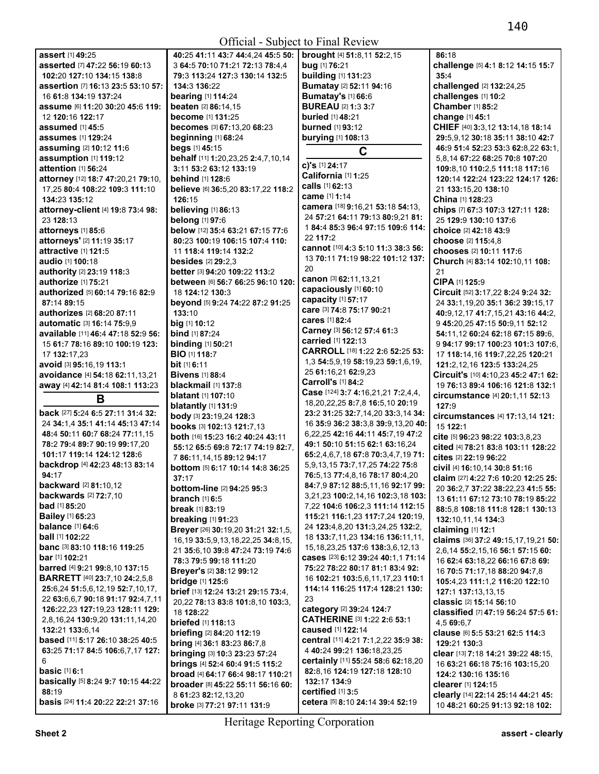| assert [1] 49:25                           | 40:25 41:11 43:7 44:4.24 45:5 50:                 | brought [4] 51:8,11 52:2,15                           | 86:18                                                                 |
|--------------------------------------------|---------------------------------------------------|-------------------------------------------------------|-----------------------------------------------------------------------|
| asserted [7] 47:22 56:19 60:13             | 3 64:5 70:10 71:21 72:13 78:4,4                   | bug [1] 76:21                                         | challenge [5] 4:1 8:12 14:15 15:7                                     |
| 102:20 127:10 134:15 138:8                 | 79:3 113:24 127:3 130:14 132:5                    | building [1] 131:23                                   | 35:4                                                                  |
| assertion [7] 16:13 23:5 53:10 57:         | 134:3 136:22                                      | Bumatay [2] 52:11 94:16                               | challenged [2] 132:24,25                                              |
| 16 61:8 134:19 137:24                      | bearing [1] 114:24                                | <b>Bumatay's [1] 66:6</b>                             | challenges [1] 10:2                                                   |
| assume [6] 11:20 30:20 45:6 119:           | beaten [2] 86:14,15                               | <b>BUREAU [2] 1:3 3:7</b>                             | <b>Chamber</b> [1] 85:2                                               |
| 12 120:16 122:17                           | <b>become</b> [1] 131:25                          | <b>buried</b> [1] 48:21                               | change [1] 45:1                                                       |
| assumed $[1]$ 45:5                         | becomes [3] 67:13,20 68:23                        | burned [1] 93:12                                      | CHIEF [40] 3:3,12 13:14,18 18:14                                      |
| <b>assumes</b> [1] <b>129:24</b>           | beginning [1] 68:24                               | burying [1] 108:13                                    | 29:5,9,12 30:18 35:11 38:10 42:7                                      |
| assuming [2] 10:12 11:6                    | begs [1] 45:15                                    |                                                       | 46:9 51:4 52:23 53:3 62:8,22 63:1,                                    |
| assumption [1] 119:12                      | behalf [11] 1:20,23,25 2:4,7,10,14                | C                                                     | 5,8,14 67:22 68:25 70:8 107:20                                        |
| attention [1] 56:24                        | 3:11 53:2 63:12 133:19                            | c)'s [1] 24:17                                        | 109:8,10 110:2,5 111:18 117:16                                        |
| attorney [12] 18:7 47:20,21 79:10,         | behind [1] 128:6                                  | California [1] 1:25                                   | 120:14 122:24 123:22 124:17 126:                                      |
| 17,25 80:4 108:22 109:3 111:10             |                                                   | calls [1] 62:13                                       |                                                                       |
|                                            | believe [6] 36:5,20 83:17,22 118:2                | came [1] 1:14                                         | 21 133:15,20 138:10                                                   |
| 134:23 135:12                              | 126:15                                            | camera [18] 9:16,21 53:18 54:13,                      | China [1] 128:23                                                      |
| attorney-client [4] 19:8 73:4 98:          | believing [1] 86:13                               | 24 57:21 64:11 79:13 80:9,21 81:                      | chips [7] 67:3 107:3 127:11 128:                                      |
| 23 128:13                                  | belong [1] 97:6                                   | 184:485:396:497:15 109:6 114:                         | 25 129:9 130:10 137:6                                                 |
| attorneys [1] 85:6                         | below [12] 35:4 63:21 67:15 77:6                  | 22 117:2                                              | choice [2] 42:18 43:9                                                 |
| attorneys' [2] 11:19 35:17                 | 80:23 100:19 106:15 107:4 110:                    |                                                       | choose [2] 115:4,8                                                    |
| attractive [1] 121:5                       | 11 118:4 119:14 132:2                             | cannot [10] 4:3 5:10 11:3 38:3 56:                    | chooses [2] 10:11 117:6                                               |
| audio [1] 100:18                           | <b>besides</b> $[2]$ 29:2,3                       | 13 70:11 71:19 98:22 101:12 137:                      | Church [4] 83:14 102:10,11 108:                                       |
| authority [2] 23:19 118:3                  | <b>better</b> [3] <b>94:20 109:22 113:2</b>       | 20                                                    | 21                                                                    |
| authorize [1] 75:21                        | <b>between</b> [6] 56:7 66:25 96:10 120:          | canon [3] 62:11,13,21                                 | CIPA [1] 125:9                                                        |
| authorized [5] 60:14 79:16 82:9            | 18 124:12 130:3                                   | capaciously [1] 60:10                                 | Circuit [52] 3:17,22 8:24 9:24 32:                                    |
| 87:14 89:15                                | beyond [5] 9:24 74:22 87:2 91:25                  | capacity [1] 57:17                                    | 24 33:1,19,20 35:1 36:2 39:15,17                                      |
| <b>authorizes</b> [2] <b>68:20 87:11</b>   | 133:10                                            | care [3] 74:8 75:17 90:21                             | 40:9,12,17 41:7,15,21 43:16 44:2,                                     |
| automatic [3] 16:14 75:9.9                 | big [1] 10:12                                     | cares [1] 82:4                                        | 9 45:20,25 47:15 50:9,11 52:12                                        |
| available [11] 46:4 47:18 52:9 56:         | bind [1] 87:24                                    | Carney [3] 56:12 57:4 61:3                            | 54:11,12 60:24 62:18 67:15 89:6,                                      |
| 15 61:7 78:16 89:10 100:19 123:            | <b>binding</b> [1] <b>50:21</b>                   | carried [1] 122:13                                    | 9 94:17 99:17 100:23 101:3 107:6,                                     |
| 17 132:17,23                               | <b>BIO</b> [1] 118:7                              | CARROLL [18] 1:22 2:6 52:25 53:                       | 17 118:14,16 119:7,22,25 120:21                                       |
|                                            |                                                   | 1,3 54:5,9,19 58:19,23 59:1,6,19,                     |                                                                       |
| avoid [3] 95:16,19 113:1                   | bit [1] 6:11                                      | 25 61:16,21 62:9,23                                   | 121:2,12,16 123:5 133:24,25                                           |
| avoidance [4] 54:18 62:11,13,21            | <b>Bivens</b> [1] 88:4                            | Carroll's [1] 84:2                                    | Circuit's [10] 4:10,23 45:2 47:1 62:                                  |
|                                            |                                                   |                                                       |                                                                       |
| away [4] 42:14 81:4 108:1 113:23           | blackmail [1] 137:8                               |                                                       | 19 76:13 89:4 106:16 121:8 132:1                                      |
| B                                          | <b>blatant</b> [1] <b>107:10</b>                  | Case [124] 3:7 4:16,21,21 7:2,4,4,                    | circumstance [4] 20:1,11 52:13                                        |
|                                            | blatantly [1] 131:9                               | 18, 20, 22, 25 8: 7, 8 16: 5, 10 20: 19               | 127:9                                                                 |
| back [27] 5:24 6:5 27:11 31:4 32:          | body [3] 23:19,24 128:3                           | 23:2 31:25 32:7,14,20 33:3,14 34:                     | circumstances [4] 17:13,14 121:                                       |
| 24 34:1.4 35:1 41:14 45:13 47:14           | books [3] 102:13 121:7,13                         | 16 35:9 36:2 38:3,8 39:9,13,20 40:                    | 15 122:1                                                              |
| 48:4 50:11 60:7 68:24 77:11,15             | both [16] 15:23 16:2 40:24 43:11                  | 6,22,25 42:16 44:11 45:7,19 47:2                      | cite [5] 96:23 98:22 103:3,8,23                                       |
| 78:2 79:4 89:7 90:19 99:17,20              | 55:12 65:5 69:8 72:17 74:19 82:7.                 | 49:1 50:10 51:15 62:1 63:16,24                        | cited [4] 78:21 83:8 103:11 128:22                                    |
| 101:17 119:14 124:12 128:6                 | 7 86:11.14.15 89:12 94:17                         | 65:2,4,6,7,18 67:8 70:3,4,7,19 71:                    | cites [2] 22:19 96:22                                                 |
| backdrop [4] 42:23 48:13 83:14             | bottom [5] 6:17 10:14 14:8 36:25                  | 5,9,13,15 73:7,17,25 74:22 75:8                       | civil [4] 16:10,14 30:8 51:16                                         |
| 94:17                                      | 37:17                                             | 76:5,13 77:4,8,16 78:17 80:4,20                       | claim [27] 4:22 7:6 10:20 12:25 25:                                   |
| backward [2] 81:10,12                      | <b>bottom-line</b> [2] <b>94:</b> 25 <b>95:</b> 3 | 84:7,9 87:12 88:5,11,16 92:17 99:                     |                                                                       |
| <b>backwards</b> [2] 72:7,10               | <b>branch</b> [1] 6:5                             | 3,21,23 100:2,14,16 102:3,18 103:                     | 20 36:2,7 37:22 38:22,23 41:5 55:<br>13 61:11 67:12 73:10 78:19 85:22 |
| <b>bad</b> $[1]$ 85:20                     |                                                   | 7,22 104:6 106:2,3 111:14 112:15                      |                                                                       |
| <b>Bailey</b> [1] 65:23                    | <b>break</b> [1] 83:19                            | 115:21 116:1,23 117:7,24 120:19,                      | 88:5,8 108:18 111:8 128:1 130:13                                      |
| <b>balance</b> [1] 64:6                    | <b>breaking [1] 91:23</b>                         | 24 123:4,8,20 131:3,24,25 132:2,                      | 132:10,11,14 134:3                                                    |
| <b>ball</b> [1] <b>102:</b> 22             | Breyer [26] 30:19,20 31:21 32:1,5,                | 18 133:7,11,23 134:16 136:11,11,                      | claiming $[1]$ 12:1                                                   |
| banc [3] 83:10 118:16 119:25               | 16, 19 33: 5, 9, 13, 18, 22, 25 34: 8, 15,        | 15, 18, 23, 25 137: 6 138: 3, 6, 12, 13               | claims [36] 37:2 49:15,17,19,21 50:                                   |
| <b>bar</b> [1] <b>102:21</b>               | 21 35:6.10 39:8 47:24 73:19 74:6                  | cases [23] 6:12 39:24 40:1.1 71:14                    | 2,6,14 55:2,15,16 56:1 57:15 60:                                      |
|                                            | 78:3 79:5 99:18 111:20                            |                                                       | 16 62:4 63:18,22 66:16 67:8 69:                                       |
| barred [4] 9:21 99:8,10 137:15             | Breyer's [2] 38:12 99:12                          | 75:22 78:22 80:17 81:1 83:4 92:                       | 16 70:5 71:17,18 88:20 94:7,8                                         |
| <b>BARRETT</b> [40] 23:7,10 24:2,5,8       | bridge [1] 125:6                                  | 16 102:21 103:5,6,11,17,23 110:1                      | 105:4,23 111:1,2 116:20 122:10                                        |
| 25:6,24 51:5,6,12,19 52:7,10,17,           | brief [13] 12:24 13:21 29:15 73:4,                | 114:14 116:25 117:4 128:21 130:                       | 127:1 137:13,13,15                                                    |
| 22 63:6,6,7 90:18 91:17 92:4,7,11          | 20,22 78:13 83:8 101:8,10 103:3,                  | 23                                                    | classic [2] 15:14 56:10                                               |
| 126:22,23 127:19,23 128:11 129:            | 18 128:22                                         | category [2] 39:24 124:7                              | classified [7] 47:19 56:24 57:5 61:                                   |
| 2,8,16,24 130:9,20 131:11,14,20            | briefed [1] 118:13                                | CATHERINE [3] 1:22 2:6 53:1                           | 4,5 69:6,7                                                            |
| 132:21 133:6,14                            | briefing [2] 84:20 112:19                         | <b>caused</b> [1] 122:14                              | clause [6] 5:5 53:21 62:5 114:3                                       |
| based [11] 5:17 26:10 38:25 40:5           | bring [4] 36:1 83:23 86:7,8                       | central [11] 4:21 7:1,2,22 35:9 38:                   | 129:21 130:3                                                          |
| 63:25 71:17 84:5 106:6,7,17 127:           | bringing [3] 10:3 23:23 57:24                     | 4 40:24 99:21 136:18,23,25                            | clear [13] 7:18 14:21 39:22 48:15,                                    |
| 6                                          | brings [4] 52:4 60:4 91:5 115:2                   | certainly [11] 55:24 58:6 62:18,20                    | 16 63:21 66:18 75:16 103:15,20                                        |
| <b>basic</b> [1] 6:1                       | broad [4] 64:17 66:4 98:17 110:21                 | 82:8,16 124:19 127:18 128:10                          | 124:2 130:16 135:16                                                   |
| basically [5] 8:24 9:7 10:15 44:22         | broader [8] 45:22 55:11 56:16 60:                 | 132:17 134:9                                          | clearer [1] 124:15                                                    |
| 88:19<br>basis [24] 11:4 20:22 22:21 37:16 | 8 61:23 82:12,13,20                               | certified [1] 3:5<br>cetera [5] 8:10 24:14 39:4 52:19 | clearly [14] 22:14 25:14 44:21 45:                                    |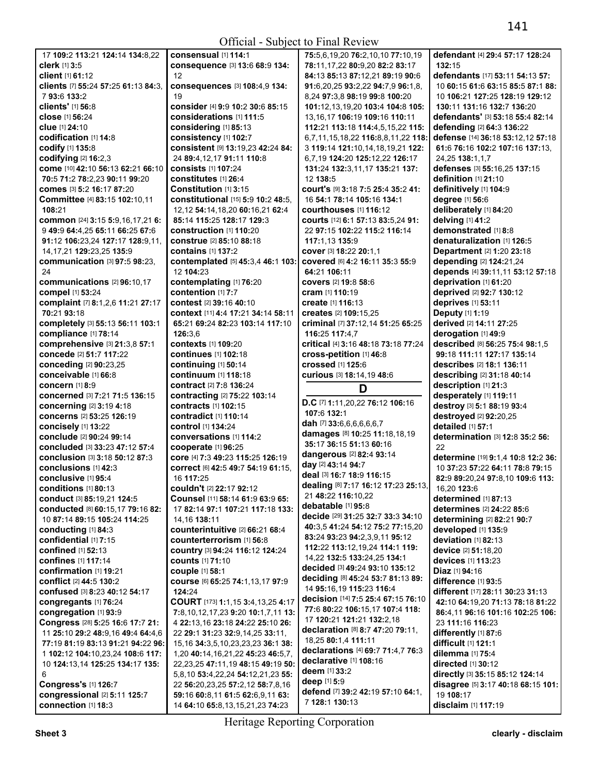| 17 109:2 113:21 124:14 134:8.22                     | consensual [1] 114:1                                                | 75:5.6.19.20 76:2.10.10 77:10.19                    | defendant [4] 29:4 57:17 128:24                      |
|-----------------------------------------------------|---------------------------------------------------------------------|-----------------------------------------------------|------------------------------------------------------|
| clerk [1] 3:5                                       | consequence [3] 13:6 68:9 134:                                      | 78:11,17,22 80:9,20 82:2 83:17                      | 132:15                                               |
| client [1] 61:12                                    | 12                                                                  | 84:13 85:13 87:12,21 89:19 90:6                     | defendants [17] 53:11 54:13 57:                      |
| clients [7] 55:24 57:25 61:13 84:3.                 | consequences [3] 108:4,9 134:                                       | 91:6,20,25 93:2,22 94:7,9 96:1,8,                   | 10 60:15 61:6 63:15 85:5 87:1 88:                    |
| 793:6133:2                                          | 19                                                                  | 8,24 97:3,8 98:19 99:8 100:20                       | 10 106:21 127:25 128:19 129:12                       |
| clients' [1] 56:8                                   | consider [4] 9:9 10:2 30:6 85:15                                    | 101:12,13,19,20 103:4 104:8 105:                    | 130:11 131:16 132:7 136:20                           |
| close [1] 56:24                                     | considerations [1] 111:5                                            | 13, 16, 17 106: 19 109: 16 110: 11                  | defendants' [3] 53:18 55:4 82:14                     |
| <b>clue</b> [1] 24:10                               | considering [1] 85:13                                               | 112:21 113:18 114:4,5,15,22 115:                    | defending [2] 64:3 136:22                            |
| codification [1] 14:8                               | consistency [1] 102:7                                               | 6,7,11,15,18,22 116:8,8,11,22 118:                  | defense [14] 36:18 53:12,12 57:18                    |
| codify [1] 135:8                                    | consistent [9] 13:19,23 42:24 84:                                   | 3 119:14 121:10,14,18,19,21 122:                    | 61:6 76:16 102:2 107:16 137:13.                      |
| codifying [2] 16:2,3                                | 24 89:4,12,17 91:11 110:8                                           | 6.7.19 124:20 125:12.22 126:17                      | 24,25 138:1,1,7                                      |
| come [10] 42:10 56:13 62:21 66:10                   | <b>consists</b> [1] 107:24                                          | 131:24 132:3,11,17 135:21 137:                      | defenses [3] 55:16,25 137:15                         |
| 70:5 71:2 78:2,23 90:11 99:20                       | constitutes [1] 26:4                                                | 12 138:5                                            | definition [1] 21:10                                 |
| COMES [3] 5:2 16:17 87:20                           | Constitution [1] 3:15                                               | COUIT'S [9] 3:18 7:5 25:4 35:2 41:                  | definitively [1] 104:9                               |
| Committee [4] 83:15 102:10,11                       | constitutional [15] 5:9 10:2 48:5.                                  | 16 54:1 78:14 105:16 134:1                          | degree [1] 56:6                                      |
| 108:21                                              | 12,12 54:14,18,20 60:16,21 62:4                                     | courthouses [1] 116:12                              | deliberately [1] 84:20                               |
| common [24] 3:15 5:9,16,17,21 6:                    | 85:14 115:25 128:17 129:3                                           | courts [12] 6:1 57:13 83:5,24 91:                   | delving [1] 41:2                                     |
| 9 49:9 64:4,25 65:11 66:25 67:6                     | construction [1] 110:20                                             | 22 97:15 102:22 115:2 116:14                        | demonstrated [1] 8:8                                 |
| 91:12 106:23,24 127:17 128:9,11,                    | <b>construe</b> [2] 85:10 88:18                                     | 117:1.13 135:9                                      | denaturalization [1] 126:5                           |
| 14, 17, 21 129: 23, 25 135: 9                       | <b>contains</b> [1] <b>137:2</b>                                    | COVer [3] 18:22 20:1.1                              | <b>Department</b> [2] 1:20 23:18                     |
| communication [3] 97:5 98:23,                       | contemplated [5] 45:3,4 46:1 103:                                   | COVered [6] 4:2 16:11 35:3 55:9                     | depending [2] 124:21,24                              |
| 24                                                  | 12 104:23                                                           | 64:21 106:11                                        | depends [4] 39:11,11 53:12 57:18                     |
| communications [2] 96:10,17                         | contemplating [1] 76:20                                             | <b>covers</b> [2] <b>19:</b> 8 <b>58:</b> 6         | deprivation [1] 61:20                                |
| compel [1] 53:24                                    | contention [1] 7:7                                                  | <b>cram</b> [1] 110:19                              | deprived [2] 92:7 130:12                             |
| complaint [7] 8:1,2,6 11:21 27:17                   | contest [2] 39:16 40:10                                             | create [1] 116:13                                   | deprives [1] 53:11                                   |
| 70:21 93:18                                         | context [11] 4:4 17:21 34:14 58:11                                  | creates [2] 109:15,25                               | Deputy [1] 1:19                                      |
| completely [3] 55:13 56:11 103:1                    | 65:21 69:24 82:23 103:14 117:10                                     | criminal [7] 37:12,14 51:25 65:25                   | derived [2] 14:11 27:25                              |
| compliance [1] 78:14                                | 126:3.6                                                             | 116:25 117:4,7                                      | derogation [1] 49:9                                  |
| comprehensive [3] 21:3,8 57:1                       | contexts [1] 109:20                                                 | critical [4] 3:16 48:18 73:18 77:24                 | described [8] 56:25 75:4 98:1,5                      |
| concede [2] 51:7 117:22                             | <b>continues</b> [1] 102:18                                         | cross-petition [1] 46:8                             | 99:18 111:11 127:17 135:14                           |
| conceding [2] 90:23,25                              | continuing [1] 50:14                                                | <b>crossed</b> [1] 125:6                            | describes [2] 18:1 136:11                            |
| conceivable [1] 66:8                                | <b>continuum</b> [1] 118:18                                         | Curious [3] 18:14, 19 48:6                          | describing [2] 31:18 40:14                           |
|                                                     |                                                                     |                                                     |                                                      |
| concern [1] 8:9                                     | <b>contract</b> [2] 7:8 136:24                                      |                                                     |                                                      |
| concerned [3] 7:21 71:5 136:15                      |                                                                     | D                                                   | description [1] 21:3                                 |
| concerning [2] 3:19 4:18                            | contracting [2] 75:22 103:14<br>contracts [1] 102:15                | D.C [7] 1:11,20,22 76:12 106:16                     | desperately [1] 119:11                               |
| concerns [2] 53:25 126:19                           | contradict [1] 110:14                                               | 107:6 132:1                                         | destroy [3] 5:1 88:19 93:4<br>destroyed [2] 92:20,25 |
| concisely [1] 13:22                                 | <b>control</b> [1] 134:24                                           | dah [7] 33:6,6,6,6,6,6,7                            | detailed [1] 57:1                                    |
| conclude [2] 90:24 99:14                            | conversations [1] 114:2                                             | damages [8] 10:25 11:18,18,19                       | determination [3] 12:8 35:2 56:                      |
| <b>concluded</b> [3] 33:23 47:12 57:4               | cooperate [1] 96:25                                                 | 35:17 36:15 51:13 60:16                             | 22                                                   |
| conclusion [3] 3:18 50:12 87:3                      | core [4] 7:3 49:23 115:25 126:19                                    | dangerous [2] 82:4 93:14                            | determine [19] 9:1,4 10:8 12:2 36:                   |
| conclusions [1] 42:3                                | correct [6] 42:5 49:7 54:19 61:15,                                  | day [2] 43:14 94:7                                  | 10 37:23 57:22 64:11 78:8 79:15                      |
| conclusive [1] 95:4                                 | 16 117:25                                                           | deal [3] 16:7 18:9 116:15                           | 82:9 89:20,24 97:8,10 109:6 113:                     |
| conditions $[1]$ 80:13                              | couldn't [2] 22:17 92:12                                            | dealing [8] 7:17 16:12 17:23 25:13,                 | 16,20 123:6                                          |
| conduct [3] 85:19,21 124:5                          | Counsel [11] 58:14 61:9 63:9 65:                                    | 21 48:22 116:10,22                                  | determined [1] 87:13                                 |
| conducted [8] 60:15,17 79:16 82:                    | 17 82:14 97:1 107:21 117:18 133:                                    | debatable [1] 95:8                                  | determines [2] 24:22 85:6                            |
| 10 87:14 89:15 105:24 114:25                        | 14, 16 138: 11                                                      | decide [29] 31:25 32:7 33:3 34:10                   | determining [2] 82:21 90:7                           |
| conducting [1] 84:3                                 | counterintuitive [2] 66:21 68:4                                     | 40:3,5 41:24 54:12 75:2 77:15,20                    | developed [1] 135:9                                  |
| confidential [1] 7:15                               | counterterrorism [1] 56:8                                           | 83:24 93:23 94:2,3,9,11 95:12                       | deviation [1] 82:13                                  |
| <b>confined</b> [1] <b>52:13</b>                    | Country [3] 94:24 116:12 124:24                                     | 112:22 113:12,19,24 114:1 119:                      | device [2] 51:18,20                                  |
| <b>confines</b> [1] 117:14                          | <b>counts</b> [1] 71:10                                             | 14,22 132:5 133:24,25 134:1                         | devices [1] 113:23                                   |
| confirmation [1] 19:21                              | couple [1] 58:1                                                     | decided [3] 49:24 93:10 135:12                      | Diaz [1] 94:16                                       |
| conflict [2] 44:5 130:2                             | COUISE [6] 65:25 74:1,13,17 97:9                                    | deciding [8] 45:24 53:7 81:13 89:                   | difference [1] 93:5                                  |
| confused [3] 8:23 40:12 54:17                       | 124:24                                                              | 14 95:16,19 115:23 116:4                            | different [17] 28:11 30:23 31:13                     |
| congregants [1] 76:24                               | COURT [173] 1:1,15 3:4,13,25 4:17                                   | decision [14] 7:5 25:4 67:15 76:10                  | 42:10 64:19,20 71:13 78:18 81:22                     |
| congregation [1] 93:9                               | 7:8, 10, 12, 17, 23 9: 20 10: 1, 7, 11 13:                          | 77:6 80:22 106:15,17 107:4 118:                     | 86:4,11 96:16 101:16 102:25 106:                     |
| Congress [28] 5:25 16:6 17:7 21:                    | 4 22:13,16 23:18 24:22 25:10 26:                                    | 17 120:21 121:21 132:2,18                           | 23 111:16 116:23                                     |
| 11 25:10 29:2 48:9,16 49:4 64:4,6                   | 22 29:1 31:23 32:9,14,25 33:11,                                     | declaration [8] 8:7 47:20 79:11,                    | differently [1] 87:6                                 |
| 77:19 81:19 83:13 91:21 94:22 96:                   | 15, 16 34: 3, 5, 10, 23, 23, 23 36: 1 38:                           | 18,25 80:1,4 111:11                                 | difficult [1] 121:1                                  |
| 1 102:12 104:10,23,24 108:6 117:                    | 1,20 40:14,16,21,22 45:23 46:5,7,                                   | declarations [4] 69:7 71:4,7 76:3                   | dilemma [1] 75:4                                     |
| 10 124:13,14 125:25 134:17 135:                     | 22, 23, 25 47: 11, 19 48: 15 49: 19 50:                             | declarative [1] 108:16                              | directed [1] 30:12                                   |
| 6                                                   | 5,8,10 53:4,22,24 54:12,21,23 55:                                   | deem [1] 33:2                                       | directly [3] 35:15 85:12 124:14                      |
| Congress's [1] 126:7                                | 22 56:20,23,25 57:2,12 58:7,8,16                                    | deep [1] 5:9                                        | disagree [5] 3:17 40:18 68:15 101:                   |
| congressional [2] 5:11 125:7<br>connection [1] 18:3 | 59:16 60:8,11 61:5 62:6,9,11 63:<br>14 64:10 65:8,13,15,21,23 74:23 | defend [7] 39:2 42:19 57:10 64:1,<br>7 128:1 130:13 | 19 108:17<br>disclaim [1] 117:19                     |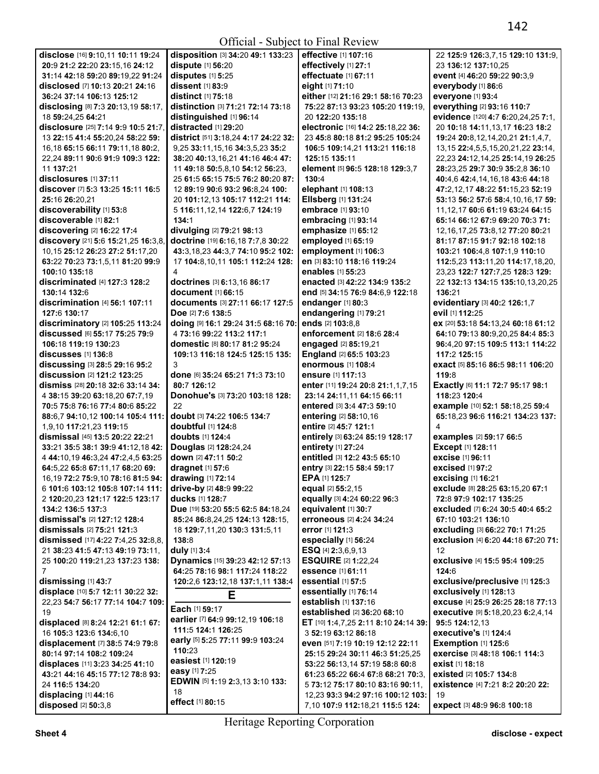# Official - Subject to Final Review

| disclose [16] 9:10,11 10:11 19:24       | disposition [3]            |
|-----------------------------------------|----------------------------|
| 20:9 21:2 22:20 23:15.16 24:12          | dispute [1] 56:2           |
| 31:14 42:18 59:20 89:19.22 91:24        | disputes [1] 5:            |
| disclosed [7] 10:13 20:21 24:16         | dissent [1] 83:9           |
|                                         |                            |
| 36:24 37:14 106:13 125:12               | distinct [1] 75:           |
| disclosing [8] 7:3 20:13,19 58:17,      | distinction [3]            |
| 18 59:24,25 64:21                       | distinguished              |
| disclosure [25] 7:14 9:9 10:5 21:7,     | distracted [1] 2           |
|                                         | district [51] 3:1          |
| 13 22:15 41:4 55:20,24 58:22 59:        |                            |
| 16,18 65:15 66:11 79:11,18 80:2,        | 9,25 33:11,15,             |
| 22,24 89:11 90:6 91:9 109:3 122:        | 38:20 40:13,16             |
| 11 137:21                               | 11 49:18 50:5,             |
| disclosures [1] 37:11                   | 25 61:5 65:15              |
|                                         |                            |
| discover [7] 5:3 13:25 15:11 16:5       | 12 89:19 90:6 !            |
| 25:16 26:20,21                          | 20 101:12,13 1             |
| discoverability [1] 53:8                | 5 116:11,12,14             |
| discoverable [1] 82:1                   | 134:1                      |
|                                         |                            |
| discovering [2] 16:22 17:4              | divulging [2] 7!           |
| discovery [21] 5:6 15:21,25 16:3,8,     | doctrine [19] 6:           |
| 10,15 25:12 26:23 27:2 51:17,20         | 43:3,18,23 44:             |
| 63:22 70:23 73:1,5,11 81:20 99:9        | 17 104:8,10,11             |
|                                         |                            |
| 100:10 135:18                           | 4                          |
| discriminated [4] 127:3 128:2           | doctrines [3] 6            |
| 130:14 132:6                            | document [1] 6             |
| discrimination [4] 56:1 107:11          | documents <sup>[3]</sup>   |
| 127:6 130:17                            |                            |
|                                         | Doe [2] 7:6 138            |
| discriminatory [2] 105:25 113:24        | doing [9] 16:12            |
| discussed [6] 55:17 75:25 79:9          | 4 73:16 99:22              |
| 106:18 119:19 130:23                    | domestic <sup>[8]</sup> 80 |
| discusses [1] 136:8                     | 109:13 116:18              |
|                                         |                            |
| discussing [3] 28:5 29:16 95:2          | 3                          |
| discussion [2] 121:2 123:25             | done [6] 35:24             |
| dismiss [28] 20:18 32:6 33:14 34:       | 80:7 126:12                |
| 4 38:15 39:20 63:18,20 67:7,19          | Donohue's [3]              |
|                                         |                            |
| 70:5 75:8 76:16 77:4 80:6 85:22         | 22                         |
| 88:6,7 94:10,12 100:14 105:4 111:       | doubt [3] 74:22            |
| 1,9,10 117:21,23 119:15                 | doubtful [1] 12            |
|                                         |                            |
|                                         |                            |
| dismissal [45] 13:5 20:22 22:21         | doubts [1] 124:            |
| 33:21 35:5 38:1 39:9 41:12,18 42:       | Douglas [2] 12             |
| 4 44:10,19 46:3,24 47:2,4,5 63:25       | down [2] 47:11             |
| 64:5,22 65:8 67:11,17 68:20 69:         | dragnet [1] 57:            |
|                                         |                            |
| 16, 19 72: 2 75: 9, 10 78: 16 81: 5 94: | drawing [1] 72:            |
| 6 101:6 103:12 105:8 107:14 111:        | drive-by [2] 48:           |
| 2 120:20,23 121:17 122:5 123:17         | ducks [1] 128:7            |
| 134:2 136:5 137:3                       | Due [19] 53:20 5           |
| <b>dismissal's</b> [2] 127:12 128:4     |                            |
|                                         | 85:24 86:8,24,             |
| dismissals [2] 75:21 121:3              | 18 129:7,11,20             |
| dismissed [17] 4:22 7:4,25 32:8,8,      | 138:8                      |
| 21 38:23 41:5 47:13 49:19 73:11,        | duly [1] 3:4               |
| 25 100:20 119:21,23 137:23 138:         | Dynamics [15]              |
|                                         |                            |
| 7                                       | 64:25 78:16 98             |
| dismissing [1] 43:7                     | 120:2,6 123:12             |
| displace [10] 5:7 12:11 30:22 32:       |                            |
| 22,23 54:7 56:17 77:14 104:7 109:       |                            |
| 19                                      | <b>Each</b> [1] 59:17      |
|                                         | earlier [7] 64:9           |
| displaced [8] 8:24 12:21 61:1 67:       |                            |
| 16 105:3 123:6 134:6,10                 | 111:5 124:1 12             |
| displacement [7] 38:5 74:9 79:8         | early [5] 5:25 77          |
| 80:14 97:14 108:2 109:24                | 110:23                     |
|                                         | easiest [1] 120:           |
| displaces [11] 3:23 34:25 41:10         |                            |
| 43:21 44:16 45:15 77:12 78:8 93:        | easy [1] 7:25              |
| 24 116:5 134:20                         | EDWIN [5] 1:19             |
| displacing [1] 44:16                    | 18                         |
| disposed [2] 50:3,8                     | effect [1] 80:15           |

**disposition** [3] **34:**20 **49:**1 **133:**23 **dispute** [1] **56:**20 **disputes** [1] **5:**25 **dissent** [1] **83:**9 **distinct** [1] **75:**18 **distinction** [3] **71:**21 **72:**14 **73:**18 **distinguished** [1] **96:**14 **distracted** [1] **29:**20 **district** [51] **3:**18,24 **4:**17 **24:**22 **32:**  9,25 **33:**11,15,16 **34:**3,5,23 **35:**2 **38:**20 **40:**13,16,21 **41:**16 **46:**4 **47:**  11 **49:**18 **50:**5,8,10 **54:**12 **56:**23, 25 **61:**5 **65:**15 **75:**5 **76:**2 **80:**20 **87:**  12 **89:**19 **90:**6 **93:**2 **96:**8,24 **100:**  20 **101:**12,13 **105:**17 **112:**21 **114:**  5 **116:**11,12,14 **122:**6,7 **124:**19 **134:**1 **divulging** [2] **79:**21 **98:**13 **doctrine** [19] **6:**16,18 **7:**7,8 **30:**22 **43:**3,18,23 **44:**3,7 **74:**10 **95:**2 **102:**  17 **104:**8,10,11 **105:**1 **112:**24 **128: doctrines** [3] **6:**13,16 **86:**17 **document** [1] **66:**15 **documents** [3] **27:**11 **66:**17 **127:**5 **Doe** [2] **7:**6 **138:**5 **doing** [9] **16:**1 **29:**24 **31:**5 **68:**16 **70:**  4 **73:**16 **99:**22 **113:**2 **117:**1 **domestic** [8] **80:**17 **81:**2 **95:**24 **109:**13 **116:**18 **124:**5 **125:**15 **135: done** [6] **35:**24 **65:**21 **71:**3 **73:**10 **80:**7 **126:**12 **Donohue's** [3] **73:**20 **103:**18 **128: doubt** [3] **74:**22 **106:**5 **134:**7 **doubtful** [1] **124:**8 **doubts** [1] **124:**4 **Douglas** [2] **128:**24,24 **down** [2] **47:**11 **50:**2 **dragnet** [1] **57:**6 **drawing** [1] **72:**14 **drive-by** [2] **48:**9 **99:**22 **ducks** [1] **128:**7 **Due** [19] **53:**20 **55:**5 **62:**5 **84:**18,24 **85:**24 **86:**8,24,25 **124:**13 **128:**15, 18 **129:**7,11,20 **130:**3 **131:**5,11 **138:**8 **duly** [1] **3:**4 **Dynamics** [15] **39:**23 **42:**12 **57:**13 **64:**25 **78:**16 **98:**1 **117:**24 **118:**22 **120:**2,6 **123:**12,18 **137:**1,11 **138:**4 **E Each** [1] **59:**17 **earlier** [7] **64:**9 **99:**12,19 **106:**18 **111:**5 **124:**1 **126:**25 **early** [5] **5:**25 **77:**11 **99:**9 **103:**24  $0.23$ **easiest** [1] **120:**19 **easy** [1] **7:**25 **EDWIN** [5] **1:**19 **2:**3,13 **3:**10 **133: 130:**4

**effective** [1] **107:**16 **effectively** [1] **27:**1 **effectuate** [1] **67:**11 **eight** [1] **71:**10 **either** [12] **21:**16 **29:**1 **58:**16 **70:**23 **75:**22 **87:**13 **93:**23 **105:**20 **119:**19, 20 **122:**20 **135:**18 **electronic** [16] **14:**2 **25:**18,22 **36:**  23 **45:**8 **80:**18 **81:**2 **95:**25 **105:**24 **106:**5 **109:**14,21 **113:**21 **116:**18 **125:**15 **135:**11 **element** [5] **96:**5 **128:**18 **129:**3,7 **elephant** [1] **108:**13 **Ellsberg** [1] **131:**24 **embrace** [1] **93:**10 **embracing** [1] **93:**14 **emphasize** [1] **65:**12 **employed** [1] **65:**19 **employment** [1] **106:**3 **en** [3] **83:**10 **118:**16 **119:**24 **enables** [1] **55:**23 **enacted** [3] **42:**22 **134:**9 **135:**2 **end** [5] **34:**15 **76:**9 **84:**6,9 **122:**18 **endanger** [1] **80:**3 **endangering** [1] **79:**21 **ends** [2] **103:**8,8 **enforcement** [2] **18:**6 **28:**4 **engaged** [2] **85:**19,21 **England** [2] **65:**5 **103:**23 **enormous** [1] **108:**4 **ensure** [1] **117:**13 **enter** [11] **19:**24 **20:**8 **21:**1,1,7,15 **23:**14 **24:**11,11 **64:**15 **66:**11 **entered** [3] **3:**4 **47:**3 **59:**10 **entering** [2] **58:**10,16 **entire** [2] **45:**7 **121:**1 **entirely** [3] **63:**24 **85:**19 **128:**17 **entirety** [1] **27:**24 **entitled** [3] **12:**2 **43:**5 **65:**10 **entry** [3] **22:**15 **58:**4 **59:**17 **EPA** [1] **125:**7 **equal** [2] **55:**2,15 **equally** [3] **4:**24 **60:**22 **96:**3 **equivalent** [1] **30:**7 **erroneous** [2] **4:**24 **34:**24 **error** [1] **121:**3 **especially** [1] **56:**24 **ESQ** [4] **2:**3,6,9,13 **ESQUIRE** [2] **1:**22,24 **essence** [1] **61:**11 **essential** [1] **57:**5 **essentially** [1] **76:**14 **establish** [1] **137:**16 **established** [2] **36:**20 **68:**10 **ET** [10] **1:**4,7,25 **2:**11 **8:**10 **24:**14 **39:**  3 **52:**19 **63:**12 **86:**18 **even** [51] **7:**19 **10:**19 **12:**12 **22:**11 **25:**15 **29:**24 **30:**11 **46:**3 **51:**25,25 **53:**22 **56:**13,14 **57:**19 **58:**8 **60:**8 **61:**23 **65:**22 **66:**4 **67:**8 **68:**21 **70:**3, 5 **73:**12 **75:**17 **80:**10 **83:**16 **90:**11, 12,23 **93:**3 **94:**2 **97:**16 **100:**12 **103:** 

22 **125:**9 **126:**3,7,15 **129:**10 **131:**9, 23 **136:**12 **137:**10,25 **event** [4] **46:**20 **59:**22 **90:**3,9 **everybody** [1] **86:**6 **everyone** [1] **93:**4 **everything** [2] **93:**16 **110:**7 **evidence** [120] **4:**7 **6:**20,24,25 **7:**1, 20 **10:**18 **14:**11,13,17 **16:**23 **18:**2 **19:**24 **20:**8,12,14,20,21 **21:**1,4,7, 13,15 **22:**4,5,5,15,20,21,22 **23:**14, 22,23 **24:**12,14,25 **25:**14,19 **26:**25 **28:**23,25 **29:**7 **30:**9 **35:**2,8 **36:**10 **40:**4,6 **42:**4,14,16,18 **43:**6 **44:**18 **47:**2,12,17 **48:**22 **51:**15,23 **52:**19 **53:**13 **56:**2 **57:**6 **58:**4,10,16,17 **59:**  11,12,17 **60:**6 **61:**19 **63:**24 **64:**15 **65:**14 **66:**12 **67:**9 **69:**20 **70:**3 **71:**  12,16,17,25 **73:**8,12 **77:**20 **80:**21 **81:**17 **87:**15 **91:**7 **92:**18 **102:**18 **103:**21 **106:**4,8 **107:**1,9 **110:**10 **112:**5,23 **113:**11,20 **114:**17,18,20, 23,23 **122:**7 **127:**7,25 **128:**3 **129:**  22 **132:**13 **134:**15 **135:**10,13,20,25 **136:**21 **evidentiary** [3] **40:**2 **126:**1,7 **evil** [1] **112:**25 **ex** [20] **53:**18 **54:**13,24 **60:**18 **61:**12 **64:**10 **79:**13 **80:**9,20,25 **84:**4 **85:**3 **96:**4,20 **97:**15 **109:**5 **113:**1 **114:**22 **117:**2 **125:**15 **exact** [5] **85:**16 **86:**5 **98:**11 **106:**20 **119:**8 **Exactly** [6] **11:**1 **72:**7 **95:**17 **98:**1 **118:**23 **120:**4 **example** [10] **52:**1 **58:**18,25 **59:**4 **65:**18,23 **96:**6 **116:**21 **134:**23 **137:**  4 **examples** [2] **59:**17 **66:**5 **Except** [1] **128:**11 **excise** [1] **96:**11 **excised** [1] **97:**2 **excising** [1] **16:**21 **exclude** [8] **28:**25 **63:**15,20 **67:**1 **72:**8 **97:**9 **102:**17 **135:**25 **excluded** [7] **6:**24 **30:**5 **40:**4 **65:**2 **67:**10 **103:**21 **136:**10 **excluding** [3] **66:**22 **70:**1 **71:**25 **exclusion** [4] **6:**20 **44:**18 **67:**20 **71:**  12 **exclusive** [4] **15:**5 **95:**4 **109:**25 **124:**6 **exclusive/preclusive** [1] **125:**3 **exclusively** [1] **128:**13 **excuse** [4] **25:**9 **26:**25 **28:**18 **77:**13 **executive** [9] **5:**18,20,23 **6:**2,4,14 **95:**5 **124:**12,13 **executive's** [1] **124:**4 **Exemption** [1] **125:**6 **exercise** [3] **48:**18 **106:**1 **114:**3 **exist** [1] **18:**18 **existed** [2] **105:**7 **134:**8 **existence** [4] **7:**21 **8:**2 **20:**20 **22:**  19 **expect** [3] **48:**9 **96:**8 **100:**18

Heritage Reporting Corporation

7,10 **107:**9 **112:**18,21 **115:**5 **124:**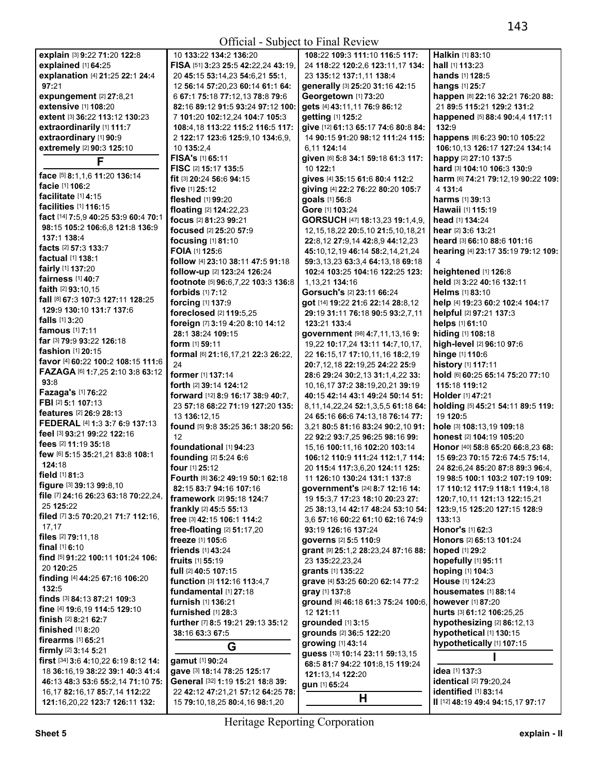|                                              |                                                             | $U(1)$ $U(2)$ $U(3)$ $U(4)$ $U(5)$ $U(6)$ $U(7)$ $U(8)$ $U(8)$ $U(8)$ $U(8)$ $U(8)$ $U(8)$ $U(8)$ $U(8)$ $U(8)$ $U(8)$ $U(8)$ $U(8)$ $U(8)$ $U(8)$ $U(8)$ $U(8)$ $U(8)$ $U(8)$ $U(8)$ $U(8)$ $U(8)$ $U(8)$ $U(8)$ $U(8)$ $U(8$ |                                    |
|----------------------------------------------|-------------------------------------------------------------|--------------------------------------------------------------------------------------------------------------------------------------------------------------------------------------------------------------------------------|------------------------------------|
| explain [3] 9:22 71:20 122:8                 | 10 133:22 134:2 136:20                                      | 108:22 109:3 111:10 116:5 117:                                                                                                                                                                                                 | Halkin [1] 83:10                   |
| explained [1] 64:25                          | FISA [51] 3:23 25:5 42:22,24 43:19,                         | 24 118:22 120:2,6 123:11,17 134:                                                                                                                                                                                               | hall [1] 113:23                    |
| explanation [4] 21:25 22:1 24:4              | 20 45:15 53:14,23 54:6,21 55:1,                             | 23 135:12 137:1,11 138:4                                                                                                                                                                                                       | <b>hands</b> [1] <b>128:</b> 5     |
| 97:21                                        | 12 56:14 57:20,23 60:14 61:1 64:                            | generally [3] 25:20 31:16 42:15                                                                                                                                                                                                | <b>hangs</b> [1] 25:7              |
| expungement $[2]$ 27:8,21                    | 6 67:1 75:18 77:12,13 78:8 79:6                             | Georgetown [1] 73:20                                                                                                                                                                                                           | happen [8] 22:16 32:21 76:20 88:   |
| extensive [1] 108:20                         | 82:16 89:12 91:5 93:24 97:12 100:                           | gets [4] 43:11,11 76:9 86:12                                                                                                                                                                                                   | 21 89:5 115:21 129:2 131:2         |
| extent [3] 36:22 113:12 130:23               |                                                             | getting [1] 125:2                                                                                                                                                                                                              | happened [5] 88:4 90:4,4 117:11    |
|                                              | 7 101:20 102:12,24 104:7 105:3                              |                                                                                                                                                                                                                                |                                    |
| extraordinarily [1] 111:7                    | 108:4,18 113:22 115:2 116:5 117:                            | give [12] 61:13 65:17 74:6 80:8 84:                                                                                                                                                                                            | 132:9                              |
| extraordinary [1] 90:9                       | 2 122:17 123:6 125:9,10 134:6,9,                            | 14 90:15 91:20 98:12 111:24 115:                                                                                                                                                                                               | happens [8] 6:23 90:10 105:22      |
| extremely [2] 90:3 125:10                    | 10 135:2,4                                                  | 6,11 124:14                                                                                                                                                                                                                    | 106:10.13 126:17 127:24 134:14     |
| F                                            | FISA's [1] 65:11                                            | given [6] 5:8 34:1 59:18 61:3 117:                                                                                                                                                                                             | happy [2] 27:10 137:5              |
|                                              | FISC [2] 15:17 135:5                                        | 10 122:1                                                                                                                                                                                                                       | hard [3] 104:10 106:3 130:9        |
| face [5] 8:1,1,6 11:20 136:14                | fit [3] 20:24 56:6 94:15                                    | gives [4] 35:15 61:6 80:4 112:2                                                                                                                                                                                                | harm [6] 74:21 79:12,19 90:22 109: |
| facie [1] 106:2                              | five $[1]$ 25:12                                            | giving [4] 22:2 76:22 80:20 105:7                                                                                                                                                                                              | 4 131:4                            |
| facilitate [1] 4:15                          | fleshed [1] 99:20                                           | goals [1] 56:8                                                                                                                                                                                                                 | <b>harms</b> [1] 39:13             |
| <b>facilities</b> [1] <b>116:</b> 15         | floating [2] 124:22,23                                      | Gore [1] 103:24                                                                                                                                                                                                                | <b>Hawaii</b> [1] <b>115:19</b>    |
| fact [14] 7:5,9 40:25 53:9 60:4 70:1         | focus [2] 81:23 99:21                                       | GORSUCH [47] 18:13,23 19:1,4,9,                                                                                                                                                                                                | head [1] 134:24                    |
| 98:15 105:2 106:6,8 121:8 136:9              | focused [2] 25:20 57:9                                      | 12, 15, 18, 22 20: 5, 10 21: 5, 10, 18, 21                                                                                                                                                                                     | hear [2] 3:6 13:21                 |
| 137:1 138:4                                  | focusing [1] 81:10                                          | 22:8,12 27:9,14 42:8,9 44:12,23                                                                                                                                                                                                | heard [3] 66:10 88:6 101:16        |
| facts [2] 57:3 133:7                         | <b>FOIA</b> [1] 125:6                                       | 45:10,12,19 46:14 58:2,14,21,24                                                                                                                                                                                                | hearing [4] 23:17 35:19 79:12 109: |
| <b>factual</b> [1] 138:1                     | follow [4] 23:10 38:11 47:5 91:18                           | 59:3,13,23 63:3,4 64:13,18 69:18                                                                                                                                                                                               | 4                                  |
| fairly [1] 137:20                            | follow-up [2] 123:24 126:24                                 | 102:4 103:25 104:16 122:25 123:                                                                                                                                                                                                | heightened [1] 126:8               |
| <b>fairness</b> [1] 40:7                     | footnote [5] 96:6,7,22 103:3 136:8                          | 1,13,21 134:16                                                                                                                                                                                                                 | held [3] 3:22 40:16 132:11         |
| <b>faith</b> $[2]$ 93:10,15                  | <b>forbids</b> $[1]$ 7:12                                   | Gorsuch's [2] 23:11 66:24                                                                                                                                                                                                      | Helms [1] 83:10                    |
| fall [8] 67:3 107:3 127:11 128:25            |                                                             |                                                                                                                                                                                                                                |                                    |
| 129:9 130:10 131:7 137:6                     | forcing [1] 137:9                                           | got [14] 19:22 21:6 22:14 28:8,12                                                                                                                                                                                              | help [4] 19:23 60:2 102:4 104:17   |
| falls [1] 3:20                               | foreclosed [2] 119:5,25                                     | 29:19 31:11 76:18 90:5 93:2,7,11                                                                                                                                                                                               | helpful [2] 97:21 137:3            |
| <b>famous</b> [1] 7:11                       | foreign [7] 3:19 4:20 8:10 14:12                            | 123:21 133:4                                                                                                                                                                                                                   | helps [1] 61:10                    |
| far [3] 79:9 93:22 126:18                    | 28:1 38:24 109:15                                           | government [98] 4:7,11,13,16 9:                                                                                                                                                                                                | hiding [1] 108:18                  |
|                                              | form $[1]$ 59:11                                            | 19,22 10:17,24 13:11 14:7,10,17,                                                                                                                                                                                               | high-level [2] 96:10 97:6          |
| <b>fashion</b> [1] <b>20:</b> 15             | formal [6] 21:16,17,21 22:3 26:22,                          | 22 16:15,17 17:10,11,16 18:2,19                                                                                                                                                                                                | hinge [1] 110:6                    |
| favor [4] 60:22 100:2 108:15 111:6           | 24                                                          | <b>20:</b> 7,12,18 <b>22:</b> 19,25 <b>24:</b> 22 <b>25:</b> 9                                                                                                                                                                 | history [1] 117:11                 |
| FAZAGA [6] 1:7,25 2:10 3:8 63:12             | former [1] 137:14                                           | 28:6 29:24 30:2,13 31:1,4,22 33:                                                                                                                                                                                               | hold [6] 60:25 65:14 75:20 77:10   |
| 93:8                                         | <b>forth</b> [2] <b>39:14 124:12</b>                        | 10, 16, 17 37: 2 38: 19, 20, 21 39: 19                                                                                                                                                                                         | 115:18 119:12                      |
| Fazaga's [1] 76:22                           | <b>forward</b> [12] <b>8:9 16:17 38:9 40:7,</b>             | 40:15 42:14 43:1 49:24 50:14 51:                                                                                                                                                                                               | <b>Holder</b> [1] 47:21            |
| FBI [2] 5:1 107:13                           | 23 57:18 68:22 71:19 127:20 135:                            | 8, 11, 14, 22, 24 52: 1, 3, 5, 5 61: 18 64:                                                                                                                                                                                    | holding [5] 45:21 54:11 89:5 119:  |
| features [2] 26:9 28:13                      | 13 136:12,15                                                | 24 65:16 66:6 74:13,18 76:14 77:                                                                                                                                                                                               | 19 120:5                           |
| <b>FEDERAL</b> [4] <b>1:3 3:7 6:9 137:13</b> | found [5] 9:8 35:25 36:1 38:20 56:                          | 3,21 80:5 81:16 83:24 90:2,10 91:                                                                                                                                                                                              | hole [3] 108:13,19 109:18          |
| feel [3] 93:21 99:22 122:16                  | 12                                                          | 22 92:2 93:7,25 96:25 98:16 99:                                                                                                                                                                                                | honest [2] 104:19 105:20           |
| fees [2] 11:19 35:18                         | foundational [1] 94:23                                      | 15,16 100:11,16 102:20 103:14                                                                                                                                                                                                  | Honor [40] 58:8 65:20 66:8,23 68:  |
| few [6] 5:15 35:21,21 83:8 108:1             | founding [2] 5:24 6:6                                       | 106:12 110:9 111:24 112:1.7 114:                                                                                                                                                                                               | 15 69:23 70:15 72:6 74:5 75:14,    |
| 124:18                                       | <b>four</b> [1] 25:12                                       | 20 115:4 117:3,6,20 124:11 125:                                                                                                                                                                                                | 24 82:6,24 85:20 87:8 89:3 96:4,   |
| field [1] 81:3                               |                                                             |                                                                                                                                                                                                                                |                                    |
| figure [3] 39:13 99:8,10                     | Fourth [8] 36:2 49:19 50:1 62:18<br>82:15 83:7 94:16 107:16 | 11 126:10 130:24 131:1 137:8                                                                                                                                                                                                   | 19 98:5 100:1 103:2 107:19 109:    |
| file [7] 24:16 26:23 63:18 70:22,24,         |                                                             | government's [24] 8:7 12:16 14:                                                                                                                                                                                                | 17 110:12 117:9 118:1 119:4,18     |
| 25 125:22                                    | framework [2] 95:18 124:7                                   | 19 15:3,7 17:23 18:10 20:23 27:                                                                                                                                                                                                | 120:7,10,11 121:13 122:15,21       |
| filed [7] 3:5 70:20,21 71:7 112:16,          | frankly [2] 45:5 55:13                                      | 25 38:13,14 42:17 48:24 53:10 54:                                                                                                                                                                                              | 123:9,15 125:20 127:15 128:9       |
| 17,17                                        | free [3] 42:15 106:1 114:2                                  | 3,6 57:16 60:22 61:10 62:16 74:9                                                                                                                                                                                               | 133:13                             |
| files [2] 79:11,18                           | free-floating $[2]$ 51:17,20                                | 93:19 126:16 137:24                                                                                                                                                                                                            | Honor's [1] 62:3                   |
| final [1] 6:10                               | freeze [1] 105:6                                            | governs [2] 5:5 110:9                                                                                                                                                                                                          | Honors [2] 65:13 101:24            |
|                                              | friends [1] 43:24                                           | grant [9] 25:1,2 28:23,24 87:16 88:                                                                                                                                                                                            | hoped [1] 29:2                     |
| find [5] 91:22 100:11 101:24 106:            | fruits [1] 55:19                                            | 23 135:22,23,24                                                                                                                                                                                                                | hopefully [1] 95:11                |
| 20 120:25                                    | full [2] 40:5 107:15                                        | grants [1] 135:22                                                                                                                                                                                                              | hoping [1] 104:3                   |
| finding [4] 44:25 67:16 106:20               | function [3] 112:16 113:4,7                                 | grave [4] 53:25 60:20 62:14 77:2                                                                                                                                                                                               | House [1] 124:23                   |
| 132:5                                        | fundamental [1] 27:18                                       | gray [1] 137:8                                                                                                                                                                                                                 | housemates [1] 88:14               |
| finds [3] 84:13 87:21 109:3                  | furnish [1] 136:21                                          | ground [6] 46:18 61:3 75:24 100:6,                                                                                                                                                                                             | however [1] 87:20                  |
| fine [4] 19:6, 19 114:5 129:10               | furnished [1] 28:3                                          | 12 121:11                                                                                                                                                                                                                      | hurts [3] 61:12 106:25,25          |
| finish [2] 8:21 62:7                         | further [7] 8:5 19:21 29:13 35:12                           | grounded [1] 3:15                                                                                                                                                                                                              | hypothesizing [2] 86:12,13         |
| finished $[1]$ 8:20                          | 38:16 63:3 67:5                                             | grounds [2] 36:5 122:20                                                                                                                                                                                                        | hypothetical [1] 130:15            |
| firearms $[1]$ 65:21                         |                                                             | growing [1] 43:14                                                                                                                                                                                                              | hypothetically [1] 107:15          |
| <b>firmly</b> [2] $3:14$ 5:21                | G                                                           |                                                                                                                                                                                                                                |                                    |
| first [34] 3:6 4:10,22 6:19 8:12 14:         | gamut [1] 90:24                                             | guess [13] 10:14 23:11 59:13,15                                                                                                                                                                                                |                                    |
| 18 36:16,19 38:22 39:1 40:3 41:4             | gave [3] 18:14 78:25 125:17                                 | 68:5 81:7 94:22 101:8,15 119:24                                                                                                                                                                                                | <b>idea</b> [1] <b>137:</b> 3      |
| 46:13 48:3 53:6 55:2,14 71:10 75:            | General [32] 1:19 15:21 18:8 39:                            | 121:13,14 122:20                                                                                                                                                                                                               | identical [2] 79:20,24             |
| 16, 17 82: 16, 17 85: 7, 14 112: 22          | 22 42:12 47:21,21 57:12 64:25 78:                           | gun [1] 65:24                                                                                                                                                                                                                  | identified [1] 83:14               |
| 121:16,20,22 123:7 126:11 132:               | 15 79:10,18,25 80:4,16 98:1,20                              | H                                                                                                                                                                                                                              | II [12] 48:19 49:4 94:15,17 97:17  |
|                                              |                                                             |                                                                                                                                                                                                                                |                                    |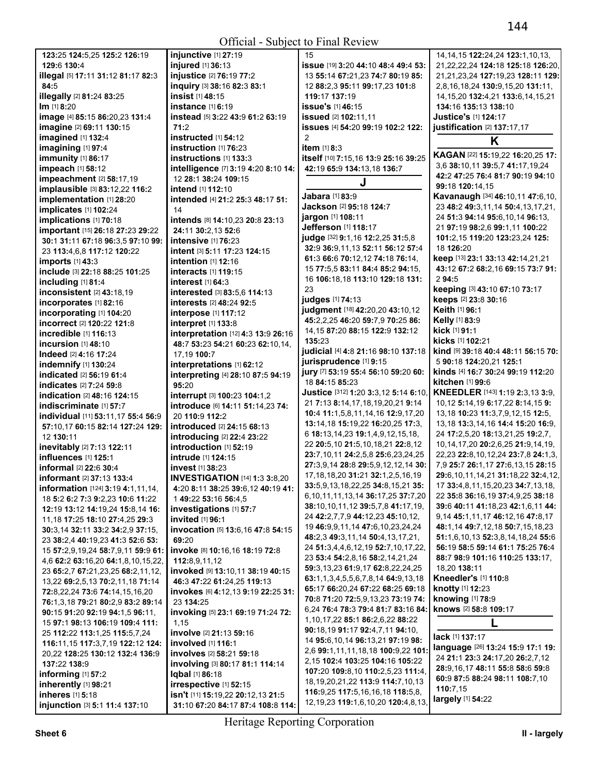| 123:25 124:5.25 125:2 126:19                    | injunctive [1] 27:19                 | 15                                          | 14, 14, 15 122: 24, 24 123: 1, 10, 13,     |
|-------------------------------------------------|--------------------------------------|---------------------------------------------|--------------------------------------------|
|                                                 |                                      |                                             |                                            |
| 129:6 130:4                                     | injured [1] 36:13                    | issue [19] 3:20 44:10 48:4 49:4 53:         | 21,22,22,24 124:18 125:18 126:20,          |
| illegal [5] 17:11 31:12 81:17 82:3              | injustice [2] 76:19 77:2             | 13 55:14 67:21,23 74:7 80:19 85:            | 21,21,23,24 127:19,23 128:11 129:          |
| 84:5                                            | inquiry [3] 38:16 82:3 83:1          | 12 88:2,3 95:11 99:17,23 101:8              | 2,8,16,18,24 130:9,15,20 131:11,           |
| illegally [2] 81:24 83:25                       | <b>insist</b> [1] 48:15              | 119:17 137:19                               | 14, 15, 20 132: 4, 21 133: 6, 14, 15, 21   |
| Im [1] 8:20                                     | instance [1] 6:19                    | issue's [1] 46:15                           | 134:16 135:13 138:10                       |
|                                                 | instead [5] 3:22 43:9 61:2 63:19     |                                             | <b>Justice's [1] 124:17</b>                |
| image [4] 85:15 86:20,23 131:4                  |                                      | issued [2] 102:11,11                        |                                            |
| imagine [2] 69:11 130:15                        | 71:2                                 | issues [4] 54:20 99:19 102:2 122:           | justification [2] 137:17,17                |
| imagined [1] 132:4                              | instructed [1] 54:12                 | 2                                           | K                                          |
| imagining [1] 97:4                              | instruction [1] 76:23                | item [1] 8:3                                |                                            |
| immunity [1] 86:17                              | instructions [1] 133:3               | itself [10] 7:15,16 13:9 25:16 39:25        | KAGAN [22] 15:19,22 16:20,25 17:           |
| impeach [1] 58:12                               | intelligence [7] 3:19 4:20 8:10 14:  | 42:19 65:9 134:13,18 136:7                  | 3,6 38:10,11 39:5,7 41:17,19,24            |
|                                                 |                                      |                                             | 42:2 47:25 76:4 81:7 90:19 94:10           |
| impeachment [2] 58:17,19                        | 12 28:1 38:24 109:15                 | J                                           |                                            |
| implausible [3] 83:12,22 116:2                  | intend [1] 112:10                    |                                             | 99:18 120:14,15                            |
| implementation [1] 28:20                        | intended [4] 21:2 25:3 48:17 51:     | Jabara [1] 83:9                             | Kavanaugh [34] 46:10,11 47:6,10,           |
| implicates [1] 102:24                           | 14                                   | Jackson [2] 95:18 124:7                     | 23 48:2 49:3,11,14 50:4,13,17,21,          |
| implications [1] 70:18                          | intends [8] 14:10,23 20:8 23:13      | jargon [1] 108:11                           | 24 51:3 94:14 95:6,10,14 96:13,            |
|                                                 |                                      | Jefferson [1] 118:17                        | 21 97:19 98:2,6 99:1,11 100:22             |
| important [15] 26:18 27:23 29:22                | 24:11 30:2,13 52:6                   | judge [32] 9:1,16 12:2,25 31:5,8            | 101:2,15 119:20 123:23,24 125:             |
| 30:1 31:11 67:18 96:3,5 97:10 99:               | intensive [1] 76:23                  |                                             |                                            |
| 23 113:4,6,8 117:12 120:22                      | intent [3] 5:11 17:23 124:15         | 32:9 36:9,11,13 52:11 56:12 57:4            | 18 126:20                                  |
| <b>imports</b> [1] 43:3                         | intention [1] 12:16                  | 61:3 66:6 70:12,12 74:18 76:14,             | keep [13] 23:1 33:13 42:14,21,21           |
| include [3] 22:18 88:25 101:25                  | interacts [1] 119:15                 | 15 77:5,5 83:11 84:4 85:2 94:15,            | 43:12 67:2 68:2,16 69:15 73:7 91:          |
| including [1] 81:4                              | interest [1] 64:3                    | 16 106:18,18 113:10 129:18 131:             | 294:5                                      |
|                                                 |                                      | 23                                          | keeping [3] 43:10 67:10 73:17              |
| inconsistent [2] 43:18,19                       | interested [3] 83:5,6 114:13         | judges [1] 74:13                            | keeps [2] 23:8 30:16                       |
| incorporates [1] 82:16                          | interests [2] 48:24 92:5             |                                             |                                            |
| incorporating [1] 104:20                        | interpose [1] 117:12                 | judgment [18] 42:20,20 43:10,12             | Keith [1] 96:1                             |
| incorrect [2] 120:22 121:8                      | interpret [1] 133:8                  | 45:2,2,25 46:20 59:7,9 70:25 86:            | Kelly [1] 83:9                             |
| incredible [1] 116:13                           | interpretation [12] 4:3 13:9 26:16   | 14, 15 87: 20 88: 15 122: 9 132: 12         | kick [1] 91:1                              |
| incursion [1] 48:10                             |                                      | 135:23                                      | kicks [1] 102:21                           |
|                                                 | 48:7 53:23 54:21 60:23 62:10,14,     | judicial [4] 4:8 21:16 98:10 137:18         | kind [9] 39:18 40:4 48:11 56:15 70:        |
| Indeed [2] 4:16 17:24                           | 17,19 100:7                          | jurisprudence [1] 9:15                      | 5 90:18 124:20.21 125:1                    |
| indemnify [1] 130:24                            | interpretations [1] 62:12            |                                             |                                            |
| indicated [2] 56:19 61:4                        | interpreting [4] 28:10 87:5 94:19    | jury [7] 53:19 55:4 56:10 59:20 60:         | kinds [4] 16:7 30:24 99:19 112:20          |
| indicates [2] 7:24 59:8                         | 95:20                                | 18 84:15 85:23                              | kitchen [1] 99:6                           |
| indication [2] 48:16 124:15                     | interrupt [3] 100:23 104:1,2         | Justice [312] 1:20 3:3,12 5:14 6:10,        | KNEEDLER [143] 1:19 2:3,13 3:9,            |
|                                                 |                                      | 21 7:13 8:14, 17, 18, 19, 20, 21 9:14       | 10,12 5:14,19 6:17,22 8:14,15 9:           |
| indiscriminate [1] 57:7                         | introduce [6] 14:11 51:14,23 74:     | 10:4 11:1,5,8,11,14,16 12:9,17,20           | 13,18 10:23 11:3,7,9,12,15 12:5,           |
| individual [11] 53:11,17 55:4 56:9              | 20 110:9 112:2                       |                                             |                                            |
| 57:10,17 60:15 82:14 127:24 129:                | introduced [2] 24:15 68:13           | 13:14,18 15:19,22 16:20,25 17:3,            | 13, 18 13: 3, 14, 16 14: 4 15: 20 16: 9,   |
| 12 130:11                                       | introducing [2] 22:4 23:22           | 6 18:13, 14, 23 19:1, 4, 9, 12, 15, 18,     | 24 17:2,5,20 18:13,21,25 19:2,7,           |
| inevitably [2] 7:13 122:11                      | introduction [1] 52:19               | 22 20:5, 10 21:5, 10, 18, 21 22:8, 12       | 10, 14, 17, 20 20: 2, 6, 25 21: 9, 14, 19, |
| influences [1] 125:1                            | intrude [1] 124:15                   | 23:7, 10, 11 24: 2, 5, 8 25: 6, 23, 24, 25  | 22,23 22:8,10,12,24 23:7,8 24:1,3,         |
|                                                 |                                      | 27:3,9,14 28:8 29:5,9,12,12,14 30:          | 7,9 25:7 26:1,17 27:6,13,15 28:15          |
| informal [2] 22:6 30:4                          | invest [1] 38:23                     |                                             | 29:6, 10, 11, 14, 21 31: 18, 22 32: 4, 12, |
| informant [2] 37:13 133:4                       | <b>INVESTIGATION</b> [14] 1:3 3:8,20 | 17, 18, 18, 20 31: 21 32: 1, 2, 5, 16, 19   |                                            |
| <b>information</b> [124] <b>3:19 4:1,11,14,</b> | 4:20 8:11 38:25 39:6,12 40:19 41:    | 33:5,9,13,18,22,25 34:8,15,21 35:           | 17 33:4,8,11,15,20,23 34:7,13,18,          |
| 18 5:2 6:2 7:3 9:2,23 10:6 11:22                | 1 49:22 53:16 56:4,5                 | 6, 10, 11, 11, 13, 14 36: 17, 25 37: 7, 20  | 22 35:8 36:16,19 37:4,9,25 38:18           |
| 12:19 13:12 14:19,24 15:8,14 16:                | investigations [1] 57:7              | 38:10,10,11,12 39:5,7,8 41:17,19,           | 39:6 40:11 41:18,23 42:1,6,11 44:          |
|                                                 | invited [1] 96:1                     | 24 42:2,7,7,9 44:12,23 45:10,12,            | 9, 14 45: 1, 11, 17 46: 12, 16 47: 8, 17   |
| 11, 18 17: 25 18: 10 27: 4, 25 29: 3            |                                      | 19 46:9,9,11,14 47:6,10,23,24,24            | 48:1,14 49:7,12,18 50:7,15,18,23           |
| 30:3.14 32:11 33:2 34:2.9 37:15.                | invocation [5] 13:6,16 47:8 54:15    | 48:2,3 49:3,11,14 50:4,13,17,21,            | 51:1,6,10,13 52:3,8,14,18,24 55:6          |
| 23 38:2,4 40:19,23 41:3 52:6 53:                | 69:20                                |                                             |                                            |
| 15 57:2,9,19,24 58:7,9,11 59:9 61:              | invoke [8] 10:16,16 18:19 72:8       | 24 51:3,4,4,6,12,19 52:7,10,17,22,          | 56:19 58:5 59:14 61:1 75:25 76:4           |
| 4,6 62:2 63:16,20 64:1,8,10,15,22,              | 112:8,9,11,12                        | 23 53:4 54:2,8,16 58:2,14,21,24             | 88:7 98:9 101:16 110:25 133:17,            |
| 23 65:2,7 67:21,23,25 68:2,11,12,               | invoked [9] 13:10,11 38:19 40:15     | 59:3,13,23 61:9,17 62:8,22,24,25            | 18,20 138:11                               |
| 13,22 69:2,5,13 70:2,11,18 71:14                | 46:3 47:22 61:24,25 119:13           | 63:1.1.3.4.5.5.6.7.8.14 64:9.13.18          | Kneedler's [1] 110:8                       |
|                                                 |                                      | 65:17 66:20,24 67:22 68:25 69:18            | knotty [1] 12:23                           |
| 72:8,22,24 73:6 74:14,15,16,20                  | invokes [6] 4:12,13 9:19 22:25 31:   | 70:8 71:20 72:5,9,13,23 73:19 74:           | knowing [1] 78:9                           |
| 76:1,3,18 79:21 80:2,9 83:2 89:14               | 23 134:25                            |                                             |                                            |
| 90:15 91:20 92:19 94:1,5 96:11,                 | invoking [5] 23:1 69:19 71:24 72:    | 6,24 76:4 78:3 79:4 81:7 83:16 84:          | knows [2] 58:8 109:17                      |
| 15 97:1 98:13 106:19 109:4 111:                 | 1,15                                 | 1, 10, 17, 22 85:1 86: 2, 6, 22 88: 22      | L                                          |
| 25 112:22 113:1,25 115:5,7,24                   | involve [2] 21:13 59:16              | 90:18,19 91:17 92:4,7,11 94:10,             |                                            |
|                                                 |                                      | 14 95:6, 10, 14 96: 13, 21 97: 19 98:       | lack [1] 137:17                            |
| 116:11,15 117:3,7,19 122:12 124:                | involved [1] 116:1                   | 2,6 99:1,11,11,18,18 100:9,22 101:          | language [26] 13:24 15:9 17:1 19:          |
| 20,22 128:25 130:12 132:4 136:9                 | involves [2] 58:21 59:18             |                                             | 24 21:1 23:3 24:17,20 26:2,7,12            |
| 137:22 138:9                                    | involving [3] 80:17 81:1 114:14      | 2,15 102:4 103:25 104:16 105:22             | 28:9,16,17 48:11 55:8 58:6 59:8            |
| informing [1] 57:2                              | Iqbal [1] 86:18                      | 107:20 109:8,10 110:2,5,23 111:4,           |                                            |
| inherently [1] 98:21                            | irrespective [1] 52:15               | 18, 19, 20, 21, 22 113: 9 114: 7, 10, 13    | 60:9 87:5 88:24 98:11 108:7,10             |
| inheres [1] 5:18                                | isn't [11] 15:19,22 20:12,13 21:5    | 116:9,25 117:5,16,16,18 118:5,8,            | 110:7,15                                   |
|                                                 |                                      | 12, 19, 23 119: 1, 6, 10, 20 120: 4, 8, 13, | largely [1] 54:22                          |
| injunction [3] 5:1 11:4 137:10                  | 31:10 67:20 84:17 87:4 108:8 114:    |                                             |                                            |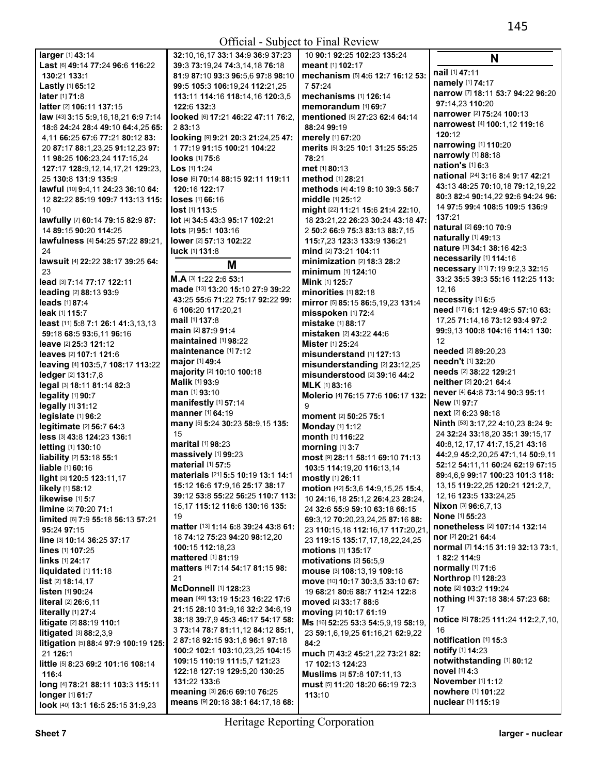Official - Subject to Final Review

| larger [1] 43:14                                 | 32:10,16,17 33:1 34:9                                 |
|--------------------------------------------------|-------------------------------------------------------|
| Last [6] 49:14 77:24 96:6 116:22                 | 39:3 73:19,24 74:3,14,                                |
| 130:21 133:1                                     | 81:9 87:10 93:3 96:5.6                                |
| Lastly [1] 65:12                                 | 99:5 105:3 106:19.24                                  |
| later [1] 71:8                                   | 113:11 114:16 118:14,                                 |
| latter [2] 106:11 137:15                         | 122:6 132:3                                           |
| law [43] 3:15 5:9,16,18,21 6:9 7:14              | looked [6] 17:21 46:22                                |
| 18:6 24:24 28:4 49:10 64:4.25 65:                | 283:13                                                |
| 4,11 66:25 67:6 77:21 80:12 83:                  | looking [9] 9:21 20:3 2                               |
| 20 87:17 88:1,23,25 91:12,23 97:                 | 177:19 91:15 100:21 '                                 |
| 11 98:25 106:23,24 117:15,24                     | <b>looks</b> [1] 75:6                                 |
| 127:17 128:9,12,14,17,21 129:23,                 | $\textsf{Los}$ [1] 1:24                               |
| 25 130:8 131:9 135:9                             | lose [6] 70:14 88:15 92                               |
| lawful [10] 9:4.11 24:23 36:10 64:               | 120:16 122:17                                         |
| 12 82:22 85:19 109:7 113:13 115:                 | <b>loses</b> [1] 66:16                                |
| 10                                               | lost [1] 113:5                                        |
| lawfully [7] 60:14 79:15 82:9 87:                | lot [4] 34:5 43:3 95:17 1                             |
| 14 89:15 90:20 114:25                            | <b>lots</b> [2] <b>95:1 103:16</b>                    |
| lawfulness [4] 54:25 57:22 89:21,                | <b>lower</b> [2] <b>57:13 102:22</b>                  |
| 24                                               | luck [1] 131:8                                        |
| lawsuit [4] 22:22 38:17 39:25 64:                |                                                       |
| 23                                               | М                                                     |
| lead [3] 7:14 77:17 122:11                       | M.A [3] 1:22 2:6 53:1                                 |
| leading [2] 88:13 93:9                           | made [13] 13:20 15:10                                 |
| leads [1] 87:4                                   | 43:25 55:6 71:22 75:1                                 |
| leak [1] 115:7                                   | 6 106:20 117:20,21                                    |
| least [11] 5:8 7:1 26:1 41:3,13,13               | mail [1] 137:8                                        |
| 59:18 68:5 93:6,11 96:16                         | main [2] 87:9 91:4                                    |
| leave [2] 25:3 121:12                            | maintained [1] 98:22                                  |
| leaves [2] 107:1 121:6                           | maintenance $[1]$ 7:12                                |
|                                                  | major [1] 49:4                                        |
| leaving [4] 103:5,7 108:17 113:22                | majority [2] 10:10 100:                               |
| ledger [2] 131:7,8                               | <b>Malik [1] 93:9</b>                                 |
| legal [3] 18:11 81:14 82:3                       | man [1] 93:10                                         |
| legality [1] 90:7                                | manifestly [1] 57:14                                  |
| legally [1] 31:12                                | manner [1] 64:19                                      |
| legislate [1] 96:2                               | many [5] 5:24 30:23 58                                |
| legitimate [2] 56:7 64:3                         | 15                                                    |
| less [3] 43:8 124:23 136:1                       | <b>marital</b> [1] 98:23                              |
| letting [1] 130:10                               | massively [1] 99:23                                   |
| liability [2] 53:18 55:1                         | material [1] 57:5                                     |
| liable [1] 60:16                                 | materials [21] 5:5 10:1                               |
| light [3] 120:5 123:11,17<br>likely [1] 58:12    | 15:12 16:6 17:9,16 25:                                |
|                                                  | 39:12 53:8 55:22 56:2                                 |
| likewise [1] 5:7                                 | 15,17 115:12 116:6 13                                 |
| limine [2] 70:20 71:1                            | 19                                                    |
| limited [6] 7:9 55:18 56:13 57:21                | matter [13] 1:14 6:8 39                               |
| 95:24 97:15                                      | 18 <b>74:</b> 12 <b>75:</b> 23 <b>94:</b> 20 <b>!</b> |
| line [3] 10:14 36:25 37:17                       | 100:15 112:18,23                                      |
| lines [1] 107:25                                 | mattered [1] 81:19                                    |
| links [1] 24:17                                  | matters [4] 7:14 54:17                                |
| liquidated $[1]$ 11:18                           | 21                                                    |
| list [2] 18:14,17                                | <b>McDonnell</b> [1] 128:23                           |
| listen [1] 90:24                                 | mean [49] 13:19 15:23                                 |
| literal [2] 26:6,11                              | 21:15 28:10 31:9.16 32                                |
|                                                  |                                                       |
| literally [1] 27:4                               |                                                       |
| litigate [2] 88:19 110:1                         | 38:18 39:7,9 45:3 46:1                                |
| litigated [3] 88:2,3,9                           | 3 73:14 78:7 81:11,12                                 |
| litigation [5] 88:4 97:9 100:19 125:             | 287:1892:1593:1,69                                    |
| 21 126:1                                         | 100:2 102:1 103:10,23                                 |
| <b>little</b> [5] <b>8:23 69:2 101:16 108:14</b> | 109:15 110:19 111:5,7                                 |
| 116:4                                            | 122:18 127:19 129:5,2                                 |
| long [4] 78:21 88:11 103:3 115:11                | 131:22 133:6                                          |
| longer [1] 61:7                                  | meaning [3] 26:6 69:10<br>means [9] 20:18 38:1 6      |

**32:**10,16,17 **33:**1 **34:**9 **36:**9 **37:**23 **39:**3 **73:**19,24 **74:**3,14,18 **76:**18 **81:**9 **87:**10 **93:**3 **96:**5,6 **97:**8 **98:**10 **99:**5 **105:**3 **106:**19,24 **112:**21,25 **113:**11 **114:**16 **118:**14,16 **120:**3,5 **looked** [6] **17:**21 **46:**22 **47:**11 **76:**2, **looking** [9] **9:**21 **20:**3 **21:**24,25 **47:**  1 **77:**19 **91:**15 **100:**21 **104:**22 **lose** [6] **70:**14 **88:**15 **92:**11 **119:**11 **lot** [4] **34:**5 **43:**3 **95:**17 **102:**21 **made** [13] **13:**20 **15:**10 **27:**9 **39:**22 **43:**25 **55:**6 **71:**22 **75:**17 **92:**22 **99: majority** [2] **10:**10 **100:**18 **many** [5] **5:**24 **30:**23 **58:**9,15 **135: materials** [21] **5:**5 **10:**19 **13:**1 **14:**1 **15:**12 **16:**6 **17:**9,16 **25:**17 **38:**17 **39:**12 **53:**8 **55:**22 **56:**25 **110:**7 **113:**  15,17 **115:**12 **116:**6 **130:**16 **135: matter** [13] **1:**14 **6:**8 **39:**24 **43:**8 **61:**  18 **74:**12 **75:**23 **94:**20 **98:**12,20 **matters** [4] **7:**14 **54:**17 **81:**15 **98: mean** [49] **13:**19 **15:**23 **16:**22 **17:**6 **21:**15 **28:**10 **31:**9,16 **32:**2 **34:**6,19 **38:**18 **39:**7,9 **45:**3 **46:**17 **54:**17 **58:**  3 **73:**14 **78:**7 **81:**11,12 **84:**12 **85:**1, 2 **87:**18 **92:**15 **93:**1,6 **96:**1 **97:**18 **100:**2 **102:**1 **103:**10,23,25 **104:**15 **109:**15 **110:**19 **111:**5,7 **121:**23 **122:**18 **127:**19 **129:**5,20 **130:**25 **meaning** [3] **26:**6 **69:**10 **76:**25 **means** [9] **20:**18 **38:**1 **64:**17,18 **68:**  10 **90:**1 **92:**25 **102:**23 **135:**24 **meant** [1] **102:**17 **mechanism** [5] **4:**6 **12:**7 **16:**12 **53:**  7 **57:**24 **mechanisms** [1] **126:**14 **memorandum** [1] **69:**7 **mentioned** [5] **27:**23 **62:**4 **64:**14 **88:**24 **99:**19 **merely** [1] **67:**20 **merits** [5] **3:**25 **10:**1 **31:**25 **55:**25 **78:**21 **met** [1] **80:**13 **method** [1] **28:**21 **methods** [4] **4:**19 **8:**10 **39:**3 **56:**7 **middle** [1] **25:**12 **might** [22] **11:**21 **15:**6 **21:**4 **22:**10, 18 **23:**21,22 **26:**23 **30:**24 **43:**18 **47:**  2 **50:**2 **66:**9 **75:**3 **83:**13 **88:**7,15 **115:**7,23 **123:**3 **133:**9 **136:**21 **mind** [2] **73:**21 **104:**11 **minimization** [2] **18:**3 **28:**2 **minimum** [1] **124:**10 **Mink** [1] **125:**7 **minorities** [1] **82:**18 **mirror** [5] **85:**15 **86:**5,19,23 **131:**4 **misspoken** [1] **72:**4 **mistake** [1] **88:**17 **mistaken** [2] **43:**22 **44:**6 **Mister** [1] **25:**24 **misunderstand** [1] **127:**13 **misunderstanding** [2] **23:**12,25 **misunderstood** [2] **39:**16 **44:**2 **MLK** [1] **83:**16 **Molerio** [4] **76:**15 **77:**6 **106:**17 **132:**  9 **moment** [2] **50:**25 **75:**1 **Monday** [1] **1:**12 **month** [1] **116:**22 **morning** [1] **3:**7 **most** [9] **28:**11 **58:**11 **69:**10 **71:**13 **103:**5 **114:**19,20 **116:**13,14 **mostly** [1] **26:**11 **motion** [42] **5:**3,6 **14:**9,15,25 **15:**4, 10 **24:**16,18 **25:**1,2 **26:**4,23 **28:**24, 24 **32:**6 **55:**9 **59:**10 **63:**18 **66:**15 **69:**3,12 **70:**20,23,24,25 **87:**16 **88:**  23 **110:**15,18 **112:**16,17 **117:**20,21, 23 **119:**15 **135:**17,17,18,22,24,25 **motions** [1] **135:**17 **motivations** [2] **56:**5,9 **mouse** [3] **108:**13,19 **109:**18 **move** [10] **10:**17 **30:**3,5 **33:**10 **67:**  19 **68:**21 **80:**6 **88:**7 **112:**4 **122:**8 **moved** [2] **33:**17 **88:**6 **moving** [2] **10:**17 **61:**19 **Ms** [16] **52:**25 **53:**3 **54:**5,9,19 **58:**19, 23 **59:**1,6,19,25 **61:**16,21 **62:**9,22 **84:**2 **much** [7] **43:**2 **45:**21,22 **73:**21 **82:**  17 **102:**13 **124:**23 **Muslims** [3] **57:**8 **107:**11,13 **must** [5] **11:**20 **18:**20 **66:**19 **72:**3 **113:**10 **120:**12 **137:**21 12,16 12 17 16 **nuclear** [1] **115:**19

**N nail** [1] **47:**11 **namely** [1] **74:**17 **narrow** [7] **18:**11 **53:**7 **94:**22 **96:**20 **97:**14,23 **110:**20 **narrower** [2] **75:**24 **100:**13 **narrowest** [4] **100:**1,12 **119:**16 **narrowing** [1] **110:**20 **narrowly** [1] **88:**18 **nation's** [1] **6:**3 **national** [24] **3:**16 **8:**4 **9:**17 **42:**21 **43:**13 **48:**25 **70:**10,18 **79:**12,19,22 **80:**3 **82:**4 **90:**14,22 **92:**6 **94:**24 **96:**  14 **97:**5 **99:**4 **108:**5 **109:**5 **136:**9 **natural** [2] **69:**10 **70:**9 **naturally** [1] **49:**13 **nature** [3] **34:**1 **38:**16 **42:**3 **necessarily** [1] **114:**16 **necessary** [11] **7:**19 **9:**2,3 **32:**15 **33:**2 **35:**5 **39:**3 **55:**16 **112:**25 **113: necessity** [1] **6:**5 **need** [17] **6:**1 **12:**9 **49:**5 **57:**10 **63:**  17,25 **71:**14,16 **73:**12 **93:**4 **97:**2 **99:**9,13 **100:**8 **104:**16 **114:**1 **130: needed** [2] **89:**20,23 **needn't** [1] **32:**20 **needs** [2] **38:**22 **129:**21 **neither** [2] **20:**21 **64:**4 **never** [4] **64:**8 **73:**14 **90:**3 **95:**11 **New** [1] **97:**7 **next** [2] **6:**23 **98:**18 **Ninth** [53] **3:**17,22 **4:**10,23 **8:**24 **9:**  24 **32:**24 **33:**18,20 **35:**1 **39:**15,17 **40:**8,12,17,17 **41:**7,15,21 **43:**16 **44:**2,9 **45:**2,20,25 **47:**1,14 **50:**9,11 **52:**12 **54:**11,11 **60:**24 **62:**19 **67:**15 **89:**4,6,9 **99:**17 **100:**23 **101:**3 **118:**  13,15 **119:**22,25 **120:**21 **121:**2,7, 12,16 **123:**5 **133:**24,25 **Nixon** [3] **96:**6,7,13 **None** [1] **55:**23 **nonetheless** [2] **107:**14 **132:**14 **nor** [2] **20:**21 **64:**4 **normal** [7] **14:**15 **31:**19 **32:**13 **73:**1, 1 **82:**2 **114:**9 **normally** [1] **71:**6 **Northrop** [1] **128:**23 **note** [2] **103:**2 **119:**24 **nothing** [4] **37:**18 **38:**4 **57:**23 **68: notice** [6] **78:**25 **111:**24 **112:**2,7,10, **notification** [1] **15:**3 **notify** [1] **14:**23 **notwithstanding** [1] **80:**12 **novel** [1] **4:**3 **November** [1] **1:**12 **nowhere** [1] **101:**22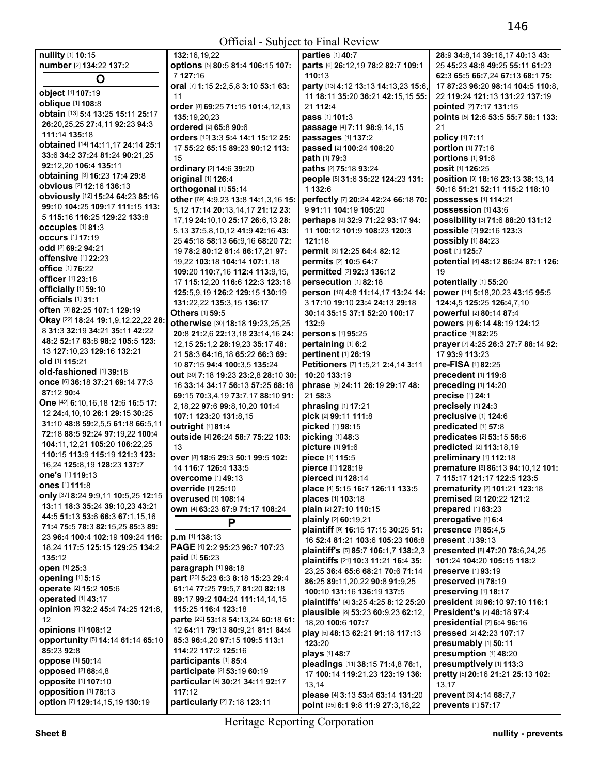| nullity [1] 10:15                           | 132:16,19,22                           | parties [1] 40:7                               | 28:9 34:8.14 39:16.17 40:13 43:      |
|---------------------------------------------|----------------------------------------|------------------------------------------------|--------------------------------------|
|                                             |                                        |                                                |                                      |
| number [2] 134:22 137:2                     | options [5] 80:5 81:4 106:15 107:      | parts [6] 26:12,19 78:2 82:7 109:1             | 25 45:23 48:8 49:25 55:11 61:23      |
| $\mathbf O$                                 | 7 127:16                               | 110:13                                         | 62:3 65:5 66:7,24 67:13 68:1 75:     |
|                                             | oral [7] 1:15 2:2,5,8 3:10 53:1 63:    | party [13] 4:12 13:13 14:13,23 15:6,           | 17 87:23 96:20 98:14 104:5 110:8,    |
| object [1] 107:19                           | 11                                     | 11 18:11 35:20 36:21 42:15,15 55:              | 22 119:24 121:13 131:22 137:19       |
| oblique [1] 108:8                           | order [8] 69:25 71:15 101:4,12,13      | 21 112:4                                       | pointed [2] 7:17 131:15              |
| obtain [13] 5:4 13:25 15:11 25:17           | 135:19,20,23                           | pass [1] 101:3                                 | points [5] 12:6 53:5 55:7 58:1 133:  |
| 26:20,25,25 27:4,11 92:23 94:3              |                                        |                                                |                                      |
| 111:14 135:18                               | ordered [2] 65:8 90:6                  | passage [4] 7:11 98:9,14,15                    | 21                                   |
|                                             | orders [10] 3:3 5:4 14:1 15:12 25:     | passages [1] 137:2                             | policy [1] 7:11                      |
| obtained [14] 14:11,17 24:14 25:1           | 17 55:22 65:15 89:23 90:12 113:        | passed [2] 100:24 108:20                       | portion [1] 77:16                    |
| 33:6 34:2 37:24 81:24 90:21,25              | 15                                     | path [1] 79:3                                  | portions [1] 91:8                    |
| 92:12.20 106:4 135:11                       | ordinary [2] 14:6 39:20                | paths [2] 75:18 93:24                          | posit [1] 126:25                     |
| <b>obtaining</b> [3] <b>16:23 17:4 29:8</b> | original [1] 126:4                     | people [5] 31:6 35:22 124:23 131:              | position [9] 18:16 23:13 38:13,14    |
| obvious [2] 12:16 136:13                    |                                        |                                                |                                      |
| obviously [12] 15:24 64:23 85:16            | orthogonal [1] 55:14                   | 1 132:6                                        | 50:16 51:21 52:11 115:2 118:10       |
| 99:10 104:25 109:17 111:15 113:             | other [69] 4:9,23 13:8 14:1,3,16 15:   | perfectly [7] 20:24 42:24 66:18 70:            | possesses [1] 114:21                 |
|                                             | 5,12 17:14 20:13,14,17 21:12 23:       | 991:11 104:19 105:20                           | possession [1] 43:6                  |
| 5 115:16 116:25 129:22 133:8                | 17, 19 24: 10, 10 25: 17 26: 6, 13 28: | perhaps [9] 32:9 71:22 93:17 94:               | possibility [3] 71:6 88:20 131:12    |
| <b>occupies</b> [1] 81:3                    | 5,13 37:5,8,10,12 41:9 42:16 43:       | 11 100:12 101:9 108:23 120:3                   | possible [2] 92:16 123:3             |
| <b>occurs</b> [1] 17:19                     | 25 45:18 58:13 66:9,16 68:20 72:       | 121:18                                         | possibly [1] 84:23                   |
| odd [2] 69:2 94:21                          | 19 78:2 80:12 81:4 86:17,21 97:        | permit [3] 12:25 64:4 82:12                    | post [1] 125:7                       |
| offensive [1] 22:23                         |                                        |                                                |                                      |
| office [1] 76:22                            | 19,22 103:18 104:14 107:1,18           | permits [2] 10:5 64:7                          | potential [4] 48:12 86:24 87:1 126:  |
| officer [1] 23:18                           | 109:20 110:7.16 112:4 113:9.15.        | permitted [2] 92:3 136:12                      | 19                                   |
|                                             | 17 115:12,20 116:6 122:3 123:18        | persecution [1] 82:18                          | potentially [1] 55:20                |
| officially [1] 59:10                        | 125:5,9,19 126:2 129:15 130:19         | person [16] 4:8 11:14,17 13:24 14:             | power [11] 5:18,20,23 43:15 95:5     |
| officials [1] 31:1                          | 131:22,22 135:3,15 136:17              | 3 17:10 19:10 23:4 24:13 29:18                 | 124:4,5 125:25 126:4,7,10            |
| often [3] 82:25 107:1 129:19                | Others [1] 59:5                        | 30:14 35:15 37:1 52:20 100:17                  | powerful [2] 80:14 87:4              |
| Okay [22] 18:24 19:1,9,12,22,22 28:         | otherwise [30] 18:18 19:23,25,25       | 132:9                                          | powers [3] 6:14 48:19 124:12         |
| 8 31:3 32:19 34:21 35:11 42:22              |                                        |                                                |                                      |
| 48:2 52:17 63:8 98:2 105:5 123:             | 20:8 21:2,6 22:13,18 23:14,16 24:      | persons [1] 95:25                              | practice [1] 82:25                   |
|                                             | 12, 15 25:1, 2 28:19, 23 35:17 48:     | pertaining [1] 6:2                             | prayer [7] 4:25 26:3 27:7 88:14 92:  |
| 13 127:10,23 129:16 132:21                  | 21 58:3 64:16,18 65:22 66:3 69:        | pertinent [1] 26:19                            | 17 93:9 113:23                       |
| old [1] 115:21                              | 10 87:15 94:4 100:3,5 135:24           | Petitioners [7] 1:5,21 2:4,14 3:11             | pre-FISA [1] 82:25                   |
| old-fashioned [1] 39:18                     | out [30] 7:18 19:23 23:2,8 28:10 30:   | 10:20 133:19                                   | precedent [1] 119:8                  |
| once [6] 36:18 37:21 69:14 77:3             | 16 33:14 34:17 56:13 57:25 68:16       | phrase [5] 24:11 26:19 29:17 48:               | preceding [1] 14:20                  |
| 87:12 90:4                                  | 69:15 70:3,4,19 73:7,17 88:10 91:      | 21 58:3                                        | precise [1] 24:1                     |
| One [42] 6:10,16,18 12:6 16:5 17:           | 2,18,22 97:6 99:8,10,20 101:4          | phrasing [1] 17:21                             | precisely [1] 24:3                   |
| 12 24:4,10,10 26:1 29:15 30:25              |                                        | pick [2] 99:11 111:8                           | preclusive [1] 124:6                 |
| 31:10 48:8 59:2,5,5 61:18 66:5,11           | 107:1 123:20 131:8,15                  |                                                |                                      |
| 72:18 88:5 92:24 97:19.22 100:4             | outright [1] 81:4                      | picked [1] 98:15                               | predicated [1] 57:8                  |
|                                             | outside [4] 26:24 58:7 75:22 103:      | picking [1] 48:3                               | predicates [2] 53:15 56:6            |
| 104:11,12,21 105:20 106:22,25               | 13                                     | picture [1] 91:6                               | predicted [2] 113:18,19              |
| 110:15 113:9 115:19 121:3 123:              | Over [8] 18:6 29:3 50:1 99:5 102:      | piece [1] 115:5                                | preliminary [1] 112:18               |
| 16,24 125:8,19 128:23 137:7                 | 14 116:7 126:4 133:5                   | pierce [1] 128:19                              | premature [8] 86:13 94:10,12 101:    |
| one's [1] 119:13                            | <b>overcome</b> [1] 49:13              | pierced [1] 128:14                             | 7 115:17 121:17 122:5 123:5          |
| ones [1] 111:8                              | <b>override</b> [1] <b>25:10</b>       | <b>place</b> [4] <b>5:15 16:7 126:11 133:5</b> | <b>prematurity</b> [2] 101:21 123:18 |
| only [37] 8:24 9:9,11 10:5,25 12:15         | <b>overused</b> [1] 108:14             |                                                |                                      |
| 13:11 18:3 35:24 39:10,23 43:21             |                                        | places [1] 103:18                              | premised [2] 120:22 121:2            |
| 44:5 51:13 53:6 66:3 67:1,15,16             | own [4] 63:23 67:9 71:17 108:24        | plain [2] 27:10 110:15                         | prepared [1] 63:23                   |
|                                             | P                                      | plainly [2] 60:19,21                           | prerogative [1] 6:4                  |
| 71:4 75:5 78:3 82:15,25 85:3 89:            |                                        | plaintiff [9] 16:15 17:15 30:25 51:            | presence [2] 85:4,5                  |
| 23 96:4 100:4 102:19 109:24 116:            | p.m [1] 138:13                         | 16 52:4 81:21 103:6 105:23 106:8               | present [1] 39:13                    |
| 18,24 117:5 125:15 129:25 134:2             | PAGE [4] 2:2 95:23 96:7 107:23         | plaintiff's [5] 85:7 106:1,7 138:2,3           | presented [8] 47:20 78:6,24,25       |
| 135:12                                      | paid [1] 56:23                         | plaintiffs [21] 10:3 11:21 16:4 35:            | 101:24 104:20 105:15 118:2           |
| open [1] 25:3                               | paragraph [1] 98:18                    | 23,25 36:4 65:6 68:21 70:6 71:14               | preserve [1] 93:19                   |
| opening [1] 5:15                            | part [20] 5:23 6:3 8:18 15:23 29:4     |                                                |                                      |
| operate [2] 15:2 105:6                      | 61:14 77:25 79:5,7 81:20 82:18         | 86:25 89:11,20,22 90:8 91:9,25                 | preserved [1] 78:19                  |
| operated [1] 43:17                          | 89:17 99:2 104:24 111:14,14,15         | 100:10 131:16 136:19 137:5                     | preserving [1] 18:17                 |
| opinion [5] 32:2 45:4 74:25 121:6,          | 115:25 116:4 123:18                    | plaintiffs' [4] 3:25 4:25 8:12 25:20           | president [3] 96:10 97:10 116:1      |
|                                             |                                        | plausible [8] 53:23 60:9,23 62:12,             | President's [2] 48:18 97:4           |
| 12                                          | parte [20] 53:18 54:13,24 60:18 61:    | 18,20 100:6 107:7                              | presidential [2] 6:4 96:16           |
| opinions [1] 108:12                         | 12 64:11 79:13 80:9,21 81:1 84:4       | play [5] 48:13 62:21 91:18 117:13              | pressed [2] 42:23 107:17             |
| opportunity [5] 14:14 61:14 65:10           | 85:3 96:4,20 97:15 109:5 113:1         | 123:20                                         | presumably [1] 50:11                 |
| 85:23 92:8                                  | 114:22 117:2 125:16                    | plays [1] 48:7                                 | presumption [1] 48:20                |
| <b>oppose</b> [1] 50:14                     | participants [1] 85:4                  |                                                |                                      |
| <b>opposed</b> [2] 68:4,8                   | participate [2] 53:19 60:19            | pleadings [11] 38:15 71:4,8 76:1,              | presumptively [1] 113:3              |
| opposite [1] 107:10                         | particular [4] 30:21 34:11 92:17       | 17 100:14 119:21,23 123:19 136:                | pretty [5] 20:16 21:21 25:13 102:    |
|                                             | 117:12                                 | 13,14                                          | 13,17                                |
| opposition [1] 78:13                        |                                        | please [4] 3:13 53:4 63:14 131:20              | prevent [3] 4:14 68:7,7              |
| option [7] 129:14,15,19 130:19              | particularly [2] 7:18 123:11           | point [35] 6:1 9:8 11:9 27:3,18,22             | prevents [1] 57:17                   |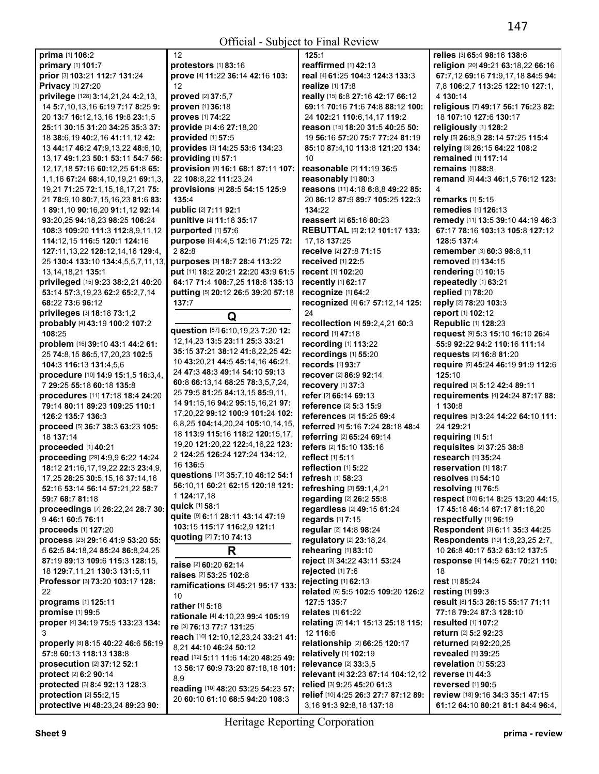Official - Subject to Final Review

**prima** [1] **106:**2 **primary** [1] **101:**7 **prior** [3] **103:**21 **112:**7 **131:**24 **Privacy** [1] **27:**20 **privilege** [128] **3:**14,21,24 **4:**2,13, 14 **5:**7,10,13,16 **6:**19 **7:**17 **8:**25 **9:**  20 **13:**7 **16:**12,13,16 **19:**8 **23:**1,5 **25:**11 **30:**15 **31:**20 **34:**25 **35:**3 **37:**  18 **38:**6,19 **40:**2,16 **41:**11,12 **42:**  13 **44:**17 **46:**2 **47:**9,13,22 **48:**6,10, 13,17 **49:**1,23 **50:**1 **53:**11 **54:**7 **56:**  12,17,18 **57:**16 **60:**12,25 **61:**8 **65:**  1,1,16 **67:**24 **68:**4,10,19,21 **69:**1,3, 19,21 **71:**25 **72:**1,15,16,17,21 **75:**  21 **78:**9,10 **80:**7,15,16,23 **81:**6 **83:**  1 **89:**1,10 **90:**16,20 **91:**1,12 **92:**14 **93:**20,25 **94:**18,23 **98:**25 **106:**24 **108:**3 **109:**20 **111:**3 **112:**8,9,11,12 **114:**12,15 **116:**5 **120:**1 **124:**16 **127:**11,13,22 **128:**12,14,16 **129:**4, 25 **130:**4 **133:**10 **134:**4,5,5,7,11,13, 13,14,18,21 **135:**1 **privileged** [15] **9:**23 **38:**2,21 **40:**20 **53:**14 **57:**3,19,23 **62:**2 **65:**2,7,14 **68:**22 **73:**6 **96:**12 **privileges** [3] **18:**18 **73:**1,2 **probably** [4] **43:**19 **100:**2 **107:**2 **108:**25 **problem** [16] **39:**10 **43:**1 **44:**2 **61:**  25 **74:**8,15 **86:**5,17,20,23 **102:**5 **104:**3 **116:**13 **131:**4,5,6 **procedure** [10] **14:**9 **15:**1,5 **16:**3,4, 7 **29:**25 **55:**18 **60:**18 **135:**8 **procedures** [11] **17:**18 **18:**4 **24:**20 **79:**14 **80:**11 **89:**23 **109:**25 **110:**1 **126:**2 **135:**7 **136:**3 **proceed** [5] **36:**7 **38:**3 **63:**23 **105:**  18 **137:**14 **proceeded** [1] **40:**21 **proceeding** [29] **4:**9,9 **6:**22 **14:**24 **18:**12 **21:**16,17,19,22 **22:**3 **23:**4,9, 17,25 **28:**25 **30:**5,15,16 **37:**14,16 **52:**16 **53:**14 **56:**14 **57:**21,22 **58:**7 **59:**7 **68:**7 **81:**18 **proceedings** [7] **26:**22,24 **28:**7 **30:**  9 **46:**1 **60:**5 **76:**11 **proceeds** [1] **127:**20 **process** [23] **29:**16 **41:**9 **53:**20 **55:**  5 **62:**5 **84:**18,24 **85:**24 **86:**8,24,25 **87:**19 **89:**13 **109:**6 **115:**3 **128:**15, 18 **129:**7,11,21 **130:**3 **131:**5,11 **Professor** [3] **73:**20 **103:**17 **128:**   $22$ **programs** [1] **125:**11 **promise** [1] **99:**5 **proper** [4] **34:**19 **75:**5 **133:**23 **134:**  3 **properly** [8] **8:**15 **40:**22 **46:**6 **56:**19 **57:**8 **60:**13 **118:**13 **138:**8 **prosecution** [2] **37:**12 **52:**1 **protect** [2] **6:**2 **90:**14 **protected** [3] **8:**4 **92:**13 **128:**3 **protection** [2] **55:**2,15 **protective** [4] **48:**23,24 **89:**23 **90:**  12

**protestors** [1] **83:**16 **prove** [4] **11:**22 **36:**14 **42:**16 **103:**  12 **proved** [2] **37:**5,7 **proven** [1] **36:**18 **proves** [1] **74:**22 **provide** [3] **4:**6 **27:**18,20 **provided** [1] **57:**5 **provides** [3] **14:**25 **53:**6 **134:**23 **providing** [1] **57:**1 **provision** [8] **16:**1 **68:**1 **87:**11 **107:**  22 **108:**8,22 **111:**23,24 **provisions** [4] **28:**5 **54:**15 **125:**9 **135:**4 **public** [2] **7:**11 **92:**1 **punitive** [2] **11:**18 **35:**17 **purported** [1] **57:**6 **purpose** [6] **4:**4,5 **12:**16 **71:**25 **72:**  2 **82:**8 **purposes** [3] **18:**7 **28:**4 **113:**22 **put** [11] **18:**2 **20:**21 **22:**20 **43:**9 **61:**5 **64:**17 **71:**4 **108:**7,25 **118:**6 **135:**13 **putting** [5] **20:**12 **26:**5 **39:**20 **57:**18 **137:**7 **Q question** [87] **6:**10,19,23 **7:**20 **12:**  12,14,23 **13:**5 **23:**11 **25:**3 **33:**21 **35:**15 **37:**21 **38:**12 **41:**8,22,25 **42:**  10 **43:**20,21 **44:**5 **45:**14,16 **46:**21, 24 **47:**3 **48:**3 **49:**14 **54:**10 **59:**13 **60:**8 **66:**13,14 **68:**25 **78:**3,5,7,24, 25 **79:**5 **81:**25 **84:**13,15 **85:**9,11, 14 **91:**15,16 **94:**2 **95:**15,16,21 **97:**  17,20,22 **99:**12 **100:**9 **101:**24 **102:**  6,8,25 **104:**14,20,24 **105:**10,14,15, 18 **113:**9 **115:**16 **118:**2 **120:**15,17, 19,20 **121:**20,22 **122:**4,16,22 **123:**  2 **124:**25 **126:**24 **127:**24 **134:**12, 16 **136:**5 **questions** [12] **35:**7,10 **46:**12 **54:**1 **56:**10,11 **60:**21 **62:**15 **120:**18 **121:**  1 **124:**17,18 **quick** [1] **58:**1 **quite** [9] **6:**11 **28:**11 **43:**14 **47:**19 **103:**15 **115:**17 **116:**2,9 **121:**1 **quoting** [2] **7:**10 **74:**13 **R raise** [2] **60:**20 **62:**14 **raises** [2] **53:**25 **102:**8 **ramifications** [3] **45:**21 **95:**17 **133:**  10 **rather** [1] **5:**18 **rationale** [4] **4:**10,23 **99:**4 **105:**19 **re** [3] **76:**13 **77:**7 **131:**25 **reach** [10] **12:**10,12,23,24 **33:**21 **41:**  8,21 **44:**10 **46:**24 **50:**12 **read** [12] **5:**11 **11:**6 **14:**20 **48:**25 **49:**  13 **56:**17 **60:**9 **73:**20 **87:**18,18 **101:**  8,9 **reading** [10] **48:**20 **53:**25 **54:**23 **57:**  20 **60:**10 **61:**10 **68:**5 **94:**20 **108:**3

**125:**1 **reaffirmed** [1] **42:**13 **real** [4] **61:**25 **104:**3 **124:**3 **133:**3 **realize** [1] **17:**8 **really** [15] **6:**8 **27:**16 **42:**17 **66:**12 **69:**11 **70:**16 **71:**6 **74:**8 **88:**12 **100:**  24 **102:**21 **110:**6,14,17 **119:**2 **reason** [15] **18:**20 **31:**5 **40:**25 **50:**  19 **56:**16 **57:**20 **75:**7 **77:**24 **81:**19 **85:**10 **87:**4,10 **113:**8 **121:**20 **134:**  10 **reasonable** [2] **11:**19 **36:**5 **reasonably** [1] **80:**3 **reasons** [11] **4:**18 **6:**8,8 **49:**22 **85:**  20 **86:**12 **87:**9 **89:**7 **105:**25 **122:**3 **134:**22 **reassert** [2] **65:**16 **80:**23 **REBUTTAL** [5] **2:**12 **101:**17 **133:**  17,18 **137:**25 **receive** [2] **27:**8 **71:**15 **received** [1] **22:**5 **recent** [1] **102:**20 **recently** [1] **62:**17 **recognize** [1] **64:**2 **recognized** [4] **6:**7 **57:**12,14 **125:**   $24$ **recollection** [4] **59:**2,4,21 **60:**3 **record** [1] **47:**18 **recording** [1] **113:**22 **recordings** [1] **55:**20 **records** [1] **93:**7 **recover** [2] **86:**9 **92:**14 **recovery** [1] **37:**3 **refer** [2] **66:**14 **69:**13 **reference** [2] **5:**3 **15:**9 **references** [2] **15:**25 **69:**4 **referred** [4] **5:**16 **7:**24 **28:**18 **48:**4 **referring** [2] **65:**24 **69:**14 **refers** [2] **15:**10 **135:**16 **reflect** [1] **5:**11 **reflection** [1] **5:**22 **refresh** [1] **58:**23 **refreshing** [3] **59:**1,4,21 **regarding** [2] **26:**2 **55:**8 **regardless** [2] **49:**15 **61:**24 **regards** [1] **7:**15 **regular** [2] **14:**8 **98:**24 **regulatory** [2] **23:**18,24 **rehearing** [1] **83:**10 **reject** [3] **34:**22 **43:**11 **53:**24 **rejected** [1] **7:**6 **rejecting** [1] **62:**13 **related** [6] **5:**5 **102:**5 **109:**20 **126:**2 **127:**5 **135:**7 **relates** [1] **61:**22 **relating** [5] **14:**1 **15:**13 **25:**18 **115:**  12 **116:**6 **relationship** [2] **66:**25 **120:**17 **relatively** [1] **102:**19 **relevance** [2] **33:**3,5 **relevant** [4] **32:**23 **67:**14 **104:**12,12 **relied** [3] **9:**25 **45:**20 **61:**3 **relief** [10] **4:**25 **26:**3 **27:**7 **87:**12 **89:**  3,16 **91:**3 **92:**8,18 **137:**18 4 18

**relies** [3] **65:**4 **98:**16 **138:**6 **religion** [20] **49:**21 **63:**18,22 **66:**16 **67:**7,12 **69:**16 **71:**9,17,18 **84:**5 **94:**  7,8 **106:**2,7 **113:**25 **122:**10 **127:**1, 4 **130:**14 **religious** [7] **49:**17 **56:**1 **76:**23 **82:**  18 **107:**10 **127:**6 **130:**17 **religiously** [1] **128:**2 **rely** [5] **26:**8,9 **28:**14 **57:**25 **115:**4 **relying** [3] **26:**15 **64:**22 **108:**2 **remained** [1] **117:**14 **remains** [1] **88:**8 **remand** [5] **44:**3 **46:**1,5 **76:**12 **123: remarks** [1] **5:**15 **remedies** [1] **126:**13 **remedy** [11] **13:**5 **39:**10 **44:**19 **46:**3 **67:**17 **78:**16 **103:**13 **105:**8 **127:**12 **128:**5 **137:**4 **remember** [3] **60:**3 **98:**8,11 **removed** [1] **134:**15 **rendering** [1] **10:**15 **repeatedly** [1] **63:**21 **replied** [1] **78:**20 **reply** [2] **78:**20 **103:**3 **report** [1] **102:**12 **Republic** [1] **128:**23 **request** [9] **5:**3 **15:**10 **16:**10 **26:**4 **55:**9 **92:**22 **94:**2 **110:**16 **111:**14 **requests** [2] **16:**8 **81:**20 **require** [5] **45:**24 **46:**19 **91:**9 **112:**6 **125:**10 **required** [3] **5:**12 **42:**4 **89:**11 **requirements** [4] **24:**24 **87:**17 **88:**  1 **130:**8 **requires** [5] **3:**24 **14:**22 **64:**10 **111:**  24 **129:**21 **requiring** [1] **5:**1 **requisites** [2] **37:**25 **38:**8 **research** [1] **35:**24 **reservation** [1] **18:**7 **resolves** [1] **54:**10 **resolving** [1] **76:**5 **respect** [10] **6:**14 **8:**25 **13:**20 **44:**15, 17 **45:**18 **46:**14 **67:**17 **81:**16,20 **respectfully** [1] **96:**19 **Respondent** [3] **6:**11 **35:**3 **44:**25 **Respondents** [10] **1:**8,23,25 **2:**7, 10 **26:**8 **40:**17 **53:**2 **63:**12 **137:**5 **response** [4] **14:**5 **62:**7 **70:**21 **110: rest** [1] **85:**24 **resting** [1] **99:**3 **result** [8] **15:**3 **26:**15 **55:**17 **71:**11 **77:**18 **79:**24 **87:**3 **128:**10 **resulted** [1] **107:**2 **return** [2] **5:**2 **92:**23 **returned** [2] **92:**20,25 **revealed** [1] **39:**25 **revelation** [1] **55:**23 **reverse** [1] **44:**3 **reversed** [1] **90:**5 **review** [18] **9:**16 **34:**3 **35:**1 **47:**15 **61:**12 **64:**10 **80:**21 **81:**1 **84:**4 **96:**4,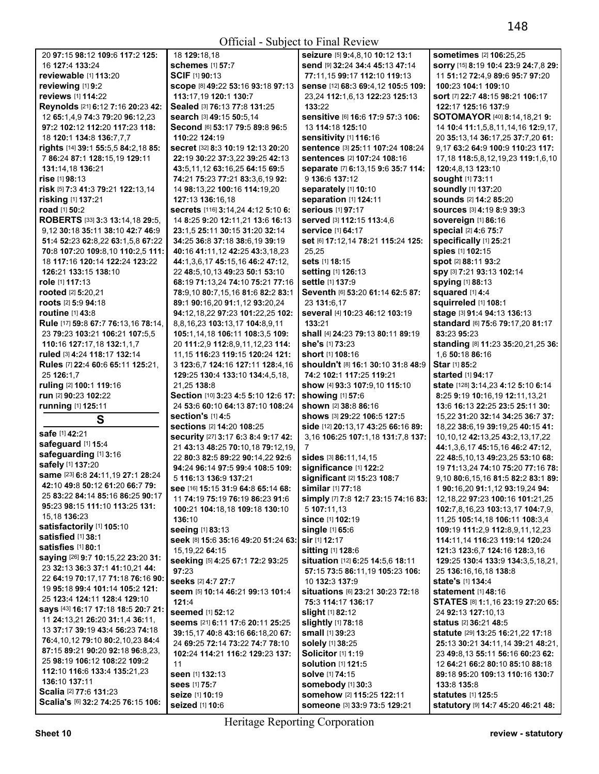| sometimes [2] 106:25,25<br>20 97:15 98:12 109:6 117:2 125:<br>18 129:18,18<br>seizure [5] 9:4,8,10 10:12 13:1<br>16 127:4 133:24<br><b>schemes</b> [1] 57:7<br>send [9] 32:24 34:4 45:13 47:14<br>sorry [15] 8:19 10:4 23:9 24:7,8 29:<br>SCIF [1] 90:13<br>reviewable [1] 113:20<br>11 51:12 72:4,9 89:6 95:7 97:20<br>77:11.15 99:17 112:10 119:13<br>reviewing [1] 9:2<br>SCODe [8] 49:22 53:16 93:18 97:13<br>sense [12] 68:3 69:4,12 105:5 109:<br>100:23 104:1 109:10<br>reviews [1] 114:22<br>113:17,19 120:1 130:7<br>23,24 112:1,6,13 122:23 125:13<br>sort [7] 22:7 48:15 98:21 106:17<br>Reynolds [21] 6:12 7:16 20:23 42:<br>Sealed [3] 76:13 77:8 131:25<br>133:22<br>122:17 125:16 137:9<br>Sensitive [6] 16:6 17:9 57:3 106:<br>12 65:1,4,9 74:3 79:20 96:12,23<br>search [3] 49:15 50:5,14<br><b>SOTOMAYOR</b> [40] <b>8:14,18,21 9:</b><br>Second [6] 53:17 79:5 89:8 96:5<br>13 114:18 125:10<br>97:2 102:12 112:20 117:23 118:<br>14 10:4 11:1,5,8,11,14,16 12:9,17,<br>sensitivity [1] 116:16<br>18 120:1 134:8 136:7,7,7<br>110:22 124:19<br>20 35:13,14 36:17,25 37:7,20 61:<br>sentence [3] 25:11 107:24 108:24<br>rights [14] 39:1 55:5,5 84:2,18 85:<br>secret [32] 8:3 10:19 12:13 20:20<br>9,17 63:2 64:9 100:9 110:23 117:<br>sentences [2] 107:24 108:16<br>7 86:24 87:1 128:15,19 129:11<br>22:19 30:22 37:3.22 39:25 42:13<br>17, 18 118: 5, 8, 12, 19, 23 119: 1, 6, 10<br>131:14,18 136:21<br>43:5,11,12 63:16,25 64:15 69:5<br>separate [7] 6:13.15 9:6 35:7 114:<br>120:4.8.13 123:10<br>9 136:6 137:12<br>rise [1] 98:13<br>74:21 75:23 77:21 83:3,6,19 92:<br><b>sought</b> [1] 73:11<br>separately [1] 10:10<br>soundly [1] 137:20<br>risk [5] 7:3 41:3 79:21 122:13,14<br>14 98:13,22 100:16 114:19,20<br>separation [1] 124:11<br><b>sounds</b> [2] 14:2 85:20<br>risking [1] 137:21<br>127:13 136:16.18<br><b>serious</b> [1] 97:17<br>road [1] 50:2<br>secrets [116] 3:14,24 4:12 5:10 6:<br>SOUICES [3] 4:19 8:9 39:3<br>ROBERTS [33] 3:3 13:14,18 29:5,<br>served [3] 112:15 113:4,6<br>14 8:25 9:20 12:11,21 13:6 16:13<br>sovereign [1] 86:16<br>special [2] 4:6 75:7<br>9,12 30:18 35:11 38:10 42:7 46:9<br>23:1,5 25:11 30:15 31:20 32:14<br><b>service</b> [1] 64:17<br>specifically [1] 25:21<br>51:4 52:23 62:8,22 63:1,5,8 67:22<br>34:25 36:8 37:18 38:6.19 39:19<br>set [6] 17:12,14 78:21 115:24 125:<br>spies [1] 102:15<br>25,25<br>70:8 107:20 109:8,10 110:2,5 111:<br>40:16 41:11,12 42:25 43:3,18,23<br>18 117:16 120:14 122:24 123:22<br>sets [1] 18:15<br>spot [2] 88:11 93:2<br>44:1,3,6,17 45:15,16 46:2 47:12,<br>126:21 133:15 138:10<br>setting [1] 126:13<br>Spy [3] 7:21 93:13 102:14<br>22 48:5,10,13 49:23 50:1 53:10<br>settle [1] 137:9<br>spying [1] 88:13<br>role [1] 117:13<br>68:19 71:13,24 74:10 75:21 77:16<br>Seventh [6] 53:20 61:14 62:5 87:<br>squared [1] 4:4<br><b>rooted</b> [2] <b>5:20,21</b><br>78:9,10 80:7,15,16 81:6 82:2 83:1<br>squirreled [1] 108:1<br><b>roots</b> [2] 5:9 94:18<br>89:1 90:16.20 91:1.12 93:20.24<br>23 131:6,17<br>several [4] 10:23 46:12 103:19<br>stage [3] 91:4 94:13 136:13<br><b>routine</b> [1] 43:8<br>94:12,18,22 97:23 101:22,25 102:<br>standard [6] 75:6 79:17,20 81:17<br>Rule [17] 59:8 67:7 76:13,16 78:14,<br>8,8,16,23 103:13,17 104:8,9,11<br>133:21<br>shall [4] 24:23 79:13 80:11 89:19<br>83:23 95:23<br>23 79:23 103:21 106:21 107:5,5<br>105:1,14,18 106:11 108:3,5 109:<br>she's [1] 73:23<br>standing [8] 11:23 35:20,21,25 36:<br>110:16 127:17,18 132:1,1,7<br>20 111:2,9 112:8,9,11,12,23 114:<br>ruled [3] 4:24 118:17 132:14<br>11, 15 116: 23 119: 15 120: 24 121:<br><b>short</b> [1] <b>108:</b> 16<br>1,6 50:18 86:16<br>Star [1] 85:2<br>Rules [7] 22:4 60:6 65:11 125:21,<br>3 123:6,7 124:16 127:11 128:4,16<br><b>shouldn't</b> [8] 16:1 30:10 31:8 48:9<br>25 126:1,7<br>129:25 130:4 133:10 134:4,5,18,<br>74:2 102:1 117:25 119:21<br><b>started</b> [1] <b>94:17</b><br>ruling [2] 100:1 119:16<br>21,25 138:8<br>show [4] 93:3 107:9,10 115:10<br>state [128] 3:14,23 4:12 5:10 6:14<br>run [2] 90:23 102:22<br>Section [10] 3:23 4:5 5:10 12:6 17:<br>showing [1] 57:6<br>8:25 9:19 10:16,19 12:11,13,21<br>running [1] 125:11<br>24 53:6 60:10 64:13 87:10 108:24<br>shown [2] 38:8 86:16<br>13:6 16:13 22:25 23:5 25:11 30:<br>section's [1] 4:5<br>shows [3] 29:22 106:5 127:5<br>15,22 31:20 32:14 34:25 36:7 37:<br>S<br><b>sections</b> [2] 14:20 108:25<br>side [12] 20:13,17 43:25 66:16 89:<br>18,22 38:6,19 39:19,25 40:15 41:<br>safe [1] 42:21<br>security [27] 3:17 6:3 8:4 9:17 42:<br>3,16 106:25 107:1,18 131:7,8 137:<br>10, 10, 12 42: 13, 25 43: 2, 13, 17, 22<br>safeguard [1] 15:4<br>21 43:13 48:25 70:10,18 79:12,19,<br>44:1,3,6,17 45:15,16 46:2 47:12,<br>7<br>safeguarding [1] 3:16<br>22 80:3 82:5 89:22 90:14,22 92:6<br>sides [3] 86:11,14,15<br>22 48:5,10,13 49:23,25 53:10 68:<br>safely [1] 137:20<br>significance [1] 122:2<br>94:24 96:14 97:5 99:4 108:5 109:<br>19 71:13,24 74:10 75:20 77:16 78:<br>same [23] 6:8 24:11,19 27:1 28:24<br>5 116:13 136:9 137:21<br>significant [2] 15:23 108:7<br>9,10 80:6,15,16 81:5 82:2 83:1 89:<br>42:10 49:8 50:12 61:20 66:7 79:<br>similar [1] 77:18<br>see [16] 15:15 31:9 64:8 65:14 68:<br>1 90:16.20 91:1.12 93:19.24 94:<br>25 83:22 84:14 85:16 86:25 90:17<br>simply [7] 7:8 12:7 23:15 74:16 83:<br>11 74:19 75:19 76:19 86:23 91:6<br>12, 18, 22 97: 23 100: 16 101: 21, 25<br>95:23 98:15 111:10 113:25 131:<br>100:21 104:18,18 109:18 130:10<br>5 107:11.13<br>102:7,8,16,23 103:13,17 104:7,9,<br>15,18 136:23<br>since [1] 102:19<br>136:10<br>11,25 105:14,18 106:11 108:3,4<br>satisfactorily [1] 105:10<br>seeing [1] 83:13<br>single [1] 65:6<br>109:19 111:2,9 112:8,9,11,12,23<br>satisfied [1] 38:1<br>seek [8] 15:6 35:16 49:20 51:24 63:<br>sir [1] 12:17<br>114:11,14 116:23 119:14 120:24<br>satisfies [1] 80:1<br>sitting [1] 128:6<br>15, 19, 22 64: 15<br>121:3 123:6,7 124:16 128:3,16<br>saying [26] 9:7 10:15,22 23:20 31:<br>seeking [5] 4:25 67:1 72:2 93:25<br>situation [12] 6:25 14:5.6 18:11<br>129:25 130:4 133:9 134:3,5,18,21,<br>23 32:13 36:3 37:1 41:10.21 44:<br>97:23<br>57:15 73:5 86:11,19 105:23 106:<br>25 136:16,16,18 138:8<br>22 64:19 70:17,17 71:18 76:16 90:<br>seeks [2] 4:7 27:7<br>state's [1] 134:4<br>10 132:3 137:9<br>19 95:18 99:4 101:14 105:2 121:<br>seem [5] 10:14 46:21 99:13 101:4<br>situations [6] 23:21 30:23 72:18<br><b>statement</b> [1] 48:16<br>25 123:4 124:11 128:4 129:10<br>121:4<br>75:3 114:17 136:17<br>STATES [8] 1:1,16 23:19 27:20 65:<br>says [43] 16:17 17:18 18:5 20:7 21:<br>slight [1] 82:12<br><b>seemed</b> [1] <b>52:12</b><br>24 92:13 127:10,13<br>11 24:13,21 26:20 31:1,4 36:11,<br>slightly [1] 78:18<br>seems [21] 6:11 17:6 20:11 25:25<br>status [2] 36:21 48:5<br>13 37:17 39:19 43:4 56:23 74:18<br>small [1] 39:23<br>39:15,17 40:8 43:16 66:18,20 67:<br><b>statute</b> [29] <b>13:25 16:21,22 17:18</b><br>76:4,10,12 79:10 80:2,10,23 84:4<br>solely [1] 38:25<br>24 69:25 72:14 73:22 74:7 78:10<br>25:13 30:21 34:11,14 39:21 48:21,<br>87:15 89:21 90:20 92:18 96:8,23,<br><b>Solicitor [1] 1:19</b><br>102:24 114:21 116:2 129:23 137:<br>23 49:8,13 55:11 56:16 60:23 62:<br>25 98:19 106:12 108:22 109:2<br>solution [1] 121:5<br>11<br>12 64:21 66:2 80:10 85:10 88:18<br>112:10 116:6 133:4 135:21,23<br>solve [1] 74:15<br>seen [1] 132:13<br>89:18 95:20 109:13 110:16 130:7<br>136:10 137:11<br>somebody [1] 30:3<br>Sees [1] 75:7<br>133:8 135:8<br>Scalia [2] 77:6 131:23<br>somehow [2] 115:25 122:11<br><b>seize</b> [1] <b>10:19</b><br><b>statutes</b> [1] 125:5<br>Scalia's [6] 32:2 74:25 76:15 106:<br>seized [1] 10:6<br>statutory [9] 14:7 45:20 46:21 48:<br>Someone [3] 33:9 73:5 129:21 |  | Official - Subject to Final Review |  |
|-----------------------------------------------------------------------------------------------------------------------------------------------------------------------------------------------------------------------------------------------------------------------------------------------------------------------------------------------------------------------------------------------------------------------------------------------------------------------------------------------------------------------------------------------------------------------------------------------------------------------------------------------------------------------------------------------------------------------------------------------------------------------------------------------------------------------------------------------------------------------------------------------------------------------------------------------------------------------------------------------------------------------------------------------------------------------------------------------------------------------------------------------------------------------------------------------------------------------------------------------------------------------------------------------------------------------------------------------------------------------------------------------------------------------------------------------------------------------------------------------------------------------------------------------------------------------------------------------------------------------------------------------------------------------------------------------------------------------------------------------------------------------------------------------------------------------------------------------------------------------------------------------------------------------------------------------------------------------------------------------------------------------------------------------------------------------------------------------------------------------------------------------------------------------------------------------------------------------------------------------------------------------------------------------------------------------------------------------------------------------------------------------------------------------------------------------------------------------------------------------------------------------------------------------------------------------------------------------------------------------------------------------------------------------------------------------------------------------------------------------------------------------------------------------------------------------------------------------------------------------------------------------------------------------------------------------------------------------------------------------------------------------------------------------------------------------------------------------------------------------------------------------------------------------------------------------------------------------------------------------------------------------------------------------------------------------------------------------------------------------------------------------------------------------------------------------------------------------------------------------------------------------------------------------------------------------------------------------------------------------------------------------------------------------------------------------------------------------------------------------------------------------------------------------------------------------------------------------------------------------------------------------------------------------------------------------------------------------------------------------------------------------------------------------------------------------------------------------------------------------------------------------------------------------------------------------------------------------------------------------------------------------------------------------------------------------------------------------------------------------------------------------------------------------------------------------------------------------------------------------------------------------------------------------------------------------------------------------------------------------------------------------------------------------------------------------------------------------------------------------------------------------------------------------------------------------------------------------------------------------------------------------------------------------------------------------------------------------------------------------------------------------------------------------------------------------------------------------------------------------------------------------------------------------------------------------------------------------------------------------------------------------------------------------------------------------------------------------------------------------------------------------------------------------------------------------------------------------------------------------------------------------------------------------------------------------------------------------------------------------------------------------------------------------------------------------------------------------------------------------------------------------------------------------------------------------------------------------------------------------------------------------------------------------------------------------------------------------------------------------------------------------------------------------------------------------------------------------------------------------------------------------------------------------------------------------------------------------------------------------------------------------------------------------------------------------------------------------------------------------------------------------------------------------------------------------------------------------------------------------------------------------------------------------------------------------------------------------------------------------------------------------------------------------------------------------------------------------------------------------------------------------------------------------------------------------------------------------------------------------------------------------------------------------------------------------------------------------------------------------------------------------------------------------------------------------------------------------------------------------------------------------------------------------------------------------------------------------------------------------------------------------------------------------------------------------------------------------------------------------------------------------------------------------------------------------------------------------------------------------------------------------------------------------------------------------------------------------------------------------------------------------------------------------------------------------------------------------------------------------------------------------------|--|------------------------------------|--|
|                                                                                                                                                                                                                                                                                                                                                                                                                                                                                                                                                                                                                                                                                                                                                                                                                                                                                                                                                                                                                                                                                                                                                                                                                                                                                                                                                                                                                                                                                                                                                                                                                                                                                                                                                                                                                                                                                                                                                                                                                                                                                                                                                                                                                                                                                                                                                                                                                                                                                                                                                                                                                                                                                                                                                                                                                                                                                                                                                                                                                                                                                                                                                                                                                                                                                                                                                                                                                                                                                                                                                                                                                                                                                                                                                                                                                                                                                                                                                                                                                                                                                                                                                                                                                                                                                                                                                                                                                                                                                                                                                                                                                                                                                                                                                                                                                                                                                                                                                                                                                                                                                                                                                                                                                                                                                                                                                                                                                                                                                                                                                                                                                                                                                                                                                                                                                                                                                                                                                                                                                                                                                                                                                                                                                                                                                                                                                                                                                                                                                                                                                                                                                                                                                                                                                                                                                                                                                                                                                                                                                                                                                                                                                                                                                                                                                                                                                                                                                                                                                                                                                                                                                                                                                                                                                                             |  |                                    |  |
|                                                                                                                                                                                                                                                                                                                                                                                                                                                                                                                                                                                                                                                                                                                                                                                                                                                                                                                                                                                                                                                                                                                                                                                                                                                                                                                                                                                                                                                                                                                                                                                                                                                                                                                                                                                                                                                                                                                                                                                                                                                                                                                                                                                                                                                                                                                                                                                                                                                                                                                                                                                                                                                                                                                                                                                                                                                                                                                                                                                                                                                                                                                                                                                                                                                                                                                                                                                                                                                                                                                                                                                                                                                                                                                                                                                                                                                                                                                                                                                                                                                                                                                                                                                                                                                                                                                                                                                                                                                                                                                                                                                                                                                                                                                                                                                                                                                                                                                                                                                                                                                                                                                                                                                                                                                                                                                                                                                                                                                                                                                                                                                                                                                                                                                                                                                                                                                                                                                                                                                                                                                                                                                                                                                                                                                                                                                                                                                                                                                                                                                                                                                                                                                                                                                                                                                                                                                                                                                                                                                                                                                                                                                                                                                                                                                                                                                                                                                                                                                                                                                                                                                                                                                                                                                                                                             |  |                                    |  |
|                                                                                                                                                                                                                                                                                                                                                                                                                                                                                                                                                                                                                                                                                                                                                                                                                                                                                                                                                                                                                                                                                                                                                                                                                                                                                                                                                                                                                                                                                                                                                                                                                                                                                                                                                                                                                                                                                                                                                                                                                                                                                                                                                                                                                                                                                                                                                                                                                                                                                                                                                                                                                                                                                                                                                                                                                                                                                                                                                                                                                                                                                                                                                                                                                                                                                                                                                                                                                                                                                                                                                                                                                                                                                                                                                                                                                                                                                                                                                                                                                                                                                                                                                                                                                                                                                                                                                                                                                                                                                                                                                                                                                                                                                                                                                                                                                                                                                                                                                                                                                                                                                                                                                                                                                                                                                                                                                                                                                                                                                                                                                                                                                                                                                                                                                                                                                                                                                                                                                                                                                                                                                                                                                                                                                                                                                                                                                                                                                                                                                                                                                                                                                                                                                                                                                                                                                                                                                                                                                                                                                                                                                                                                                                                                                                                                                                                                                                                                                                                                                                                                                                                                                                                                                                                                                                             |  |                                    |  |
|                                                                                                                                                                                                                                                                                                                                                                                                                                                                                                                                                                                                                                                                                                                                                                                                                                                                                                                                                                                                                                                                                                                                                                                                                                                                                                                                                                                                                                                                                                                                                                                                                                                                                                                                                                                                                                                                                                                                                                                                                                                                                                                                                                                                                                                                                                                                                                                                                                                                                                                                                                                                                                                                                                                                                                                                                                                                                                                                                                                                                                                                                                                                                                                                                                                                                                                                                                                                                                                                                                                                                                                                                                                                                                                                                                                                                                                                                                                                                                                                                                                                                                                                                                                                                                                                                                                                                                                                                                                                                                                                                                                                                                                                                                                                                                                                                                                                                                                                                                                                                                                                                                                                                                                                                                                                                                                                                                                                                                                                                                                                                                                                                                                                                                                                                                                                                                                                                                                                                                                                                                                                                                                                                                                                                                                                                                                                                                                                                                                                                                                                                                                                                                                                                                                                                                                                                                                                                                                                                                                                                                                                                                                                                                                                                                                                                                                                                                                                                                                                                                                                                                                                                                                                                                                                                                             |  |                                    |  |
|                                                                                                                                                                                                                                                                                                                                                                                                                                                                                                                                                                                                                                                                                                                                                                                                                                                                                                                                                                                                                                                                                                                                                                                                                                                                                                                                                                                                                                                                                                                                                                                                                                                                                                                                                                                                                                                                                                                                                                                                                                                                                                                                                                                                                                                                                                                                                                                                                                                                                                                                                                                                                                                                                                                                                                                                                                                                                                                                                                                                                                                                                                                                                                                                                                                                                                                                                                                                                                                                                                                                                                                                                                                                                                                                                                                                                                                                                                                                                                                                                                                                                                                                                                                                                                                                                                                                                                                                                                                                                                                                                                                                                                                                                                                                                                                                                                                                                                                                                                                                                                                                                                                                                                                                                                                                                                                                                                                                                                                                                                                                                                                                                                                                                                                                                                                                                                                                                                                                                                                                                                                                                                                                                                                                                                                                                                                                                                                                                                                                                                                                                                                                                                                                                                                                                                                                                                                                                                                                                                                                                                                                                                                                                                                                                                                                                                                                                                                                                                                                                                                                                                                                                                                                                                                                                                             |  |                                    |  |
|                                                                                                                                                                                                                                                                                                                                                                                                                                                                                                                                                                                                                                                                                                                                                                                                                                                                                                                                                                                                                                                                                                                                                                                                                                                                                                                                                                                                                                                                                                                                                                                                                                                                                                                                                                                                                                                                                                                                                                                                                                                                                                                                                                                                                                                                                                                                                                                                                                                                                                                                                                                                                                                                                                                                                                                                                                                                                                                                                                                                                                                                                                                                                                                                                                                                                                                                                                                                                                                                                                                                                                                                                                                                                                                                                                                                                                                                                                                                                                                                                                                                                                                                                                                                                                                                                                                                                                                                                                                                                                                                                                                                                                                                                                                                                                                                                                                                                                                                                                                                                                                                                                                                                                                                                                                                                                                                                                                                                                                                                                                                                                                                                                                                                                                                                                                                                                                                                                                                                                                                                                                                                                                                                                                                                                                                                                                                                                                                                                                                                                                                                                                                                                                                                                                                                                                                                                                                                                                                                                                                                                                                                                                                                                                                                                                                                                                                                                                                                                                                                                                                                                                                                                                                                                                                                                             |  |                                    |  |
|                                                                                                                                                                                                                                                                                                                                                                                                                                                                                                                                                                                                                                                                                                                                                                                                                                                                                                                                                                                                                                                                                                                                                                                                                                                                                                                                                                                                                                                                                                                                                                                                                                                                                                                                                                                                                                                                                                                                                                                                                                                                                                                                                                                                                                                                                                                                                                                                                                                                                                                                                                                                                                                                                                                                                                                                                                                                                                                                                                                                                                                                                                                                                                                                                                                                                                                                                                                                                                                                                                                                                                                                                                                                                                                                                                                                                                                                                                                                                                                                                                                                                                                                                                                                                                                                                                                                                                                                                                                                                                                                                                                                                                                                                                                                                                                                                                                                                                                                                                                                                                                                                                                                                                                                                                                                                                                                                                                                                                                                                                                                                                                                                                                                                                                                                                                                                                                                                                                                                                                                                                                                                                                                                                                                                                                                                                                                                                                                                                                                                                                                                                                                                                                                                                                                                                                                                                                                                                                                                                                                                                                                                                                                                                                                                                                                                                                                                                                                                                                                                                                                                                                                                                                                                                                                                                             |  |                                    |  |
|                                                                                                                                                                                                                                                                                                                                                                                                                                                                                                                                                                                                                                                                                                                                                                                                                                                                                                                                                                                                                                                                                                                                                                                                                                                                                                                                                                                                                                                                                                                                                                                                                                                                                                                                                                                                                                                                                                                                                                                                                                                                                                                                                                                                                                                                                                                                                                                                                                                                                                                                                                                                                                                                                                                                                                                                                                                                                                                                                                                                                                                                                                                                                                                                                                                                                                                                                                                                                                                                                                                                                                                                                                                                                                                                                                                                                                                                                                                                                                                                                                                                                                                                                                                                                                                                                                                                                                                                                                                                                                                                                                                                                                                                                                                                                                                                                                                                                                                                                                                                                                                                                                                                                                                                                                                                                                                                                                                                                                                                                                                                                                                                                                                                                                                                                                                                                                                                                                                                                                                                                                                                                                                                                                                                                                                                                                                                                                                                                                                                                                                                                                                                                                                                                                                                                                                                                                                                                                                                                                                                                                                                                                                                                                                                                                                                                                                                                                                                                                                                                                                                                                                                                                                                                                                                                                             |  |                                    |  |
|                                                                                                                                                                                                                                                                                                                                                                                                                                                                                                                                                                                                                                                                                                                                                                                                                                                                                                                                                                                                                                                                                                                                                                                                                                                                                                                                                                                                                                                                                                                                                                                                                                                                                                                                                                                                                                                                                                                                                                                                                                                                                                                                                                                                                                                                                                                                                                                                                                                                                                                                                                                                                                                                                                                                                                                                                                                                                                                                                                                                                                                                                                                                                                                                                                                                                                                                                                                                                                                                                                                                                                                                                                                                                                                                                                                                                                                                                                                                                                                                                                                                                                                                                                                                                                                                                                                                                                                                                                                                                                                                                                                                                                                                                                                                                                                                                                                                                                                                                                                                                                                                                                                                                                                                                                                                                                                                                                                                                                                                                                                                                                                                                                                                                                                                                                                                                                                                                                                                                                                                                                                                                                                                                                                                                                                                                                                                                                                                                                                                                                                                                                                                                                                                                                                                                                                                                                                                                                                                                                                                                                                                                                                                                                                                                                                                                                                                                                                                                                                                                                                                                                                                                                                                                                                                                                             |  |                                    |  |
|                                                                                                                                                                                                                                                                                                                                                                                                                                                                                                                                                                                                                                                                                                                                                                                                                                                                                                                                                                                                                                                                                                                                                                                                                                                                                                                                                                                                                                                                                                                                                                                                                                                                                                                                                                                                                                                                                                                                                                                                                                                                                                                                                                                                                                                                                                                                                                                                                                                                                                                                                                                                                                                                                                                                                                                                                                                                                                                                                                                                                                                                                                                                                                                                                                                                                                                                                                                                                                                                                                                                                                                                                                                                                                                                                                                                                                                                                                                                                                                                                                                                                                                                                                                                                                                                                                                                                                                                                                                                                                                                                                                                                                                                                                                                                                                                                                                                                                                                                                                                                                                                                                                                                                                                                                                                                                                                                                                                                                                                                                                                                                                                                                                                                                                                                                                                                                                                                                                                                                                                                                                                                                                                                                                                                                                                                                                                                                                                                                                                                                                                                                                                                                                                                                                                                                                                                                                                                                                                                                                                                                                                                                                                                                                                                                                                                                                                                                                                                                                                                                                                                                                                                                                                                                                                                                             |  |                                    |  |
|                                                                                                                                                                                                                                                                                                                                                                                                                                                                                                                                                                                                                                                                                                                                                                                                                                                                                                                                                                                                                                                                                                                                                                                                                                                                                                                                                                                                                                                                                                                                                                                                                                                                                                                                                                                                                                                                                                                                                                                                                                                                                                                                                                                                                                                                                                                                                                                                                                                                                                                                                                                                                                                                                                                                                                                                                                                                                                                                                                                                                                                                                                                                                                                                                                                                                                                                                                                                                                                                                                                                                                                                                                                                                                                                                                                                                                                                                                                                                                                                                                                                                                                                                                                                                                                                                                                                                                                                                                                                                                                                                                                                                                                                                                                                                                                                                                                                                                                                                                                                                                                                                                                                                                                                                                                                                                                                                                                                                                                                                                                                                                                                                                                                                                                                                                                                                                                                                                                                                                                                                                                                                                                                                                                                                                                                                                                                                                                                                                                                                                                                                                                                                                                                                                                                                                                                                                                                                                                                                                                                                                                                                                                                                                                                                                                                                                                                                                                                                                                                                                                                                                                                                                                                                                                                                                             |  |                                    |  |
|                                                                                                                                                                                                                                                                                                                                                                                                                                                                                                                                                                                                                                                                                                                                                                                                                                                                                                                                                                                                                                                                                                                                                                                                                                                                                                                                                                                                                                                                                                                                                                                                                                                                                                                                                                                                                                                                                                                                                                                                                                                                                                                                                                                                                                                                                                                                                                                                                                                                                                                                                                                                                                                                                                                                                                                                                                                                                                                                                                                                                                                                                                                                                                                                                                                                                                                                                                                                                                                                                                                                                                                                                                                                                                                                                                                                                                                                                                                                                                                                                                                                                                                                                                                                                                                                                                                                                                                                                                                                                                                                                                                                                                                                                                                                                                                                                                                                                                                                                                                                                                                                                                                                                                                                                                                                                                                                                                                                                                                                                                                                                                                                                                                                                                                                                                                                                                                                                                                                                                                                                                                                                                                                                                                                                                                                                                                                                                                                                                                                                                                                                                                                                                                                                                                                                                                                                                                                                                                                                                                                                                                                                                                                                                                                                                                                                                                                                                                                                                                                                                                                                                                                                                                                                                                                                                             |  |                                    |  |
|                                                                                                                                                                                                                                                                                                                                                                                                                                                                                                                                                                                                                                                                                                                                                                                                                                                                                                                                                                                                                                                                                                                                                                                                                                                                                                                                                                                                                                                                                                                                                                                                                                                                                                                                                                                                                                                                                                                                                                                                                                                                                                                                                                                                                                                                                                                                                                                                                                                                                                                                                                                                                                                                                                                                                                                                                                                                                                                                                                                                                                                                                                                                                                                                                                                                                                                                                                                                                                                                                                                                                                                                                                                                                                                                                                                                                                                                                                                                                                                                                                                                                                                                                                                                                                                                                                                                                                                                                                                                                                                                                                                                                                                                                                                                                                                                                                                                                                                                                                                                                                                                                                                                                                                                                                                                                                                                                                                                                                                                                                                                                                                                                                                                                                                                                                                                                                                                                                                                                                                                                                                                                                                                                                                                                                                                                                                                                                                                                                                                                                                                                                                                                                                                                                                                                                                                                                                                                                                                                                                                                                                                                                                                                                                                                                                                                                                                                                                                                                                                                                                                                                                                                                                                                                                                                                             |  |                                    |  |
|                                                                                                                                                                                                                                                                                                                                                                                                                                                                                                                                                                                                                                                                                                                                                                                                                                                                                                                                                                                                                                                                                                                                                                                                                                                                                                                                                                                                                                                                                                                                                                                                                                                                                                                                                                                                                                                                                                                                                                                                                                                                                                                                                                                                                                                                                                                                                                                                                                                                                                                                                                                                                                                                                                                                                                                                                                                                                                                                                                                                                                                                                                                                                                                                                                                                                                                                                                                                                                                                                                                                                                                                                                                                                                                                                                                                                                                                                                                                                                                                                                                                                                                                                                                                                                                                                                                                                                                                                                                                                                                                                                                                                                                                                                                                                                                                                                                                                                                                                                                                                                                                                                                                                                                                                                                                                                                                                                                                                                                                                                                                                                                                                                                                                                                                                                                                                                                                                                                                                                                                                                                                                                                                                                                                                                                                                                                                                                                                                                                                                                                                                                                                                                                                                                                                                                                                                                                                                                                                                                                                                                                                                                                                                                                                                                                                                                                                                                                                                                                                                                                                                                                                                                                                                                                                                                             |  |                                    |  |
|                                                                                                                                                                                                                                                                                                                                                                                                                                                                                                                                                                                                                                                                                                                                                                                                                                                                                                                                                                                                                                                                                                                                                                                                                                                                                                                                                                                                                                                                                                                                                                                                                                                                                                                                                                                                                                                                                                                                                                                                                                                                                                                                                                                                                                                                                                                                                                                                                                                                                                                                                                                                                                                                                                                                                                                                                                                                                                                                                                                                                                                                                                                                                                                                                                                                                                                                                                                                                                                                                                                                                                                                                                                                                                                                                                                                                                                                                                                                                                                                                                                                                                                                                                                                                                                                                                                                                                                                                                                                                                                                                                                                                                                                                                                                                                                                                                                                                                                                                                                                                                                                                                                                                                                                                                                                                                                                                                                                                                                                                                                                                                                                                                                                                                                                                                                                                                                                                                                                                                                                                                                                                                                                                                                                                                                                                                                                                                                                                                                                                                                                                                                                                                                                                                                                                                                                                                                                                                                                                                                                                                                                                                                                                                                                                                                                                                                                                                                                                                                                                                                                                                                                                                                                                                                                                                             |  |                                    |  |
|                                                                                                                                                                                                                                                                                                                                                                                                                                                                                                                                                                                                                                                                                                                                                                                                                                                                                                                                                                                                                                                                                                                                                                                                                                                                                                                                                                                                                                                                                                                                                                                                                                                                                                                                                                                                                                                                                                                                                                                                                                                                                                                                                                                                                                                                                                                                                                                                                                                                                                                                                                                                                                                                                                                                                                                                                                                                                                                                                                                                                                                                                                                                                                                                                                                                                                                                                                                                                                                                                                                                                                                                                                                                                                                                                                                                                                                                                                                                                                                                                                                                                                                                                                                                                                                                                                                                                                                                                                                                                                                                                                                                                                                                                                                                                                                                                                                                                                                                                                                                                                                                                                                                                                                                                                                                                                                                                                                                                                                                                                                                                                                                                                                                                                                                                                                                                                                                                                                                                                                                                                                                                                                                                                                                                                                                                                                                                                                                                                                                                                                                                                                                                                                                                                                                                                                                                                                                                                                                                                                                                                                                                                                                                                                                                                                                                                                                                                                                                                                                                                                                                                                                                                                                                                                                                                             |  |                                    |  |
|                                                                                                                                                                                                                                                                                                                                                                                                                                                                                                                                                                                                                                                                                                                                                                                                                                                                                                                                                                                                                                                                                                                                                                                                                                                                                                                                                                                                                                                                                                                                                                                                                                                                                                                                                                                                                                                                                                                                                                                                                                                                                                                                                                                                                                                                                                                                                                                                                                                                                                                                                                                                                                                                                                                                                                                                                                                                                                                                                                                                                                                                                                                                                                                                                                                                                                                                                                                                                                                                                                                                                                                                                                                                                                                                                                                                                                                                                                                                                                                                                                                                                                                                                                                                                                                                                                                                                                                                                                                                                                                                                                                                                                                                                                                                                                                                                                                                                                                                                                                                                                                                                                                                                                                                                                                                                                                                                                                                                                                                                                                                                                                                                                                                                                                                                                                                                                                                                                                                                                                                                                                                                                                                                                                                                                                                                                                                                                                                                                                                                                                                                                                                                                                                                                                                                                                                                                                                                                                                                                                                                                                                                                                                                                                                                                                                                                                                                                                                                                                                                                                                                                                                                                                                                                                                                                             |  |                                    |  |
|                                                                                                                                                                                                                                                                                                                                                                                                                                                                                                                                                                                                                                                                                                                                                                                                                                                                                                                                                                                                                                                                                                                                                                                                                                                                                                                                                                                                                                                                                                                                                                                                                                                                                                                                                                                                                                                                                                                                                                                                                                                                                                                                                                                                                                                                                                                                                                                                                                                                                                                                                                                                                                                                                                                                                                                                                                                                                                                                                                                                                                                                                                                                                                                                                                                                                                                                                                                                                                                                                                                                                                                                                                                                                                                                                                                                                                                                                                                                                                                                                                                                                                                                                                                                                                                                                                                                                                                                                                                                                                                                                                                                                                                                                                                                                                                                                                                                                                                                                                                                                                                                                                                                                                                                                                                                                                                                                                                                                                                                                                                                                                                                                                                                                                                                                                                                                                                                                                                                                                                                                                                                                                                                                                                                                                                                                                                                                                                                                                                                                                                                                                                                                                                                                                                                                                                                                                                                                                                                                                                                                                                                                                                                                                                                                                                                                                                                                                                                                                                                                                                                                                                                                                                                                                                                                                             |  |                                    |  |
|                                                                                                                                                                                                                                                                                                                                                                                                                                                                                                                                                                                                                                                                                                                                                                                                                                                                                                                                                                                                                                                                                                                                                                                                                                                                                                                                                                                                                                                                                                                                                                                                                                                                                                                                                                                                                                                                                                                                                                                                                                                                                                                                                                                                                                                                                                                                                                                                                                                                                                                                                                                                                                                                                                                                                                                                                                                                                                                                                                                                                                                                                                                                                                                                                                                                                                                                                                                                                                                                                                                                                                                                                                                                                                                                                                                                                                                                                                                                                                                                                                                                                                                                                                                                                                                                                                                                                                                                                                                                                                                                                                                                                                                                                                                                                                                                                                                                                                                                                                                                                                                                                                                                                                                                                                                                                                                                                                                                                                                                                                                                                                                                                                                                                                                                                                                                                                                                                                                                                                                                                                                                                                                                                                                                                                                                                                                                                                                                                                                                                                                                                                                                                                                                                                                                                                                                                                                                                                                                                                                                                                                                                                                                                                                                                                                                                                                                                                                                                                                                                                                                                                                                                                                                                                                                                                             |  |                                    |  |
|                                                                                                                                                                                                                                                                                                                                                                                                                                                                                                                                                                                                                                                                                                                                                                                                                                                                                                                                                                                                                                                                                                                                                                                                                                                                                                                                                                                                                                                                                                                                                                                                                                                                                                                                                                                                                                                                                                                                                                                                                                                                                                                                                                                                                                                                                                                                                                                                                                                                                                                                                                                                                                                                                                                                                                                                                                                                                                                                                                                                                                                                                                                                                                                                                                                                                                                                                                                                                                                                                                                                                                                                                                                                                                                                                                                                                                                                                                                                                                                                                                                                                                                                                                                                                                                                                                                                                                                                                                                                                                                                                                                                                                                                                                                                                                                                                                                                                                                                                                                                                                                                                                                                                                                                                                                                                                                                                                                                                                                                                                                                                                                                                                                                                                                                                                                                                                                                                                                                                                                                                                                                                                                                                                                                                                                                                                                                                                                                                                                                                                                                                                                                                                                                                                                                                                                                                                                                                                                                                                                                                                                                                                                                                                                                                                                                                                                                                                                                                                                                                                                                                                                                                                                                                                                                                                             |  |                                    |  |
|                                                                                                                                                                                                                                                                                                                                                                                                                                                                                                                                                                                                                                                                                                                                                                                                                                                                                                                                                                                                                                                                                                                                                                                                                                                                                                                                                                                                                                                                                                                                                                                                                                                                                                                                                                                                                                                                                                                                                                                                                                                                                                                                                                                                                                                                                                                                                                                                                                                                                                                                                                                                                                                                                                                                                                                                                                                                                                                                                                                                                                                                                                                                                                                                                                                                                                                                                                                                                                                                                                                                                                                                                                                                                                                                                                                                                                                                                                                                                                                                                                                                                                                                                                                                                                                                                                                                                                                                                                                                                                                                                                                                                                                                                                                                                                                                                                                                                                                                                                                                                                                                                                                                                                                                                                                                                                                                                                                                                                                                                                                                                                                                                                                                                                                                                                                                                                                                                                                                                                                                                                                                                                                                                                                                                                                                                                                                                                                                                                                                                                                                                                                                                                                                                                                                                                                                                                                                                                                                                                                                                                                                                                                                                                                                                                                                                                                                                                                                                                                                                                                                                                                                                                                                                                                                                                             |  |                                    |  |
|                                                                                                                                                                                                                                                                                                                                                                                                                                                                                                                                                                                                                                                                                                                                                                                                                                                                                                                                                                                                                                                                                                                                                                                                                                                                                                                                                                                                                                                                                                                                                                                                                                                                                                                                                                                                                                                                                                                                                                                                                                                                                                                                                                                                                                                                                                                                                                                                                                                                                                                                                                                                                                                                                                                                                                                                                                                                                                                                                                                                                                                                                                                                                                                                                                                                                                                                                                                                                                                                                                                                                                                                                                                                                                                                                                                                                                                                                                                                                                                                                                                                                                                                                                                                                                                                                                                                                                                                                                                                                                                                                                                                                                                                                                                                                                                                                                                                                                                                                                                                                                                                                                                                                                                                                                                                                                                                                                                                                                                                                                                                                                                                                                                                                                                                                                                                                                                                                                                                                                                                                                                                                                                                                                                                                                                                                                                                                                                                                                                                                                                                                                                                                                                                                                                                                                                                                                                                                                                                                                                                                                                                                                                                                                                                                                                                                                                                                                                                                                                                                                                                                                                                                                                                                                                                                                             |  |                                    |  |
|                                                                                                                                                                                                                                                                                                                                                                                                                                                                                                                                                                                                                                                                                                                                                                                                                                                                                                                                                                                                                                                                                                                                                                                                                                                                                                                                                                                                                                                                                                                                                                                                                                                                                                                                                                                                                                                                                                                                                                                                                                                                                                                                                                                                                                                                                                                                                                                                                                                                                                                                                                                                                                                                                                                                                                                                                                                                                                                                                                                                                                                                                                                                                                                                                                                                                                                                                                                                                                                                                                                                                                                                                                                                                                                                                                                                                                                                                                                                                                                                                                                                                                                                                                                                                                                                                                                                                                                                                                                                                                                                                                                                                                                                                                                                                                                                                                                                                                                                                                                                                                                                                                                                                                                                                                                                                                                                                                                                                                                                                                                                                                                                                                                                                                                                                                                                                                                                                                                                                                                                                                                                                                                                                                                                                                                                                                                                                                                                                                                                                                                                                                                                                                                                                                                                                                                                                                                                                                                                                                                                                                                                                                                                                                                                                                                                                                                                                                                                                                                                                                                                                                                                                                                                                                                                                                             |  |                                    |  |
|                                                                                                                                                                                                                                                                                                                                                                                                                                                                                                                                                                                                                                                                                                                                                                                                                                                                                                                                                                                                                                                                                                                                                                                                                                                                                                                                                                                                                                                                                                                                                                                                                                                                                                                                                                                                                                                                                                                                                                                                                                                                                                                                                                                                                                                                                                                                                                                                                                                                                                                                                                                                                                                                                                                                                                                                                                                                                                                                                                                                                                                                                                                                                                                                                                                                                                                                                                                                                                                                                                                                                                                                                                                                                                                                                                                                                                                                                                                                                                                                                                                                                                                                                                                                                                                                                                                                                                                                                                                                                                                                                                                                                                                                                                                                                                                                                                                                                                                                                                                                                                                                                                                                                                                                                                                                                                                                                                                                                                                                                                                                                                                                                                                                                                                                                                                                                                                                                                                                                                                                                                                                                                                                                                                                                                                                                                                                                                                                                                                                                                                                                                                                                                                                                                                                                                                                                                                                                                                                                                                                                                                                                                                                                                                                                                                                                                                                                                                                                                                                                                                                                                                                                                                                                                                                                                             |  |                                    |  |
|                                                                                                                                                                                                                                                                                                                                                                                                                                                                                                                                                                                                                                                                                                                                                                                                                                                                                                                                                                                                                                                                                                                                                                                                                                                                                                                                                                                                                                                                                                                                                                                                                                                                                                                                                                                                                                                                                                                                                                                                                                                                                                                                                                                                                                                                                                                                                                                                                                                                                                                                                                                                                                                                                                                                                                                                                                                                                                                                                                                                                                                                                                                                                                                                                                                                                                                                                                                                                                                                                                                                                                                                                                                                                                                                                                                                                                                                                                                                                                                                                                                                                                                                                                                                                                                                                                                                                                                                                                                                                                                                                                                                                                                                                                                                                                                                                                                                                                                                                                                                                                                                                                                                                                                                                                                                                                                                                                                                                                                                                                                                                                                                                                                                                                                                                                                                                                                                                                                                                                                                                                                                                                                                                                                                                                                                                                                                                                                                                                                                                                                                                                                                                                                                                                                                                                                                                                                                                                                                                                                                                                                                                                                                                                                                                                                                                                                                                                                                                                                                                                                                                                                                                                                                                                                                                                             |  |                                    |  |
|                                                                                                                                                                                                                                                                                                                                                                                                                                                                                                                                                                                                                                                                                                                                                                                                                                                                                                                                                                                                                                                                                                                                                                                                                                                                                                                                                                                                                                                                                                                                                                                                                                                                                                                                                                                                                                                                                                                                                                                                                                                                                                                                                                                                                                                                                                                                                                                                                                                                                                                                                                                                                                                                                                                                                                                                                                                                                                                                                                                                                                                                                                                                                                                                                                                                                                                                                                                                                                                                                                                                                                                                                                                                                                                                                                                                                                                                                                                                                                                                                                                                                                                                                                                                                                                                                                                                                                                                                                                                                                                                                                                                                                                                                                                                                                                                                                                                                                                                                                                                                                                                                                                                                                                                                                                                                                                                                                                                                                                                                                                                                                                                                                                                                                                                                                                                                                                                                                                                                                                                                                                                                                                                                                                                                                                                                                                                                                                                                                                                                                                                                                                                                                                                                                                                                                                                                                                                                                                                                                                                                                                                                                                                                                                                                                                                                                                                                                                                                                                                                                                                                                                                                                                                                                                                                                             |  |                                    |  |
|                                                                                                                                                                                                                                                                                                                                                                                                                                                                                                                                                                                                                                                                                                                                                                                                                                                                                                                                                                                                                                                                                                                                                                                                                                                                                                                                                                                                                                                                                                                                                                                                                                                                                                                                                                                                                                                                                                                                                                                                                                                                                                                                                                                                                                                                                                                                                                                                                                                                                                                                                                                                                                                                                                                                                                                                                                                                                                                                                                                                                                                                                                                                                                                                                                                                                                                                                                                                                                                                                                                                                                                                                                                                                                                                                                                                                                                                                                                                                                                                                                                                                                                                                                                                                                                                                                                                                                                                                                                                                                                                                                                                                                                                                                                                                                                                                                                                                                                                                                                                                                                                                                                                                                                                                                                                                                                                                                                                                                                                                                                                                                                                                                                                                                                                                                                                                                                                                                                                                                                                                                                                                                                                                                                                                                                                                                                                                                                                                                                                                                                                                                                                                                                                                                                                                                                                                                                                                                                                                                                                                                                                                                                                                                                                                                                                                                                                                                                                                                                                                                                                                                                                                                                                                                                                                                             |  |                                    |  |
|                                                                                                                                                                                                                                                                                                                                                                                                                                                                                                                                                                                                                                                                                                                                                                                                                                                                                                                                                                                                                                                                                                                                                                                                                                                                                                                                                                                                                                                                                                                                                                                                                                                                                                                                                                                                                                                                                                                                                                                                                                                                                                                                                                                                                                                                                                                                                                                                                                                                                                                                                                                                                                                                                                                                                                                                                                                                                                                                                                                                                                                                                                                                                                                                                                                                                                                                                                                                                                                                                                                                                                                                                                                                                                                                                                                                                                                                                                                                                                                                                                                                                                                                                                                                                                                                                                                                                                                                                                                                                                                                                                                                                                                                                                                                                                                                                                                                                                                                                                                                                                                                                                                                                                                                                                                                                                                                                                                                                                                                                                                                                                                                                                                                                                                                                                                                                                                                                                                                                                                                                                                                                                                                                                                                                                                                                                                                                                                                                                                                                                                                                                                                                                                                                                                                                                                                                                                                                                                                                                                                                                                                                                                                                                                                                                                                                                                                                                                                                                                                                                                                                                                                                                                                                                                                                                             |  |                                    |  |
|                                                                                                                                                                                                                                                                                                                                                                                                                                                                                                                                                                                                                                                                                                                                                                                                                                                                                                                                                                                                                                                                                                                                                                                                                                                                                                                                                                                                                                                                                                                                                                                                                                                                                                                                                                                                                                                                                                                                                                                                                                                                                                                                                                                                                                                                                                                                                                                                                                                                                                                                                                                                                                                                                                                                                                                                                                                                                                                                                                                                                                                                                                                                                                                                                                                                                                                                                                                                                                                                                                                                                                                                                                                                                                                                                                                                                                                                                                                                                                                                                                                                                                                                                                                                                                                                                                                                                                                                                                                                                                                                                                                                                                                                                                                                                                                                                                                                                                                                                                                                                                                                                                                                                                                                                                                                                                                                                                                                                                                                                                                                                                                                                                                                                                                                                                                                                                                                                                                                                                                                                                                                                                                                                                                                                                                                                                                                                                                                                                                                                                                                                                                                                                                                                                                                                                                                                                                                                                                                                                                                                                                                                                                                                                                                                                                                                                                                                                                                                                                                                                                                                                                                                                                                                                                                                                             |  |                                    |  |
|                                                                                                                                                                                                                                                                                                                                                                                                                                                                                                                                                                                                                                                                                                                                                                                                                                                                                                                                                                                                                                                                                                                                                                                                                                                                                                                                                                                                                                                                                                                                                                                                                                                                                                                                                                                                                                                                                                                                                                                                                                                                                                                                                                                                                                                                                                                                                                                                                                                                                                                                                                                                                                                                                                                                                                                                                                                                                                                                                                                                                                                                                                                                                                                                                                                                                                                                                                                                                                                                                                                                                                                                                                                                                                                                                                                                                                                                                                                                                                                                                                                                                                                                                                                                                                                                                                                                                                                                                                                                                                                                                                                                                                                                                                                                                                                                                                                                                                                                                                                                                                                                                                                                                                                                                                                                                                                                                                                                                                                                                                                                                                                                                                                                                                                                                                                                                                                                                                                                                                                                                                                                                                                                                                                                                                                                                                                                                                                                                                                                                                                                                                                                                                                                                                                                                                                                                                                                                                                                                                                                                                                                                                                                                                                                                                                                                                                                                                                                                                                                                                                                                                                                                                                                                                                                                                             |  |                                    |  |
|                                                                                                                                                                                                                                                                                                                                                                                                                                                                                                                                                                                                                                                                                                                                                                                                                                                                                                                                                                                                                                                                                                                                                                                                                                                                                                                                                                                                                                                                                                                                                                                                                                                                                                                                                                                                                                                                                                                                                                                                                                                                                                                                                                                                                                                                                                                                                                                                                                                                                                                                                                                                                                                                                                                                                                                                                                                                                                                                                                                                                                                                                                                                                                                                                                                                                                                                                                                                                                                                                                                                                                                                                                                                                                                                                                                                                                                                                                                                                                                                                                                                                                                                                                                                                                                                                                                                                                                                                                                                                                                                                                                                                                                                                                                                                                                                                                                                                                                                                                                                                                                                                                                                                                                                                                                                                                                                                                                                                                                                                                                                                                                                                                                                                                                                                                                                                                                                                                                                                                                                                                                                                                                                                                                                                                                                                                                                                                                                                                                                                                                                                                                                                                                                                                                                                                                                                                                                                                                                                                                                                                                                                                                                                                                                                                                                                                                                                                                                                                                                                                                                                                                                                                                                                                                                                                             |  |                                    |  |
|                                                                                                                                                                                                                                                                                                                                                                                                                                                                                                                                                                                                                                                                                                                                                                                                                                                                                                                                                                                                                                                                                                                                                                                                                                                                                                                                                                                                                                                                                                                                                                                                                                                                                                                                                                                                                                                                                                                                                                                                                                                                                                                                                                                                                                                                                                                                                                                                                                                                                                                                                                                                                                                                                                                                                                                                                                                                                                                                                                                                                                                                                                                                                                                                                                                                                                                                                                                                                                                                                                                                                                                                                                                                                                                                                                                                                                                                                                                                                                                                                                                                                                                                                                                                                                                                                                                                                                                                                                                                                                                                                                                                                                                                                                                                                                                                                                                                                                                                                                                                                                                                                                                                                                                                                                                                                                                                                                                                                                                                                                                                                                                                                                                                                                                                                                                                                                                                                                                                                                                                                                                                                                                                                                                                                                                                                                                                                                                                                                                                                                                                                                                                                                                                                                                                                                                                                                                                                                                                                                                                                                                                                                                                                                                                                                                                                                                                                                                                                                                                                                                                                                                                                                                                                                                                                                             |  |                                    |  |
|                                                                                                                                                                                                                                                                                                                                                                                                                                                                                                                                                                                                                                                                                                                                                                                                                                                                                                                                                                                                                                                                                                                                                                                                                                                                                                                                                                                                                                                                                                                                                                                                                                                                                                                                                                                                                                                                                                                                                                                                                                                                                                                                                                                                                                                                                                                                                                                                                                                                                                                                                                                                                                                                                                                                                                                                                                                                                                                                                                                                                                                                                                                                                                                                                                                                                                                                                                                                                                                                                                                                                                                                                                                                                                                                                                                                                                                                                                                                                                                                                                                                                                                                                                                                                                                                                                                                                                                                                                                                                                                                                                                                                                                                                                                                                                                                                                                                                                                                                                                                                                                                                                                                                                                                                                                                                                                                                                                                                                                                                                                                                                                                                                                                                                                                                                                                                                                                                                                                                                                                                                                                                                                                                                                                                                                                                                                                                                                                                                                                                                                                                                                                                                                                                                                                                                                                                                                                                                                                                                                                                                                                                                                                                                                                                                                                                                                                                                                                                                                                                                                                                                                                                                                                                                                                                                             |  |                                    |  |
|                                                                                                                                                                                                                                                                                                                                                                                                                                                                                                                                                                                                                                                                                                                                                                                                                                                                                                                                                                                                                                                                                                                                                                                                                                                                                                                                                                                                                                                                                                                                                                                                                                                                                                                                                                                                                                                                                                                                                                                                                                                                                                                                                                                                                                                                                                                                                                                                                                                                                                                                                                                                                                                                                                                                                                                                                                                                                                                                                                                                                                                                                                                                                                                                                                                                                                                                                                                                                                                                                                                                                                                                                                                                                                                                                                                                                                                                                                                                                                                                                                                                                                                                                                                                                                                                                                                                                                                                                                                                                                                                                                                                                                                                                                                                                                                                                                                                                                                                                                                                                                                                                                                                                                                                                                                                                                                                                                                                                                                                                                                                                                                                                                                                                                                                                                                                                                                                                                                                                                                                                                                                                                                                                                                                                                                                                                                                                                                                                                                                                                                                                                                                                                                                                                                                                                                                                                                                                                                                                                                                                                                                                                                                                                                                                                                                                                                                                                                                                                                                                                                                                                                                                                                                                                                                                                             |  |                                    |  |
|                                                                                                                                                                                                                                                                                                                                                                                                                                                                                                                                                                                                                                                                                                                                                                                                                                                                                                                                                                                                                                                                                                                                                                                                                                                                                                                                                                                                                                                                                                                                                                                                                                                                                                                                                                                                                                                                                                                                                                                                                                                                                                                                                                                                                                                                                                                                                                                                                                                                                                                                                                                                                                                                                                                                                                                                                                                                                                                                                                                                                                                                                                                                                                                                                                                                                                                                                                                                                                                                                                                                                                                                                                                                                                                                                                                                                                                                                                                                                                                                                                                                                                                                                                                                                                                                                                                                                                                                                                                                                                                                                                                                                                                                                                                                                                                                                                                                                                                                                                                                                                                                                                                                                                                                                                                                                                                                                                                                                                                                                                                                                                                                                                                                                                                                                                                                                                                                                                                                                                                                                                                                                                                                                                                                                                                                                                                                                                                                                                                                                                                                                                                                                                                                                                                                                                                                                                                                                                                                                                                                                                                                                                                                                                                                                                                                                                                                                                                                                                                                                                                                                                                                                                                                                                                                                                             |  |                                    |  |
|                                                                                                                                                                                                                                                                                                                                                                                                                                                                                                                                                                                                                                                                                                                                                                                                                                                                                                                                                                                                                                                                                                                                                                                                                                                                                                                                                                                                                                                                                                                                                                                                                                                                                                                                                                                                                                                                                                                                                                                                                                                                                                                                                                                                                                                                                                                                                                                                                                                                                                                                                                                                                                                                                                                                                                                                                                                                                                                                                                                                                                                                                                                                                                                                                                                                                                                                                                                                                                                                                                                                                                                                                                                                                                                                                                                                                                                                                                                                                                                                                                                                                                                                                                                                                                                                                                                                                                                                                                                                                                                                                                                                                                                                                                                                                                                                                                                                                                                                                                                                                                                                                                                                                                                                                                                                                                                                                                                                                                                                                                                                                                                                                                                                                                                                                                                                                                                                                                                                                                                                                                                                                                                                                                                                                                                                                                                                                                                                                                                                                                                                                                                                                                                                                                                                                                                                                                                                                                                                                                                                                                                                                                                                                                                                                                                                                                                                                                                                                                                                                                                                                                                                                                                                                                                                                                             |  |                                    |  |
|                                                                                                                                                                                                                                                                                                                                                                                                                                                                                                                                                                                                                                                                                                                                                                                                                                                                                                                                                                                                                                                                                                                                                                                                                                                                                                                                                                                                                                                                                                                                                                                                                                                                                                                                                                                                                                                                                                                                                                                                                                                                                                                                                                                                                                                                                                                                                                                                                                                                                                                                                                                                                                                                                                                                                                                                                                                                                                                                                                                                                                                                                                                                                                                                                                                                                                                                                                                                                                                                                                                                                                                                                                                                                                                                                                                                                                                                                                                                                                                                                                                                                                                                                                                                                                                                                                                                                                                                                                                                                                                                                                                                                                                                                                                                                                                                                                                                                                                                                                                                                                                                                                                                                                                                                                                                                                                                                                                                                                                                                                                                                                                                                                                                                                                                                                                                                                                                                                                                                                                                                                                                                                                                                                                                                                                                                                                                                                                                                                                                                                                                                                                                                                                                                                                                                                                                                                                                                                                                                                                                                                                                                                                                                                                                                                                                                                                                                                                                                                                                                                                                                                                                                                                                                                                                                                             |  |                                    |  |
|                                                                                                                                                                                                                                                                                                                                                                                                                                                                                                                                                                                                                                                                                                                                                                                                                                                                                                                                                                                                                                                                                                                                                                                                                                                                                                                                                                                                                                                                                                                                                                                                                                                                                                                                                                                                                                                                                                                                                                                                                                                                                                                                                                                                                                                                                                                                                                                                                                                                                                                                                                                                                                                                                                                                                                                                                                                                                                                                                                                                                                                                                                                                                                                                                                                                                                                                                                                                                                                                                                                                                                                                                                                                                                                                                                                                                                                                                                                                                                                                                                                                                                                                                                                                                                                                                                                                                                                                                                                                                                                                                                                                                                                                                                                                                                                                                                                                                                                                                                                                                                                                                                                                                                                                                                                                                                                                                                                                                                                                                                                                                                                                                                                                                                                                                                                                                                                                                                                                                                                                                                                                                                                                                                                                                                                                                                                                                                                                                                                                                                                                                                                                                                                                                                                                                                                                                                                                                                                                                                                                                                                                                                                                                                                                                                                                                                                                                                                                                                                                                                                                                                                                                                                                                                                                                                             |  |                                    |  |
|                                                                                                                                                                                                                                                                                                                                                                                                                                                                                                                                                                                                                                                                                                                                                                                                                                                                                                                                                                                                                                                                                                                                                                                                                                                                                                                                                                                                                                                                                                                                                                                                                                                                                                                                                                                                                                                                                                                                                                                                                                                                                                                                                                                                                                                                                                                                                                                                                                                                                                                                                                                                                                                                                                                                                                                                                                                                                                                                                                                                                                                                                                                                                                                                                                                                                                                                                                                                                                                                                                                                                                                                                                                                                                                                                                                                                                                                                                                                                                                                                                                                                                                                                                                                                                                                                                                                                                                                                                                                                                                                                                                                                                                                                                                                                                                                                                                                                                                                                                                                                                                                                                                                                                                                                                                                                                                                                                                                                                                                                                                                                                                                                                                                                                                                                                                                                                                                                                                                                                                                                                                                                                                                                                                                                                                                                                                                                                                                                                                                                                                                                                                                                                                                                                                                                                                                                                                                                                                                                                                                                                                                                                                                                                                                                                                                                                                                                                                                                                                                                                                                                                                                                                                                                                                                                                             |  |                                    |  |
|                                                                                                                                                                                                                                                                                                                                                                                                                                                                                                                                                                                                                                                                                                                                                                                                                                                                                                                                                                                                                                                                                                                                                                                                                                                                                                                                                                                                                                                                                                                                                                                                                                                                                                                                                                                                                                                                                                                                                                                                                                                                                                                                                                                                                                                                                                                                                                                                                                                                                                                                                                                                                                                                                                                                                                                                                                                                                                                                                                                                                                                                                                                                                                                                                                                                                                                                                                                                                                                                                                                                                                                                                                                                                                                                                                                                                                                                                                                                                                                                                                                                                                                                                                                                                                                                                                                                                                                                                                                                                                                                                                                                                                                                                                                                                                                                                                                                                                                                                                                                                                                                                                                                                                                                                                                                                                                                                                                                                                                                                                                                                                                                                                                                                                                                                                                                                                                                                                                                                                                                                                                                                                                                                                                                                                                                                                                                                                                                                                                                                                                                                                                                                                                                                                                                                                                                                                                                                                                                                                                                                                                                                                                                                                                                                                                                                                                                                                                                                                                                                                                                                                                                                                                                                                                                                                             |  |                                    |  |
|                                                                                                                                                                                                                                                                                                                                                                                                                                                                                                                                                                                                                                                                                                                                                                                                                                                                                                                                                                                                                                                                                                                                                                                                                                                                                                                                                                                                                                                                                                                                                                                                                                                                                                                                                                                                                                                                                                                                                                                                                                                                                                                                                                                                                                                                                                                                                                                                                                                                                                                                                                                                                                                                                                                                                                                                                                                                                                                                                                                                                                                                                                                                                                                                                                                                                                                                                                                                                                                                                                                                                                                                                                                                                                                                                                                                                                                                                                                                                                                                                                                                                                                                                                                                                                                                                                                                                                                                                                                                                                                                                                                                                                                                                                                                                                                                                                                                                                                                                                                                                                                                                                                                                                                                                                                                                                                                                                                                                                                                                                                                                                                                                                                                                                                                                                                                                                                                                                                                                                                                                                                                                                                                                                                                                                                                                                                                                                                                                                                                                                                                                                                                                                                                                                                                                                                                                                                                                                                                                                                                                                                                                                                                                                                                                                                                                                                                                                                                                                                                                                                                                                                                                                                                                                                                                                             |  |                                    |  |
|                                                                                                                                                                                                                                                                                                                                                                                                                                                                                                                                                                                                                                                                                                                                                                                                                                                                                                                                                                                                                                                                                                                                                                                                                                                                                                                                                                                                                                                                                                                                                                                                                                                                                                                                                                                                                                                                                                                                                                                                                                                                                                                                                                                                                                                                                                                                                                                                                                                                                                                                                                                                                                                                                                                                                                                                                                                                                                                                                                                                                                                                                                                                                                                                                                                                                                                                                                                                                                                                                                                                                                                                                                                                                                                                                                                                                                                                                                                                                                                                                                                                                                                                                                                                                                                                                                                                                                                                                                                                                                                                                                                                                                                                                                                                                                                                                                                                                                                                                                                                                                                                                                                                                                                                                                                                                                                                                                                                                                                                                                                                                                                                                                                                                                                                                                                                                                                                                                                                                                                                                                                                                                                                                                                                                                                                                                                                                                                                                                                                                                                                                                                                                                                                                                                                                                                                                                                                                                                                                                                                                                                                                                                                                                                                                                                                                                                                                                                                                                                                                                                                                                                                                                                                                                                                                                             |  |                                    |  |
|                                                                                                                                                                                                                                                                                                                                                                                                                                                                                                                                                                                                                                                                                                                                                                                                                                                                                                                                                                                                                                                                                                                                                                                                                                                                                                                                                                                                                                                                                                                                                                                                                                                                                                                                                                                                                                                                                                                                                                                                                                                                                                                                                                                                                                                                                                                                                                                                                                                                                                                                                                                                                                                                                                                                                                                                                                                                                                                                                                                                                                                                                                                                                                                                                                                                                                                                                                                                                                                                                                                                                                                                                                                                                                                                                                                                                                                                                                                                                                                                                                                                                                                                                                                                                                                                                                                                                                                                                                                                                                                                                                                                                                                                                                                                                                                                                                                                                                                                                                                                                                                                                                                                                                                                                                                                                                                                                                                                                                                                                                                                                                                                                                                                                                                                                                                                                                                                                                                                                                                                                                                                                                                                                                                                                                                                                                                                                                                                                                                                                                                                                                                                                                                                                                                                                                                                                                                                                                                                                                                                                                                                                                                                                                                                                                                                                                                                                                                                                                                                                                                                                                                                                                                                                                                                                                             |  |                                    |  |
|                                                                                                                                                                                                                                                                                                                                                                                                                                                                                                                                                                                                                                                                                                                                                                                                                                                                                                                                                                                                                                                                                                                                                                                                                                                                                                                                                                                                                                                                                                                                                                                                                                                                                                                                                                                                                                                                                                                                                                                                                                                                                                                                                                                                                                                                                                                                                                                                                                                                                                                                                                                                                                                                                                                                                                                                                                                                                                                                                                                                                                                                                                                                                                                                                                                                                                                                                                                                                                                                                                                                                                                                                                                                                                                                                                                                                                                                                                                                                                                                                                                                                                                                                                                                                                                                                                                                                                                                                                                                                                                                                                                                                                                                                                                                                                                                                                                                                                                                                                                                                                                                                                                                                                                                                                                                                                                                                                                                                                                                                                                                                                                                                                                                                                                                                                                                                                                                                                                                                                                                                                                                                                                                                                                                                                                                                                                                                                                                                                                                                                                                                                                                                                                                                                                                                                                                                                                                                                                                                                                                                                                                                                                                                                                                                                                                                                                                                                                                                                                                                                                                                                                                                                                                                                                                                                             |  |                                    |  |
|                                                                                                                                                                                                                                                                                                                                                                                                                                                                                                                                                                                                                                                                                                                                                                                                                                                                                                                                                                                                                                                                                                                                                                                                                                                                                                                                                                                                                                                                                                                                                                                                                                                                                                                                                                                                                                                                                                                                                                                                                                                                                                                                                                                                                                                                                                                                                                                                                                                                                                                                                                                                                                                                                                                                                                                                                                                                                                                                                                                                                                                                                                                                                                                                                                                                                                                                                                                                                                                                                                                                                                                                                                                                                                                                                                                                                                                                                                                                                                                                                                                                                                                                                                                                                                                                                                                                                                                                                                                                                                                                                                                                                                                                                                                                                                                                                                                                                                                                                                                                                                                                                                                                                                                                                                                                                                                                                                                                                                                                                                                                                                                                                                                                                                                                                                                                                                                                                                                                                                                                                                                                                                                                                                                                                                                                                                                                                                                                                                                                                                                                                                                                                                                                                                                                                                                                                                                                                                                                                                                                                                                                                                                                                                                                                                                                                                                                                                                                                                                                                                                                                                                                                                                                                                                                                                             |  |                                    |  |
|                                                                                                                                                                                                                                                                                                                                                                                                                                                                                                                                                                                                                                                                                                                                                                                                                                                                                                                                                                                                                                                                                                                                                                                                                                                                                                                                                                                                                                                                                                                                                                                                                                                                                                                                                                                                                                                                                                                                                                                                                                                                                                                                                                                                                                                                                                                                                                                                                                                                                                                                                                                                                                                                                                                                                                                                                                                                                                                                                                                                                                                                                                                                                                                                                                                                                                                                                                                                                                                                                                                                                                                                                                                                                                                                                                                                                                                                                                                                                                                                                                                                                                                                                                                                                                                                                                                                                                                                                                                                                                                                                                                                                                                                                                                                                                                                                                                                                                                                                                                                                                                                                                                                                                                                                                                                                                                                                                                                                                                                                                                                                                                                                                                                                                                                                                                                                                                                                                                                                                                                                                                                                                                                                                                                                                                                                                                                                                                                                                                                                                                                                                                                                                                                                                                                                                                                                                                                                                                                                                                                                                                                                                                                                                                                                                                                                                                                                                                                                                                                                                                                                                                                                                                                                                                                                                             |  |                                    |  |
|                                                                                                                                                                                                                                                                                                                                                                                                                                                                                                                                                                                                                                                                                                                                                                                                                                                                                                                                                                                                                                                                                                                                                                                                                                                                                                                                                                                                                                                                                                                                                                                                                                                                                                                                                                                                                                                                                                                                                                                                                                                                                                                                                                                                                                                                                                                                                                                                                                                                                                                                                                                                                                                                                                                                                                                                                                                                                                                                                                                                                                                                                                                                                                                                                                                                                                                                                                                                                                                                                                                                                                                                                                                                                                                                                                                                                                                                                                                                                                                                                                                                                                                                                                                                                                                                                                                                                                                                                                                                                                                                                                                                                                                                                                                                                                                                                                                                                                                                                                                                                                                                                                                                                                                                                                                                                                                                                                                                                                                                                                                                                                                                                                                                                                                                                                                                                                                                                                                                                                                                                                                                                                                                                                                                                                                                                                                                                                                                                                                                                                                                                                                                                                                                                                                                                                                                                                                                                                                                                                                                                                                                                                                                                                                                                                                                                                                                                                                                                                                                                                                                                                                                                                                                                                                                                                             |  |                                    |  |
|                                                                                                                                                                                                                                                                                                                                                                                                                                                                                                                                                                                                                                                                                                                                                                                                                                                                                                                                                                                                                                                                                                                                                                                                                                                                                                                                                                                                                                                                                                                                                                                                                                                                                                                                                                                                                                                                                                                                                                                                                                                                                                                                                                                                                                                                                                                                                                                                                                                                                                                                                                                                                                                                                                                                                                                                                                                                                                                                                                                                                                                                                                                                                                                                                                                                                                                                                                                                                                                                                                                                                                                                                                                                                                                                                                                                                                                                                                                                                                                                                                                                                                                                                                                                                                                                                                                                                                                                                                                                                                                                                                                                                                                                                                                                                                                                                                                                                                                                                                                                                                                                                                                                                                                                                                                                                                                                                                                                                                                                                                                                                                                                                                                                                                                                                                                                                                                                                                                                                                                                                                                                                                                                                                                                                                                                                                                                                                                                                                                                                                                                                                                                                                                                                                                                                                                                                                                                                                                                                                                                                                                                                                                                                                                                                                                                                                                                                                                                                                                                                                                                                                                                                                                                                                                                                                             |  |                                    |  |
|                                                                                                                                                                                                                                                                                                                                                                                                                                                                                                                                                                                                                                                                                                                                                                                                                                                                                                                                                                                                                                                                                                                                                                                                                                                                                                                                                                                                                                                                                                                                                                                                                                                                                                                                                                                                                                                                                                                                                                                                                                                                                                                                                                                                                                                                                                                                                                                                                                                                                                                                                                                                                                                                                                                                                                                                                                                                                                                                                                                                                                                                                                                                                                                                                                                                                                                                                                                                                                                                                                                                                                                                                                                                                                                                                                                                                                                                                                                                                                                                                                                                                                                                                                                                                                                                                                                                                                                                                                                                                                                                                                                                                                                                                                                                                                                                                                                                                                                                                                                                                                                                                                                                                                                                                                                                                                                                                                                                                                                                                                                                                                                                                                                                                                                                                                                                                                                                                                                                                                                                                                                                                                                                                                                                                                                                                                                                                                                                                                                                                                                                                                                                                                                                                                                                                                                                                                                                                                                                                                                                                                                                                                                                                                                                                                                                                                                                                                                                                                                                                                                                                                                                                                                                                                                                                                             |  |                                    |  |
|                                                                                                                                                                                                                                                                                                                                                                                                                                                                                                                                                                                                                                                                                                                                                                                                                                                                                                                                                                                                                                                                                                                                                                                                                                                                                                                                                                                                                                                                                                                                                                                                                                                                                                                                                                                                                                                                                                                                                                                                                                                                                                                                                                                                                                                                                                                                                                                                                                                                                                                                                                                                                                                                                                                                                                                                                                                                                                                                                                                                                                                                                                                                                                                                                                                                                                                                                                                                                                                                                                                                                                                                                                                                                                                                                                                                                                                                                                                                                                                                                                                                                                                                                                                                                                                                                                                                                                                                                                                                                                                                                                                                                                                                                                                                                                                                                                                                                                                                                                                                                                                                                                                                                                                                                                                                                                                                                                                                                                                                                                                                                                                                                                                                                                                                                                                                                                                                                                                                                                                                                                                                                                                                                                                                                                                                                                                                                                                                                                                                                                                                                                                                                                                                                                                                                                                                                                                                                                                                                                                                                                                                                                                                                                                                                                                                                                                                                                                                                                                                                                                                                                                                                                                                                                                                                                             |  |                                    |  |
|                                                                                                                                                                                                                                                                                                                                                                                                                                                                                                                                                                                                                                                                                                                                                                                                                                                                                                                                                                                                                                                                                                                                                                                                                                                                                                                                                                                                                                                                                                                                                                                                                                                                                                                                                                                                                                                                                                                                                                                                                                                                                                                                                                                                                                                                                                                                                                                                                                                                                                                                                                                                                                                                                                                                                                                                                                                                                                                                                                                                                                                                                                                                                                                                                                                                                                                                                                                                                                                                                                                                                                                                                                                                                                                                                                                                                                                                                                                                                                                                                                                                                                                                                                                                                                                                                                                                                                                                                                                                                                                                                                                                                                                                                                                                                                                                                                                                                                                                                                                                                                                                                                                                                                                                                                                                                                                                                                                                                                                                                                                                                                                                                                                                                                                                                                                                                                                                                                                                                                                                                                                                                                                                                                                                                                                                                                                                                                                                                                                                                                                                                                                                                                                                                                                                                                                                                                                                                                                                                                                                                                                                                                                                                                                                                                                                                                                                                                                                                                                                                                                                                                                                                                                                                                                                                                             |  |                                    |  |
|                                                                                                                                                                                                                                                                                                                                                                                                                                                                                                                                                                                                                                                                                                                                                                                                                                                                                                                                                                                                                                                                                                                                                                                                                                                                                                                                                                                                                                                                                                                                                                                                                                                                                                                                                                                                                                                                                                                                                                                                                                                                                                                                                                                                                                                                                                                                                                                                                                                                                                                                                                                                                                                                                                                                                                                                                                                                                                                                                                                                                                                                                                                                                                                                                                                                                                                                                                                                                                                                                                                                                                                                                                                                                                                                                                                                                                                                                                                                                                                                                                                                                                                                                                                                                                                                                                                                                                                                                                                                                                                                                                                                                                                                                                                                                                                                                                                                                                                                                                                                                                                                                                                                                                                                                                                                                                                                                                                                                                                                                                                                                                                                                                                                                                                                                                                                                                                                                                                                                                                                                                                                                                                                                                                                                                                                                                                                                                                                                                                                                                                                                                                                                                                                                                                                                                                                                                                                                                                                                                                                                                                                                                                                                                                                                                                                                                                                                                                                                                                                                                                                                                                                                                                                                                                                                                             |  |                                    |  |
|                                                                                                                                                                                                                                                                                                                                                                                                                                                                                                                                                                                                                                                                                                                                                                                                                                                                                                                                                                                                                                                                                                                                                                                                                                                                                                                                                                                                                                                                                                                                                                                                                                                                                                                                                                                                                                                                                                                                                                                                                                                                                                                                                                                                                                                                                                                                                                                                                                                                                                                                                                                                                                                                                                                                                                                                                                                                                                                                                                                                                                                                                                                                                                                                                                                                                                                                                                                                                                                                                                                                                                                                                                                                                                                                                                                                                                                                                                                                                                                                                                                                                                                                                                                                                                                                                                                                                                                                                                                                                                                                                                                                                                                                                                                                                                                                                                                                                                                                                                                                                                                                                                                                                                                                                                                                                                                                                                                                                                                                                                                                                                                                                                                                                                                                                                                                                                                                                                                                                                                                                                                                                                                                                                                                                                                                                                                                                                                                                                                                                                                                                                                                                                                                                                                                                                                                                                                                                                                                                                                                                                                                                                                                                                                                                                                                                                                                                                                                                                                                                                                                                                                                                                                                                                                                                                             |  |                                    |  |
|                                                                                                                                                                                                                                                                                                                                                                                                                                                                                                                                                                                                                                                                                                                                                                                                                                                                                                                                                                                                                                                                                                                                                                                                                                                                                                                                                                                                                                                                                                                                                                                                                                                                                                                                                                                                                                                                                                                                                                                                                                                                                                                                                                                                                                                                                                                                                                                                                                                                                                                                                                                                                                                                                                                                                                                                                                                                                                                                                                                                                                                                                                                                                                                                                                                                                                                                                                                                                                                                                                                                                                                                                                                                                                                                                                                                                                                                                                                                                                                                                                                                                                                                                                                                                                                                                                                                                                                                                                                                                                                                                                                                                                                                                                                                                                                                                                                                                                                                                                                                                                                                                                                                                                                                                                                                                                                                                                                                                                                                                                                                                                                                                                                                                                                                                                                                                                                                                                                                                                                                                                                                                                                                                                                                                                                                                                                                                                                                                                                                                                                                                                                                                                                                                                                                                                                                                                                                                                                                                                                                                                                                                                                                                                                                                                                                                                                                                                                                                                                                                                                                                                                                                                                                                                                                                                             |  |                                    |  |
|                                                                                                                                                                                                                                                                                                                                                                                                                                                                                                                                                                                                                                                                                                                                                                                                                                                                                                                                                                                                                                                                                                                                                                                                                                                                                                                                                                                                                                                                                                                                                                                                                                                                                                                                                                                                                                                                                                                                                                                                                                                                                                                                                                                                                                                                                                                                                                                                                                                                                                                                                                                                                                                                                                                                                                                                                                                                                                                                                                                                                                                                                                                                                                                                                                                                                                                                                                                                                                                                                                                                                                                                                                                                                                                                                                                                                                                                                                                                                                                                                                                                                                                                                                                                                                                                                                                                                                                                                                                                                                                                                                                                                                                                                                                                                                                                                                                                                                                                                                                                                                                                                                                                                                                                                                                                                                                                                                                                                                                                                                                                                                                                                                                                                                                                                                                                                                                                                                                                                                                                                                                                                                                                                                                                                                                                                                                                                                                                                                                                                                                                                                                                                                                                                                                                                                                                                                                                                                                                                                                                                                                                                                                                                                                                                                                                                                                                                                                                                                                                                                                                                                                                                                                                                                                                                                             |  |                                    |  |
|                                                                                                                                                                                                                                                                                                                                                                                                                                                                                                                                                                                                                                                                                                                                                                                                                                                                                                                                                                                                                                                                                                                                                                                                                                                                                                                                                                                                                                                                                                                                                                                                                                                                                                                                                                                                                                                                                                                                                                                                                                                                                                                                                                                                                                                                                                                                                                                                                                                                                                                                                                                                                                                                                                                                                                                                                                                                                                                                                                                                                                                                                                                                                                                                                                                                                                                                                                                                                                                                                                                                                                                                                                                                                                                                                                                                                                                                                                                                                                                                                                                                                                                                                                                                                                                                                                                                                                                                                                                                                                                                                                                                                                                                                                                                                                                                                                                                                                                                                                                                                                                                                                                                                                                                                                                                                                                                                                                                                                                                                                                                                                                                                                                                                                                                                                                                                                                                                                                                                                                                                                                                                                                                                                                                                                                                                                                                                                                                                                                                                                                                                                                                                                                                                                                                                                                                                                                                                                                                                                                                                                                                                                                                                                                                                                                                                                                                                                                                                                                                                                                                                                                                                                                                                                                                                                             |  |                                    |  |
|                                                                                                                                                                                                                                                                                                                                                                                                                                                                                                                                                                                                                                                                                                                                                                                                                                                                                                                                                                                                                                                                                                                                                                                                                                                                                                                                                                                                                                                                                                                                                                                                                                                                                                                                                                                                                                                                                                                                                                                                                                                                                                                                                                                                                                                                                                                                                                                                                                                                                                                                                                                                                                                                                                                                                                                                                                                                                                                                                                                                                                                                                                                                                                                                                                                                                                                                                                                                                                                                                                                                                                                                                                                                                                                                                                                                                                                                                                                                                                                                                                                                                                                                                                                                                                                                                                                                                                                                                                                                                                                                                                                                                                                                                                                                                                                                                                                                                                                                                                                                                                                                                                                                                                                                                                                                                                                                                                                                                                                                                                                                                                                                                                                                                                                                                                                                                                                                                                                                                                                                                                                                                                                                                                                                                                                                                                                                                                                                                                                                                                                                                                                                                                                                                                                                                                                                                                                                                                                                                                                                                                                                                                                                                                                                                                                                                                                                                                                                                                                                                                                                                                                                                                                                                                                                                                             |  |                                    |  |
|                                                                                                                                                                                                                                                                                                                                                                                                                                                                                                                                                                                                                                                                                                                                                                                                                                                                                                                                                                                                                                                                                                                                                                                                                                                                                                                                                                                                                                                                                                                                                                                                                                                                                                                                                                                                                                                                                                                                                                                                                                                                                                                                                                                                                                                                                                                                                                                                                                                                                                                                                                                                                                                                                                                                                                                                                                                                                                                                                                                                                                                                                                                                                                                                                                                                                                                                                                                                                                                                                                                                                                                                                                                                                                                                                                                                                                                                                                                                                                                                                                                                                                                                                                                                                                                                                                                                                                                                                                                                                                                                                                                                                                                                                                                                                                                                                                                                                                                                                                                                                                                                                                                                                                                                                                                                                                                                                                                                                                                                                                                                                                                                                                                                                                                                                                                                                                                                                                                                                                                                                                                                                                                                                                                                                                                                                                                                                                                                                                                                                                                                                                                                                                                                                                                                                                                                                                                                                                                                                                                                                                                                                                                                                                                                                                                                                                                                                                                                                                                                                                                                                                                                                                                                                                                                                                             |  |                                    |  |
|                                                                                                                                                                                                                                                                                                                                                                                                                                                                                                                                                                                                                                                                                                                                                                                                                                                                                                                                                                                                                                                                                                                                                                                                                                                                                                                                                                                                                                                                                                                                                                                                                                                                                                                                                                                                                                                                                                                                                                                                                                                                                                                                                                                                                                                                                                                                                                                                                                                                                                                                                                                                                                                                                                                                                                                                                                                                                                                                                                                                                                                                                                                                                                                                                                                                                                                                                                                                                                                                                                                                                                                                                                                                                                                                                                                                                                                                                                                                                                                                                                                                                                                                                                                                                                                                                                                                                                                                                                                                                                                                                                                                                                                                                                                                                                                                                                                                                                                                                                                                                                                                                                                                                                                                                                                                                                                                                                                                                                                                                                                                                                                                                                                                                                                                                                                                                                                                                                                                                                                                                                                                                                                                                                                                                                                                                                                                                                                                                                                                                                                                                                                                                                                                                                                                                                                                                                                                                                                                                                                                                                                                                                                                                                                                                                                                                                                                                                                                                                                                                                                                                                                                                                                                                                                                                                             |  |                                    |  |
|                                                                                                                                                                                                                                                                                                                                                                                                                                                                                                                                                                                                                                                                                                                                                                                                                                                                                                                                                                                                                                                                                                                                                                                                                                                                                                                                                                                                                                                                                                                                                                                                                                                                                                                                                                                                                                                                                                                                                                                                                                                                                                                                                                                                                                                                                                                                                                                                                                                                                                                                                                                                                                                                                                                                                                                                                                                                                                                                                                                                                                                                                                                                                                                                                                                                                                                                                                                                                                                                                                                                                                                                                                                                                                                                                                                                                                                                                                                                                                                                                                                                                                                                                                                                                                                                                                                                                                                                                                                                                                                                                                                                                                                                                                                                                                                                                                                                                                                                                                                                                                                                                                                                                                                                                                                                                                                                                                                                                                                                                                                                                                                                                                                                                                                                                                                                                                                                                                                                                                                                                                                                                                                                                                                                                                                                                                                                                                                                                                                                                                                                                                                                                                                                                                                                                                                                                                                                                                                                                                                                                                                                                                                                                                                                                                                                                                                                                                                                                                                                                                                                                                                                                                                                                                                                                                             |  |                                    |  |
|                                                                                                                                                                                                                                                                                                                                                                                                                                                                                                                                                                                                                                                                                                                                                                                                                                                                                                                                                                                                                                                                                                                                                                                                                                                                                                                                                                                                                                                                                                                                                                                                                                                                                                                                                                                                                                                                                                                                                                                                                                                                                                                                                                                                                                                                                                                                                                                                                                                                                                                                                                                                                                                                                                                                                                                                                                                                                                                                                                                                                                                                                                                                                                                                                                                                                                                                                                                                                                                                                                                                                                                                                                                                                                                                                                                                                                                                                                                                                                                                                                                                                                                                                                                                                                                                                                                                                                                                                                                                                                                                                                                                                                                                                                                                                                                                                                                                                                                                                                                                                                                                                                                                                                                                                                                                                                                                                                                                                                                                                                                                                                                                                                                                                                                                                                                                                                                                                                                                                                                                                                                                                                                                                                                                                                                                                                                                                                                                                                                                                                                                                                                                                                                                                                                                                                                                                                                                                                                                                                                                                                                                                                                                                                                                                                                                                                                                                                                                                                                                                                                                                                                                                                                                                                                                                                             |  |                                    |  |
|                                                                                                                                                                                                                                                                                                                                                                                                                                                                                                                                                                                                                                                                                                                                                                                                                                                                                                                                                                                                                                                                                                                                                                                                                                                                                                                                                                                                                                                                                                                                                                                                                                                                                                                                                                                                                                                                                                                                                                                                                                                                                                                                                                                                                                                                                                                                                                                                                                                                                                                                                                                                                                                                                                                                                                                                                                                                                                                                                                                                                                                                                                                                                                                                                                                                                                                                                                                                                                                                                                                                                                                                                                                                                                                                                                                                                                                                                                                                                                                                                                                                                                                                                                                                                                                                                                                                                                                                                                                                                                                                                                                                                                                                                                                                                                                                                                                                                                                                                                                                                                                                                                                                                                                                                                                                                                                                                                                                                                                                                                                                                                                                                                                                                                                                                                                                                                                                                                                                                                                                                                                                                                                                                                                                                                                                                                                                                                                                                                                                                                                                                                                                                                                                                                                                                                                                                                                                                                                                                                                                                                                                                                                                                                                                                                                                                                                                                                                                                                                                                                                                                                                                                                                                                                                                                                             |  |                                    |  |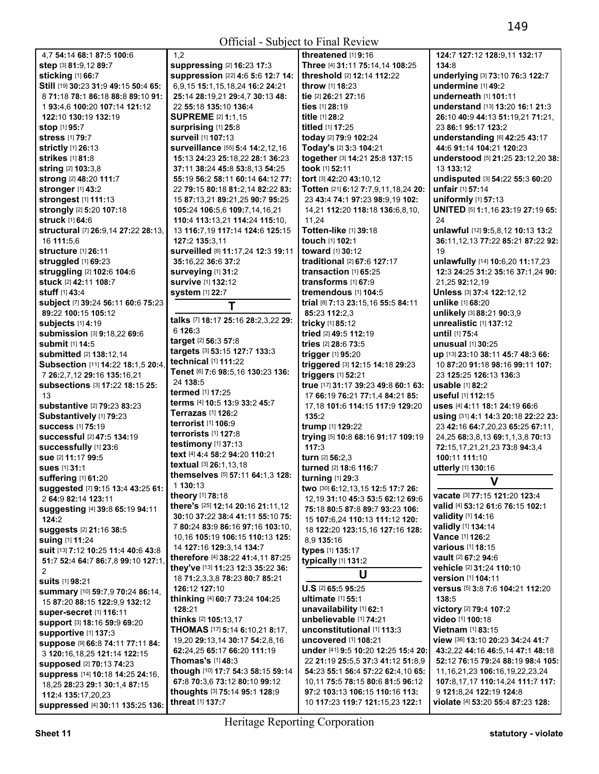1,2

| 4.7 54:14 68:1 87:5 100:6                           |   |
|-----------------------------------------------------|---|
| step [3] 81:9,12 89:7                               |   |
| sticking [1] 66:7                                   |   |
| Still [19] 30:23 31:9 49:15 50:4 65:                |   |
| 8 71:18 78:1 86:18 88:8 89:10 91:                   |   |
| 193:4.6 100:20 107:14 121:12                        |   |
| 122:10 130:19 132:19                                |   |
| stop [1] 95:7                                       |   |
| <b>stress</b> [1] 79:7                              |   |
| strictly [1] 26:13<br>strikes [1] 81:8              |   |
|                                                     |   |
| string [2] 103:3,8<br>strong [2] 48:20 111:7        |   |
| stronger [1] 43:2                                   |   |
| strongest [1] 111:13                                |   |
| strongly [2] 5:20 107:18                            |   |
| <b>struck</b> [1] 64:6                              |   |
| structural [7] 26:9,14 27:22 28:13,                 |   |
| 16 111:5,6                                          |   |
| <b>structure</b> [1] 26:11                          |   |
| struggled [1] 69:23                                 |   |
| struggling [2] 102:6 104:6                          |   |
| stuck [2] 42:11 108:7                               |   |
| stuff [1] 43:4                                      |   |
| subject [7] 39:24 56:11 60:6 75:23                  |   |
| 89:22 100:15 105:12                                 |   |
| subjects [1] 4:19                                   |   |
| <b>submission [3] 9:18,22 69:6</b>                  |   |
| submit [1] 14:5                                     |   |
| submitted [2] 138:12,14                             |   |
| Subsection [11] 14:22 18:1,5 20:4,                  |   |
| 7 26:2,7,12 29:16 135:16,21                         |   |
| subsections [3] 17:22 18:15 25:                     |   |
| 13                                                  |   |
| substantive [2] 79:23 83:23                         |   |
| Substantively [1] 79:23<br><b>success</b> [1] 75:19 |   |
| successful [2] 47:5 134:19                          |   |
| successfully [1] 23:6                               |   |
| sue [2] 11:17 99:5                                  |   |
| <b>sues</b> [1] 31:1                                |   |
| suffering [1] 61:20                                 |   |
| suggested [7] 9:15 13:4 43:25 61:                   |   |
| 2 64:9 82:14 123:11                                 |   |
| suggesting [4] 39:8 65:19 94:11                     |   |
| 124:2                                               |   |
| suggests [2] 21:16 38:5                             |   |
| suing [1] 11:24                                     |   |
| suit [13] 7:12 10:25 11:4 40:6 43:8                 |   |
| 51:7 52:4 64:7 86:7,8 99:10 127:1,                  |   |
| 2                                                   | Í |
| <b>suits</b> [1] 98:21                              |   |
| summary [10] 59:7,9 70:24 86:14,                    | Í |
| 15 87:20 88:15 122:9,9 132:12                       |   |
| super-secret [1] 116:11                             |   |
| Support [3] 18:16 59:9 69:20                        |   |
| <b>supportive [1] 137:3</b>                         |   |
| Suppose [9] 66:8 74:11 77:11 84:                    |   |
| 3 120:16,18,25 121:14 122:15                        |   |
| supposed [2] 70:13 74:23                            |   |
| suppress [14] 10:18 14:25 24:16,                    |   |
| 18,25 28:23 29:1 30:1,4 87:15<br>112:4 135:17,20,23 |   |
| suppressed [4] 30:11 135:25 136:                    |   |
|                                                     |   |

| suppressing [2] 16:23 17:3          | Three [4] 31:11 75:14,14 108:25     |
|-------------------------------------|-------------------------------------|
| suppression [22] 4:6 5:6 12:7 14:   | threshold [2] 12:14 112:22          |
| 6,9,15 15:1,15,18,24 16:2 24:21     | throw [1] 18:23                     |
| 25:14 28:19,21 29:4,7 30:13 48:     | tie [2] 26:21 27:16                 |
| 22 55:18 135:10 136:4               | ties [1] 28:19                      |
| <b>SUPREME</b> [2] 1:1,15           | title [1] 28:2                      |
| <b>surprising</b> [1] 25:8          | titled [1] 17:25                    |
| surveil [1] 107:13                  | today [2] 79:9 102:24               |
| surveillance [55] 5:4 14:2,12,16    | Today's [2] 3:3 104:21              |
| 15:13 24:23 25:18,22 28:1 36:23     | together [3] 14:21 25:8 137:15      |
| 37:11 38:24 45:8 53:8,13 54:25      | took [1] 52:11                      |
| 55:19 56:2 58:11 60:14 64:12 77:    | tort [3] 42:20 43:10,12             |
| 22 79:15 80:18 81:2,14 82:22 83:    | Totten [21] 6:12 7:7,9,11,18,24 20  |
| 15 87:13.21 89:21.25 90:7 95:25     | 23 43:4 74:1 97:23 98:9.19 102:     |
| 105:24 106:5,6 109:7,14,16,21       | 14,21 112:20 118:18 136:6,8,10,     |
| 110:4 113:13.21 114:24 115:10.      | 11.24                               |
| 13 116:7,19 117:14 124:6 125:15     | Totten-like [1] 39:18               |
| 127:2 135:3.11                      | touch [1] 102:1                     |
| Surveilled [8] 11:17,24 12:3 19:11  | toward [1] 30:12                    |
| 35:16.22 36:6 37:2                  | traditional [2] 67:6 127:17         |
| <b>surveying [1] 31:2</b>           | transaction [1] 65:25               |
| <b>survive</b> [1] 132:12           | transforms [1] 67:9                 |
| <b>system</b> [1] 22:7              | tremendous [1] 104:5                |
| Т                                   | trial [8] 7:13 23:15,16 55:5 84:11  |
|                                     | 85:23 112:2,3                       |
| talks [7] 18:17 25:16 28:2,3,22 29: | tricky [1] 85:12                    |
| 6 126:3                             | tried [2] 49:5 112:19               |
| target [2] 56:3 57:8                | tries [2] 28:6 73:5                 |
| targets [3] 53:15 127:7 133:3       | trigger [1] 95:20                   |
| technical [1] 111:22                | triggered [3] 12:15 14:18 29:23     |
| Tenet [6] 7:6 98:5,16 130:23 136:   | triggers [1] 52:21                  |
| 24 138:5                            | true [17] 31:17 39:23 49:8 60:1 63: |
| termed [1] 17:25                    | 17 66:19 76:21 77:1,4 84:21 85:     |
| terms [4] 10:5 13:9 33:2 45:7       | 17,18 101:6 114:15 117:9 129:20     |
| <b>Terrazas</b> [1] <b>126:</b> 2   | 135:2                               |
| terrorist [1] 106:9                 | trump [1] 129:22                    |
| terrorists [1] 127:8                | trying [5] 10:8 68:16 91:17 109:19  |
| testimony [1] 37:13                 | 117:3                               |
| text [4] 4:4 58:2 94:20 110:21      | turn [2] 56:2,3                     |
| textual [3] 26:1,13,18              | turned [2] 18:6 116:7               |
| themselves [5] 57:11 64:1,3 128:    | turning [1] 29:3                    |
| 1 130:13                            | two [30] 6:12,13,15 12:5 17:7 26:   |
| <b>theory</b> [1] <b>78:</b> 18     | 12,19 31:10 45:3 53:5 62:12 69:6    |
| there's [25] 12:14 20:16 21:11,12   | 75:18 80:5 87:8 89:7 93:23 106:     |
| 30:10 37:22 38:4 41:11 55:10 75:    | 15 107:6.24 110:13 111:12 120:      |
| 7 80:24 83:9 86:16 97:16 103:10.    | 18 122:20 123:15,16 127:16 128:     |
| 10.16 105:19 106:15 110:13 125:     | 8,9 135:16                          |
| 14 127:16 129:3,14 134:7            | types [1] 135:17                    |
| therefore [4] 38:22 41:4,11 87:25   | typically [1] 131:2                 |
| they've [13] 11:23 12:3 35:22 36:   | U                                   |
| 18 71:2,3,3,8 78:23 80:7 85:21      |                                     |
| 126:12 127:10                       | U.S [2] 65:5 95:25                  |
| thinking [4] 60:7 73:24 104:25      | ultimate [1] 55:1                   |
| 128:21                              | unavailability [1] 62:1             |
| thinks [2] 105:13,17                | unbelievable [1] 74:21              |
| THOMAS [17] 5:14 6:10,21 8:17,      | unconstitutional [1] 113:3          |
| 19,20 29:13,14 30:17 54:2,8,16      | uncovered [1] 108:21                |
| 62:24,25 65:17 66:20 111:19         | under [41] 9:5 10:20 12:25 15:4 20  |
| Thomas's [1] 48:3                   | 22 21:19 25:5,5 37:3 41:12 51:8,9   |
| though [10] 17:7 54:3 58:15 59:14   | 54:23 55:1 56:4 57:22 62:4,10 65    |
| 67:8 70:3,6 73:12 80:10 99:12       | 10,11 75:5 78:15 80:6 81:5 96:12    |
| thoughts [3] 75:14 95:1 128:9       | 97:2 103:13 106:15 110:16 113:      |
| threat [1] 137:7                    | 10 117:23 119:7 121:15.23 122:1     |
|                                     |                                     |
|                                     |                                     |

**threatened** [1] **9:**16 **Three** [4] **31:**11 **75:**14,14 **108:**25 **threshold** [2] **12:**14 **112:**22 **throw** [1] **18:**23 **t**:16 **titled** [1] **17:**25 **today** [2] **79:**9 **102:**24 **Today's** [2] **3:**3 **104:**21 **together** [3] **14:**21 **25:**8 **137:**15 **tort** [3] **42:**20 **43:**10,12 **Totten** [21] **6:**12 **7:**7,9,11,18,24 **20:**  23 **43:**4 **74:**1 **97:**23 **98:**9,19 **102:**  14,21 **112:**20 **118:**18 **136:**6,8,10, **Totten-like** [1] **39:**18 **touch** [1] **102:**1 **t**:12 **traditional** [2] **67:**6 **127:**17 **transaction** [1] **65:**25 **transforms** [1] **67:**9 **tremendous** [1] **104:**5 **trial** [8] **7:**13 **23:**15,16 **55:**5 **84:**11 **85:**23 **112:**2,3 **tricky** [1] **85:**12 **tried** [2] **49:**5 **112:**19 **tries** [2] **28:**6 **73:**5  $20$ **triggered** [3] **12:**15 **14:**18 **29:**23 **2:21 true** [17] **31:**17 **39:**23 **49:**8 **60:**1 **63:**  17 **66:**19 **76:**21 **77:**1,4 **84:**21 **85:**  17,18 **101:**6 **114:**15 **117:**9 **129:**20 **trump** [1] **129:**22 **trying** [5] **10:**8 **68:**16 **91:**17 **109:**19 **turn** [2] **56:**2,3 **turned** [2] **18:**6 **116:**7 **t**:3 **two** [30] **6:**12,13,15 **12:**5 **17:**7 **26:**  12,19 **31:**10 **45:**3 **53:**5 **62:**12 **69:**6 **75:**18 **80:**5 **87:**8 **89:**7 **93:**23 **106:**  15 **107:**6,24 **110:**13 **111:**12 **120:**  18 **122:**20 **123:**15,16 **127:**16 **128: t17 typically** [1] **131:**2 **U U.S** [2] **65:**5 **95:**25 **us**:1 **unavailability** [1] **62:**1 **unbelievable** [1] **74:**21 **ional** [1] **113:**3 **uncovered** [1] **108:**21 **under** [41] **9:**5 **10:**20 **12:**25 **15:**4 **20:**  22 **21:**19 **25:**5,5 **37:**3 **41:**12 **51:**8,9 **54:**23 **55:**1 **56:**4 **57:**22 **62:**4,10 **65:**  10,11 **75:**5 **78:**15 **80:**6 **81:**5 **96:**12

**124:**7 **127:**12 **128:**9,11 **132:**17 **134:**8 **underlying** [3] **73:**10 **76:**3 **122:**7 **undermine** [1] **49:**2 **underneath** [1] **101:**11 **understand** [13] **13:**20 **16:**1 **21:**3 **26:**10 **40:**9 **44:**13 **51:**19,21 **71:**21, 23 **86:**1 **95:**17 **123:**2 **understanding** [6] **42:**25 **43:**17 **44:**6 **91:**14 **104:**21 **120:**23 **understood** [5] **21:**25 **23:**12,20 **38:**  13 **133:**12 **undisputed** [3] **54:**22 **55:**3 **60:**20 **unfair** [1] **57:**14 **uniformly** [1] **57:**13 **UNITED** [5] **1:**1,16 **23:**19 **27:**19 **65:**   $24$ **unlawful** [12] **9:**5,8,12 **10:**13 **13:**2 **36:**11,12,13 **77:**22 **85:**21 **87:**22 **92:**  19 **unlawfully** [14] **10:**6,20 **11:**17,23 **12:**3 **24:**25 **31:**2 **35:**16 **37:**1,24 **90:**  21,25 **92:**12,19 **Unless** [3] **37:**4 **122:**12,12 **unlike** [1] **68:**20 **unlikely** [3] **88:**21 **90:**3,9 **unrealistic** [1] **137:**12 **until** [1] **75:**4 **unusual** [1] **30:**25 **up** [13] **23:**10 **38:**11 **45:**7 **48:**3 **66:**  10 **87:**20 **91:**18 **98:**16 **99:**11 **107:**  23 **125:**25 **126:**13 **136:**3 **usable** [1] **82:**2 **useful** [1] **112:**15 **uses** [4] **4:**11 **18:**1 **24:**19 **66:**6 **using** [31] **4:**1 **14:**3 **20:**18 **22:**22 **23:**  23 **42:**16 **64:**7,20,23 **65:**25 **67:**11, 24,25 **68:**3,8,13 **69:**1,1,3,8 **70:**13 **72:**15,17,21,21,23 **73:**8 **94:**3,4 **100:**11 **111:**10 **utterly** [1] **130:**16 **V vacate** [3] **77:**15 **121:**20 **123:**4 **valid** [4] **53:**12 **61:**6 **76:**15 **102:**1 **validity** [1] **14:**16 **validly** [1] **134:**14 **Vance** [1] **126:**2 **various** [1] **18:**15 **vault** [2] **67:**2 **94:**6 **vehicle** [2] **31:**24 **110:**10 **version** [1] **104:**11 **versus** [5] **3:**8 **7:**6 **104:**21 **112:**20 **138:**5 **victory** [2] **79:**4 **107:**2 **video** [1] **100:**18 **Vietnam** [1] **83:**15 **view** [36] **13:**10 **20:**23 **34:**24 **41:**7 **43:**2,22 **44:**16 **46:**5,14 **47:**1 **48:**18 **52:**12 **76:**15 **79:**24 **88:**19 **98:**4 **105:**  11,16,21,23 **106:**16,19,22,23,24 **107:**8,17,17 **110:**14,24 **111:**7 **117:**  9 **121:**8,24 **122:**19 **124:**8

**violate** [4] **53:**20 **55:**4 **87:**23 **128:**